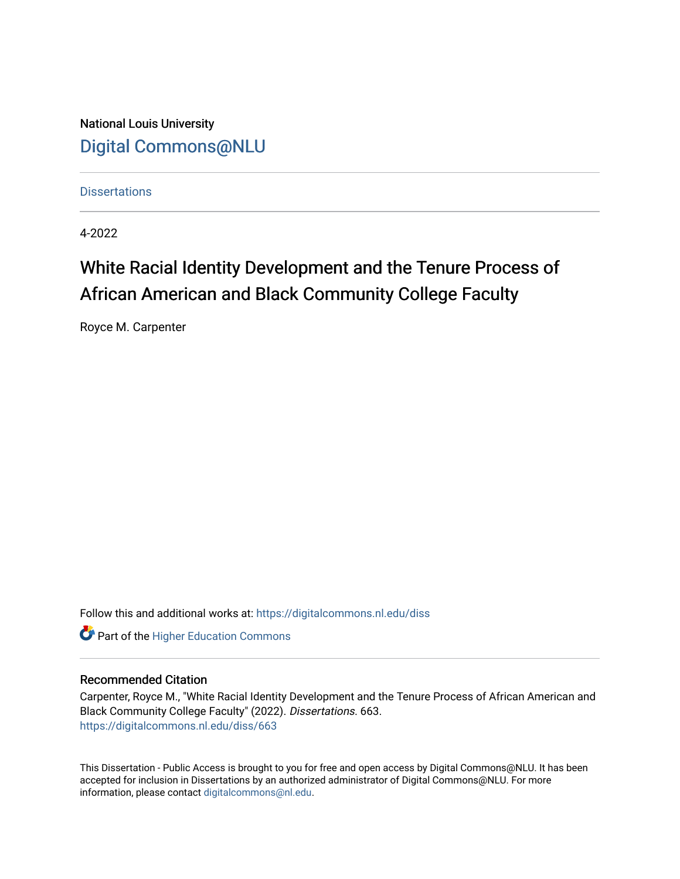National Louis University [Digital Commons@NLU](https://digitalcommons.nl.edu/)

**Dissertations** 

4-2022

# White Racial Identity Development and the Tenure Process of African American and Black Community College Faculty

Royce M. Carpenter

Follow this and additional works at: [https://digitalcommons.nl.edu/diss](https://digitalcommons.nl.edu/diss?utm_source=digitalcommons.nl.edu%2Fdiss%2F663&utm_medium=PDF&utm_campaign=PDFCoverPages) 

**Part of the Higher Education Commons** 

# Recommended Citation

Carpenter, Royce M., "White Racial Identity Development and the Tenure Process of African American and Black Community College Faculty" (2022). Dissertations. 663. [https://digitalcommons.nl.edu/diss/663](https://digitalcommons.nl.edu/diss/663?utm_source=digitalcommons.nl.edu%2Fdiss%2F663&utm_medium=PDF&utm_campaign=PDFCoverPages) 

This Dissertation - Public Access is brought to you for free and open access by Digital Commons@NLU. It has been accepted for inclusion in Dissertations by an authorized administrator of Digital Commons@NLU. For more information, please contact [digitalcommons@nl.edu.](mailto:digitalcommons@nl.edu)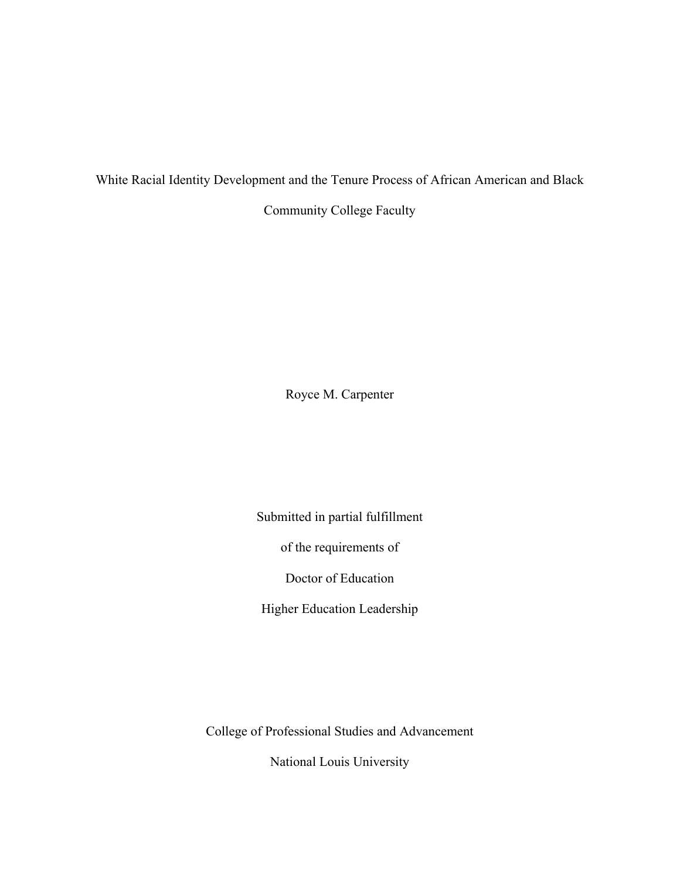White Racial Identity Development and the Tenure Process of African American and Black

Community College Faculty

Royce M. Carpenter

Submitted in partial fulfillment

of the requirements of

Doctor of Education

Higher Education Leadership

College of Professional Studies and Advancement

National Louis University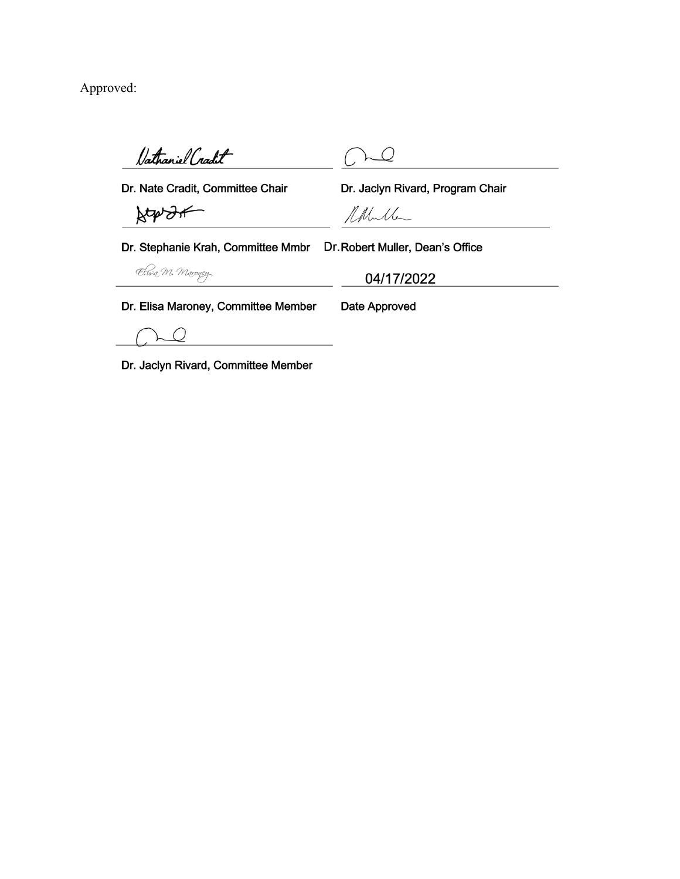Approved:

Vathaniel Cradit

 $\mathcal Q$ 

Dr. Nate Cradit, Committee Chair

Atension

Dr. Jaclyn Rivard, Program Chair

Notherle

Dr. Stephanie Krah, Committee Mmbr Dr. Robert Muller, Dean's Office

Elisa M. Maroney,

04/17/2022

Dr. Elisa Maroney, Committee Member

Date Approved

 $\mathcal{Q}$ 

Dr. Jaclyn Rivard, Committee Member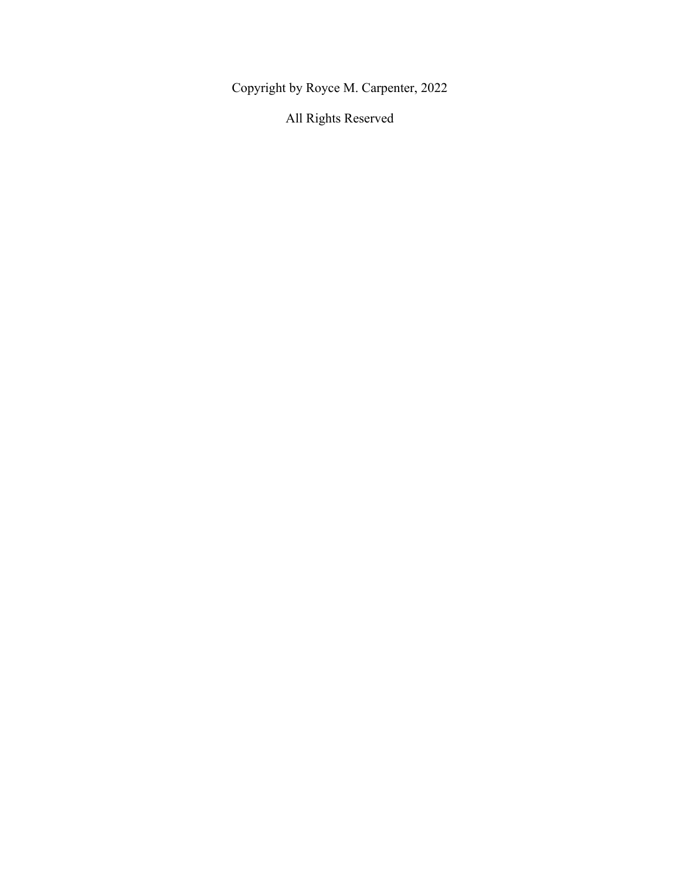Copyright by Royce M. Carpenter, 2022

All Rights Reserved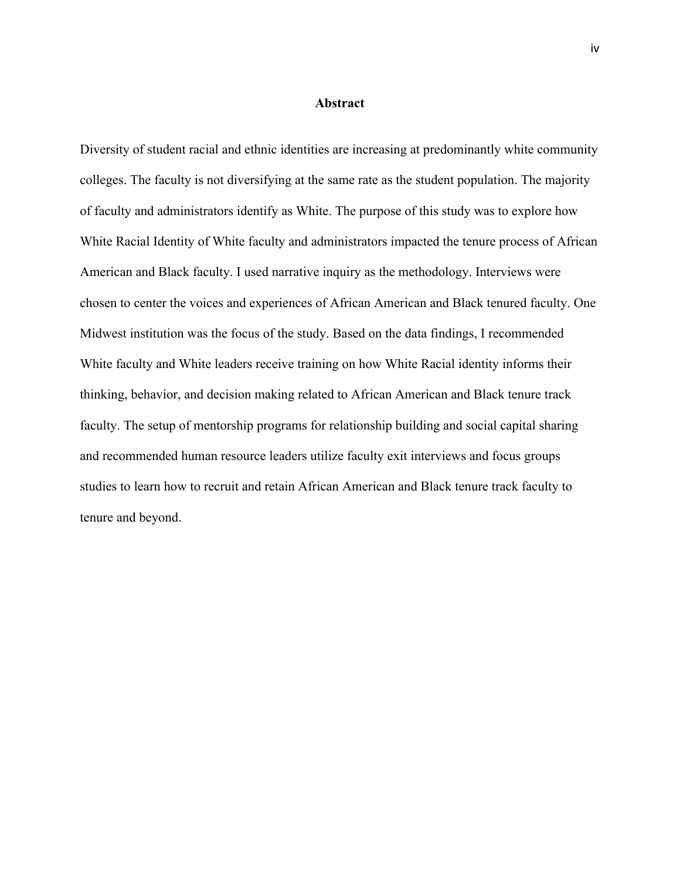#### **Abstract**

Diversity of student racial and ethnic identities are increasing at predominantly white community colleges. The faculty is not diversifying at the same rate as the student population. The majority of faculty and administrators identify as White. The purpose of this study was to explore how White Racial Identity of White faculty and administrators impacted the tenure process of African American and Black faculty. I used narrative inquiry as the methodology. Interviews were chosen to center the voices and experiences of African American and Black tenured faculty. One Midwest institution was the focus of the study. Based on the data findings, I recommended White faculty and White leaders receive training on how White Racial identity informs their thinking, behavior, and decision making related to African American and Black tenure track faculty. The setup of mentorship programs for relationship building and social capital sharing and recommended human resource leaders utilize faculty exit interviews and focus groups studies to learn how to recruit and retain African American and Black tenure track faculty to tenure and beyond.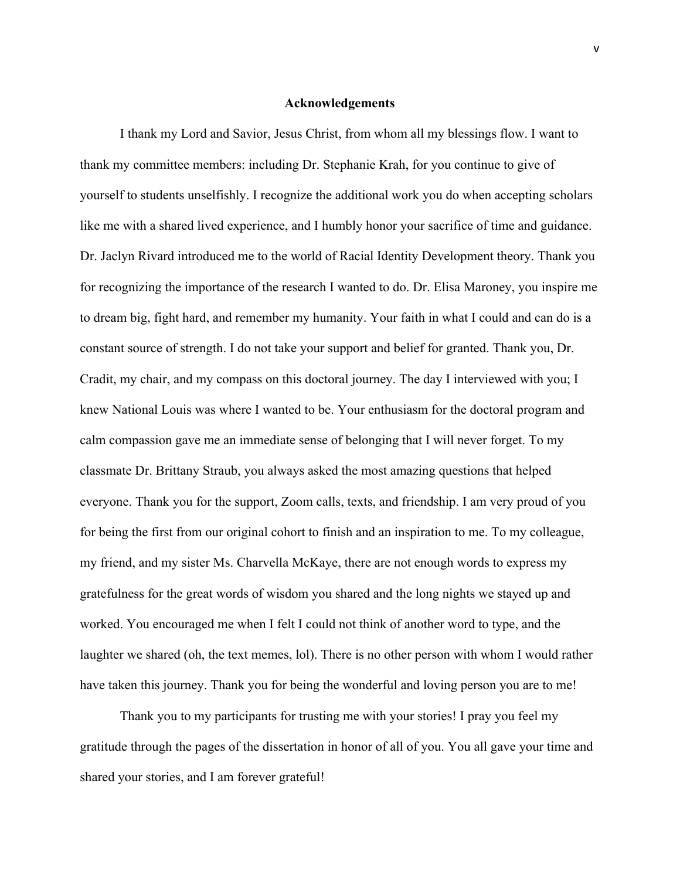# **Acknowledgements**

I thank my Lord and Savior, Jesus Christ, from whom all my blessings flow. I want to thank my committee members: including Dr. Stephanie Krah, for you continue to give of yourself to students unselfishly. I recognize the additional work you do when accepting scholars like me with a shared lived experience, and I humbly honor your sacrifice of time and guidance. Dr. Jaclyn Rivard introduced me to the world of Racial Identity Development theory. Thank you for recognizing the importance of the research I wanted to do. Dr. Elisa Maroney, you inspire me to dream big, fight hard, and remember my humanity. Your faith in what I could and can do is a constant source of strength. I do not take your support and belief for granted. Thank you, Dr. Cradit, my chair, and my compass on this doctoral journey. The day I interviewed with you; I knew National Louis was where I wanted to be. Your enthusiasm for the doctoral program and calm compassion gave me an immediate sense of belonging that I will never forget. To my classmate Dr. Brittany Straub, you always asked the most amazing questions that helped everyone. Thank you for the support, Zoom calls, texts, and friendship. I am very proud of you for being the first from our original cohort to finish and an inspiration to me. To my colleague, my friend, and my sister Ms. Charvella McKaye, there are not enough words to express my gratefulness for the great words of wisdom you shared and the long nights we stayed up and worked. You encouraged me when I felt I could not think of another word to type, and the laughter we shared (oh, the text memes, lol). There is no other person with whom I would rather have taken this journey. Thank you for being the wonderful and loving person you are to me!

Thank you to my participants for trusting me with your stories! I pray you feel my gratitude through the pages of the dissertation in honor of all of you. You all gave your time and shared your stories, and I am forever grateful!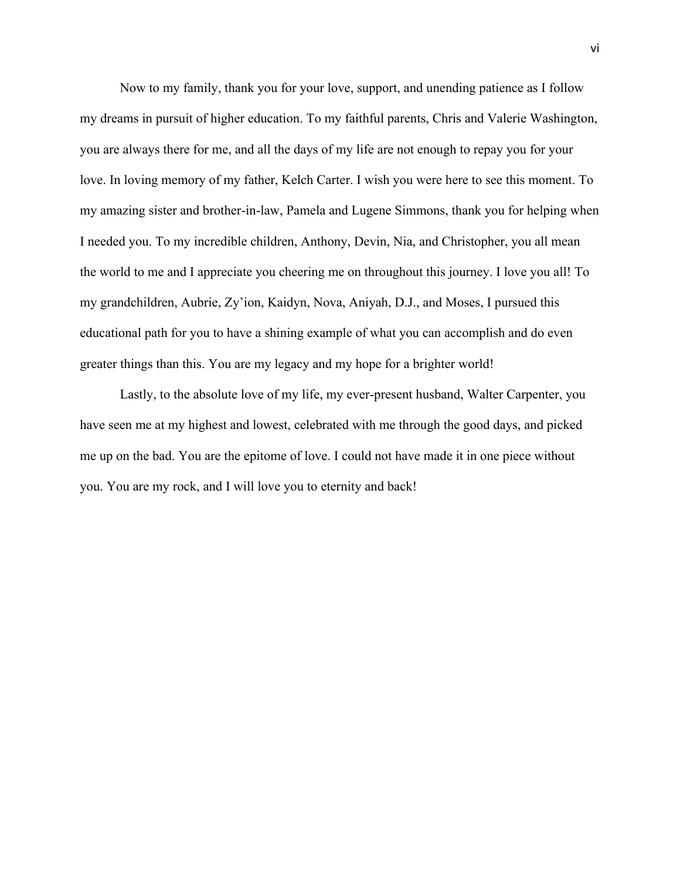Now to my family, thank you for your love, support, and unending patience as I follow my dreams in pursuit of higher education. To my faithful parents, Chris and Valerie Washington, you are always there for me, and all the days of my life are not enough to repay you for your love. In loving memory of my father, Kelch Carter. I wish you were here to see this moment. To my amazing sister and brother-in-law, Pamela and Lugene Simmons, thank you for helping when I needed you. To my incredible children, Anthony, Devin, Nia, and Christopher, you all mean the world to me and I appreciate you cheering me on throughout this journey. I love you all! To my grandchildren, Aubrie, Zy'ion, Kaidyn, Nova, Aniyah, D.J., and Moses, I pursued this educational path for you to have a shining example of what you can accomplish and do even greater things than this. You are my legacy and my hope for a brighter world!

Lastly, to the absolute love of my life, my ever-present husband, Walter Carpenter, you have seen me at my highest and lowest, celebrated with me through the good days, and picked me up on the bad. You are the epitome of love. I could not have made it in one piece without you. You are my rock, and I will love you to eternity and back!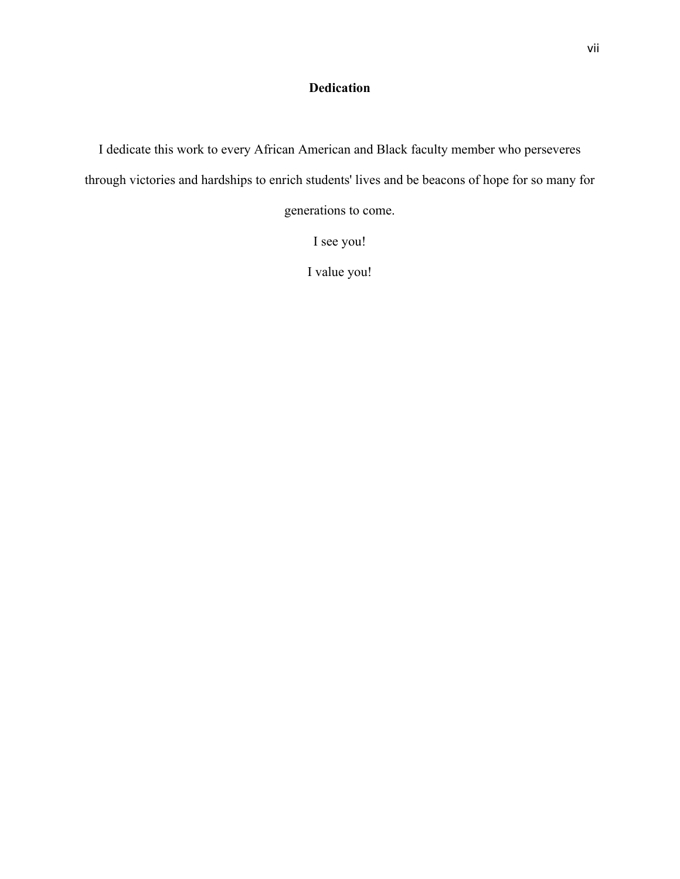# **Dedication**

I dedicate this work to every African American and Black faculty member who perseveres through victories and hardships to enrich students' lives and be beacons of hope for so many for

generations to come.

I see you!

I value you!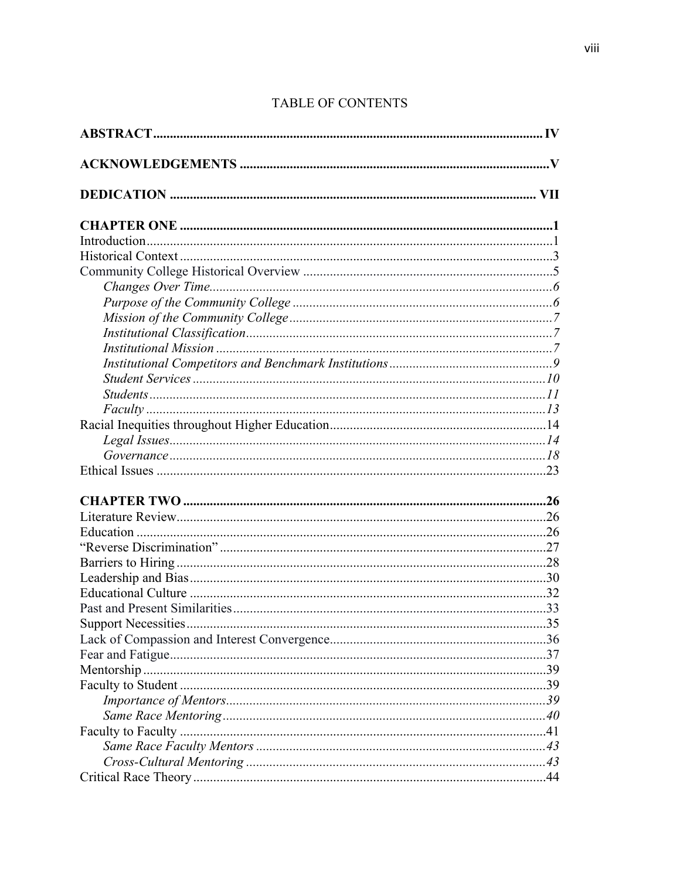# TABLE OF CONTENTS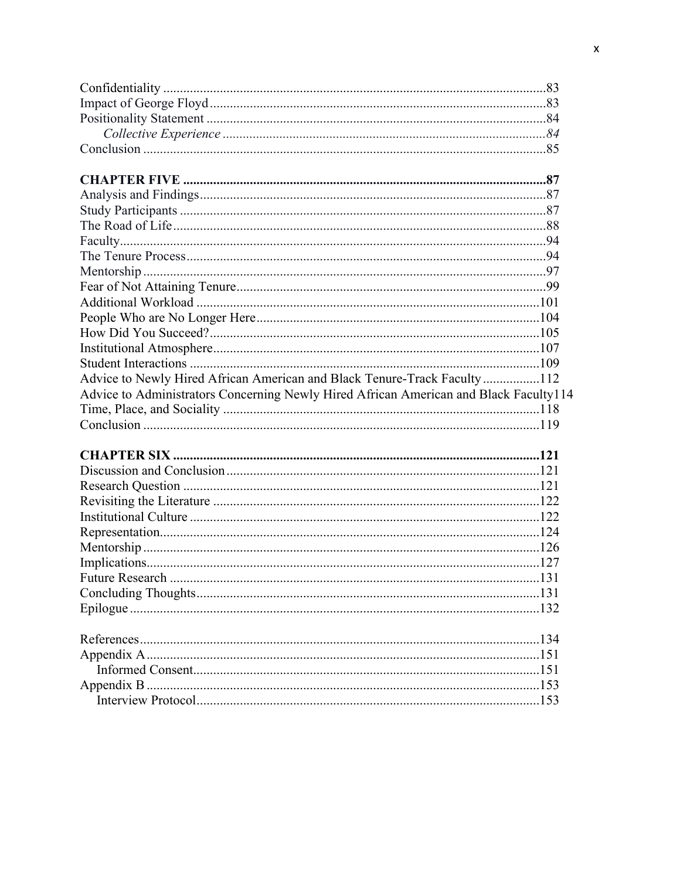| Advice to Newly Hired African American and Black Tenure-Track Faculty112              |  |
|---------------------------------------------------------------------------------------|--|
| Advice to Administrators Concerning Newly Hired African American and Black Faculty114 |  |
|                                                                                       |  |
|                                                                                       |  |
|                                                                                       |  |
|                                                                                       |  |
|                                                                                       |  |
|                                                                                       |  |
|                                                                                       |  |
|                                                                                       |  |
|                                                                                       |  |
|                                                                                       |  |
|                                                                                       |  |
|                                                                                       |  |
|                                                                                       |  |
|                                                                                       |  |
|                                                                                       |  |
|                                                                                       |  |
|                                                                                       |  |
|                                                                                       |  |
|                                                                                       |  |
|                                                                                       |  |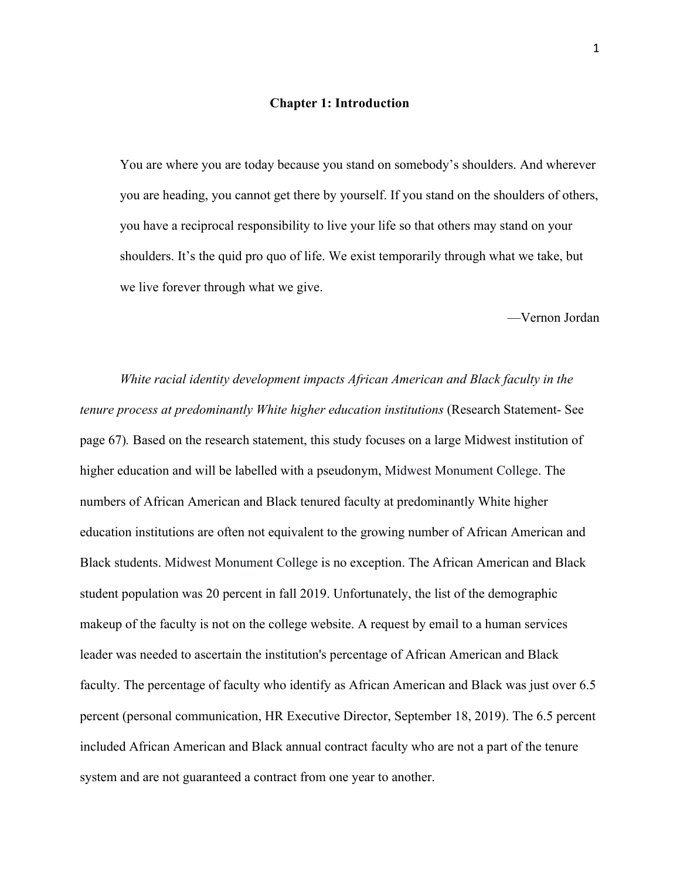#### **Chapter 1: Introduction**

You are where you are today because you stand on somebody's shoulders. And wherever you are heading, you cannot get there by yourself. If you stand on the shoulders of others, you have a reciprocal responsibility to live your life so that others may stand on your shoulders. It's the quid pro quo of life. We exist temporarily through what we take, but we live forever through what we give.

—Vernon Jordan

*White racial identity development impacts African American and Black faculty in the tenure process at predominantly White higher education institutions* (Research Statement- See page 67)*.* Based on the research statement, this study focuses on a large Midwest institution of higher education and will be labelled with a pseudonym, Midwest Monument College. The numbers of African American and Black tenured faculty at predominantly White higher education institutions are often not equivalent to the growing number of African American and Black students. Midwest Monument College is no exception. The African American and Black student population was 20 percent in fall 2019. Unfortunately, the list of the demographic makeup of the faculty is not on the college website. A request by email to a human services leader was needed to ascertain the institution's percentage of African American and Black faculty. The percentage of faculty who identify as African American and Black was just over 6.5 percent (personal communication, HR Executive Director, September 18, 2019). The 6.5 percent included African American and Black annual contract faculty who are not a part of the tenure system and are not guaranteed a contract from one year to another.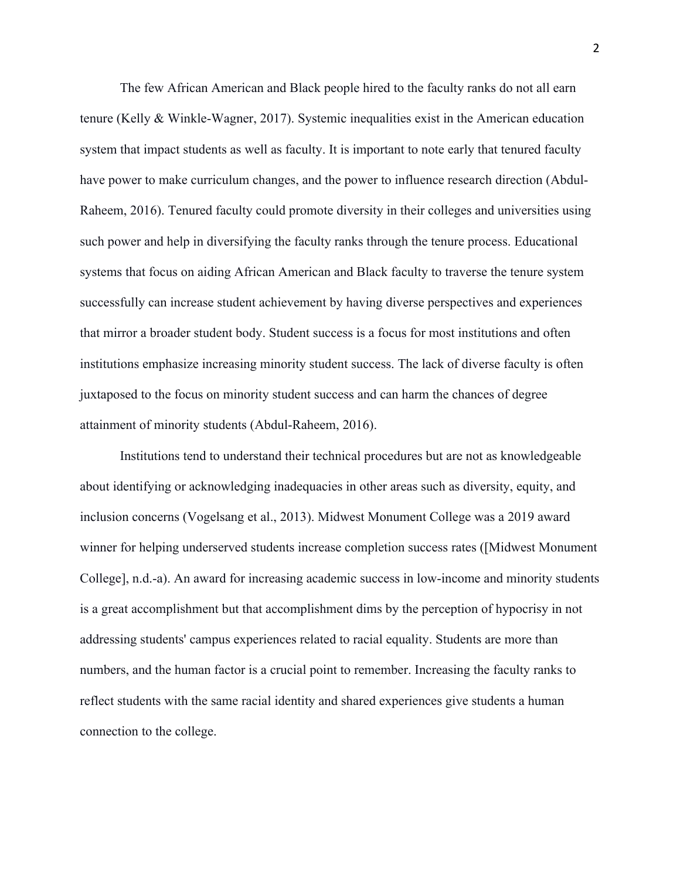The few African American and Black people hired to the faculty ranks do not all earn tenure (Kelly & Winkle-Wagner, 2017). Systemic inequalities exist in the American education system that impact students as well as faculty. It is important to note early that tenured faculty have power to make curriculum changes, and the power to influence research direction (Abdul-Raheem, 2016). Tenured faculty could promote diversity in their colleges and universities using such power and help in diversifying the faculty ranks through the tenure process. Educational systems that focus on aiding African American and Black faculty to traverse the tenure system successfully can increase student achievement by having diverse perspectives and experiences that mirror a broader student body. Student success is a focus for most institutions and often institutions emphasize increasing minority student success. The lack of diverse faculty is often juxtaposed to the focus on minority student success and can harm the chances of degree attainment of minority students (Abdul-Raheem, 2016).

Institutions tend to understand their technical procedures but are not as knowledgeable about identifying or acknowledging inadequacies in other areas such as diversity, equity, and inclusion concerns (Vogelsang et al., 2013). Midwest Monument College was a 2019 award winner for helping underserved students increase completion success rates ([Midwest Monument College], n.d.-a). An award for increasing academic success in low-income and minority students is a great accomplishment but that accomplishment dims by the perception of hypocrisy in not addressing students' campus experiences related to racial equality. Students are more than numbers, and the human factor is a crucial point to remember. Increasing the faculty ranks to reflect students with the same racial identity and shared experiences give students a human connection to the college.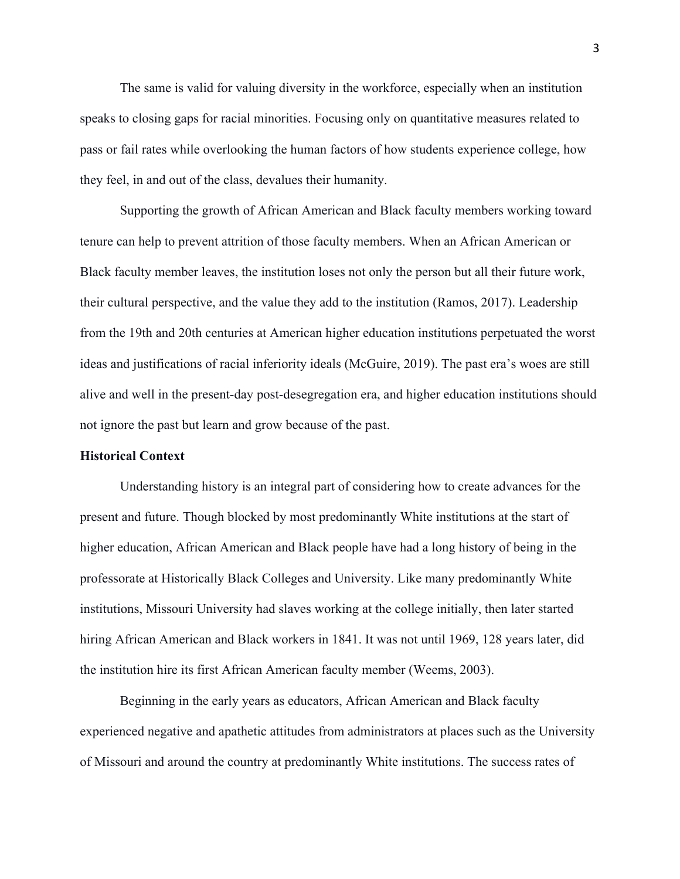The same is valid for valuing diversity in the workforce, especially when an institution speaks to closing gaps for racial minorities. Focusing only on quantitative measures related to pass or fail rates while overlooking the human factors of how students experience college, how they feel, in and out of the class, devalues their humanity.

Supporting the growth of African American and Black faculty members working toward tenure can help to prevent attrition of those faculty members. When an African American or Black faculty member leaves, the institution loses not only the person but all their future work, their cultural perspective, and the value they add to the institution (Ramos, 2017). Leadership from the 19th and 20th centuries at American higher education institutions perpetuated the worst ideas and justifications of racial inferiority ideals (McGuire, 2019). The past era's woes are still alive and well in the present-day post-desegregation era, and higher education institutions should not ignore the past but learn and grow because of the past.

# **Historical Context**

Understanding history is an integral part of considering how to create advances for the present and future. Though blocked by most predominantly White institutions at the start of higher education, African American and Black people have had a long history of being in the professorate at Historically Black Colleges and University. Like many predominantly White institutions, Missouri University had slaves working at the college initially, then later started hiring African American and Black workers in 1841. It was not until 1969, 128 years later, did the institution hire its first African American faculty member (Weems, 2003).

Beginning in the early years as educators, African American and Black faculty experienced negative and apathetic attitudes from administrators at places such as the University of Missouri and around the country at predominantly White institutions. The success rates of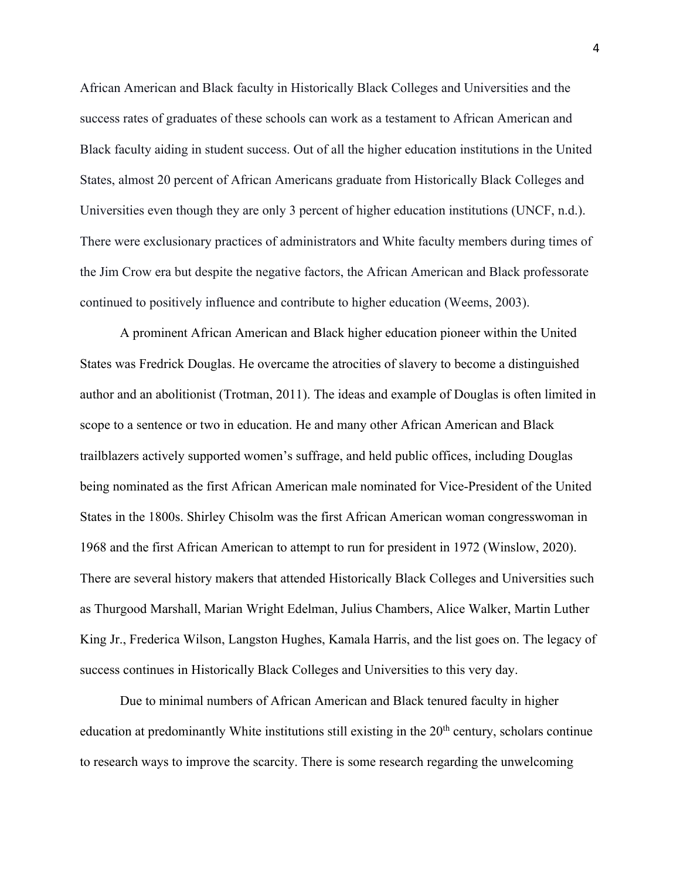African American and Black faculty in Historically Black Colleges and Universities and the success rates of graduates of these schools can work as a testament to African American and Black faculty aiding in student success. Out of all the higher education institutions in the United States, almost 20 percent of African Americans graduate from Historically Black Colleges and Universities even though they are only 3 percent of higher education institutions (UNCF, n.d.). There were exclusionary practices of administrators and White faculty members during times of the Jim Crow era but despite the negative factors, the African American and Black professorate continued to positively influence and contribute to higher education (Weems, 2003).

A prominent African American and Black higher education pioneer within the United States was Fredrick Douglas. He overcame the atrocities of slavery to become a distinguished author and an abolitionist (Trotman, 2011). The ideas and example of Douglas is often limited in scope to a sentence or two in education. He and many other African American and Black trailblazers actively supported women's suffrage, and held public offices, including Douglas being nominated as the first African American male nominated for Vice-President of the United States in the 1800s. Shirley Chisolm was the first African American woman congresswoman in 1968 and the first African American to attempt to run for president in 1972 (Winslow, 2020). There are several history makers that attended Historically Black Colleges and Universities such as Thurgood Marshall, Marian Wright Edelman, Julius Chambers, Alice Walker, Martin Luther King Jr., Frederica Wilson, Langston Hughes, Kamala Harris, and the list goes on. The legacy of success continues in Historically Black Colleges and Universities to this very day.

Due to minimal numbers of African American and Black tenured faculty in higher education at predominantly White institutions still existing in the  $20<sup>th</sup>$  century, scholars continue to research ways to improve the scarcity. There is some research regarding the unwelcoming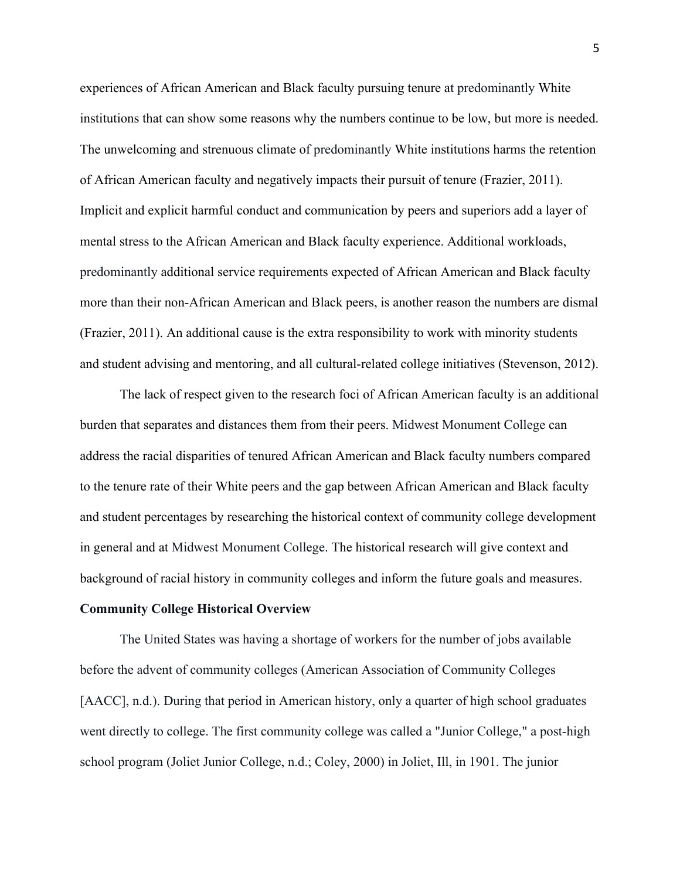experiences of African American and Black faculty pursuing tenure at predominantly White institutions that can show some reasons why the numbers continue to be low, but more is needed. The unwelcoming and strenuous climate of predominantly White institutions harms the retention of African American faculty and negatively impacts their pursuit of tenure (Frazier, 2011). Implicit and explicit harmful conduct and communication by peers and superiors add a layer of mental stress to the African American and Black faculty experience. Additional workloads, predominantly additional service requirements expected of African American and Black faculty more than their non-African American and Black peers, is another reason the numbers are dismal (Frazier, 2011). An additional cause is the extra responsibility to work with minority students and student advising and mentoring, and all cultural-related college initiatives (Stevenson, 2012).

The lack of respect given to the research foci of African American faculty is an additional burden that separates and distances them from their peers. Midwest Monument College can address the racial disparities of tenured African American and Black faculty numbers compared to the tenure rate of their White peers and the gap between African American and Black faculty and student percentages by researching the historical context of community college development in general and at Midwest Monument College. The historical research will give context and background of racial history in community colleges and inform the future goals and measures.

# **Community College Historical Overview**

The United States was having a shortage of workers for the number of jobs available before the advent of community colleges (American Association of Community Colleges [AACC], n.d.). During that period in American history, only a quarter of high school graduates went directly to college. The first community college was called a "Junior College," a post-high school program (Joliet Junior College, n.d.; Coley, 2000) in Joliet, Ill, in 1901. The junior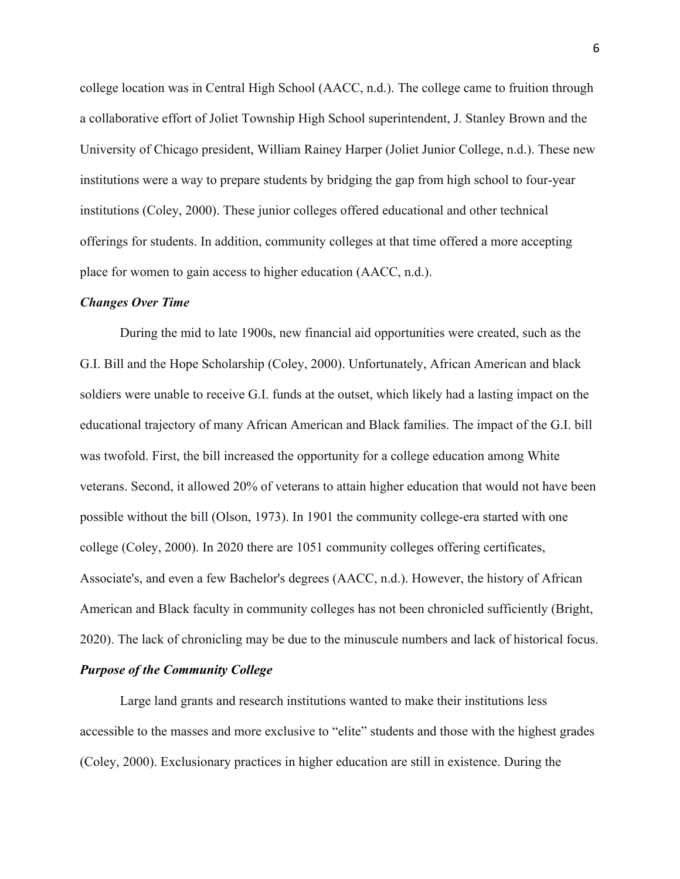college location was in Central High School (AACC, n.d.). The college came to fruition through a collaborative effort of Joliet Township High School superintendent, J. Stanley Brown and the University of Chicago president, William Rainey Harper (Joliet Junior College, n.d.). These new institutions were a way to prepare students by bridging the gap from high school to four-year institutions (Coley, 2000). These junior colleges offered educational and other technical offerings for students. In addition, community colleges at that time offered a more accepting place for women to gain access to higher education (AACC, n.d.).

#### *Changes Over Time*

During the mid to late 1900s, new financial aid opportunities were created, such as the G.I. Bill and the Hope Scholarship (Coley, 2000). Unfortunately, African American and black soldiers were unable to receive G.I. funds at the outset, which likely had a lasting impact on the educational trajectory of many African American and Black families. The impact of the G.I. bill was twofold. First, the bill increased the opportunity for a college education among White veterans. Second, it allowed 20% of veterans to attain higher education that would not have been possible without the bill (Olson, 1973). In 1901 the community college-era started with one college (Coley, 2000). In 2020 there are 1051 community colleges offering certificates, Associate's, and even a few Bachelor's degrees (AACC, n.d.). However, the history of African American and Black faculty in community colleges has not been chronicled sufficiently (Bright, 2020). The lack of chronicling may be due to the minuscule numbers and lack of historical focus.

# *Purpose of the Community College*

Large land grants and research institutions wanted to make their institutions less accessible to the masses and more exclusive to "elite" students and those with the highest grades (Coley, 2000). Exclusionary practices in higher education are still in existence. During the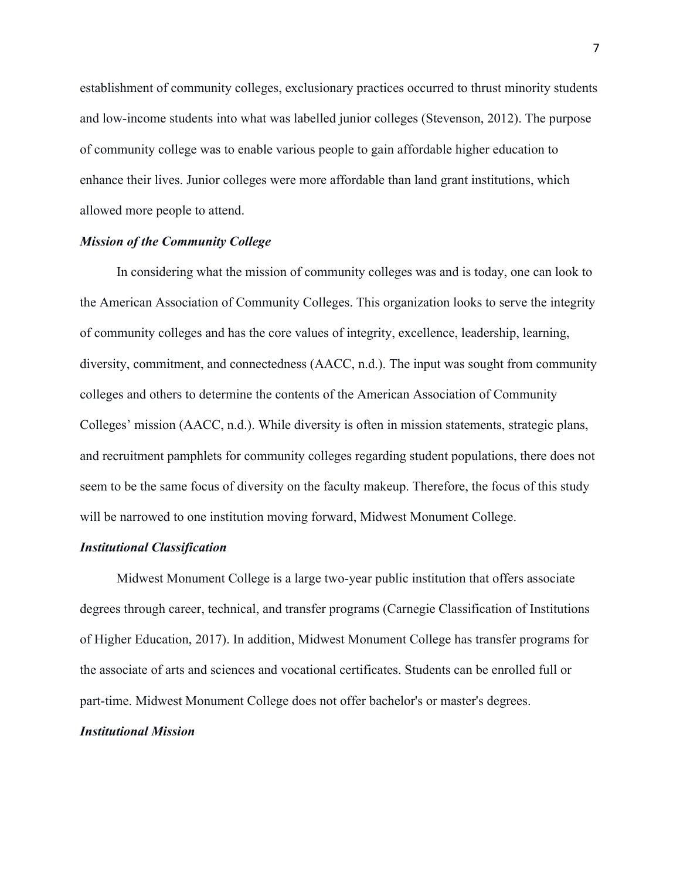establishment of community colleges, exclusionary practices occurred to thrust minority students and low-income students into what was labelled junior colleges (Stevenson, 2012). The purpose of community college was to enable various people to gain affordable higher education to enhance their lives. Junior colleges were more affordable than land grant institutions, which allowed more people to attend.

# *Mission of the Community College*

In considering what the mission of community colleges was and is today, one can look to the American Association of Community Colleges. This organization looks to serve the integrity of community colleges and has the core values of integrity, excellence, leadership, learning, diversity, commitment, and connectedness (AACC, n.d.). The input was sought from community colleges and others to determine the contents of the American Association of Community Colleges' mission (AACC, n.d.). While diversity is often in mission statements, strategic plans, and recruitment pamphlets for community colleges regarding student populations, there does not seem to be the same focus of diversity on the faculty makeup. Therefore, the focus of this study will be narrowed to one institution moving forward, Midwest Monument College.

#### *Institutional Classification*

Midwest Monument College is a large two-year public institution that offers associate degrees through career, technical, and transfer programs (Carnegie Classification of Institutions of Higher Education, 2017). In addition, Midwest Monument College has transfer programs for the associate of arts and sciences and vocational certificates. Students can be enrolled full or part-time. Midwest Monument College does not offer bachelor's or master's degrees.

# *Institutional Mission*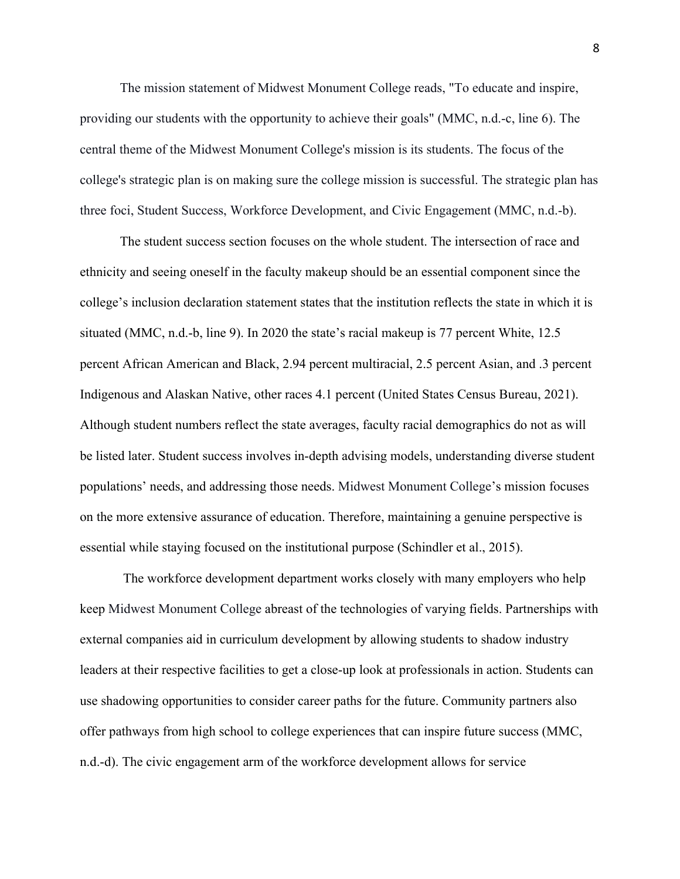The mission statement of Midwest Monument College reads, "To educate and inspire, providing our students with the opportunity to achieve their goals" (MMC, n.d.-c, line 6). The central theme of the Midwest Monument College's mission is its students. The focus of the college's strategic plan is on making sure the college mission is successful. The strategic plan has three foci, Student Success, Workforce Development, and Civic Engagement (MMC, n.d.-b).

The student success section focuses on the whole student. The intersection of race and ethnicity and seeing oneself in the faculty makeup should be an essential component since the college's inclusion declaration statement states that the institution reflects the state in which it is situated (MMC, n.d.-b, line 9). In 2020 the state's racial makeup is 77 percent White, 12.5 percent African American and Black, 2.94 percent multiracial, 2.5 percent Asian, and .3 percent Indigenous and Alaskan Native, other races 4.1 percent (United States Census Bureau, 2021). Although student numbers reflect the state averages, faculty racial demographics do not as will be listed later. Student success involves in-depth advising models, understanding diverse student populations' needs, and addressing those needs. Midwest Monument College's mission focuses on the more extensive assurance of education. Therefore, maintaining a genuine perspective is essential while staying focused on the institutional purpose (Schindler et al., 2015).

The workforce development department works closely with many employers who help keep Midwest Monument College abreast of the technologies of varying fields. Partnerships with external companies aid in curriculum development by allowing students to shadow industry leaders at their respective facilities to get a close-up look at professionals in action. Students can use shadowing opportunities to consider career paths for the future. Community partners also offer pathways from high school to college experiences that can inspire future success (MMC, n.d.-d). The civic engagement arm of the workforce development allows for service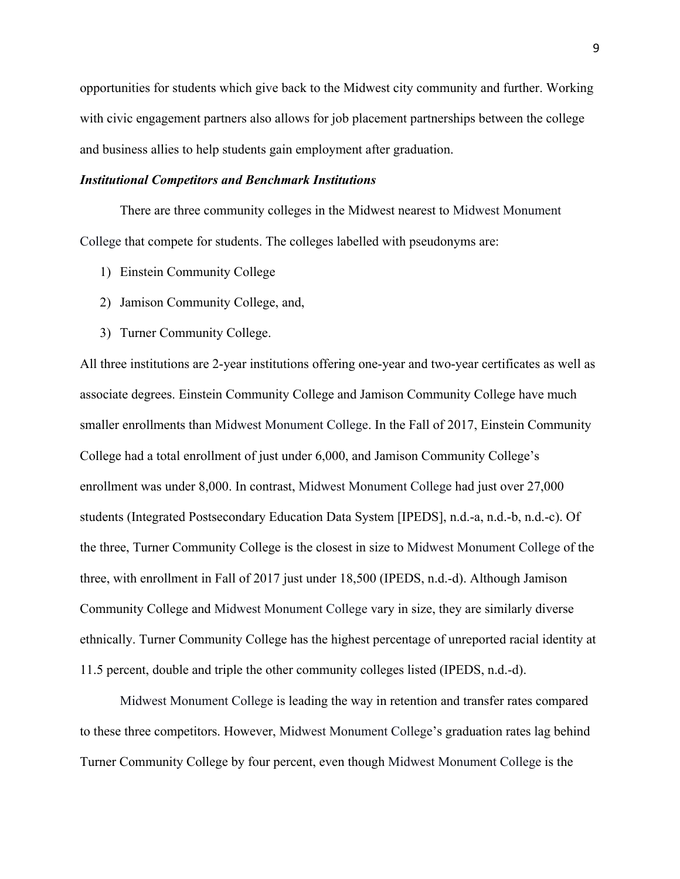opportunities for students which give back to the Midwest city community and further. Working with civic engagement partners also allows for job placement partnerships between the college and business allies to help students gain employment after graduation.

# *Institutional Competitors and Benchmark Institutions*

There are three community colleges in the Midwest nearest to Midwest Monument College that compete for students. The colleges labelled with pseudonyms are:

- 1) Einstein Community College
- 2) Jamison Community College, and,
- 3) Turner Community College.

All three institutions are 2-year institutions offering one-year and two-year certificates as well as associate degrees. Einstein Community College and Jamison Community College have much smaller enrollments than Midwest Monument College. In the Fall of 2017, Einstein Community College had a total enrollment of just under 6,000, and Jamison Community College's enrollment was under 8,000. In contrast, Midwest Monument College had just over 27,000 students (Integrated Postsecondary Education Data System [IPEDS], n.d.-a, n.d.-b, n.d.-c). Of the three, Turner Community College is the closest in size to Midwest Monument College of the three, with enrollment in Fall of 2017 just under 18,500 (IPEDS, n.d.-d). Although Jamison Community College and Midwest Monument College vary in size, they are similarly diverse ethnically. Turner Community College has the highest percentage of unreported racial identity at 11.5 percent, double and triple the other community colleges listed (IPEDS, n.d.-d).

Midwest Monument College is leading the way in retention and transfer rates compared to these three competitors. However, Midwest Monument College's graduation rates lag behind Turner Community College by four percent, even though Midwest Monument College is the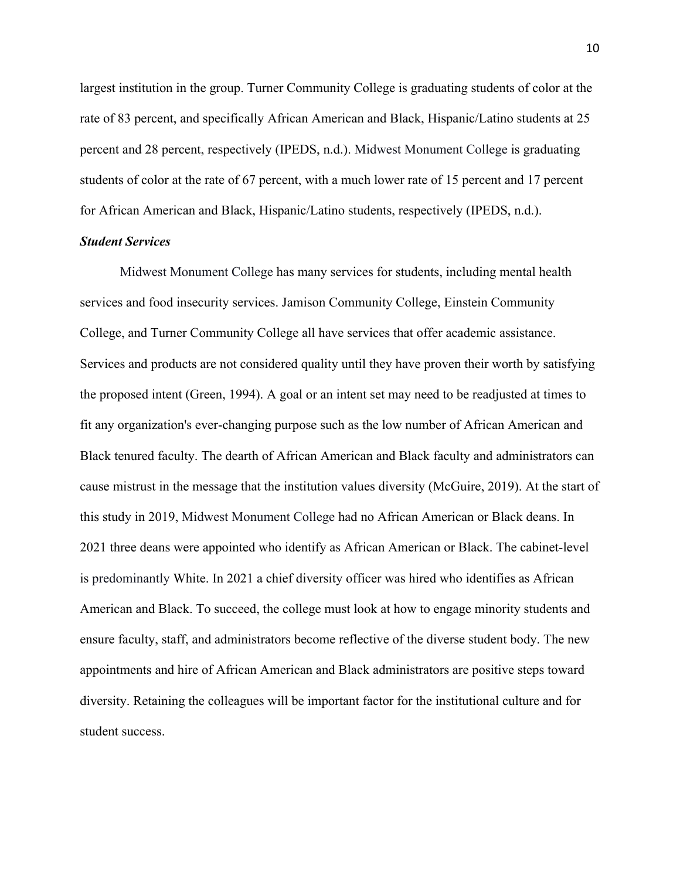largest institution in the group. Turner Community College is graduating students of color at the rate of 83 percent, and specifically African American and Black, Hispanic/Latino students at 25 percent and 28 percent, respectively (IPEDS, n.d.). Midwest Monument College is graduating students of color at the rate of 67 percent, with a much lower rate of 15 percent and 17 percent for African American and Black, Hispanic/Latino students, respectively (IPEDS, n.d.).

# *Student Services*

Midwest Monument College has many services for students, including mental health services and food insecurity services. Jamison Community College, Einstein Community College, and Turner Community College all have services that offer academic assistance. Services and products are not considered quality until they have proven their worth by satisfying the proposed intent (Green, 1994). A goal or an intent set may need to be readjusted at times to fit any organization's ever-changing purpose such as the low number of African American and Black tenured faculty. The dearth of African American and Black faculty and administrators can cause mistrust in the message that the institution values diversity (McGuire, 2019). At the start of this study in 2019, Midwest Monument College had no African American or Black deans. In 2021 three deans were appointed who identify as African American or Black. The cabinet-level is predominantly White. In 2021 a chief diversity officer was hired who identifies as African American and Black. To succeed, the college must look at how to engage minority students and ensure faculty, staff, and administrators become reflective of the diverse student body. The new appointments and hire of African American and Black administrators are positive steps toward diversity. Retaining the colleagues will be important factor for the institutional culture and for student success.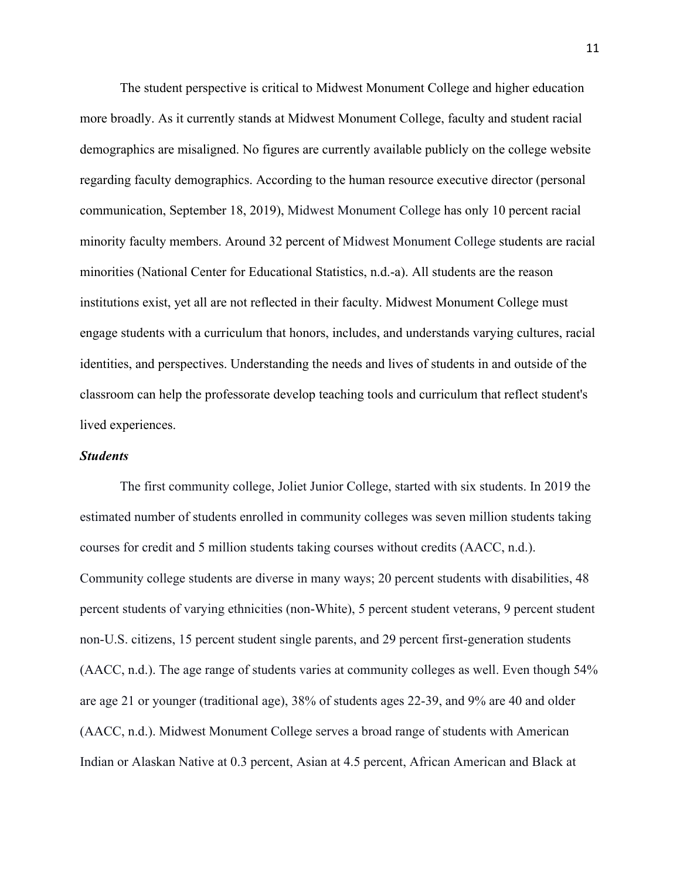The student perspective is critical to Midwest Monument College and higher education more broadly. As it currently stands at Midwest Monument College, faculty and student racial demographics are misaligned. No figures are currently available publicly on the college website regarding faculty demographics. According to the human resource executive director (personal communication, September 18, 2019), Midwest Monument College has only 10 percent racial minority faculty members. Around 32 percent of Midwest Monument College students are racial minorities (National Center for Educational Statistics, n.d.-a). All students are the reason institutions exist, yet all are not reflected in their faculty. Midwest Monument College must engage students with a curriculum that honors, includes, and understands varying cultures, racial identities, and perspectives. Understanding the needs and lives of students in and outside of the classroom can help the professorate develop teaching tools and curriculum that reflect student's lived experiences.

## *Students*

The first community college, Joliet Junior College, started with six students. In 2019 the estimated number of students enrolled in community colleges was seven million students taking courses for credit and 5 million students taking courses without credits (AACC, n.d.). Community college students are diverse in many ways; 20 percent students with disabilities, 48 percent students of varying ethnicities (non-White), 5 percent student veterans, 9 percent student non-U.S. citizens, 15 percent student single parents, and 29 percent first-generation students (AACC, n.d.). The age range of students varies at community colleges as well. Even though 54% are age 21 or younger (traditional age), 38% of students ages 22-39, and 9% are 40 and older (AACC, n.d.). Midwest Monument College serves a broad range of students with American Indian or Alaskan Native at 0.3 percent, Asian at 4.5 percent, African American and Black at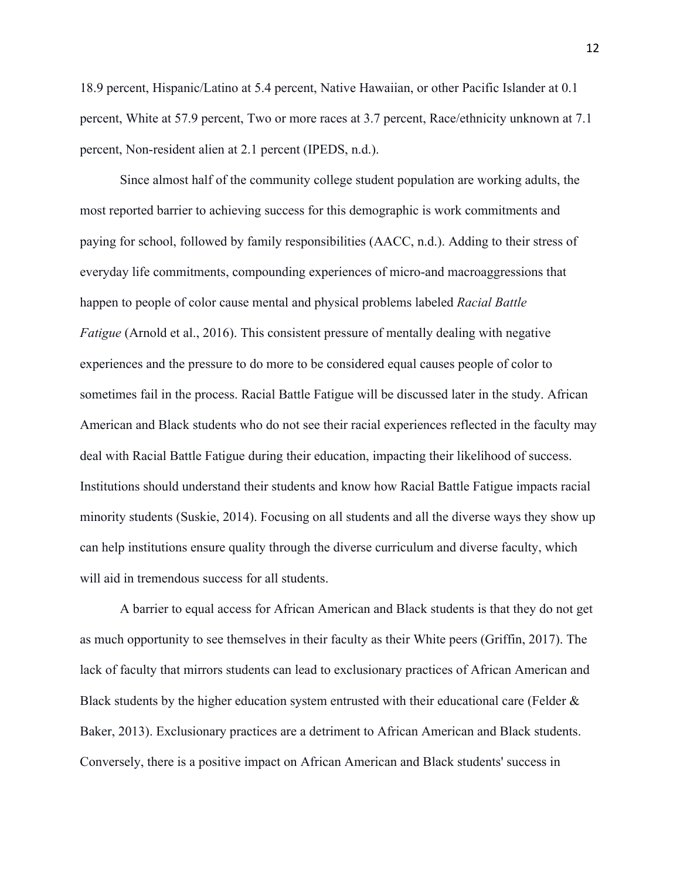18.9 percent, Hispanic/Latino at 5.4 percent, Native Hawaiian, or other Pacific Islander at 0.1 percent, White at 57.9 percent, Two or more races at 3.7 percent, Race/ethnicity unknown at 7.1 percent, Non-resident alien at 2.1 percent (IPEDS, n.d.).

Since almost half of the community college student population are working adults, the most reported barrier to achieving success for this demographic is work commitments and paying for school, followed by family responsibilities (AACC, n.d.). Adding to their stress of everyday life commitments, compounding experiences of micro-and macroaggressions that happen to people of color cause mental and physical problems labeled *Racial Battle Fatigue* (Arnold et al., 2016). This consistent pressure of mentally dealing with negative experiences and the pressure to do more to be considered equal causes people of color to sometimes fail in the process. Racial Battle Fatigue will be discussed later in the study. African American and Black students who do not see their racial experiences reflected in the faculty may deal with Racial Battle Fatigue during their education, impacting their likelihood of success. Institutions should understand their students and know how Racial Battle Fatigue impacts racial minority students (Suskie, 2014). Focusing on all students and all the diverse ways they show up can help institutions ensure quality through the diverse curriculum and diverse faculty, which will aid in tremendous success for all students.

A barrier to equal access for African American and Black students is that they do not get as much opportunity to see themselves in their faculty as their White peers (Griffin, 2017). The lack of faculty that mirrors students can lead to exclusionary practices of African American and Black students by the higher education system entrusted with their educational care (Felder & Baker, 2013). Exclusionary practices are a detriment to African American and Black students. Conversely, there is a positive impact on African American and Black students' success in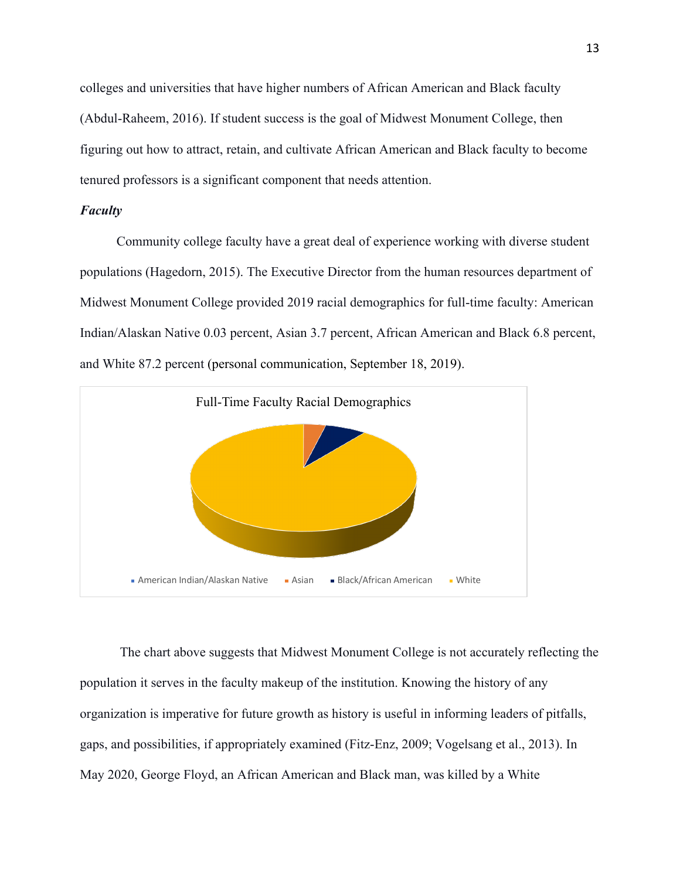colleges and universities that have higher numbers of African American and Black faculty (Abdul-Raheem, 2016). If student success is the goal of Midwest Monument College, then figuring out how to attract, retain, and cultivate African American and Black faculty to become tenured professors is a significant component that needs attention.

# *Faculty*

Community college faculty have a great deal of experience working with diverse student populations (Hagedorn, 2015). The Executive Director from the human resources department of Midwest Monument College provided 2019 racial demographics for full-time faculty: American Indian/Alaskan Native 0.03 percent, Asian 3.7 percent, African American and Black 6.8 percent, and White 87.2 percent (personal communication, September 18, 2019).



The chart above suggests that Midwest Monument College is not accurately reflecting the population it serves in the faculty makeup of the institution. Knowing the history of any organization is imperative for future growth as history is useful in informing leaders of pitfalls, gaps, and possibilities, if appropriately examined (Fitz-Enz, 2009; Vogelsang et al., 2013). In May 2020, George Floyd, an African American and Black man, was killed by a White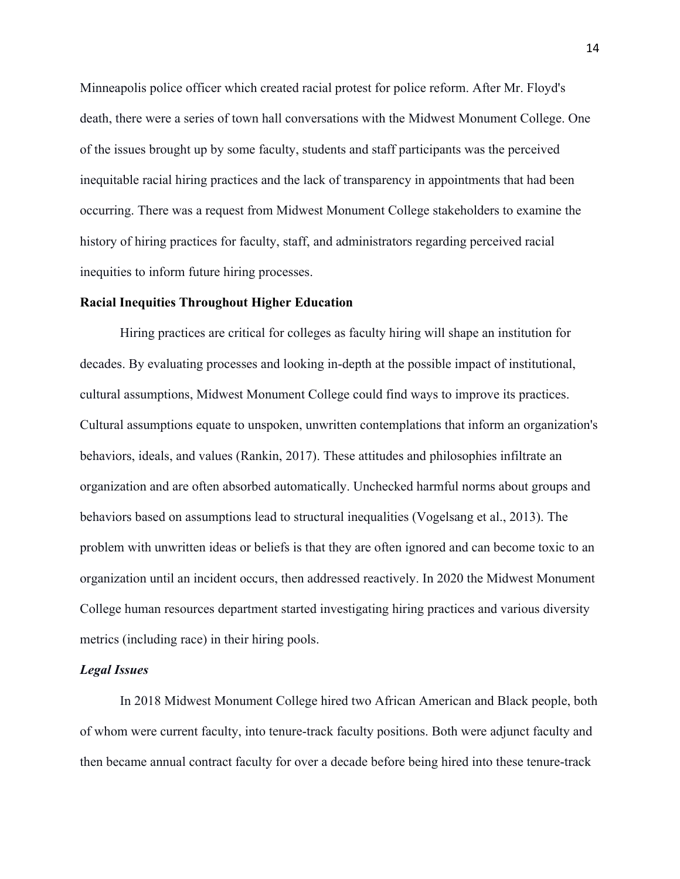Minneapolis police officer which created racial protest for police reform. After Mr. Floyd's death, there were a series of town hall conversations with the Midwest Monument College. One of the issues brought up by some faculty, students and staff participants was the perceived inequitable racial hiring practices and the lack of transparency in appointments that had been occurring. There was a request from Midwest Monument College stakeholders to examine the history of hiring practices for faculty, staff, and administrators regarding perceived racial inequities to inform future hiring processes.

#### **Racial Inequities Throughout Higher Education**

Hiring practices are critical for colleges as faculty hiring will shape an institution for decades. By evaluating processes and looking in-depth at the possible impact of institutional, cultural assumptions, Midwest Monument College could find ways to improve its practices. Cultural assumptions equate to unspoken, unwritten contemplations that inform an organization's behaviors, ideals, and values (Rankin, 2017). These attitudes and philosophies infiltrate an organization and are often absorbed automatically. Unchecked harmful norms about groups and behaviors based on assumptions lead to structural inequalities (Vogelsang et al., 2013). The problem with unwritten ideas or beliefs is that they are often ignored and can become toxic to an organization until an incident occurs, then addressed reactively. In 2020 the Midwest Monument College human resources department started investigating hiring practices and various diversity metrics (including race) in their hiring pools.

#### *Legal Issues*

In 2018 Midwest Monument College hired two African American and Black people, both of whom were current faculty, into tenure-track faculty positions. Both were adjunct faculty and then became annual contract faculty for over a decade before being hired into these tenure-track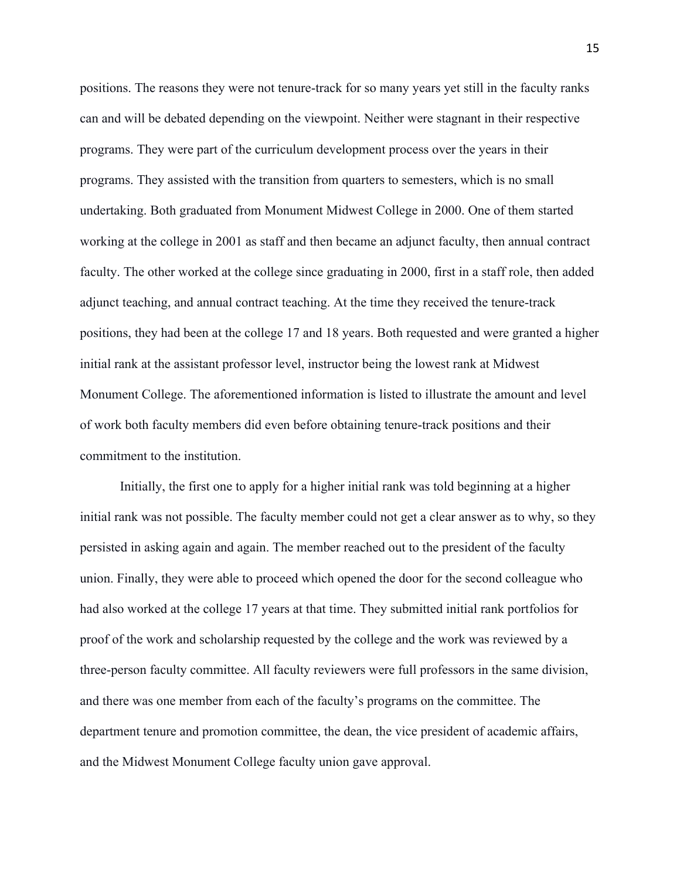positions. The reasons they were not tenure-track for so many years yet still in the faculty ranks can and will be debated depending on the viewpoint. Neither were stagnant in their respective programs. They were part of the curriculum development process over the years in their programs. They assisted with the transition from quarters to semesters, which is no small undertaking. Both graduated from Monument Midwest College in 2000. One of them started working at the college in 2001 as staff and then became an adjunct faculty, then annual contract faculty. The other worked at the college since graduating in 2000, first in a staff role, then added adjunct teaching, and annual contract teaching. At the time they received the tenure-track positions, they had been at the college 17 and 18 years. Both requested and were granted a higher initial rank at the assistant professor level, instructor being the lowest rank at Midwest Monument College. The aforementioned information is listed to illustrate the amount and level of work both faculty members did even before obtaining tenure-track positions and their commitment to the institution.

Initially, the first one to apply for a higher initial rank was told beginning at a higher initial rank was not possible. The faculty member could not get a clear answer as to why, so they persisted in asking again and again. The member reached out to the president of the faculty union. Finally, they were able to proceed which opened the door for the second colleague who had also worked at the college 17 years at that time. They submitted initial rank portfolios for proof of the work and scholarship requested by the college and the work was reviewed by a three-person faculty committee. All faculty reviewers were full professors in the same division, and there was one member from each of the faculty's programs on the committee. The department tenure and promotion committee, the dean, the vice president of academic affairs, and the Midwest Monument College faculty union gave approval.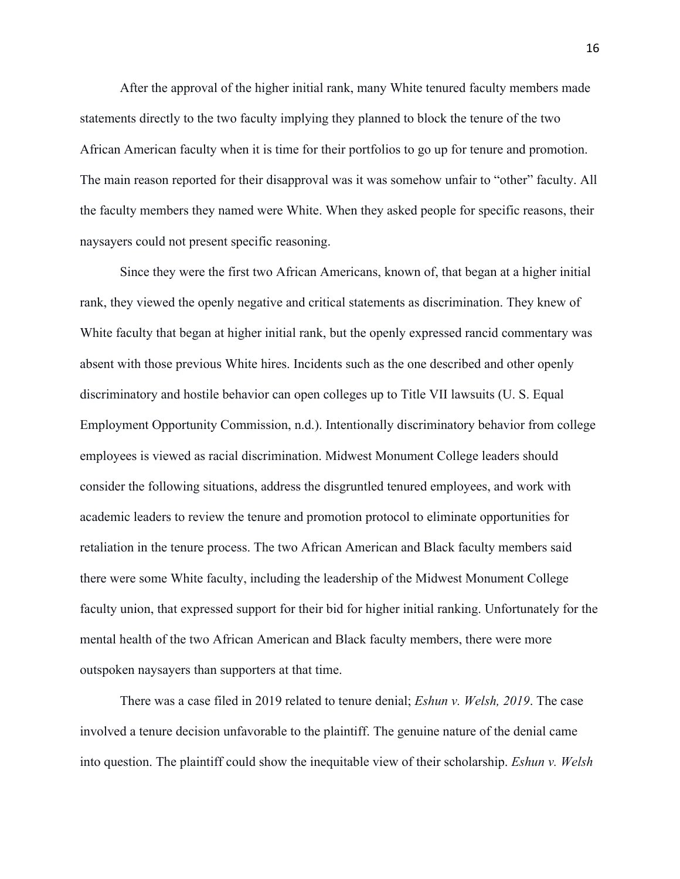After the approval of the higher initial rank, many White tenured faculty members made statements directly to the two faculty implying they planned to block the tenure of the two African American faculty when it is time for their portfolios to go up for tenure and promotion. The main reason reported for their disapproval was it was somehow unfair to "other" faculty. All the faculty members they named were White. When they asked people for specific reasons, their naysayers could not present specific reasoning.

Since they were the first two African Americans, known of, that began at a higher initial rank, they viewed the openly negative and critical statements as discrimination. They knew of White faculty that began at higher initial rank, but the openly expressed rancid commentary was absent with those previous White hires. Incidents such as the one described and other openly discriminatory and hostile behavior can open colleges up to Title VII lawsuits (U. S. Equal Employment Opportunity Commission, n.d.). Intentionally discriminatory behavior from college employees is viewed as racial discrimination. Midwest Monument College leaders should consider the following situations, address the disgruntled tenured employees, and work with academic leaders to review the tenure and promotion protocol to eliminate opportunities for retaliation in the tenure process. The two African American and Black faculty members said there were some White faculty, including the leadership of the Midwest Monument College faculty union, that expressed support for their bid for higher initial ranking. Unfortunately for the mental health of the two African American and Black faculty members, there were more outspoken naysayers than supporters at that time.

There was a case filed in 2019 related to tenure denial; *Eshun v. Welsh, 2019*. The case involved a tenure decision unfavorable to the plaintiff. The genuine nature of the denial came into question. The plaintiff could show the inequitable view of their scholarship. *Eshun v. Welsh*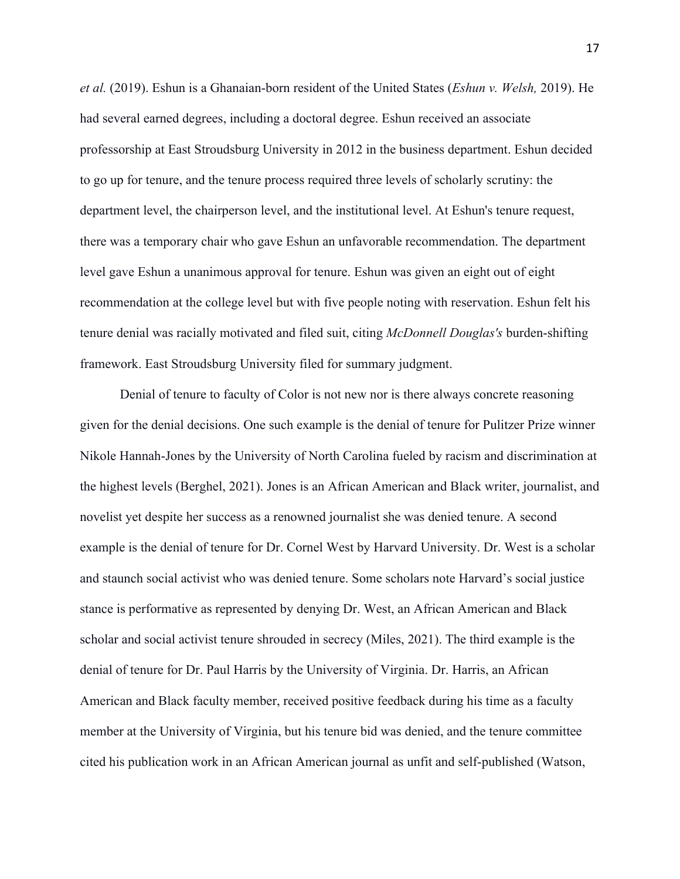*et al.* (2019). Eshun is a Ghanaian-born resident of the United States (*Eshun v. Welsh,* 2019). He had several earned degrees, including a doctoral degree. Eshun received an associate professorship at East Stroudsburg University in 2012 in the business department. Eshun decided to go up for tenure, and the tenure process required three levels of scholarly scrutiny: the department level, the chairperson level, and the institutional level. At Eshun's tenure request, there was a temporary chair who gave Eshun an unfavorable recommendation. The department level gave Eshun a unanimous approval for tenure. Eshun was given an eight out of eight recommendation at the college level but with five people noting with reservation. Eshun felt his tenure denial was racially motivated and filed suit, citing *McDonnell Douglas's* burden-shifting framework. East Stroudsburg University filed for summary judgment.

Denial of tenure to faculty of Color is not new nor is there always concrete reasoning given for the denial decisions. One such example is the denial of tenure for Pulitzer Prize winner Nikole Hannah-Jones by the University of North Carolina fueled by racism and discrimination at the highest levels (Berghel, 2021). Jones is an African American and Black writer, journalist, and novelist yet despite her success as a renowned journalist she was denied tenure. A second example is the denial of tenure for Dr. Cornel West by Harvard University. Dr. West is a scholar and staunch social activist who was denied tenure. Some scholars note Harvard's social justice stance is performative as represented by denying Dr. West, an African American and Black scholar and social activist tenure shrouded in secrecy (Miles, 2021). The third example is the denial of tenure for Dr. Paul Harris by the University of Virginia. Dr. Harris, an African American and Black faculty member, received positive feedback during his time as a faculty member at the University of Virginia, but his tenure bid was denied, and the tenure committee cited his publication work in an African American journal as unfit and self-published (Watson,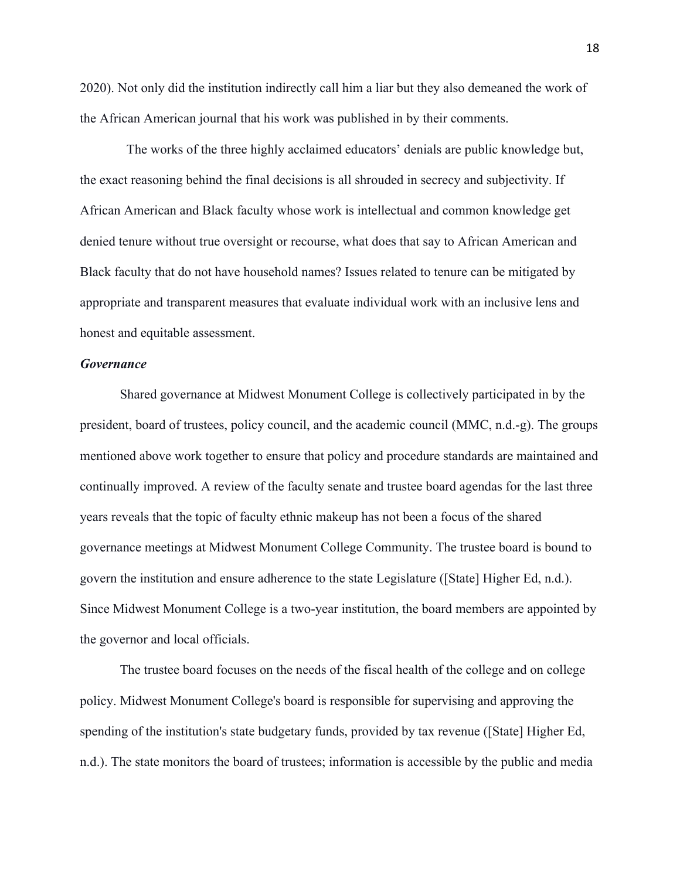2020). Not only did the institution indirectly call him a liar but they also demeaned the work of the African American journal that his work was published in by their comments.

 The works of the three highly acclaimed educators' denials are public knowledge but, the exact reasoning behind the final decisions is all shrouded in secrecy and subjectivity. If African American and Black faculty whose work is intellectual and common knowledge get denied tenure without true oversight or recourse, what does that say to African American and Black faculty that do not have household names? Issues related to tenure can be mitigated by appropriate and transparent measures that evaluate individual work with an inclusive lens and honest and equitable assessment.

# *Governance*

Shared governance at Midwest Monument College is collectively participated in by the president, board of trustees, policy council, and the academic council (MMC, n.d.-g). The groups mentioned above work together to ensure that policy and procedure standards are maintained and continually improved. A review of the faculty senate and trustee board agendas for the last three years reveals that the topic of faculty ethnic makeup has not been a focus of the shared governance meetings at Midwest Monument College Community. The trustee board is bound to govern the institution and ensure adherence to the state Legislature ([State] Higher Ed, n.d.). Since Midwest Monument College is a two-year institution, the board members are appointed by the governor and local officials.

The trustee board focuses on the needs of the fiscal health of the college and on college policy. Midwest Monument College's board is responsible for supervising and approving the spending of the institution's state budgetary funds, provided by tax revenue ([State] Higher Ed, n.d.). The state monitors the board of trustees; information is accessible by the public and media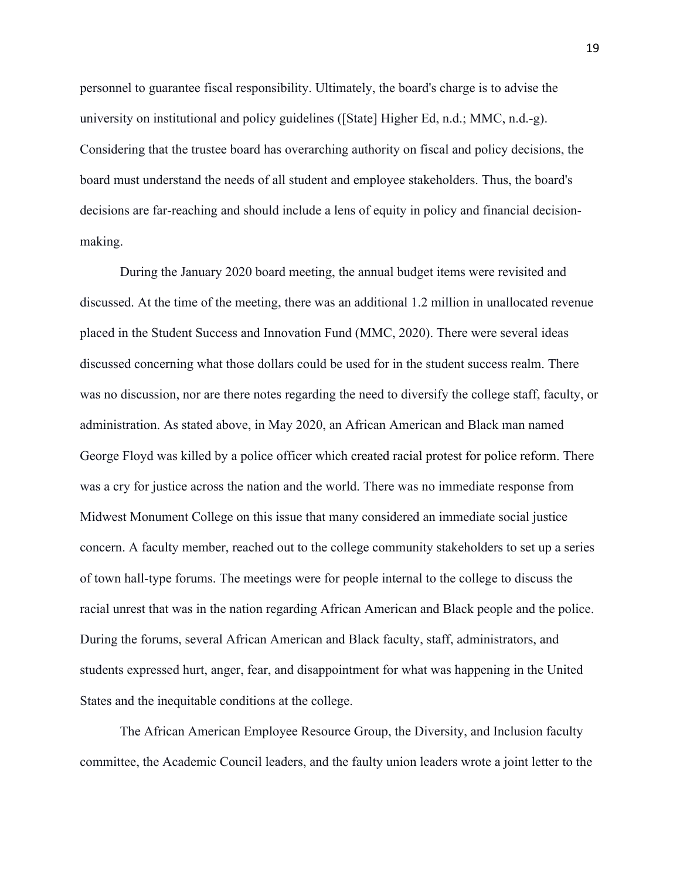personnel to guarantee fiscal responsibility. Ultimately, the board's charge is to advise the university on institutional and policy guidelines ([State] Higher Ed, n.d.; MMC, n.d.-g). Considering that the trustee board has overarching authority on fiscal and policy decisions, the board must understand the needs of all student and employee stakeholders. Thus, the board's decisions are far-reaching and should include a lens of equity in policy and financial decisionmaking.

During the January 2020 board meeting, the annual budget items were revisited and discussed. At the time of the meeting, there was an additional 1.2 million in unallocated revenue placed in the Student Success and Innovation Fund (MMC, 2020). There were several ideas discussed concerning what those dollars could be used for in the student success realm. There was no discussion, nor are there notes regarding the need to diversify the college staff, faculty, or administration. As stated above, in May 2020, an African American and Black man named George Floyd was killed by a police officer which created racial protest for police reform. There was a cry for justice across the nation and the world. There was no immediate response from Midwest Monument College on this issue that many considered an immediate social justice concern. A faculty member, reached out to the college community stakeholders to set up a series of town hall-type forums. The meetings were for people internal to the college to discuss the racial unrest that was in the nation regarding African American and Black people and the police. During the forums, several African American and Black faculty, staff, administrators, and students expressed hurt, anger, fear, and disappointment for what was happening in the United States and the inequitable conditions at the college.

The African American Employee Resource Group, the Diversity, and Inclusion faculty committee, the Academic Council leaders, and the faulty union leaders wrote a joint letter to the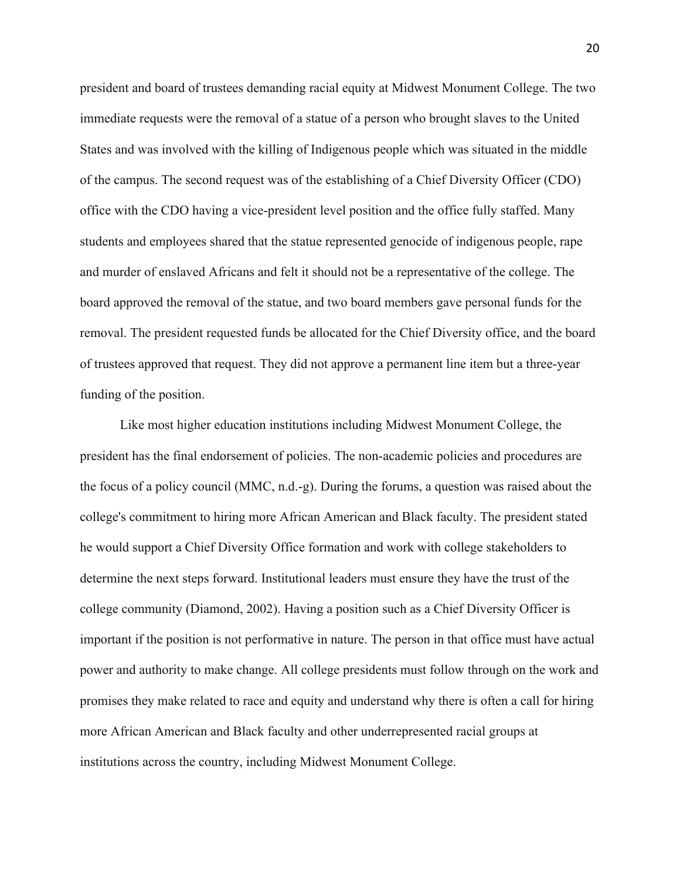president and board of trustees demanding racial equity at Midwest Monument College. The two immediate requests were the removal of a statue of a person who brought slaves to the United States and was involved with the killing of Indigenous people which was situated in the middle of the campus. The second request was of the establishing of a Chief Diversity Officer (CDO) office with the CDO having a vice-president level position and the office fully staffed. Many students and employees shared that the statue represented genocide of indigenous people, rape and murder of enslaved Africans and felt it should not be a representative of the college. The board approved the removal of the statue, and two board members gave personal funds for the removal. The president requested funds be allocated for the Chief Diversity office, and the board of trustees approved that request. They did not approve a permanent line item but a three-year funding of the position.

Like most higher education institutions including Midwest Monument College, the president has the final endorsement of policies. The non-academic policies and procedures are the focus of a policy council (MMC, n.d.-g). During the forums, a question was raised about the college's commitment to hiring more African American and Black faculty. The president stated he would support a Chief Diversity Office formation and work with college stakeholders to determine the next steps forward. Institutional leaders must ensure they have the trust of the college community (Diamond, 2002). Having a position such as a Chief Diversity Officer is important if the position is not performative in nature. The person in that office must have actual power and authority to make change. All college presidents must follow through on the work and promises they make related to race and equity and understand why there is often a call for hiring more African American and Black faculty and other underrepresented racial groups at institutions across the country, including Midwest Monument College.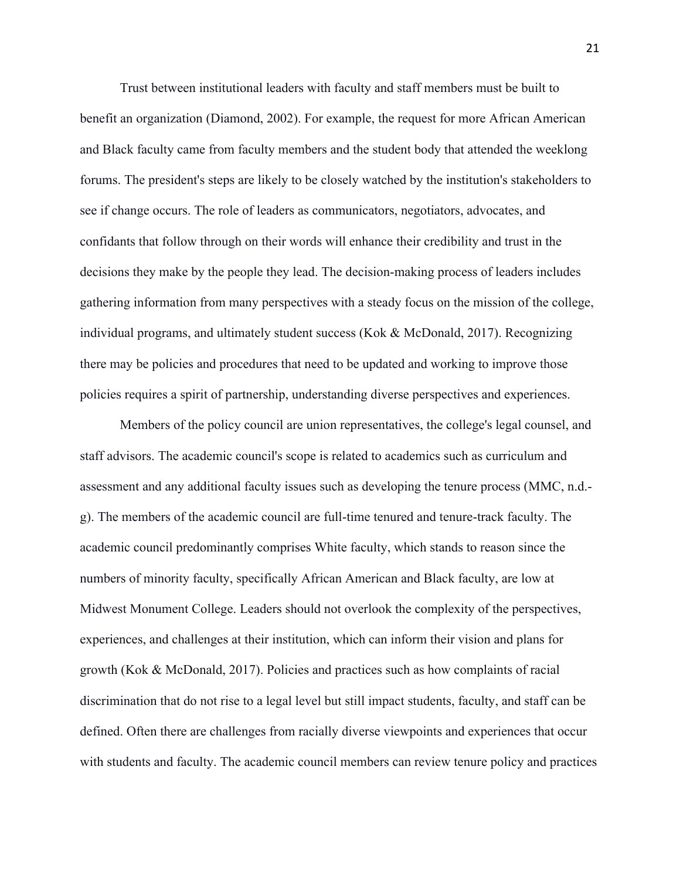Trust between institutional leaders with faculty and staff members must be built to benefit an organization (Diamond, 2002). For example, the request for more African American and Black faculty came from faculty members and the student body that attended the weeklong forums. The president's steps are likely to be closely watched by the institution's stakeholders to see if change occurs. The role of leaders as communicators, negotiators, advocates, and confidants that follow through on their words will enhance their credibility and trust in the decisions they make by the people they lead. The decision-making process of leaders includes gathering information from many perspectives with a steady focus on the mission of the college, individual programs, and ultimately student success (Kok & McDonald, 2017). Recognizing there may be policies and procedures that need to be updated and working to improve those policies requires a spirit of partnership, understanding diverse perspectives and experiences.

Members of the policy council are union representatives, the college's legal counsel, and staff advisors. The academic council's scope is related to academics such as curriculum and assessment and any additional faculty issues such as developing the tenure process (MMC, n.d. g). The members of the academic council are full-time tenured and tenure-track faculty. The academic council predominantly comprises White faculty, which stands to reason since the numbers of minority faculty, specifically African American and Black faculty, are low at Midwest Monument College. Leaders should not overlook the complexity of the perspectives, experiences, and challenges at their institution, which can inform their vision and plans for growth (Kok & McDonald, 2017). Policies and practices such as how complaints of racial discrimination that do not rise to a legal level but still impact students, faculty, and staff can be defined. Often there are challenges from racially diverse viewpoints and experiences that occur with students and faculty. The academic council members can review tenure policy and practices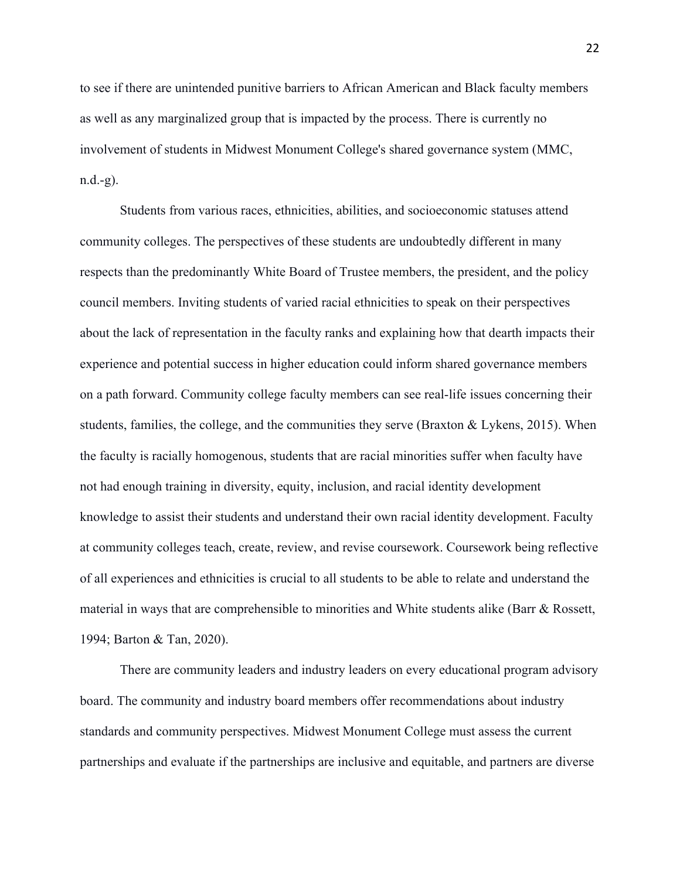to see if there are unintended punitive barriers to African American and Black faculty members as well as any marginalized group that is impacted by the process. There is currently no involvement of students in Midwest Monument College's shared governance system (MMC, n.d.-g).

Students from various races, ethnicities, abilities, and socioeconomic statuses attend community colleges. The perspectives of these students are undoubtedly different in many respects than the predominantly White Board of Trustee members, the president, and the policy council members. Inviting students of varied racial ethnicities to speak on their perspectives about the lack of representation in the faculty ranks and explaining how that dearth impacts their experience and potential success in higher education could inform shared governance members on a path forward. Community college faculty members can see real-life issues concerning their students, families, the college, and the communities they serve (Braxton & Lykens, 2015). When the faculty is racially homogenous, students that are racial minorities suffer when faculty have not had enough training in diversity, equity, inclusion, and racial identity development knowledge to assist their students and understand their own racial identity development. Faculty at community colleges teach, create, review, and revise coursework. Coursework being reflective of all experiences and ethnicities is crucial to all students to be able to relate and understand the material in ways that are comprehensible to minorities and White students alike (Barr & Rossett, 1994; Barton & Tan, 2020).

There are community leaders and industry leaders on every educational program advisory board. The community and industry board members offer recommendations about industry standards and community perspectives. Midwest Monument College must assess the current partnerships and evaluate if the partnerships are inclusive and equitable, and partners are diverse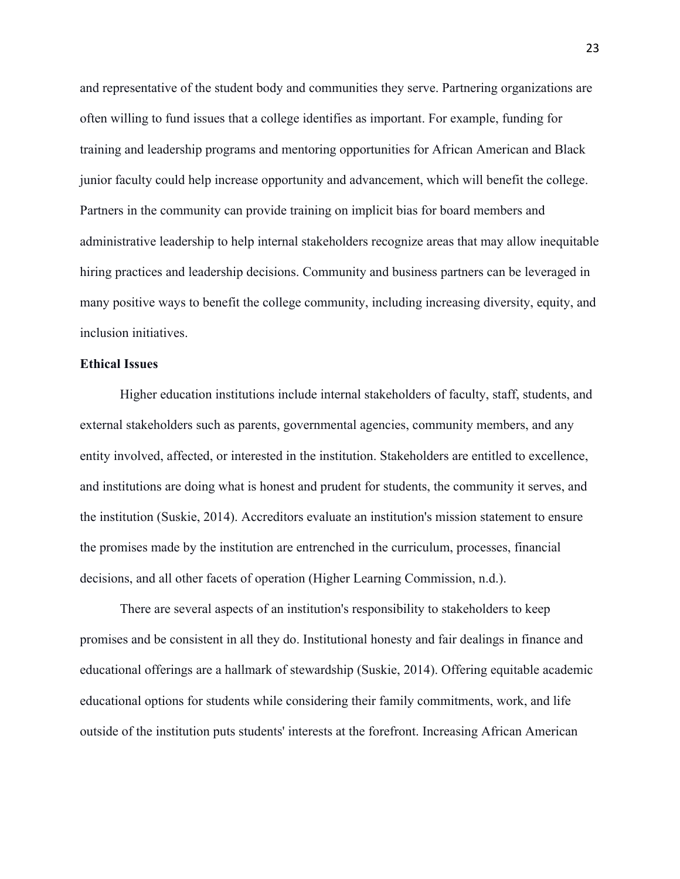and representative of the student body and communities they serve. Partnering organizations are often willing to fund issues that a college identifies as important. For example, funding for training and leadership programs and mentoring opportunities for African American and Black junior faculty could help increase opportunity and advancement, which will benefit the college. Partners in the community can provide training on implicit bias for board members and administrative leadership to help internal stakeholders recognize areas that may allow inequitable hiring practices and leadership decisions. Community and business partners can be leveraged in many positive ways to benefit the college community, including increasing diversity, equity, and inclusion initiatives.

#### **Ethical Issues**

Higher education institutions include internal stakeholders of faculty, staff, students, and external stakeholders such as parents, governmental agencies, community members, and any entity involved, affected, or interested in the institution. Stakeholders are entitled to excellence, and institutions are doing what is honest and prudent for students, the community it serves, and the institution (Suskie, 2014). Accreditors evaluate an institution's mission statement to ensure the promises made by the institution are entrenched in the curriculum, processes, financial decisions, and all other facets of operation (Higher Learning Commission, n.d.).

There are several aspects of an institution's responsibility to stakeholders to keep promises and be consistent in all they do. Institutional honesty and fair dealings in finance and educational offerings are a hallmark of stewardship (Suskie, 2014). Offering equitable academic educational options for students while considering their family commitments, work, and life outside of the institution puts students' interests at the forefront. Increasing African American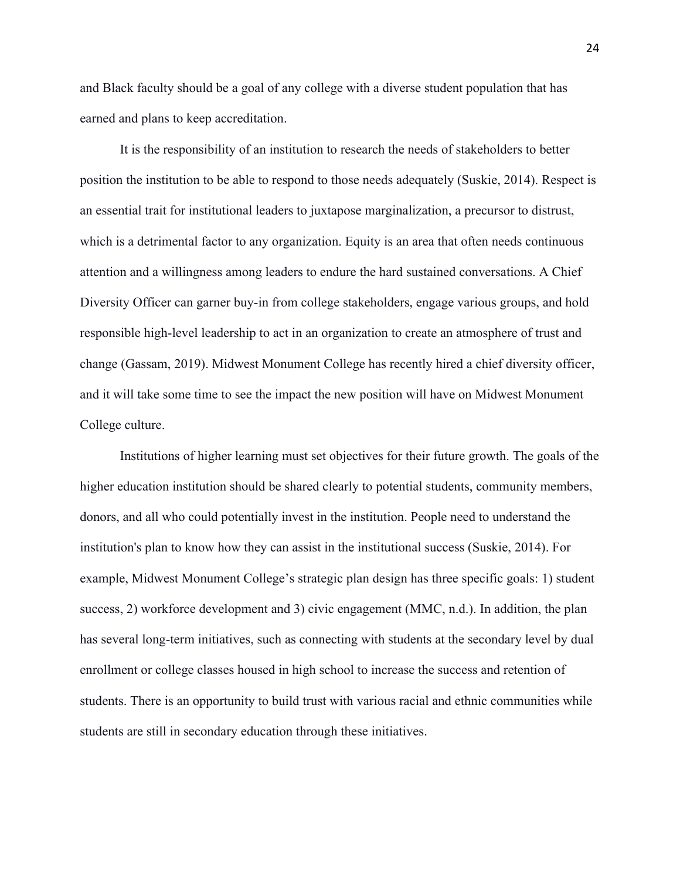and Black faculty should be a goal of any college with a diverse student population that has earned and plans to keep accreditation.

It is the responsibility of an institution to research the needs of stakeholders to better position the institution to be able to respond to those needs adequately (Suskie, 2014). Respect is an essential trait for institutional leaders to juxtapose marginalization, a precursor to distrust, which is a detrimental factor to any organization. Equity is an area that often needs continuous attention and a willingness among leaders to endure the hard sustained conversations. A Chief Diversity Officer can garner buy-in from college stakeholders, engage various groups, and hold responsible high-level leadership to act in an organization to create an atmosphere of trust and change (Gassam, 2019). Midwest Monument College has recently hired a chief diversity officer, and it will take some time to see the impact the new position will have on Midwest Monument College culture.

Institutions of higher learning must set objectives for their future growth. The goals of the higher education institution should be shared clearly to potential students, community members, donors, and all who could potentially invest in the institution. People need to understand the institution's plan to know how they can assist in the institutional success (Suskie, 2014). For example, Midwest Monument College's strategic plan design has three specific goals: 1) student success, 2) workforce development and 3) civic engagement (MMC, n.d.). In addition, the plan has several long-term initiatives, such as connecting with students at the secondary level by dual enrollment or college classes housed in high school to increase the success and retention of students. There is an opportunity to build trust with various racial and ethnic communities while students are still in secondary education through these initiatives.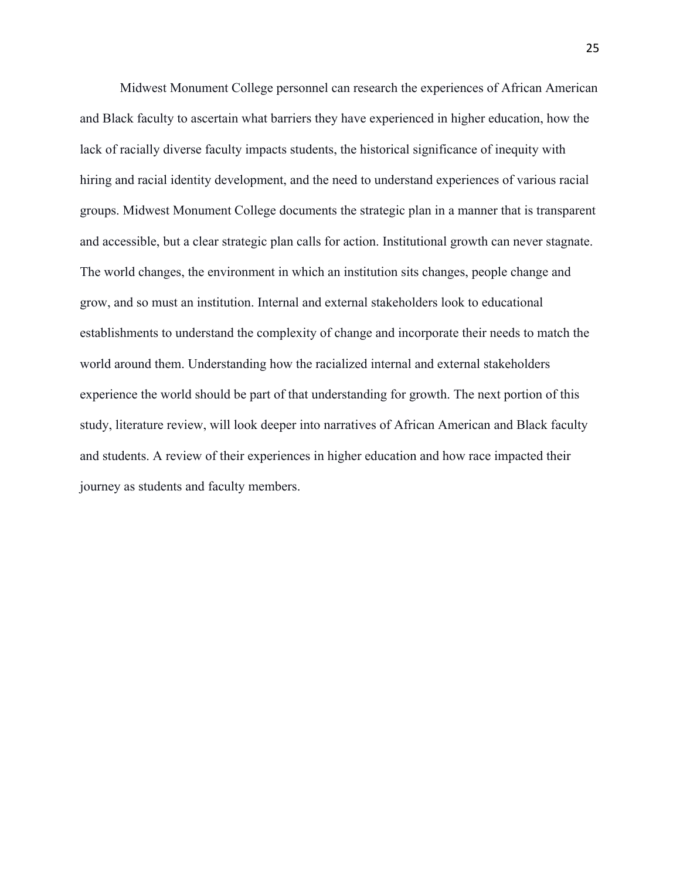Midwest Monument College personnel can research the experiences of African American and Black faculty to ascertain what barriers they have experienced in higher education, how the lack of racially diverse faculty impacts students, the historical significance of inequity with hiring and racial identity development, and the need to understand experiences of various racial groups. Midwest Monument College documents the strategic plan in a manner that is transparent and accessible, but a clear strategic plan calls for action. Institutional growth can never stagnate. The world changes, the environment in which an institution sits changes, people change and grow, and so must an institution. Internal and external stakeholders look to educational establishments to understand the complexity of change and incorporate their needs to match the world around them. Understanding how the racialized internal and external stakeholders experience the world should be part of that understanding for growth. The next portion of this study, literature review, will look deeper into narratives of African American and Black faculty and students. A review of their experiences in higher education and how race impacted their journey as students and faculty members.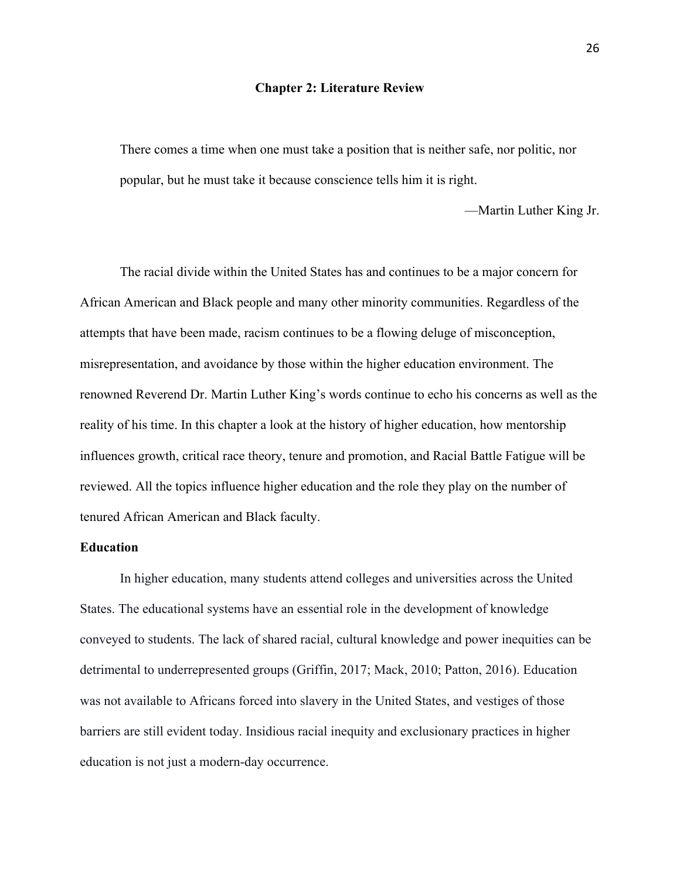#### **Chapter 2: Literature Review**

There comes a time when one must take a position that is neither safe, nor politic, nor popular, but he must take it because conscience tells him it is right.

—Martin Luther King Jr.

The racial divide within the United States has and continues to be a major concern for African American and Black people and many other minority communities. Regardless of the attempts that have been made, racism continues to be a flowing deluge of misconception, misrepresentation, and avoidance by those within the higher education environment. The renowned Reverend Dr. Martin Luther King's words continue to echo his concerns as well as the reality of his time. In this chapter a look at the history of higher education, how mentorship influences growth, critical race theory, tenure and promotion, and Racial Battle Fatigue will be reviewed. All the topics influence higher education and the role they play on the number of tenured African American and Black faculty.

# **Education**

In higher education, many students attend colleges and universities across the United States. The educational systems have an essential role in the development of knowledge conveyed to students. The lack of shared racial, cultural knowledge and power inequities can be detrimental to underrepresented groups (Griffin, 2017; Mack, 2010; Patton, 2016). Education was not available to Africans forced into slavery in the United States, and vestiges of those barriers are still evident today. Insidious racial inequity and exclusionary practices in higher education is not just a modern-day occurrence.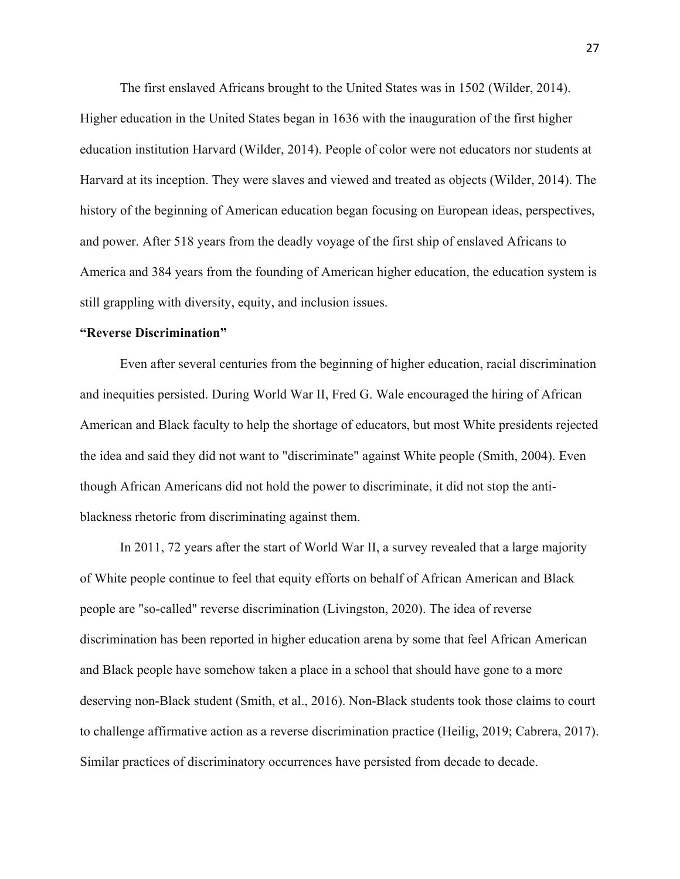The first enslaved Africans brought to the United States was in 1502 (Wilder, 2014). Higher education in the United States began in 1636 with the inauguration of the first higher education institution Harvard (Wilder, 2014). People of color were not educators nor students at Harvard at its inception. They were slaves and viewed and treated as objects (Wilder, 2014). The history of the beginning of American education began focusing on European ideas, perspectives, and power. After 518 years from the deadly voyage of the first ship of enslaved Africans to America and 384 years from the founding of American higher education, the education system is still grappling with diversity, equity, and inclusion issues.

## **"Reverse Discrimination"**

Even after several centuries from the beginning of higher education, racial discrimination and inequities persisted. During World War II, Fred G. Wale encouraged the hiring of African American and Black faculty to help the shortage of educators, but most White presidents rejected the idea and said they did not want to "discriminate" against White people (Smith, 2004). Even though African Americans did not hold the power to discriminate, it did not stop the antiblackness rhetoric from discriminating against them.

In 2011, 72 years after the start of World War II, a survey revealed that a large majority of White people continue to feel that equity efforts on behalf of African American and Black people are "so-called" reverse discrimination (Livingston, 2020). The idea of reverse discrimination has been reported in higher education arena by some that feel African American and Black people have somehow taken a place in a school that should have gone to a more deserving non-Black student (Smith, et al., 2016). Non-Black students took those claims to court to challenge affirmative action as a reverse discrimination practice (Heilig, 2019; Cabrera, 2017). Similar practices of discriminatory occurrences have persisted from decade to decade.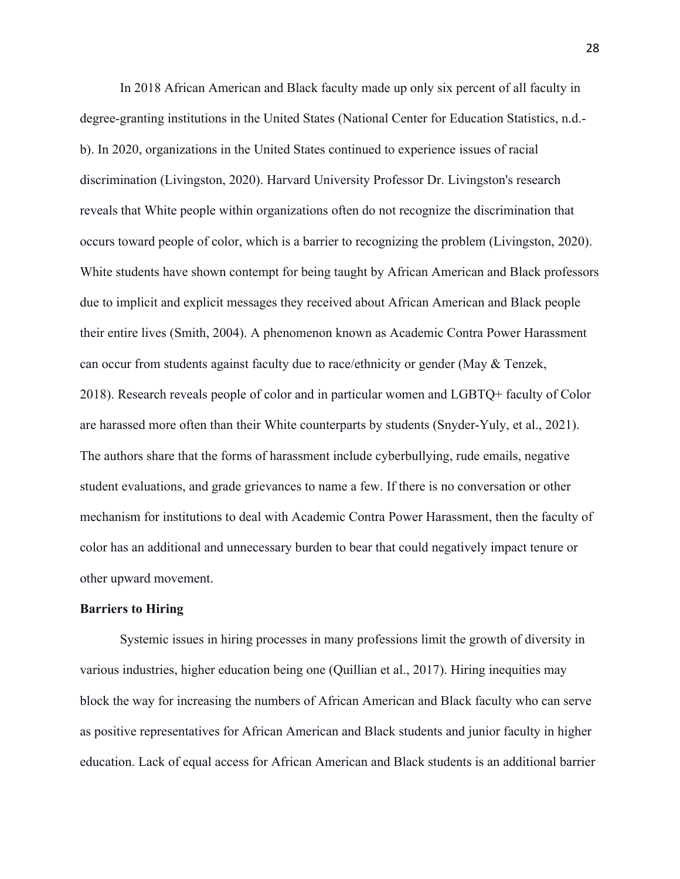In 2018 African American and Black faculty made up only six percent of all faculty in degree-granting institutions in the United States (National Center for Education Statistics, n.d. b). In 2020, organizations in the United States continued to experience issues of racial discrimination (Livingston, 2020). Harvard University Professor Dr. Livingston's research reveals that White people within organizations often do not recognize the discrimination that occurs toward people of color, which is a barrier to recognizing the problem (Livingston, 2020). White students have shown contempt for being taught by African American and Black professors due to implicit and explicit messages they received about African American and Black people their entire lives (Smith, 2004). A phenomenon known as Academic Contra Power Harassment can occur from students against faculty due to race/ethnicity or gender (May & Tenzek, 2018). Research reveals people of color and in particular women and LGBTQ+ faculty of Color are harassed more often than their White counterparts by students (Snyder-Yuly, et al., 2021). The authors share that the forms of harassment include cyberbullying, rude emails, negative student evaluations, and grade grievances to name a few. If there is no conversation or other mechanism for institutions to deal with Academic Contra Power Harassment, then the faculty of color has an additional and unnecessary burden to bear that could negatively impact tenure or other upward movement.

## **Barriers to Hiring**

Systemic issues in hiring processes in many professions limit the growth of diversity in various industries, higher education being one (Quillian et al., 2017). Hiring inequities may block the way for increasing the numbers of African American and Black faculty who can serve as positive representatives for African American and Black students and junior faculty in higher education. Lack of equal access for African American and Black students is an additional barrier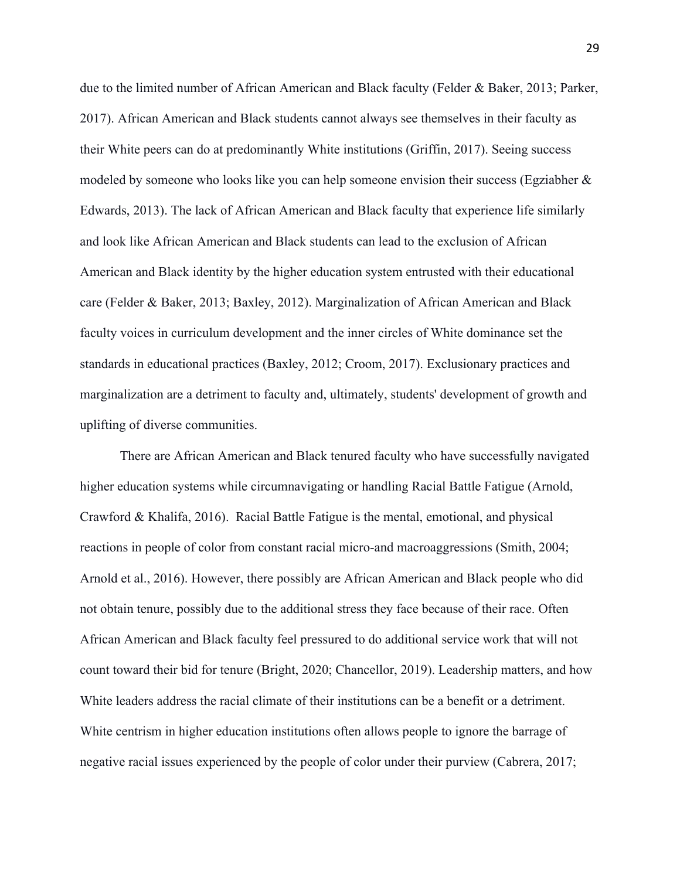due to the limited number of African American and Black faculty (Felder & Baker, 2013; Parker, 2017). African American and Black students cannot always see themselves in their faculty as their White peers can do at predominantly White institutions (Griffin, 2017). Seeing success modeled by someone who looks like you can help someone envision their success (Egziabher & Edwards, 2013). The lack of African American and Black faculty that experience life similarly and look like African American and Black students can lead to the exclusion of African American and Black identity by the higher education system entrusted with their educational care (Felder & Baker, 2013; Baxley, 2012). Marginalization of African American and Black faculty voices in curriculum development and the inner circles of White dominance set the standards in educational practices (Baxley, 2012; Croom, 2017). Exclusionary practices and marginalization are a detriment to faculty and, ultimately, students' development of growth and uplifting of diverse communities.

There are African American and Black tenured faculty who have successfully navigated higher education systems while circumnavigating or handling Racial Battle Fatigue (Arnold, Crawford & Khalifa, 2016). Racial Battle Fatigue is the mental, emotional, and physical reactions in people of color from constant racial micro-and macroaggressions (Smith, 2004; Arnold et al., 2016). However, there possibly are African American and Black people who did not obtain tenure, possibly due to the additional stress they face because of their race. Often African American and Black faculty feel pressured to do additional service work that will not count toward their bid for tenure (Bright, 2020; Chancellor, 2019). Leadership matters, and how White leaders address the racial climate of their institutions can be a benefit or a detriment. White centrism in higher education institutions often allows people to ignore the barrage of negative racial issues experienced by the people of color under their purview (Cabrera, 2017;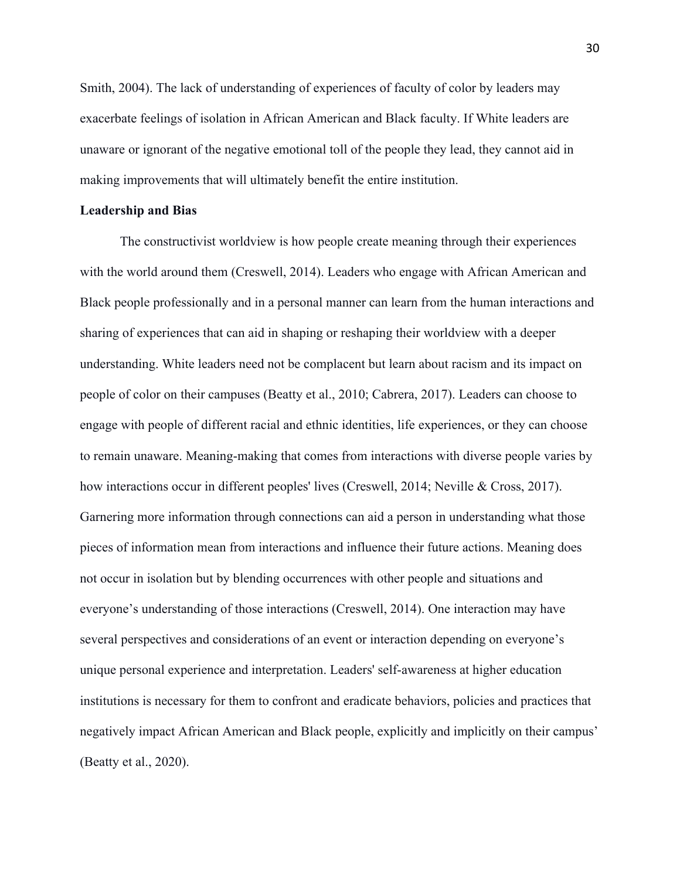Smith, 2004). The lack of understanding of experiences of faculty of color by leaders may exacerbate feelings of isolation in African American and Black faculty. If White leaders are unaware or ignorant of the negative emotional toll of the people they lead, they cannot aid in making improvements that will ultimately benefit the entire institution.

## **Leadership and Bias**

The constructivist worldview is how people create meaning through their experiences with the world around them (Creswell, 2014). Leaders who engage with African American and Black people professionally and in a personal manner can learn from the human interactions and sharing of experiences that can aid in shaping or reshaping their worldview with a deeper understanding. White leaders need not be complacent but learn about racism and its impact on people of color on their campuses (Beatty et al., 2010; Cabrera, 2017). Leaders can choose to engage with people of different racial and ethnic identities, life experiences, or they can choose to remain unaware. Meaning-making that comes from interactions with diverse people varies by how interactions occur in different peoples' lives (Creswell, 2014; Neville & Cross, 2017). Garnering more information through connections can aid a person in understanding what those pieces of information mean from interactions and influence their future actions. Meaning does not occur in isolation but by blending occurrences with other people and situations and everyone's understanding of those interactions (Creswell, 2014). One interaction may have several perspectives and considerations of an event or interaction depending on everyone's unique personal experience and interpretation. Leaders' self-awareness at higher education institutions is necessary for them to confront and eradicate behaviors, policies and practices that negatively impact African American and Black people, explicitly and implicitly on their campus' (Beatty et al., 2020).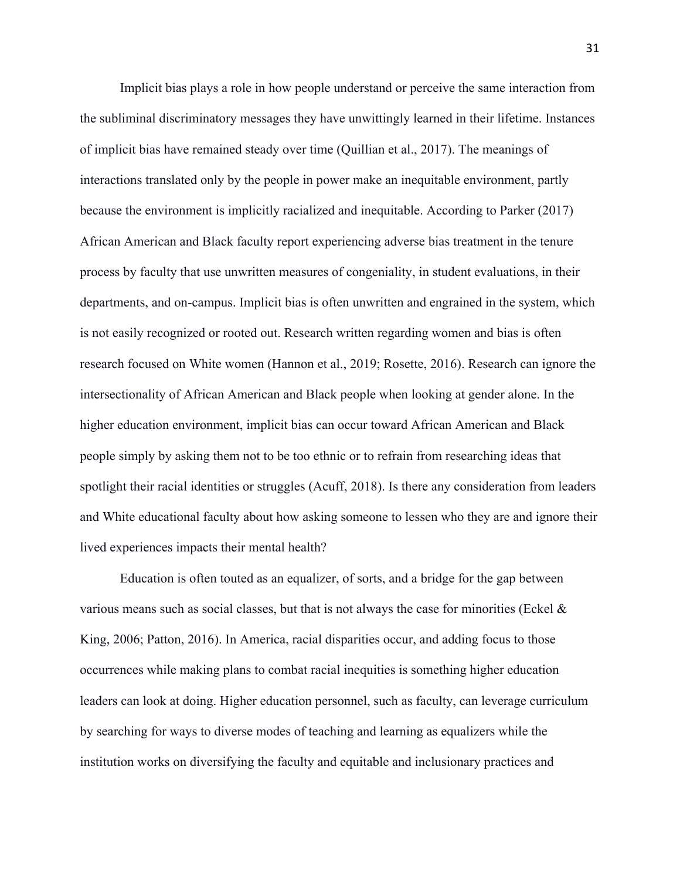Implicit bias plays a role in how people understand or perceive the same interaction from the subliminal discriminatory messages they have unwittingly learned in their lifetime. Instances of implicit bias have remained steady over time (Quillian et al., 2017). The meanings of interactions translated only by the people in power make an inequitable environment, partly because the environment is implicitly racialized and inequitable. According to Parker (2017) African American and Black faculty report experiencing adverse bias treatment in the tenure process by faculty that use unwritten measures of congeniality, in student evaluations, in their departments, and on-campus. Implicit bias is often unwritten and engrained in the system, which is not easily recognized or rooted out. Research written regarding women and bias is often research focused on White women (Hannon et al., 2019; Rosette, 2016). Research can ignore the intersectionality of African American and Black people when looking at gender alone. In the higher education environment, implicit bias can occur toward African American and Black people simply by asking them not to be too ethnic or to refrain from researching ideas that spotlight their racial identities or struggles (Acuff, 2018). Is there any consideration from leaders and White educational faculty about how asking someone to lessen who they are and ignore their lived experiences impacts their mental health?

Education is often touted as an equalizer, of sorts, and a bridge for the gap between various means such as social classes, but that is not always the case for minorities (Eckel  $\&$ King, 2006; Patton, 2016). In America, racial disparities occur, and adding focus to those occurrences while making plans to combat racial inequities is something higher education leaders can look at doing. Higher education personnel, such as faculty, can leverage curriculum by searching for ways to diverse modes of teaching and learning as equalizers while the institution works on diversifying the faculty and equitable and inclusionary practices and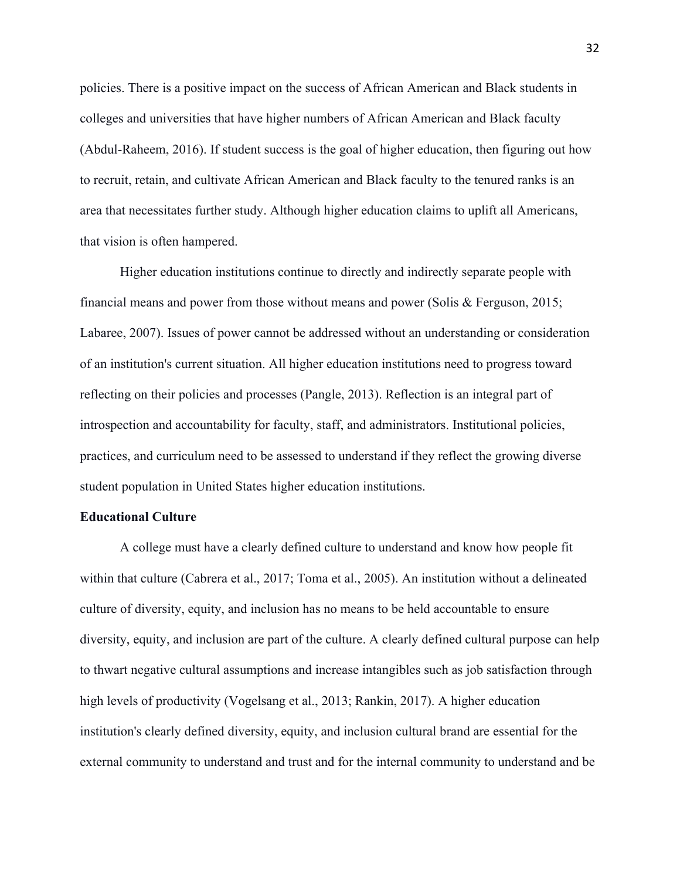policies. There is a positive impact on the success of African American and Black students in colleges and universities that have higher numbers of African American and Black faculty (Abdul-Raheem, 2016). If student success is the goal of higher education, then figuring out how to recruit, retain, and cultivate African American and Black faculty to the tenured ranks is an area that necessitates further study. Although higher education claims to uplift all Americans, that vision is often hampered.

Higher education institutions continue to directly and indirectly separate people with financial means and power from those without means and power (Solis & Ferguson, 2015; Labaree, 2007). Issues of power cannot be addressed without an understanding or consideration of an institution's current situation. All higher education institutions need to progress toward reflecting on their policies and processes (Pangle, 2013). Reflection is an integral part of introspection and accountability for faculty, staff, and administrators. Institutional policies, practices, and curriculum need to be assessed to understand if they reflect the growing diverse student population in United States higher education institutions.

## **Educational Culture**

A college must have a clearly defined culture to understand and know how people fit within that culture (Cabrera et al., 2017; Toma et al., 2005). An institution without a delineated culture of diversity, equity, and inclusion has no means to be held accountable to ensure diversity, equity, and inclusion are part of the culture. A clearly defined cultural purpose can help to thwart negative cultural assumptions and increase intangibles such as job satisfaction through high levels of productivity (Vogelsang et al., 2013; Rankin, 2017). A higher education institution's clearly defined diversity, equity, and inclusion cultural brand are essential for the external community to understand and trust and for the internal community to understand and be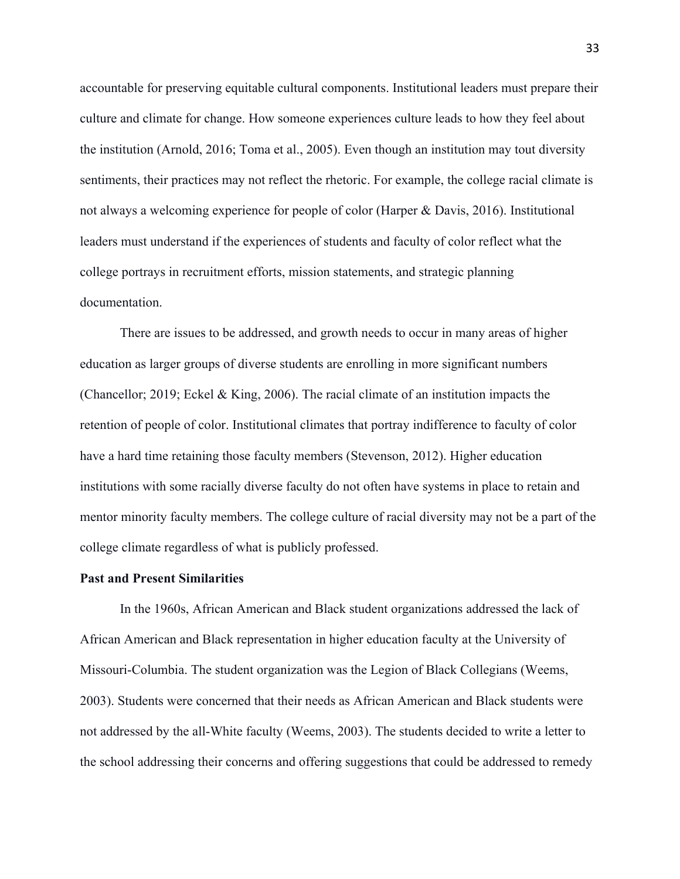accountable for preserving equitable cultural components. Institutional leaders must prepare their culture and climate for change. How someone experiences culture leads to how they feel about the institution (Arnold, 2016; Toma et al., 2005). Even though an institution may tout diversity sentiments, their practices may not reflect the rhetoric. For example, the college racial climate is not always a welcoming experience for people of color (Harper & Davis, 2016). Institutional leaders must understand if the experiences of students and faculty of color reflect what the college portrays in recruitment efforts, mission statements, and strategic planning documentation.

There are issues to be addressed, and growth needs to occur in many areas of higher education as larger groups of diverse students are enrolling in more significant numbers (Chancellor; 2019; Eckel & King, 2006). The racial climate of an institution impacts the retention of people of color. Institutional climates that portray indifference to faculty of color have a hard time retaining those faculty members (Stevenson, 2012). Higher education institutions with some racially diverse faculty do not often have systems in place to retain and mentor minority faculty members. The college culture of racial diversity may not be a part of the college climate regardless of what is publicly professed.

## **Past and Present Similarities**

In the 1960s, African American and Black student organizations addressed the lack of African American and Black representation in higher education faculty at the University of Missouri-Columbia. The student organization was the Legion of Black Collegians (Weems, 2003). Students were concerned that their needs as African American and Black students were not addressed by the all-White faculty (Weems, 2003). The students decided to write a letter to the school addressing their concerns and offering suggestions that could be addressed to remedy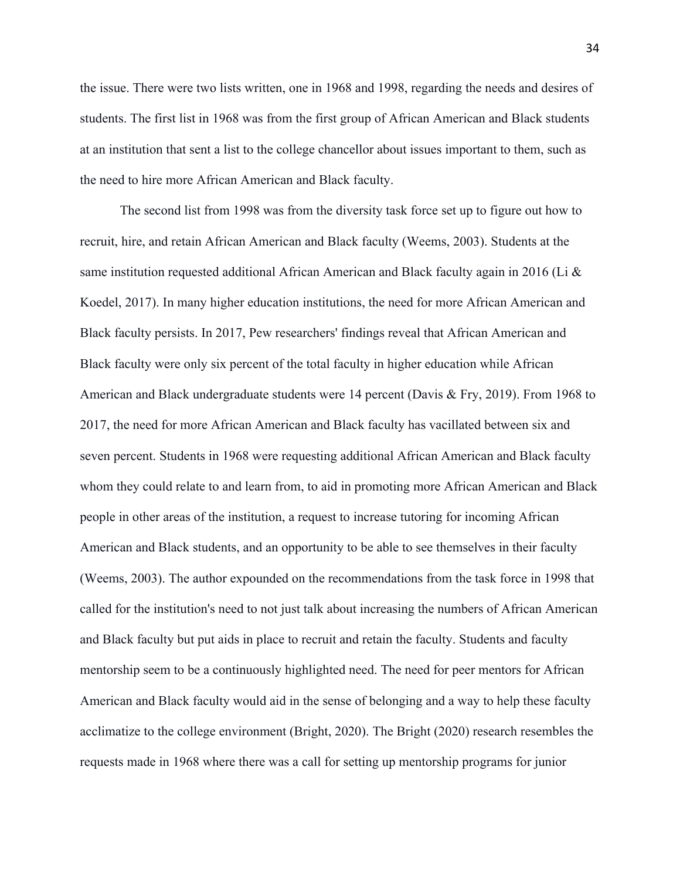the issue. There were two lists written, one in 1968 and 1998, regarding the needs and desires of students. The first list in 1968 was from the first group of African American and Black students at an institution that sent a list to the college chancellor about issues important to them, such as the need to hire more African American and Black faculty.

The second list from 1998 was from the diversity task force set up to figure out how to recruit, hire, and retain African American and Black faculty (Weems, 2003). Students at the same institution requested additional African American and Black faculty again in 2016 (Li & Koedel, 2017). In many higher education institutions, the need for more African American and Black faculty persists. In 2017, Pew researchers' findings reveal that African American and Black faculty were only six percent of the total faculty in higher education while African American and Black undergraduate students were 14 percent (Davis & Fry, 2019). From 1968 to 2017, the need for more African American and Black faculty has vacillated between six and seven percent. Students in 1968 were requesting additional African American and Black faculty whom they could relate to and learn from, to aid in promoting more African American and Black people in other areas of the institution, a request to increase tutoring for incoming African American and Black students, and an opportunity to be able to see themselves in their faculty (Weems, 2003). The author expounded on the recommendations from the task force in 1998 that called for the institution's need to not just talk about increasing the numbers of African American and Black faculty but put aids in place to recruit and retain the faculty. Students and faculty mentorship seem to be a continuously highlighted need. The need for peer mentors for African American and Black faculty would aid in the sense of belonging and a way to help these faculty acclimatize to the college environment (Bright, 2020). The Bright (2020) research resembles the requests made in 1968 where there was a call for setting up mentorship programs for junior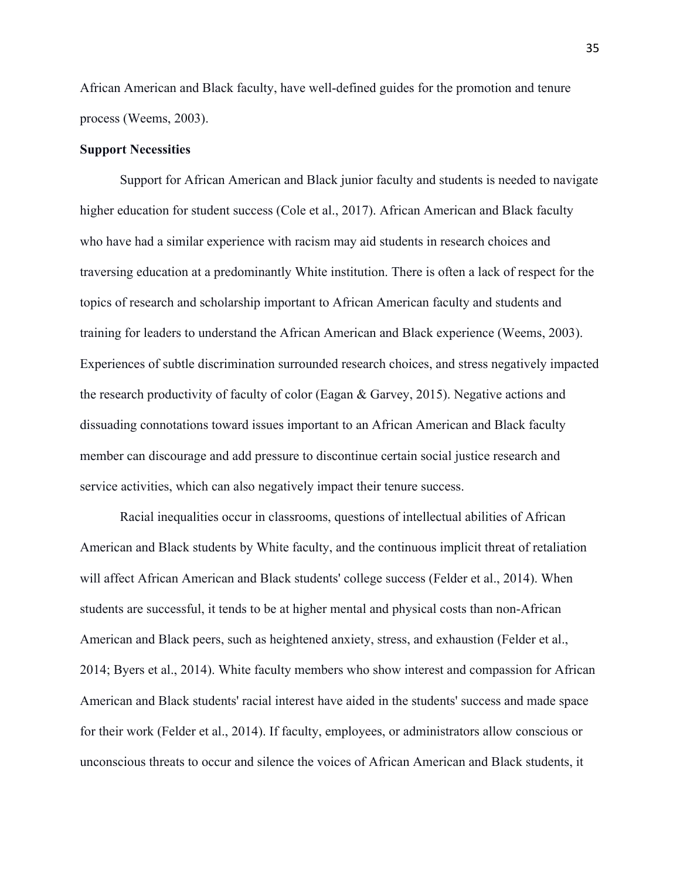African American and Black faculty, have well-defined guides for the promotion and tenure process (Weems, 2003).

# **Support Necessities**

Support for African American and Black junior faculty and students is needed to navigate higher education for student success (Cole et al., 2017). African American and Black faculty who have had a similar experience with racism may aid students in research choices and traversing education at a predominantly White institution. There is often a lack of respect for the topics of research and scholarship important to African American faculty and students and training for leaders to understand the African American and Black experience (Weems, 2003). Experiences of subtle discrimination surrounded research choices, and stress negatively impacted the research productivity of faculty of color (Eagan & Garvey, 2015). Negative actions and dissuading connotations toward issues important to an African American and Black faculty member can discourage and add pressure to discontinue certain social justice research and service activities, which can also negatively impact their tenure success.

Racial inequalities occur in classrooms, questions of intellectual abilities of African American and Black students by White faculty, and the continuous implicit threat of retaliation will affect African American and Black students' college success (Felder et al., 2014). When students are successful, it tends to be at higher mental and physical costs than non-African American and Black peers, such as heightened anxiety, stress, and exhaustion (Felder et al., 2014; Byers et al., 2014). White faculty members who show interest and compassion for African American and Black students' racial interest have aided in the students' success and made space for their work (Felder et al., 2014). If faculty, employees, or administrators allow conscious or unconscious threats to occur and silence the voices of African American and Black students, it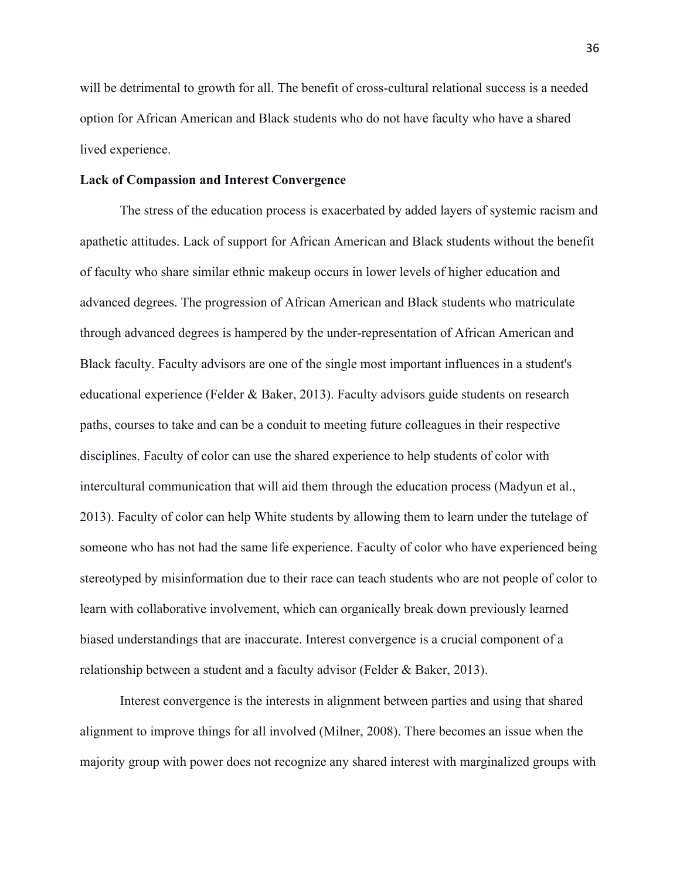will be detrimental to growth for all. The benefit of cross-cultural relational success is a needed option for African American and Black students who do not have faculty who have a shared lived experience.

# **Lack of Compassion and Interest Convergence**

The stress of the education process is exacerbated by added layers of systemic racism and apathetic attitudes. Lack of support for African American and Black students without the benefit of faculty who share similar ethnic makeup occurs in lower levels of higher education and advanced degrees. The progression of African American and Black students who matriculate through advanced degrees is hampered by the under-representation of African American and Black faculty. Faculty advisors are one of the single most important influences in a student's educational experience (Felder & Baker, 2013). Faculty advisors guide students on research paths, courses to take and can be a conduit to meeting future colleagues in their respective disciplines. Faculty of color can use the shared experience to help students of color with intercultural communication that will aid them through the education process (Madyun et al., 2013). Faculty of color can help White students by allowing them to learn under the tutelage of someone who has not had the same life experience. Faculty of color who have experienced being stereotyped by misinformation due to their race can teach students who are not people of color to learn with collaborative involvement, which can organically break down previously learned biased understandings that are inaccurate. Interest convergence is a crucial component of a relationship between a student and a faculty advisor (Felder & Baker, 2013).

Interest convergence is the interests in alignment between parties and using that shared alignment to improve things for all involved (Milner, 2008). There becomes an issue when the majority group with power does not recognize any shared interest with marginalized groups with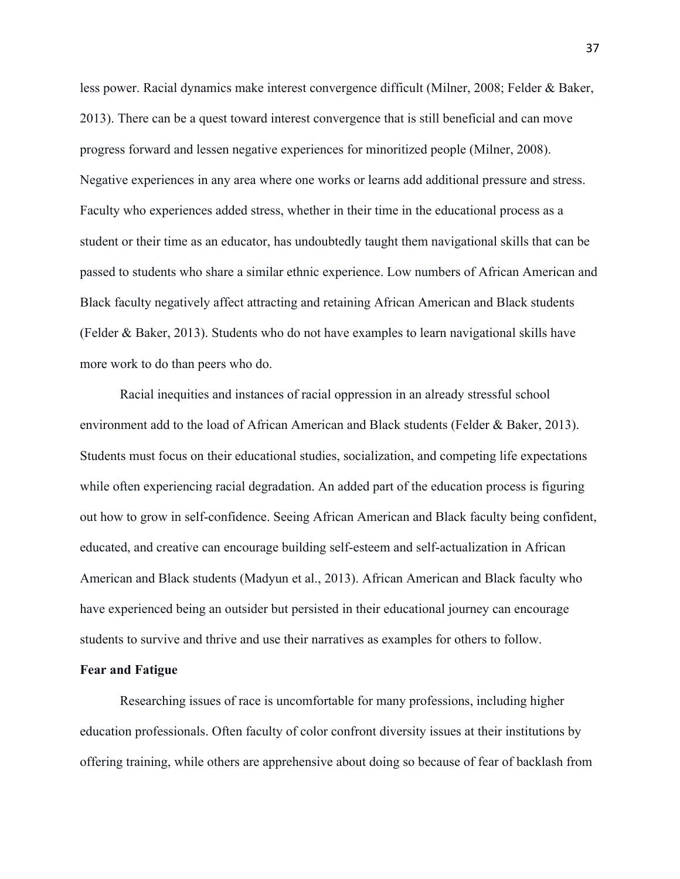less power. Racial dynamics make interest convergence difficult (Milner, 2008; Felder & Baker, 2013). There can be a quest toward interest convergence that is still beneficial and can move progress forward and lessen negative experiences for minoritized people (Milner, 2008). Negative experiences in any area where one works or learns add additional pressure and stress. Faculty who experiences added stress, whether in their time in the educational process as a student or their time as an educator, has undoubtedly taught them navigational skills that can be passed to students who share a similar ethnic experience. Low numbers of African American and Black faculty negatively affect attracting and retaining African American and Black students (Felder & Baker, 2013). Students who do not have examples to learn navigational skills have more work to do than peers who do.

Racial inequities and instances of racial oppression in an already stressful school environment add to the load of African American and Black students (Felder & Baker, 2013). Students must focus on their educational studies, socialization, and competing life expectations while often experiencing racial degradation. An added part of the education process is figuring out how to grow in self-confidence. Seeing African American and Black faculty being confident, educated, and creative can encourage building self-esteem and self-actualization in African American and Black students (Madyun et al., 2013). African American and Black faculty who have experienced being an outsider but persisted in their educational journey can encourage students to survive and thrive and use their narratives as examples for others to follow.

## **Fear and Fatigue**

Researching issues of race is uncomfortable for many professions, including higher education professionals. Often faculty of color confront diversity issues at their institutions by offering training, while others are apprehensive about doing so because of fear of backlash from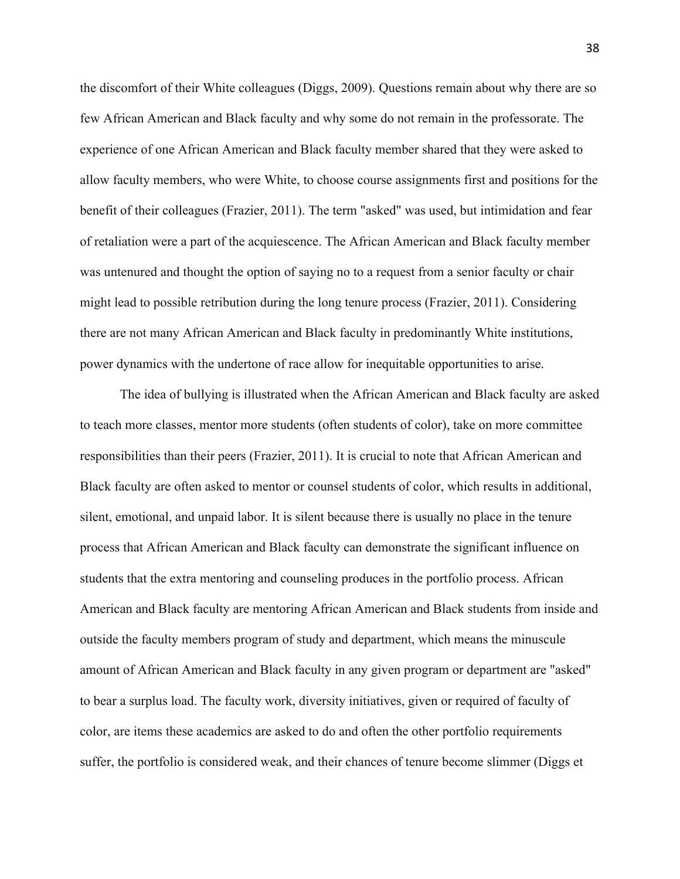the discomfort of their White colleagues (Diggs, 2009). Questions remain about why there are so few African American and Black faculty and why some do not remain in the professorate. The experience of one African American and Black faculty member shared that they were asked to allow faculty members, who were White, to choose course assignments first and positions for the benefit of their colleagues (Frazier, 2011). The term "asked" was used, but intimidation and fear of retaliation were a part of the acquiescence. The African American and Black faculty member was untenured and thought the option of saying no to a request from a senior faculty or chair might lead to possible retribution during the long tenure process (Frazier, 2011). Considering there are not many African American and Black faculty in predominantly White institutions, power dynamics with the undertone of race allow for inequitable opportunities to arise.

The idea of bullying is illustrated when the African American and Black faculty are asked to teach more classes, mentor more students (often students of color), take on more committee responsibilities than their peers (Frazier, 2011). It is crucial to note that African American and Black faculty are often asked to mentor or counsel students of color, which results in additional, silent, emotional, and unpaid labor. It is silent because there is usually no place in the tenure process that African American and Black faculty can demonstrate the significant influence on students that the extra mentoring and counseling produces in the portfolio process. African American and Black faculty are mentoring African American and Black students from inside and outside the faculty members program of study and department, which means the minuscule amount of African American and Black faculty in any given program or department are "asked" to bear a surplus load. The faculty work, diversity initiatives, given or required of faculty of color, are items these academics are asked to do and often the other portfolio requirements suffer, the portfolio is considered weak, and their chances of tenure become slimmer (Diggs et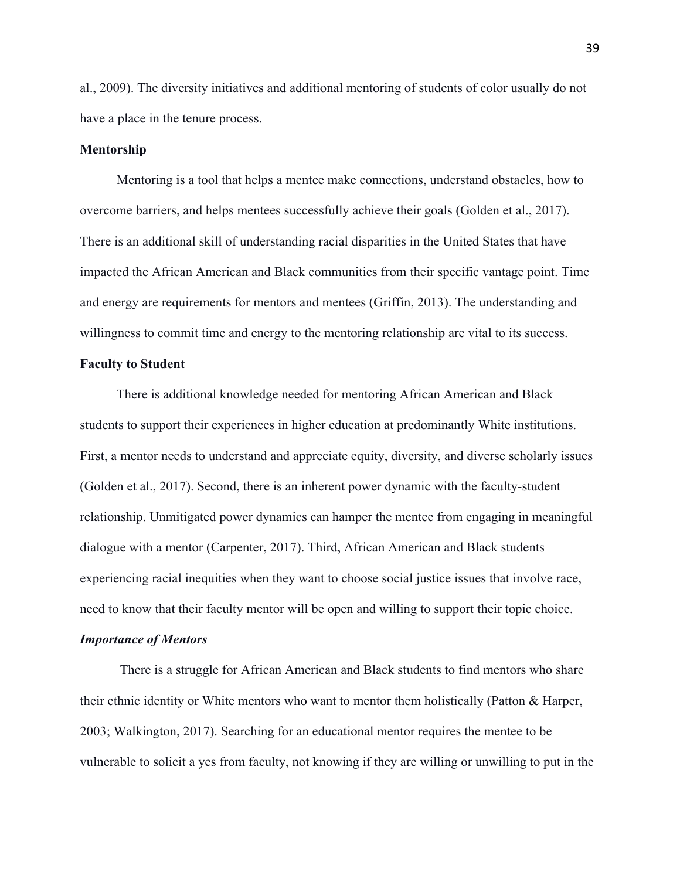al., 2009). The diversity initiatives and additional mentoring of students of color usually do not have a place in the tenure process.

#### **Mentorship**

Mentoring is a tool that helps a mentee make connections, understand obstacles, how to overcome barriers, and helps mentees successfully achieve their goals (Golden et al., 2017). There is an additional skill of understanding racial disparities in the United States that have impacted the African American and Black communities from their specific vantage point. Time and energy are requirements for mentors and mentees (Griffin, 2013). The understanding and willingness to commit time and energy to the mentoring relationship are vital to its success.

## **Faculty to Student**

There is additional knowledge needed for mentoring African American and Black students to support their experiences in higher education at predominantly White institutions. First, a mentor needs to understand and appreciate equity, diversity, and diverse scholarly issues (Golden et al., 2017). Second, there is an inherent power dynamic with the faculty-student relationship. Unmitigated power dynamics can hamper the mentee from engaging in meaningful dialogue with a mentor (Carpenter, 2017). Third, African American and Black students experiencing racial inequities when they want to choose social justice issues that involve race, need to know that their faculty mentor will be open and willing to support their topic choice.

#### *Importance of Mentors*

There is a struggle for African American and Black students to find mentors who share their ethnic identity or White mentors who want to mentor them holistically (Patton & Harper, 2003; Walkington, 2017). Searching for an educational mentor requires the mentee to be vulnerable to solicit a yes from faculty, not knowing if they are willing or unwilling to put in the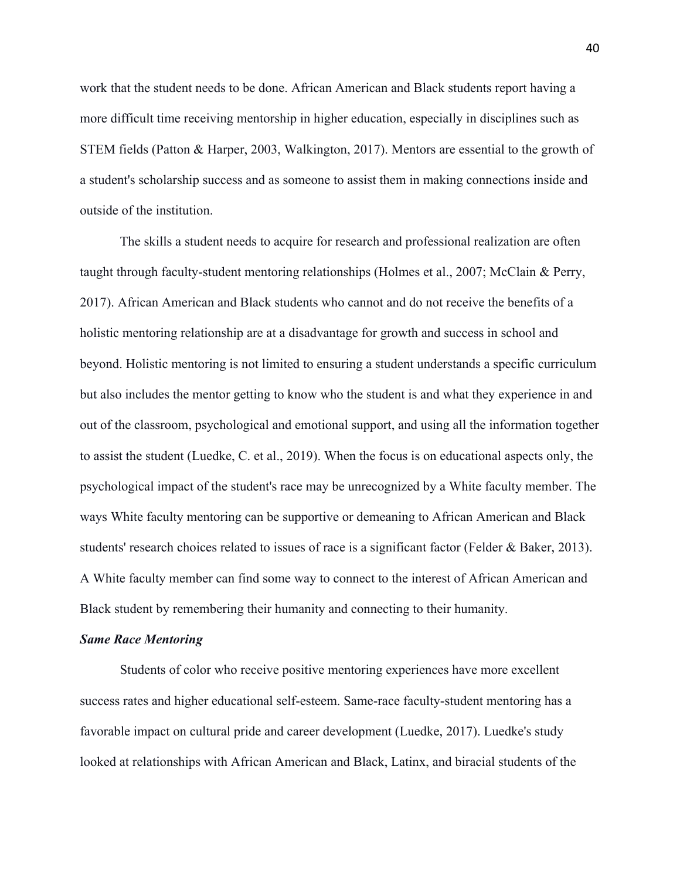work that the student needs to be done. African American and Black students report having a more difficult time receiving mentorship in higher education, especially in disciplines such as STEM fields (Patton & Harper, 2003, Walkington, 2017). Mentors are essential to the growth of a student's scholarship success and as someone to assist them in making connections inside and outside of the institution.

The skills a student needs to acquire for research and professional realization are often taught through faculty-student mentoring relationships (Holmes et al., 2007; McClain & Perry, 2017). African American and Black students who cannot and do not receive the benefits of a holistic mentoring relationship are at a disadvantage for growth and success in school and beyond. Holistic mentoring is not limited to ensuring a student understands a specific curriculum but also includes the mentor getting to know who the student is and what they experience in and out of the classroom, psychological and emotional support, and using all the information together to assist the student (Luedke, C. et al., 2019). When the focus is on educational aspects only, the psychological impact of the student's race may be unrecognized by a White faculty member. The ways White faculty mentoring can be supportive or demeaning to African American and Black students' research choices related to issues of race is a significant factor (Felder & Baker, 2013). A White faculty member can find some way to connect to the interest of African American and Black student by remembering their humanity and connecting to their humanity.

#### *Same Race Mentoring*

Students of color who receive positive mentoring experiences have more excellent success rates and higher educational self-esteem. Same-race faculty-student mentoring has a favorable impact on cultural pride and career development (Luedke, 2017). Luedke's study looked at relationships with African American and Black, Latinx, and biracial students of the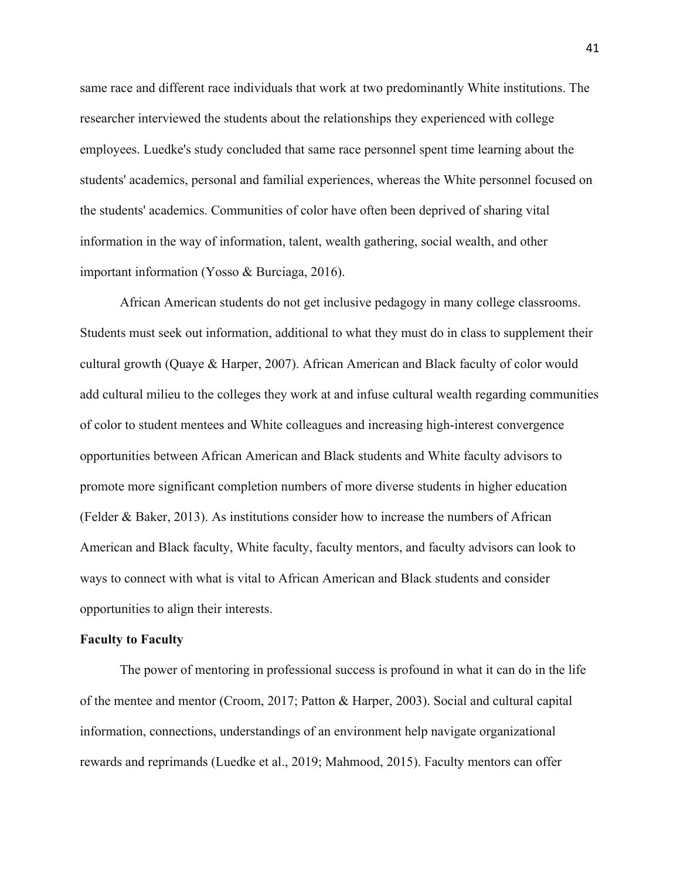same race and different race individuals that work at two predominantly White institutions. The researcher interviewed the students about the relationships they experienced with college employees. Luedke's study concluded that same race personnel spent time learning about the students' academics, personal and familial experiences, whereas the White personnel focused on the students' academics. Communities of color have often been deprived of sharing vital information in the way of information, talent, wealth gathering, social wealth, and other important information (Yosso & Burciaga, 2016).

African American students do not get inclusive pedagogy in many college classrooms. Students must seek out information, additional to what they must do in class to supplement their cultural growth (Quaye & Harper, 2007). African American and Black faculty of color would add cultural milieu to the colleges they work at and infuse cultural wealth regarding communities of color to student mentees and White colleagues and increasing high-interest convergence opportunities between African American and Black students and White faculty advisors to promote more significant completion numbers of more diverse students in higher education (Felder & Baker, 2013). As institutions consider how to increase the numbers of African American and Black faculty, White faculty, faculty mentors, and faculty advisors can look to ways to connect with what is vital to African American and Black students and consider opportunities to align their interests.

#### **Faculty to Faculty**

The power of mentoring in professional success is profound in what it can do in the life of the mentee and mentor (Croom, 2017; Patton & Harper, 2003). Social and cultural capital information, connections, understandings of an environment help navigate organizational rewards and reprimands (Luedke et al., 2019; Mahmood, 2015). Faculty mentors can offer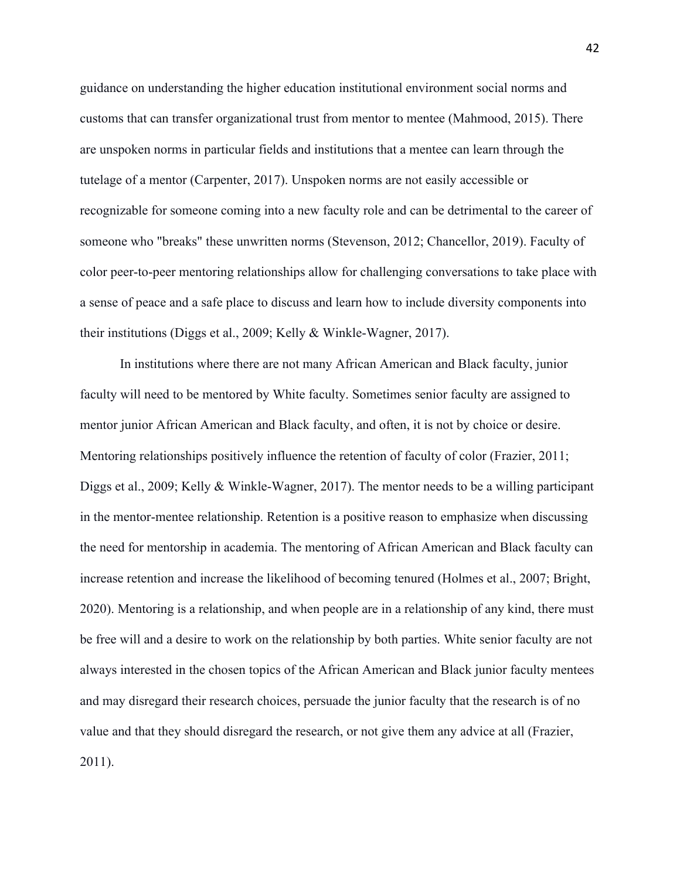guidance on understanding the higher education institutional environment social norms and customs that can transfer organizational trust from mentor to mentee (Mahmood, 2015). There are unspoken norms in particular fields and institutions that a mentee can learn through the tutelage of a mentor (Carpenter, 2017). Unspoken norms are not easily accessible or recognizable for someone coming into a new faculty role and can be detrimental to the career of someone who "breaks" these unwritten norms (Stevenson, 2012; Chancellor, 2019). Faculty of color peer-to-peer mentoring relationships allow for challenging conversations to take place with a sense of peace and a safe place to discuss and learn how to include diversity components into their institutions (Diggs et al., 2009; Kelly & Winkle-Wagner, 2017).

In institutions where there are not many African American and Black faculty, junior faculty will need to be mentored by White faculty. Sometimes senior faculty are assigned to mentor junior African American and Black faculty, and often, it is not by choice or desire. Mentoring relationships positively influence the retention of faculty of color (Frazier, 2011; Diggs et al., 2009; Kelly & Winkle-Wagner, 2017). The mentor needs to be a willing participant in the mentor-mentee relationship. Retention is a positive reason to emphasize when discussing the need for mentorship in academia. The mentoring of African American and Black faculty can increase retention and increase the likelihood of becoming tenured (Holmes et al., 2007; Bright, 2020). Mentoring is a relationship, and when people are in a relationship of any kind, there must be free will and a desire to work on the relationship by both parties. White senior faculty are not always interested in the chosen topics of the African American and Black junior faculty mentees and may disregard their research choices, persuade the junior faculty that the research is of no value and that they should disregard the research, or not give them any advice at all (Frazier, 2011).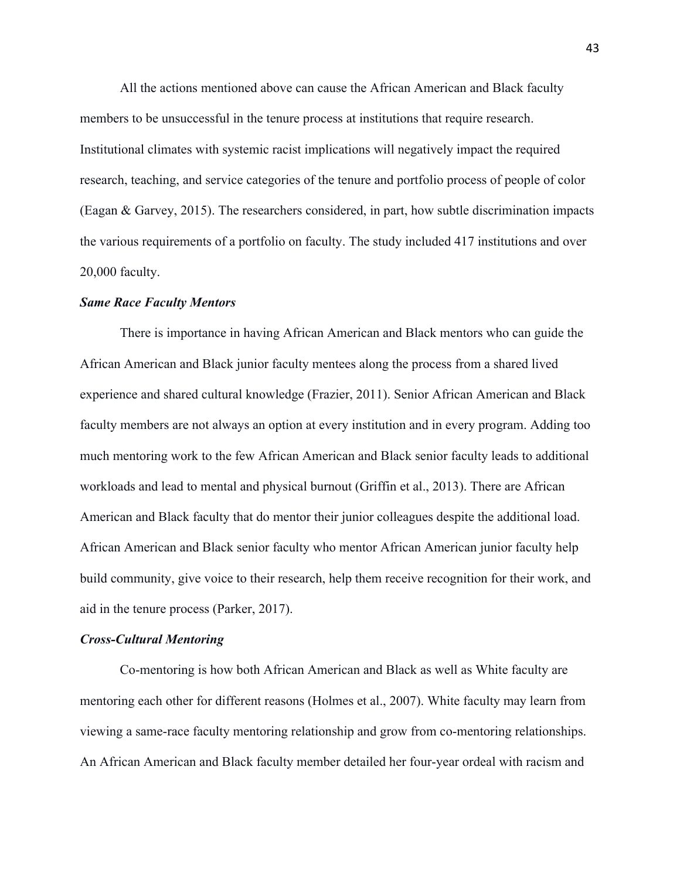All the actions mentioned above can cause the African American and Black faculty members to be unsuccessful in the tenure process at institutions that require research. Institutional climates with systemic racist implications will negatively impact the required research, teaching, and service categories of the tenure and portfolio process of people of color (Eagan & Garvey, 2015). The researchers considered, in part, how subtle discrimination impacts the various requirements of a portfolio on faculty. The study included 417 institutions and over 20,000 faculty.

## *Same Race Faculty Mentors*

There is importance in having African American and Black mentors who can guide the African American and Black junior faculty mentees along the process from a shared lived experience and shared cultural knowledge (Frazier, 2011). Senior African American and Black faculty members are not always an option at every institution and in every program. Adding too much mentoring work to the few African American and Black senior faculty leads to additional workloads and lead to mental and physical burnout (Griffin et al., 2013). There are African American and Black faculty that do mentor their junior colleagues despite the additional load. African American and Black senior faculty who mentor African American junior faculty help build community, give voice to their research, help them receive recognition for their work, and aid in the tenure process (Parker, 2017).

#### *Cross-Cultural Mentoring*

Co-mentoring is how both African American and Black as well as White faculty are mentoring each other for different reasons (Holmes et al., 2007). White faculty may learn from viewing a same-race faculty mentoring relationship and grow from co-mentoring relationships. An African American and Black faculty member detailed her four-year ordeal with racism and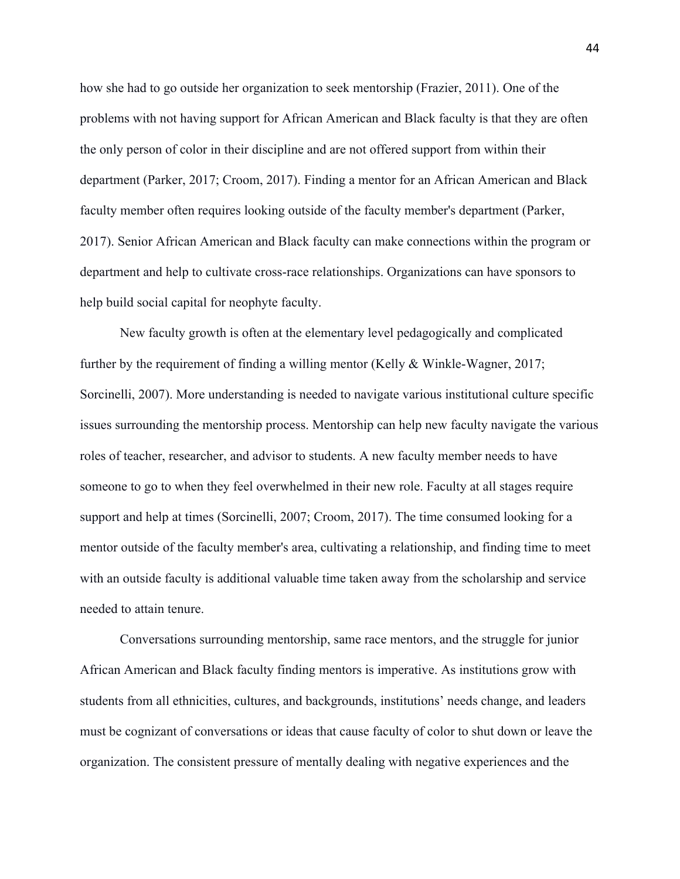how she had to go outside her organization to seek mentorship (Frazier, 2011). One of the problems with not having support for African American and Black faculty is that they are often the only person of color in their discipline and are not offered support from within their department (Parker, 2017; Croom, 2017). Finding a mentor for an African American and Black faculty member often requires looking outside of the faculty member's department (Parker, 2017). Senior African American and Black faculty can make connections within the program or department and help to cultivate cross-race relationships. Organizations can have sponsors to help build social capital for neophyte faculty.

New faculty growth is often at the elementary level pedagogically and complicated further by the requirement of finding a willing mentor (Kelly & Winkle-Wagner, 2017; Sorcinelli, 2007). More understanding is needed to navigate various institutional culture specific issues surrounding the mentorship process. Mentorship can help new faculty navigate the various roles of teacher, researcher, and advisor to students. A new faculty member needs to have someone to go to when they feel overwhelmed in their new role. Faculty at all stages require support and help at times (Sorcinelli, 2007; Croom, 2017). The time consumed looking for a mentor outside of the faculty member's area, cultivating a relationship, and finding time to meet with an outside faculty is additional valuable time taken away from the scholarship and service needed to attain tenure.

Conversations surrounding mentorship, same race mentors, and the struggle for junior African American and Black faculty finding mentors is imperative. As institutions grow with students from all ethnicities, cultures, and backgrounds, institutions' needs change, and leaders must be cognizant of conversations or ideas that cause faculty of color to shut down or leave the organization. The consistent pressure of mentally dealing with negative experiences and the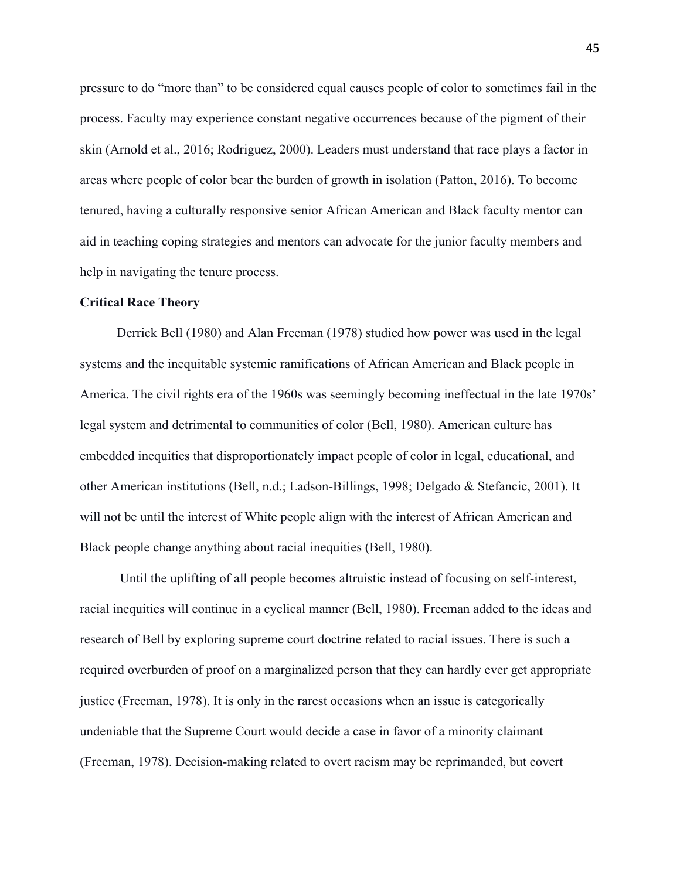pressure to do "more than" to be considered equal causes people of color to sometimes fail in the process. Faculty may experience constant negative occurrences because of the pigment of their skin (Arnold et al., 2016; Rodriguez, 2000). Leaders must understand that race plays a factor in areas where people of color bear the burden of growth in isolation (Patton, 2016). To become tenured, having a culturally responsive senior African American and Black faculty mentor can aid in teaching coping strategies and mentors can advocate for the junior faculty members and help in navigating the tenure process.

# **Critical Race Theory**

Derrick Bell (1980) and Alan Freeman (1978) studied how power was used in the legal systems and the inequitable systemic ramifications of African American and Black people in America. The civil rights era of the 1960s was seemingly becoming ineffectual in the late 1970s' legal system and detrimental to communities of color (Bell, 1980). American culture has embedded inequities that disproportionately impact people of color in legal, educational, and other American institutions (Bell, n.d.; Ladson-Billings, 1998; Delgado & Stefancic, 2001). It will not be until the interest of White people align with the interest of African American and Black people change anything about racial inequities (Bell, 1980).

Until the uplifting of all people becomes altruistic instead of focusing on self-interest, racial inequities will continue in a cyclical manner (Bell, 1980). Freeman added to the ideas and research of Bell by exploring supreme court doctrine related to racial issues. There is such a required overburden of proof on a marginalized person that they can hardly ever get appropriate justice (Freeman, 1978). It is only in the rarest occasions when an issue is categorically undeniable that the Supreme Court would decide a case in favor of a minority claimant (Freeman, 1978). Decision-making related to overt racism may be reprimanded, but covert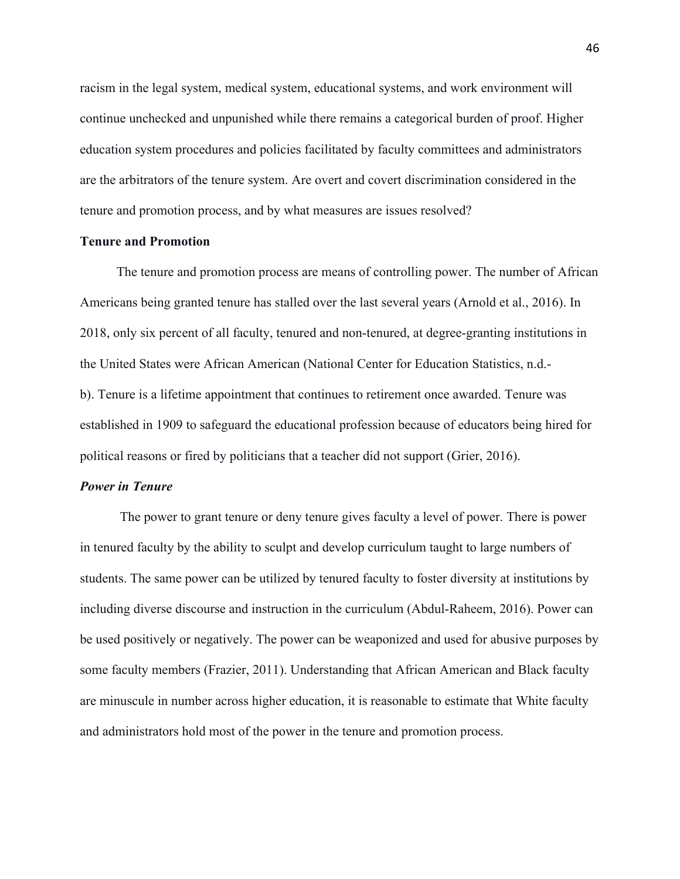racism in the legal system, medical system, educational systems, and work environment will continue unchecked and unpunished while there remains a categorical burden of proof. Higher education system procedures and policies facilitated by faculty committees and administrators are the arbitrators of the tenure system. Are overt and covert discrimination considered in the tenure and promotion process, and by what measures are issues resolved?

## **Tenure and Promotion**

The tenure and promotion process are means of controlling power. The number of African Americans being granted tenure has stalled over the last several years (Arnold et al., 2016). In 2018, only six percent of all faculty, tenured and non-tenured, at degree-granting institutions in the United States were African American (National Center for Education Statistics, n.d. b). Tenure is a lifetime appointment that continues to retirement once awarded. Tenure was established in 1909 to safeguard the educational profession because of educators being hired for political reasons or fired by politicians that a teacher did not support (Grier, 2016).

## *Power in Tenure*

The power to grant tenure or deny tenure gives faculty a level of power. There is power in tenured faculty by the ability to sculpt and develop curriculum taught to large numbers of students. The same power can be utilized by tenured faculty to foster diversity at institutions by including diverse discourse and instruction in the curriculum (Abdul-Raheem, 2016). Power can be used positively or negatively. The power can be weaponized and used for abusive purposes by some faculty members (Frazier, 2011). Understanding that African American and Black faculty are minuscule in number across higher education, it is reasonable to estimate that White faculty and administrators hold most of the power in the tenure and promotion process.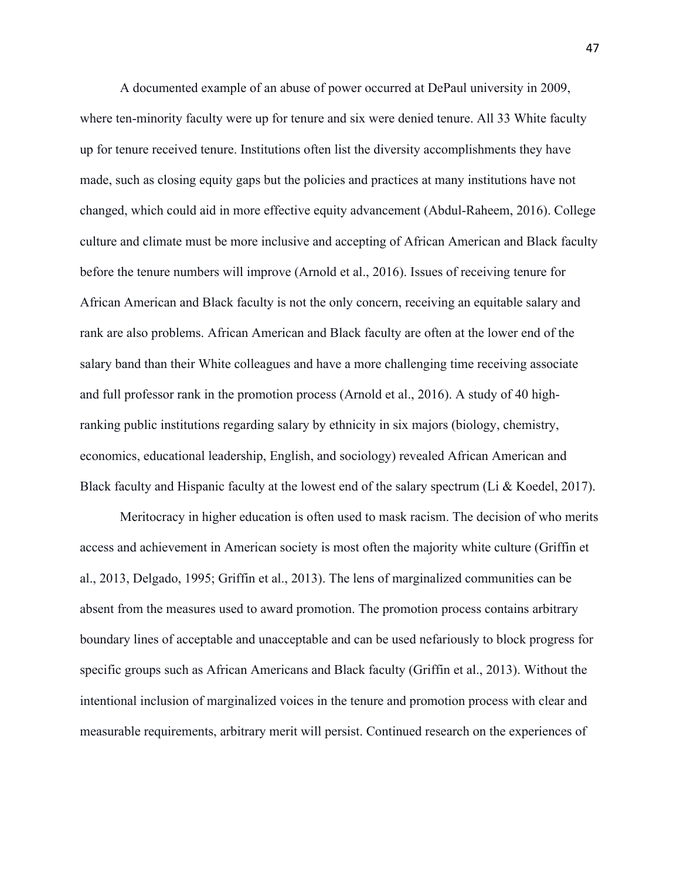A documented example of an abuse of power occurred at DePaul university in 2009, where ten-minority faculty were up for tenure and six were denied tenure. All 33 White faculty up for tenure received tenure. Institutions often list the diversity accomplishments they have made, such as closing equity gaps but the policies and practices at many institutions have not changed, which could aid in more effective equity advancement (Abdul-Raheem, 2016). College culture and climate must be more inclusive and accepting of African American and Black faculty before the tenure numbers will improve (Arnold et al., 2016). Issues of receiving tenure for African American and Black faculty is not the only concern, receiving an equitable salary and rank are also problems. African American and Black faculty are often at the lower end of the salary band than their White colleagues and have a more challenging time receiving associate and full professor rank in the promotion process (Arnold et al., 2016). A study of 40 highranking public institutions regarding salary by ethnicity in six majors (biology, chemistry, economics, educational leadership, English, and sociology) revealed African American and Black faculty and Hispanic faculty at the lowest end of the salary spectrum (Li & Koedel, 2017).

Meritocracy in higher education is often used to mask racism. The decision of who merits access and achievement in American society is most often the majority white culture (Griffin et al., 2013, Delgado, 1995; Griffin et al., 2013). The lens of marginalized communities can be absent from the measures used to award promotion. The promotion process contains arbitrary boundary lines of acceptable and unacceptable and can be used nefariously to block progress for specific groups such as African Americans and Black faculty (Griffin et al., 2013). Without the intentional inclusion of marginalized voices in the tenure and promotion process with clear and measurable requirements, arbitrary merit will persist. Continued research on the experiences of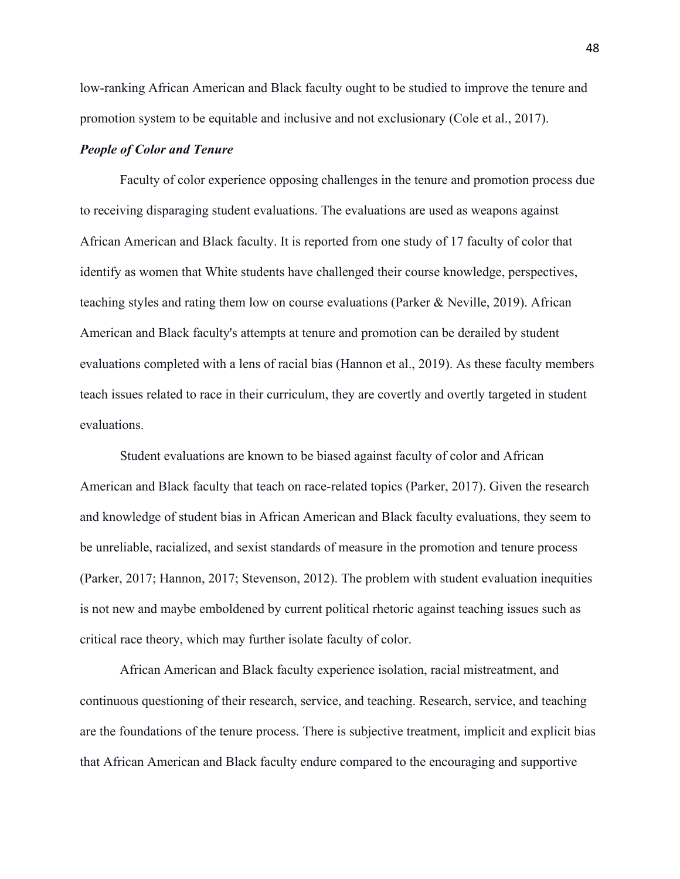low-ranking African American and Black faculty ought to be studied to improve the tenure and promotion system to be equitable and inclusive and not exclusionary (Cole et al., 2017).

# *People of Color and Tenure*

Faculty of color experience opposing challenges in the tenure and promotion process due to receiving disparaging student evaluations. The evaluations are used as weapons against African American and Black faculty. It is reported from one study of 17 faculty of color that identify as women that White students have challenged their course knowledge, perspectives, teaching styles and rating them low on course evaluations (Parker & Neville, 2019). African American and Black faculty's attempts at tenure and promotion can be derailed by student evaluations completed with a lens of racial bias (Hannon et al., 2019). As these faculty members teach issues related to race in their curriculum, they are covertly and overtly targeted in student evaluations.

Student evaluations are known to be biased against faculty of color and African American and Black faculty that teach on race-related topics (Parker, 2017). Given the research and knowledge of student bias in African American and Black faculty evaluations, they seem to be unreliable, racialized, and sexist standards of measure in the promotion and tenure process (Parker, 2017; Hannon, 2017; Stevenson, 2012). The problem with student evaluation inequities is not new and maybe emboldened by current political rhetoric against teaching issues such as critical race theory, which may further isolate faculty of color.

African American and Black faculty experience isolation, racial mistreatment, and continuous questioning of their research, service, and teaching. Research, service, and teaching are the foundations of the tenure process. There is subjective treatment, implicit and explicit bias that African American and Black faculty endure compared to the encouraging and supportive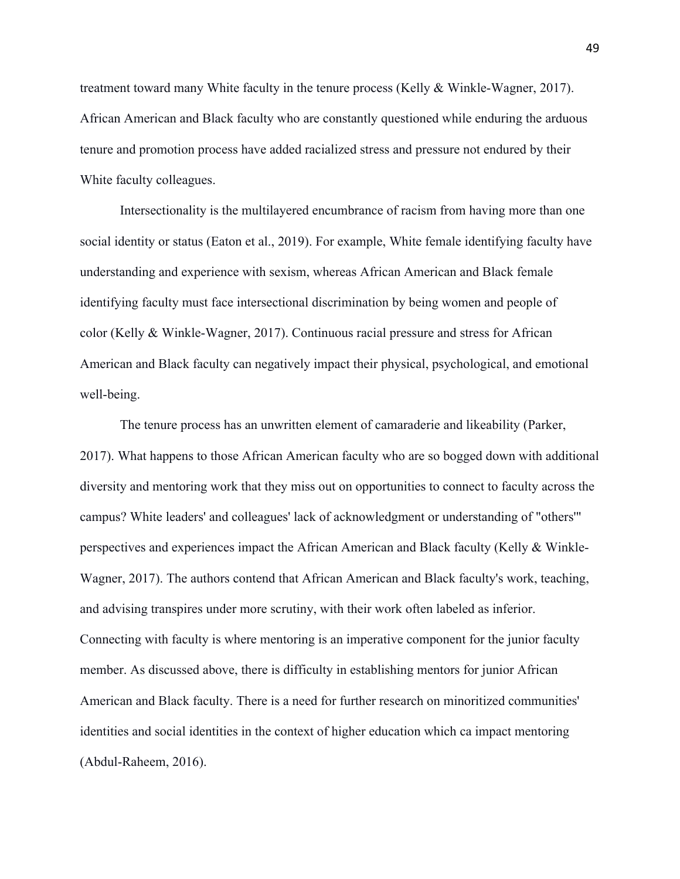treatment toward many White faculty in the tenure process (Kelly & Winkle-Wagner, 2017). African American and Black faculty who are constantly questioned while enduring the arduous tenure and promotion process have added racialized stress and pressure not endured by their White faculty colleagues.

Intersectionality is the multilayered encumbrance of racism from having more than one social identity or status (Eaton et al., 2019). For example, White female identifying faculty have understanding and experience with sexism, whereas African American and Black female identifying faculty must face intersectional discrimination by being women and people of color (Kelly & Winkle-Wagner, 2017). Continuous racial pressure and stress for African American and Black faculty can negatively impact their physical, psychological, and emotional well-being.

The tenure process has an unwritten element of camaraderie and likeability (Parker, 2017). What happens to those African American faculty who are so bogged down with additional diversity and mentoring work that they miss out on opportunities to connect to faculty across the campus? White leaders' and colleagues' lack of acknowledgment or understanding of "others'" perspectives and experiences impact the African American and Black faculty (Kelly & Winkle-Wagner, 2017). The authors contend that African American and Black faculty's work, teaching, and advising transpires under more scrutiny, with their work often labeled as inferior. Connecting with faculty is where mentoring is an imperative component for the junior faculty member. As discussed above, there is difficulty in establishing mentors for junior African American and Black faculty. There is a need for further research on minoritized communities' identities and social identities in the context of higher education which ca impact mentoring (Abdul-Raheem, 2016).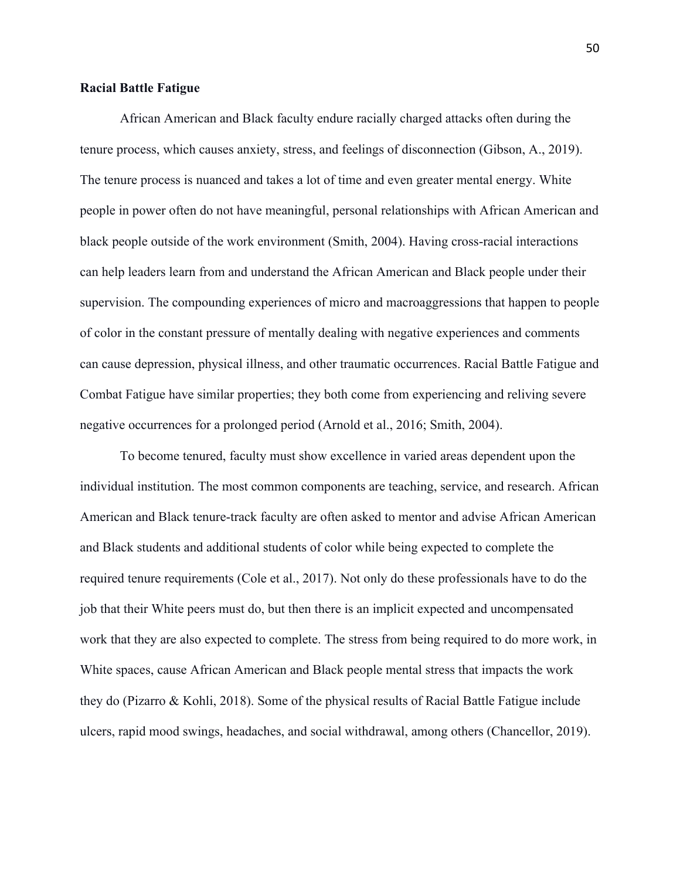## **Racial Battle Fatigue**

African American and Black faculty endure racially charged attacks often during the tenure process, which causes anxiety, stress, and feelings of disconnection (Gibson, A., 2019). The tenure process is nuanced and takes a lot of time and even greater mental energy. White people in power often do not have meaningful, personal relationships with African American and black people outside of the work environment (Smith, 2004). Having cross-racial interactions can help leaders learn from and understand the African American and Black people under their supervision. The compounding experiences of micro and macroaggressions that happen to people of color in the constant pressure of mentally dealing with negative experiences and comments can cause depression, physical illness, and other traumatic occurrences. Racial Battle Fatigue and Combat Fatigue have similar properties; they both come from experiencing and reliving severe negative occurrences for a prolonged period (Arnold et al., 2016; Smith, 2004).

To become tenured, faculty must show excellence in varied areas dependent upon the individual institution. The most common components are teaching, service, and research. African American and Black tenure-track faculty are often asked to mentor and advise African American and Black students and additional students of color while being expected to complete the required tenure requirements (Cole et al., 2017). Not only do these professionals have to do the job that their White peers must do, but then there is an implicit expected and uncompensated work that they are also expected to complete. The stress from being required to do more work, in White spaces, cause African American and Black people mental stress that impacts the work they do (Pizarro & Kohli, 2018). Some of the physical results of Racial Battle Fatigue include ulcers, rapid mood swings, headaches, and social withdrawal, among others (Chancellor, 2019).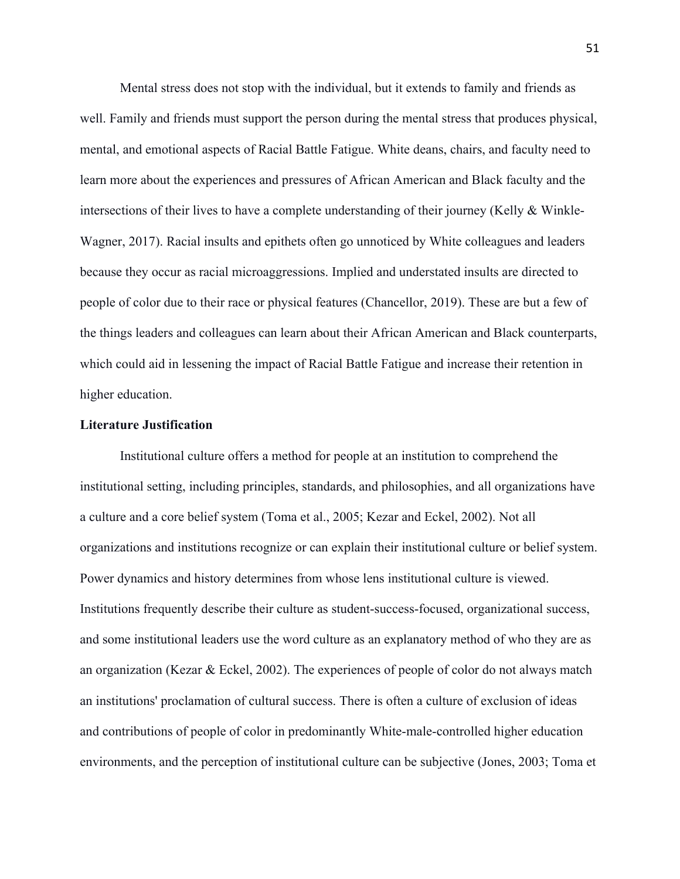Mental stress does not stop with the individual, but it extends to family and friends as well. Family and friends must support the person during the mental stress that produces physical, mental, and emotional aspects of Racial Battle Fatigue. White deans, chairs, and faculty need to learn more about the experiences and pressures of African American and Black faculty and the intersections of their lives to have a complete understanding of their journey (Kelly & Winkle-Wagner, 2017). Racial insults and epithets often go unnoticed by White colleagues and leaders because they occur as racial microaggressions. Implied and understated insults are directed to people of color due to their race or physical features (Chancellor, 2019). These are but a few of the things leaders and colleagues can learn about their African American and Black counterparts, which could aid in lessening the impact of Racial Battle Fatigue and increase their retention in higher education.

# **Literature Justification**

Institutional culture offers a method for people at an institution to comprehend the institutional setting, including principles, standards, and philosophies, and all organizations have a culture and a core belief system (Toma et al., 2005; Kezar and Eckel, 2002). Not all organizations and institutions recognize or can explain their institutional culture or belief system. Power dynamics and history determines from whose lens institutional culture is viewed. Institutions frequently describe their culture as student-success-focused, organizational success, and some institutional leaders use the word culture as an explanatory method of who they are as an organization (Kezar & Eckel, 2002). The experiences of people of color do not always match an institutions' proclamation of cultural success. There is often a culture of exclusion of ideas and contributions of people of color in predominantly White-male-controlled higher education environments, and the perception of institutional culture can be subjective (Jones, 2003; Toma et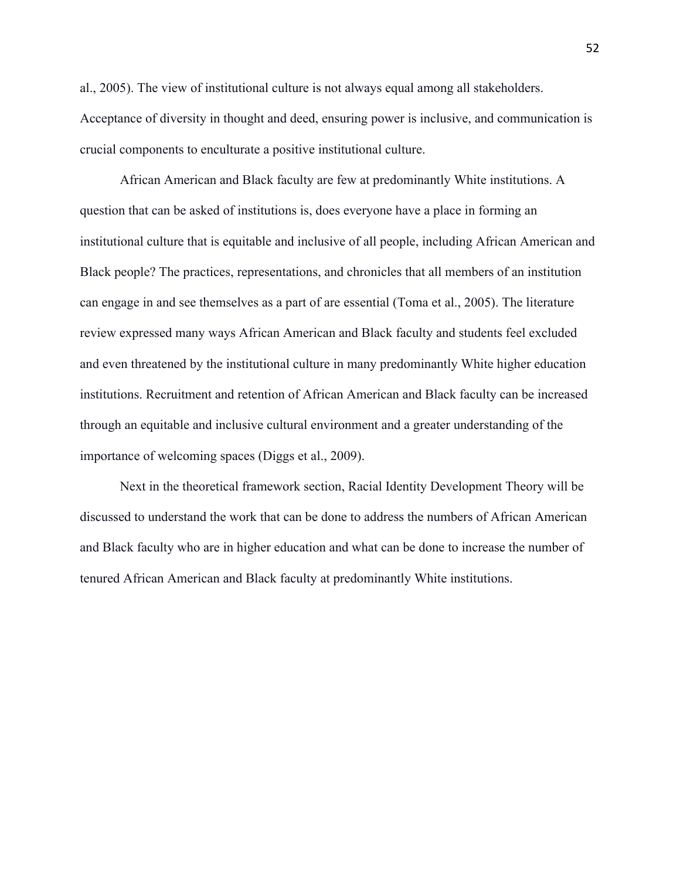al., 2005). The view of institutional culture is not always equal among all stakeholders. Acceptance of diversity in thought and deed, ensuring power is inclusive, and communication is crucial components to enculturate a positive institutional culture.

African American and Black faculty are few at predominantly White institutions. A question that can be asked of institutions is, does everyone have a place in forming an institutional culture that is equitable and inclusive of all people, including African American and Black people? The practices, representations, and chronicles that all members of an institution can engage in and see themselves as a part of are essential (Toma et al., 2005). The literature review expressed many ways African American and Black faculty and students feel excluded and even threatened by the institutional culture in many predominantly White higher education institutions. Recruitment and retention of African American and Black faculty can be increased through an equitable and inclusive cultural environment and a greater understanding of the importance of welcoming spaces (Diggs et al., 2009).

Next in the theoretical framework section, Racial Identity Development Theory will be discussed to understand the work that can be done to address the numbers of African American and Black faculty who are in higher education and what can be done to increase the number of tenured African American and Black faculty at predominantly White institutions.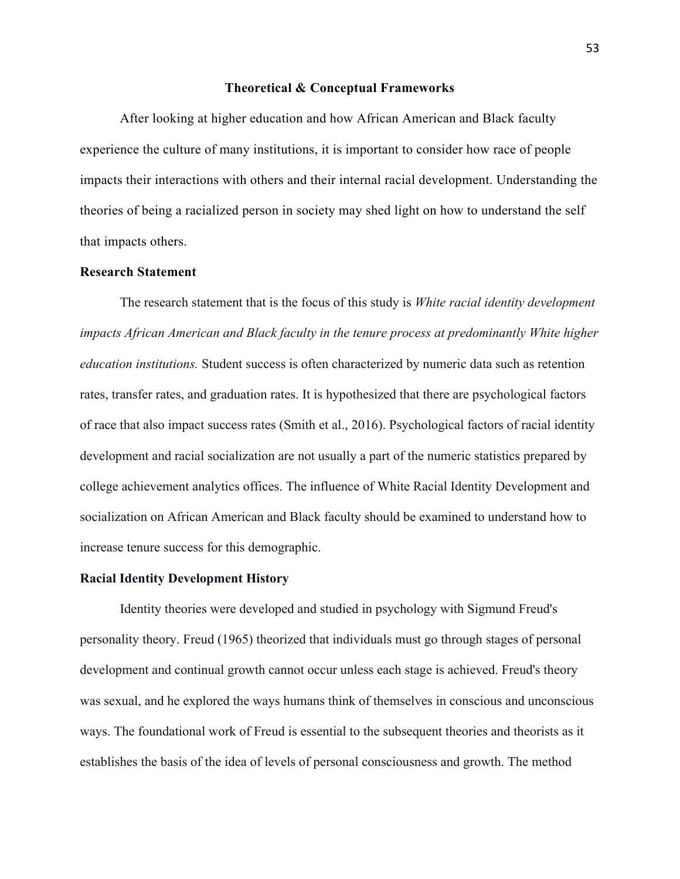#### **Theoretical & Conceptual Frameworks**

After looking at higher education and how African American and Black faculty experience the culture of many institutions, it is important to consider how race of people impacts their interactions with others and their internal racial development. Understanding the theories of being a racialized person in society may shed light on how to understand the self that impacts others.

# **Research Statement**

The research statement that is the focus of this study is *White racial identity development impacts African American and Black faculty in the tenure process at predominantly White higher education institutions.* Student success is often characterized by numeric data such as retention rates, transfer rates, and graduation rates. It is hypothesized that there are psychological factors of race that also impact success rates (Smith et al., 2016). Psychological factors of racial identity development and racial socialization are not usually a part of the numeric statistics prepared by college achievement analytics offices. The influence of White Racial Identity Development and socialization on African American and Black faculty should be examined to understand how to increase tenure success for this demographic.

# **Racial Identity Development History**

Identity theories were developed and studied in psychology with Sigmund Freud's personality theory. Freud (1965) theorized that individuals must go through stages of personal development and continual growth cannot occur unless each stage is achieved. Freud's theory was sexual, and he explored the ways humans think of themselves in conscious and unconscious ways. The foundational work of Freud is essential to the subsequent theories and theorists as it establishes the basis of the idea of levels of personal consciousness and growth. The method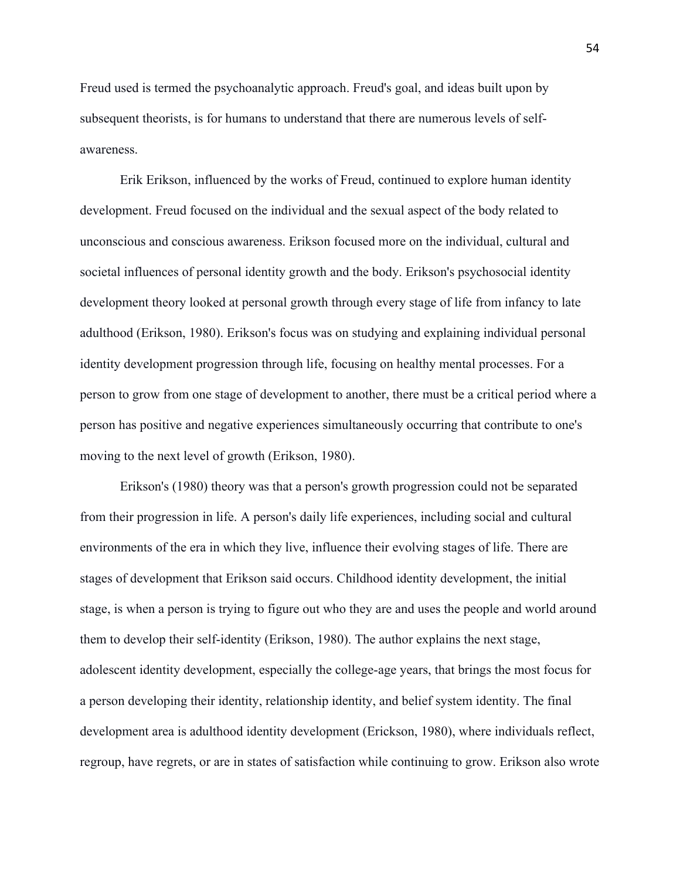Freud used is termed the psychoanalytic approach. Freud's goal, and ideas built upon by subsequent theorists, is for humans to understand that there are numerous levels of selfawareness.

Erik Erikson, influenced by the works of Freud, continued to explore human identity development. Freud focused on the individual and the sexual aspect of the body related to unconscious and conscious awareness. Erikson focused more on the individual, cultural and societal influences of personal identity growth and the body. Erikson's psychosocial identity development theory looked at personal growth through every stage of life from infancy to late adulthood (Erikson, 1980). Erikson's focus was on studying and explaining individual personal identity development progression through life, focusing on healthy mental processes. For a person to grow from one stage of development to another, there must be a critical period where a person has positive and negative experiences simultaneously occurring that contribute to one's moving to the next level of growth (Erikson, 1980).

Erikson's (1980) theory was that a person's growth progression could not be separated from their progression in life. A person's daily life experiences, including social and cultural environments of the era in which they live, influence their evolving stages of life. There are stages of development that Erikson said occurs. Childhood identity development, the initial stage, is when a person is trying to figure out who they are and uses the people and world around them to develop their self-identity (Erikson, 1980). The author explains the next stage, adolescent identity development, especially the college-age years, that brings the most focus for a person developing their identity, relationship identity, and belief system identity. The final development area is adulthood identity development (Erickson, 1980), where individuals reflect, regroup, have regrets, or are in states of satisfaction while continuing to grow. Erikson also wrote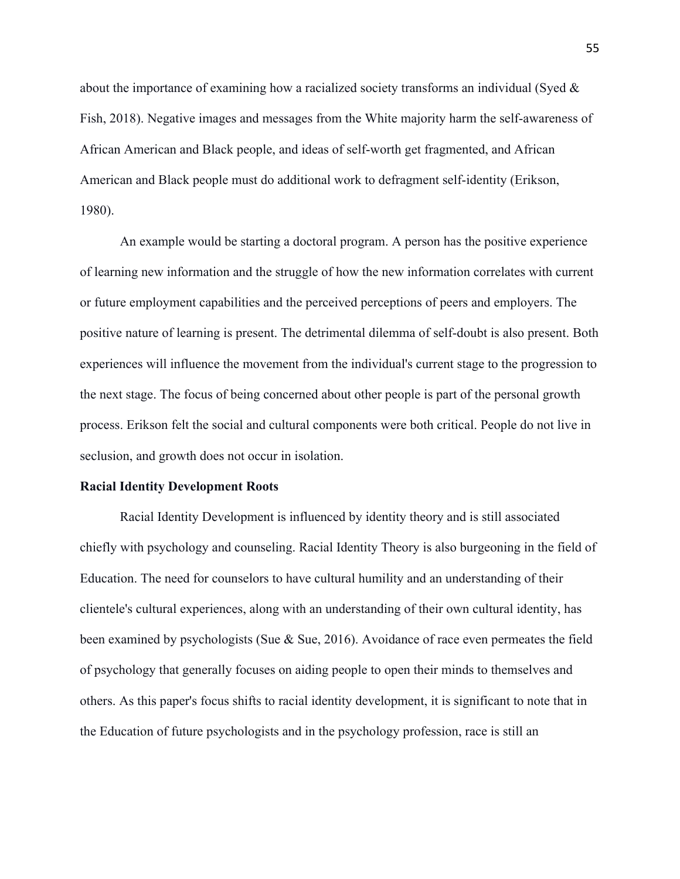about the importance of examining how a racialized society transforms an individual (Syed & Fish, 2018). Negative images and messages from the White majority harm the self-awareness of African American and Black people, and ideas of self-worth get fragmented, and African American and Black people must do additional work to defragment self-identity (Erikson, 1980).

An example would be starting a doctoral program. A person has the positive experience of learning new information and the struggle of how the new information correlates with current or future employment capabilities and the perceived perceptions of peers and employers. The positive nature of learning is present. The detrimental dilemma of self-doubt is also present. Both experiences will influence the movement from the individual's current stage to the progression to the next stage. The focus of being concerned about other people is part of the personal growth process. Erikson felt the social and cultural components were both critical. People do not live in seclusion, and growth does not occur in isolation.

#### **Racial Identity Development Roots**

Racial Identity Development is influenced by identity theory and is still associated chiefly with psychology and counseling. Racial Identity Theory is also burgeoning in the field of Education. The need for counselors to have cultural humility and an understanding of their clientele's cultural experiences, along with an understanding of their own cultural identity, has been examined by psychologists (Sue & Sue, 2016). Avoidance of race even permeates the field of psychology that generally focuses on aiding people to open their minds to themselves and others. As this paper's focus shifts to racial identity development, it is significant to note that in the Education of future psychologists and in the psychology profession, race is still an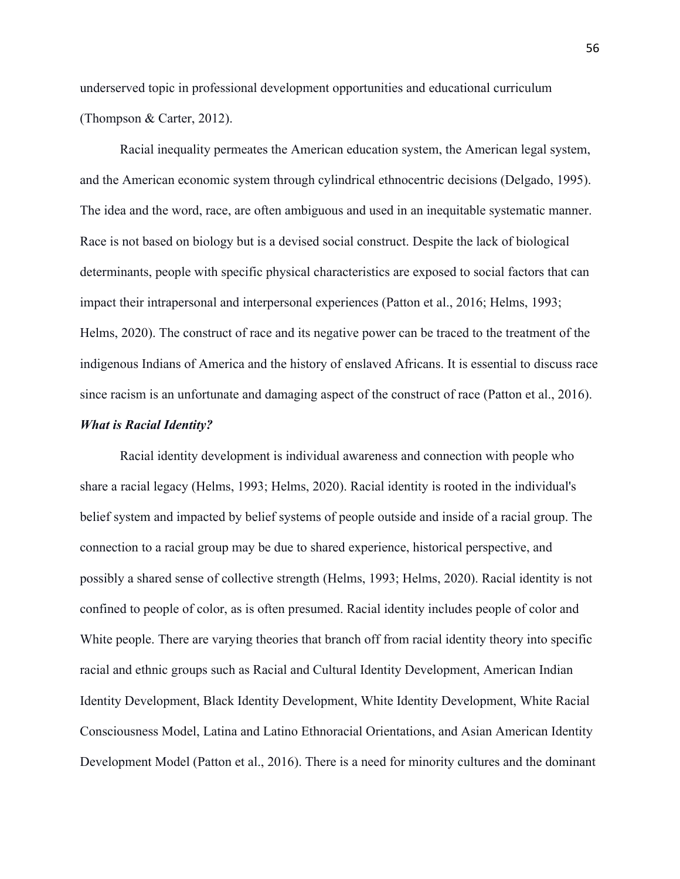underserved topic in professional development opportunities and educational curriculum (Thompson & Carter, 2012).

Racial inequality permeates the American education system, the American legal system, and the American economic system through cylindrical ethnocentric decisions (Delgado, 1995). The idea and the word, race, are often ambiguous and used in an inequitable systematic manner. Race is not based on biology but is a devised social construct. Despite the lack of biological determinants, people with specific physical characteristics are exposed to social factors that can impact their intrapersonal and interpersonal experiences (Patton et al., 2016; Helms, 1993; Helms, 2020). The construct of race and its negative power can be traced to the treatment of the indigenous Indians of America and the history of enslaved Africans. It is essential to discuss race since racism is an unfortunate and damaging aspect of the construct of race (Patton et al., 2016).

# *What is Racial Identity?*

Racial identity development is individual awareness and connection with people who share a racial legacy (Helms, 1993; Helms, 2020). Racial identity is rooted in the individual's belief system and impacted by belief systems of people outside and inside of a racial group. The connection to a racial group may be due to shared experience, historical perspective, and possibly a shared sense of collective strength (Helms, 1993; Helms, 2020). Racial identity is not confined to people of color, as is often presumed. Racial identity includes people of color and White people. There are varying theories that branch off from racial identity theory into specific racial and ethnic groups such as Racial and Cultural Identity Development, American Indian Identity Development, Black Identity Development, White Identity Development, White Racial Consciousness Model, Latina and Latino Ethnoracial Orientations, and Asian American Identity Development Model (Patton et al., 2016). There is a need for minority cultures and the dominant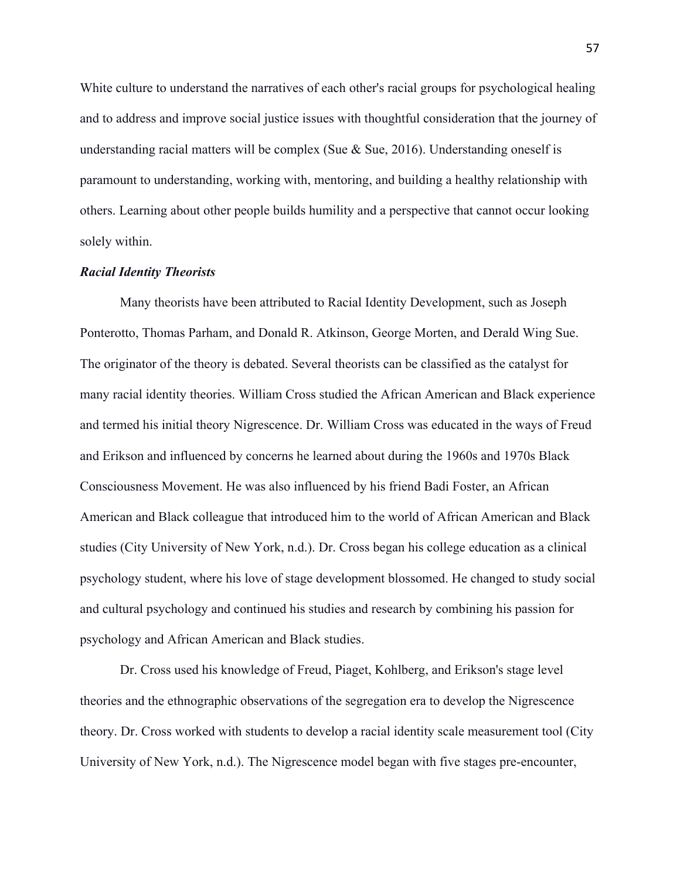White culture to understand the narratives of each other's racial groups for psychological healing and to address and improve social justice issues with thoughtful consideration that the journey of understanding racial matters will be complex (Sue  $\&$  Sue, 2016). Understanding oneself is paramount to understanding, working with, mentoring, and building a healthy relationship with others. Learning about other people builds humility and a perspective that cannot occur looking solely within.

#### *Racial Identity Theorists*

Many theorists have been attributed to Racial Identity Development, such as Joseph Ponterotto, Thomas Parham, and Donald R. Atkinson, George Morten, and Derald Wing Sue. The originator of the theory is debated. Several theorists can be classified as the catalyst for many racial identity theories. William Cross studied the African American and Black experience and termed his initial theory Nigrescence. Dr. William Cross was educated in the ways of Freud and Erikson and influenced by concerns he learned about during the 1960s and 1970s Black Consciousness Movement. He was also influenced by his friend Badi Foster, an African American and Black colleague that introduced him to the world of African American and Black studies (City University of New York, n.d.). Dr. Cross began his college education as a clinical psychology student, where his love of stage development blossomed. He changed to study social and cultural psychology and continued his studies and research by combining his passion for psychology and African American and Black studies.

Dr. Cross used his knowledge of Freud, Piaget, Kohlberg, and Erikson's stage level theories and the ethnographic observations of the segregation era to develop the Nigrescence theory. Dr. Cross worked with students to develop a racial identity scale measurement tool (City University of New York, n.d.). The Nigrescence model began with five stages pre-encounter,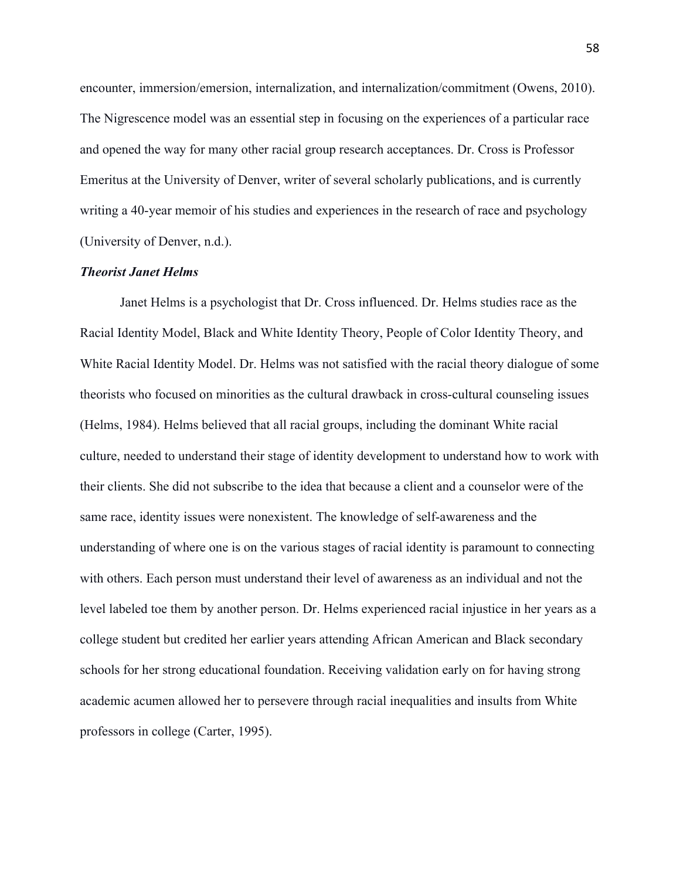encounter, immersion/emersion, internalization, and internalization/commitment (Owens, 2010). The Nigrescence model was an essential step in focusing on the experiences of a particular race and opened the way for many other racial group research acceptances. Dr. Cross is Professor Emeritus at the University of Denver, writer of several scholarly publications, and is currently writing a 40-year memoir of his studies and experiences in the research of race and psychology (University of Denver, n.d.).

## *Theorist Janet Helms*

Janet Helms is a psychologist that Dr. Cross influenced. Dr. Helms studies race as the Racial Identity Model, Black and White Identity Theory, People of Color Identity Theory, and White Racial Identity Model. Dr. Helms was not satisfied with the racial theory dialogue of some theorists who focused on minorities as the cultural drawback in cross-cultural counseling issues (Helms, 1984). Helms believed that all racial groups, including the dominant White racial culture, needed to understand their stage of identity development to understand how to work with their clients. She did not subscribe to the idea that because a client and a counselor were of the same race, identity issues were nonexistent. The knowledge of self-awareness and the understanding of where one is on the various stages of racial identity is paramount to connecting with others. Each person must understand their level of awareness as an individual and not the level labeled toe them by another person. Dr. Helms experienced racial injustice in her years as a college student but credited her earlier years attending African American and Black secondary schools for her strong educational foundation. Receiving validation early on for having strong academic acumen allowed her to persevere through racial inequalities and insults from White professors in college (Carter, 1995).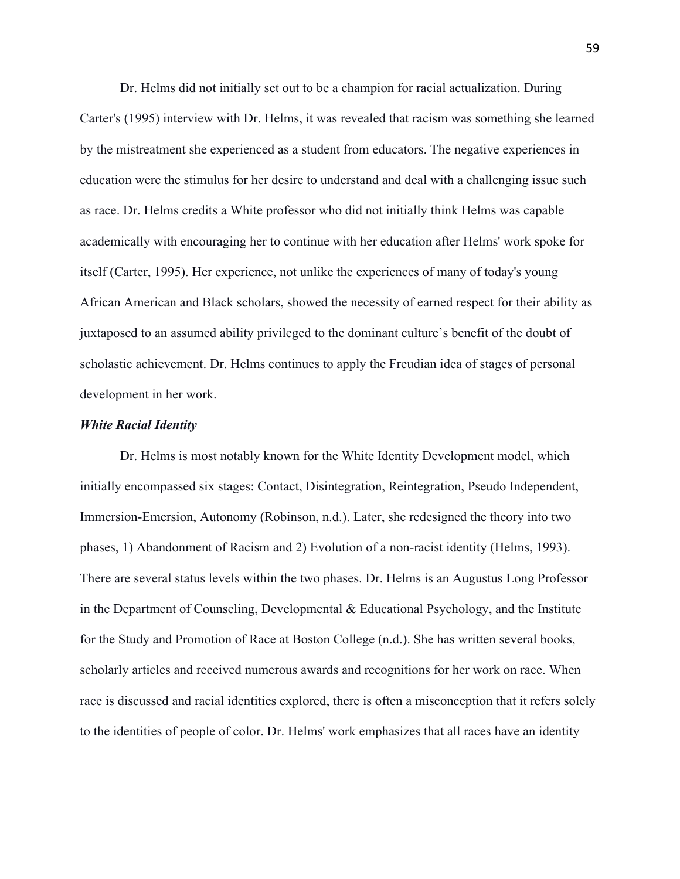Dr. Helms did not initially set out to be a champion for racial actualization. During Carter's (1995) interview with Dr. Helms, it was revealed that racism was something she learned by the mistreatment she experienced as a student from educators. The negative experiences in education were the stimulus for her desire to understand and deal with a challenging issue such as race. Dr. Helms credits a White professor who did not initially think Helms was capable academically with encouraging her to continue with her education after Helms' work spoke for itself (Carter, 1995). Her experience, not unlike the experiences of many of today's young African American and Black scholars, showed the necessity of earned respect for their ability as juxtaposed to an assumed ability privileged to the dominant culture's benefit of the doubt of scholastic achievement. Dr. Helms continues to apply the Freudian idea of stages of personal development in her work.

#### *White Racial Identity*

Dr. Helms is most notably known for the White Identity Development model, which initially encompassed six stages: Contact, Disintegration, Reintegration, Pseudo Independent, Immersion-Emersion, Autonomy (Robinson, n.d.). Later, she redesigned the theory into two phases, 1) Abandonment of Racism and 2) Evolution of a non-racist identity (Helms, 1993). There are several status levels within the two phases. Dr. Helms is an Augustus Long Professor in the Department of Counseling, Developmental  $\&$  Educational Psychology, and the Institute for the Study and Promotion of Race at Boston College (n.d.). She has written several books, scholarly articles and received numerous awards and recognitions for her work on race. When race is discussed and racial identities explored, there is often a misconception that it refers solely to the identities of people of color. Dr. Helms' work emphasizes that all races have an identity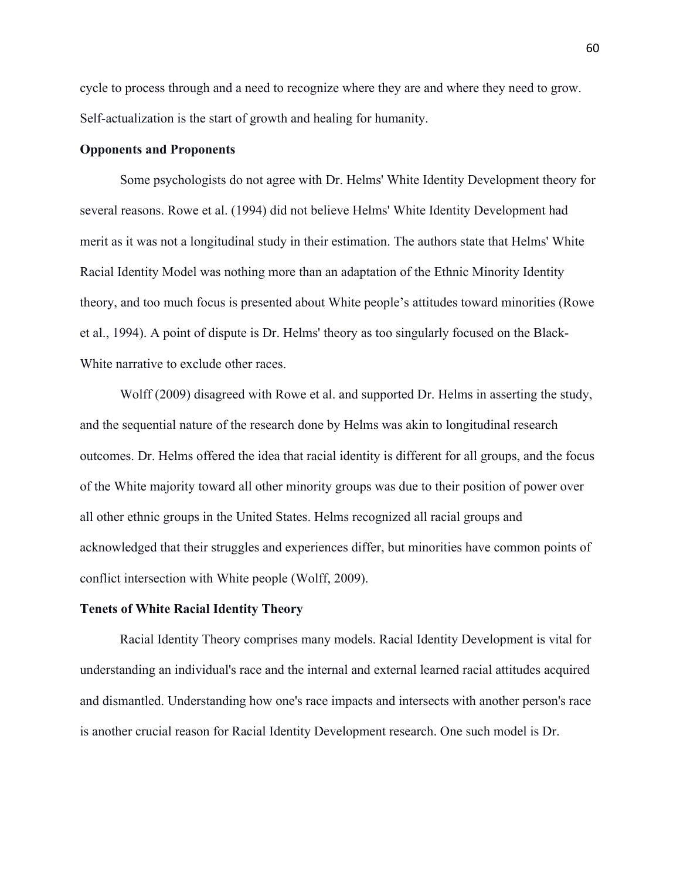cycle to process through and a need to recognize where they are and where they need to grow. Self-actualization is the start of growth and healing for humanity.

# **Opponents and Proponents**

Some psychologists do not agree with Dr. Helms' White Identity Development theory for several reasons. Rowe et al. (1994) did not believe Helms' White Identity Development had merit as it was not a longitudinal study in their estimation. The authors state that Helms' White Racial Identity Model was nothing more than an adaptation of the Ethnic Minority Identity theory, and too much focus is presented about White people's attitudes toward minorities (Rowe et al., 1994). A point of dispute is Dr. Helms' theory as too singularly focused on the Black-White narrative to exclude other races.

Wolff (2009) disagreed with Rowe et al. and supported Dr. Helms in asserting the study, and the sequential nature of the research done by Helms was akin to longitudinal research outcomes. Dr. Helms offered the idea that racial identity is different for all groups, and the focus of the White majority toward all other minority groups was due to their position of power over all other ethnic groups in the United States. Helms recognized all racial groups and acknowledged that their struggles and experiences differ, but minorities have common points of conflict intersection with White people (Wolff, 2009).

## **Tenets of White Racial Identity Theory**

Racial Identity Theory comprises many models. Racial Identity Development is vital for understanding an individual's race and the internal and external learned racial attitudes acquired and dismantled. Understanding how one's race impacts and intersects with another person's race is another crucial reason for Racial Identity Development research. One such model is Dr.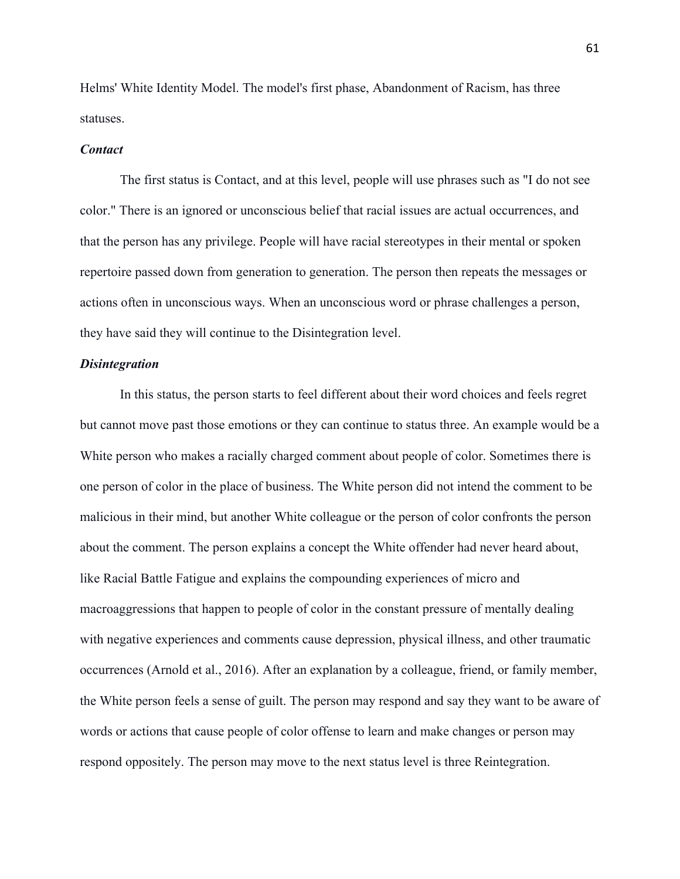Helms' White Identity Model. The model's first phase, Abandonment of Racism, has three statuses.

## *Contact*

The first status is Contact, and at this level, people will use phrases such as "I do not see color." There is an ignored or unconscious belief that racial issues are actual occurrences, and that the person has any privilege. People will have racial stereotypes in their mental or spoken repertoire passed down from generation to generation. The person then repeats the messages or actions often in unconscious ways. When an unconscious word or phrase challenges a person, they have said they will continue to the Disintegration level.

# *Disintegration*

In this status, the person starts to feel different about their word choices and feels regret but cannot move past those emotions or they can continue to status three. An example would be a White person who makes a racially charged comment about people of color. Sometimes there is one person of color in the place of business. The White person did not intend the comment to be malicious in their mind, but another White colleague or the person of color confronts the person about the comment. The person explains a concept the White offender had never heard about, like Racial Battle Fatigue and explains the compounding experiences of micro and macroaggressions that happen to people of color in the constant pressure of mentally dealing with negative experiences and comments cause depression, physical illness, and other traumatic occurrences (Arnold et al., 2016). After an explanation by a colleague, friend, or family member, the White person feels a sense of guilt. The person may respond and say they want to be aware of words or actions that cause people of color offense to learn and make changes or person may respond oppositely. The person may move to the next status level is three Reintegration.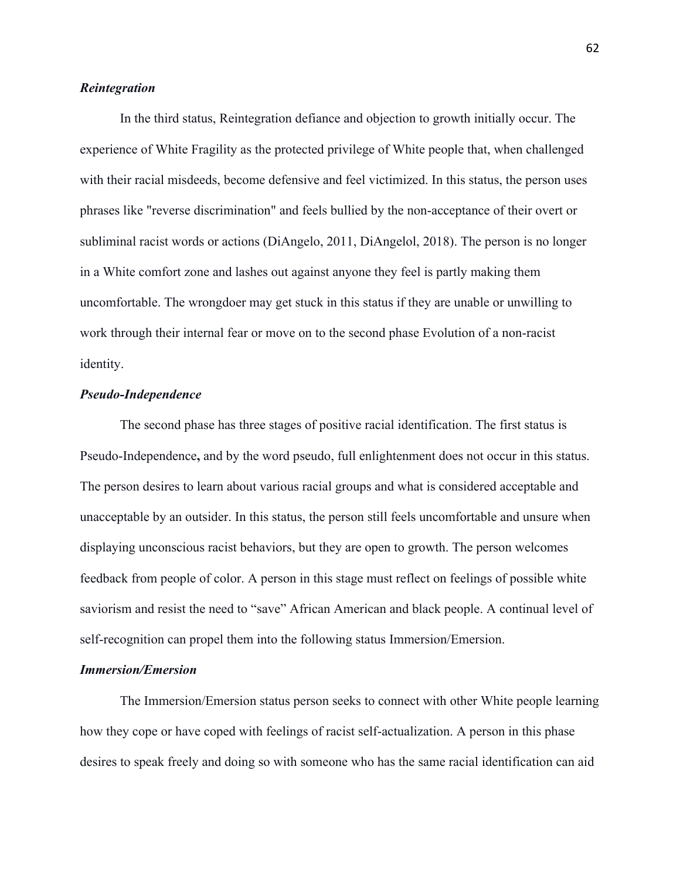# *Reintegration*

In the third status, Reintegration defiance and objection to growth initially occur. The experience of White Fragility as the protected privilege of White people that, when challenged with their racial misdeeds, become defensive and feel victimized. In this status, the person uses phrases like "reverse discrimination" and feels bullied by the non-acceptance of their overt or subliminal racist words or actions (DiAngelo, 2011, DiAngelol, 2018). The person is no longer in a White comfort zone and lashes out against anyone they feel is partly making them uncomfortable. The wrongdoer may get stuck in this status if they are unable or unwilling to work through their internal fear or move on to the second phase Evolution of a non-racist identity.

# *Pseudo-Independence*

The second phase has three stages of positive racial identification. The first status is Pseudo-Independence**,** and by the word pseudo, full enlightenment does not occur in this status. The person desires to learn about various racial groups and what is considered acceptable and unacceptable by an outsider. In this status, the person still feels uncomfortable and unsure when displaying unconscious racist behaviors, but they are open to growth. The person welcomes feedback from people of color. A person in this stage must reflect on feelings of possible white saviorism and resist the need to "save" African American and black people. A continual level of self-recognition can propel them into the following status Immersion/Emersion.

# *Immersion/Emersion*

The Immersion/Emersion status person seeks to connect with other White people learning how they cope or have coped with feelings of racist self-actualization. A person in this phase desires to speak freely and doing so with someone who has the same racial identification can aid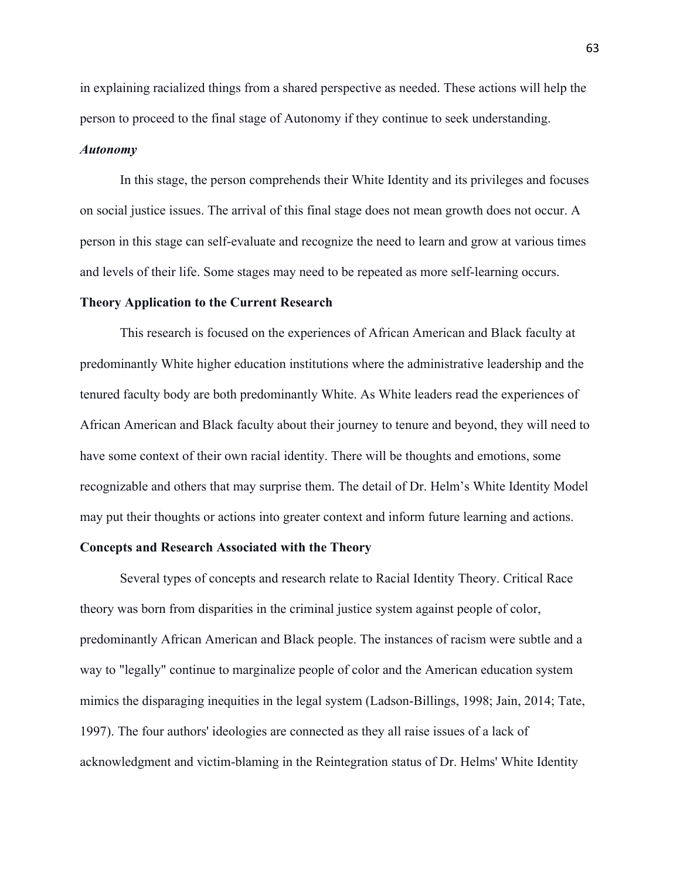in explaining racialized things from a shared perspective as needed. These actions will help the person to proceed to the final stage of Autonomy if they continue to seek understanding.

## *Autonomy*

In this stage, the person comprehends their White Identity and its privileges and focuses on social justice issues. The arrival of this final stage does not mean growth does not occur. A person in this stage can self-evaluate and recognize the need to learn and grow at various times and levels of their life. Some stages may need to be repeated as more self-learning occurs.

## **Theory Application to the Current Research**

This research is focused on the experiences of African American and Black faculty at predominantly White higher education institutions where the administrative leadership and the tenured faculty body are both predominantly White. As White leaders read the experiences of African American and Black faculty about their journey to tenure and beyond, they will need to have some context of their own racial identity. There will be thoughts and emotions, some recognizable and others that may surprise them. The detail of Dr. Helm's White Identity Model may put their thoughts or actions into greater context and inform future learning and actions.

# **Concepts and Research Associated with the Theory**

Several types of concepts and research relate to Racial Identity Theory. Critical Race theory was born from disparities in the criminal justice system against people of color, predominantly African American and Black people. The instances of racism were subtle and a way to "legally" continue to marginalize people of color and the American education system mimics the disparaging inequities in the legal system (Ladson-Billings, 1998; Jain, 2014; Tate, 1997). The four authors' ideologies are connected as they all raise issues of a lack of acknowledgment and victim-blaming in the Reintegration status of Dr. Helms' White Identity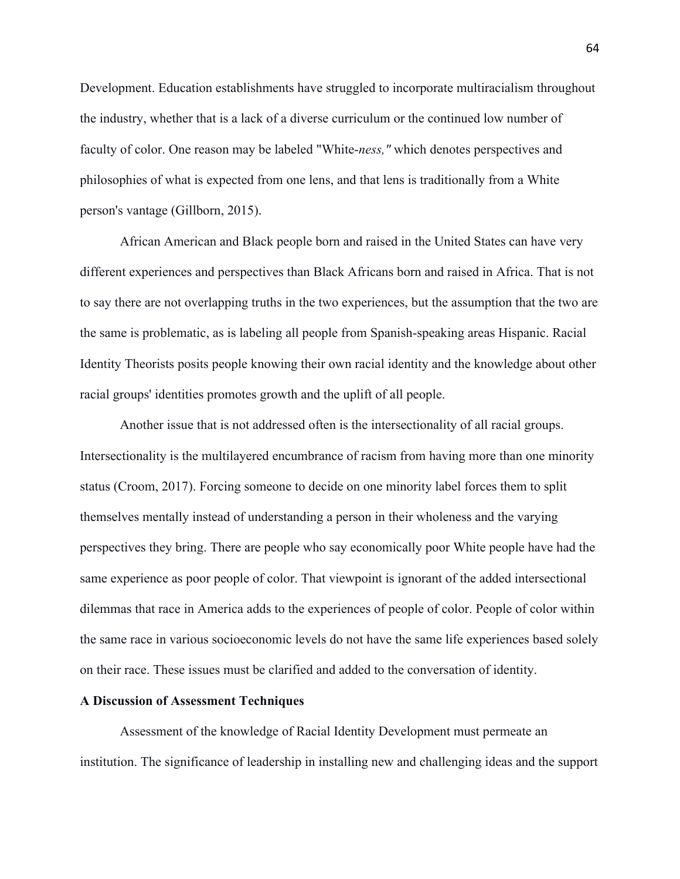Development. Education establishments have struggled to incorporate multiracialism throughout the industry, whether that is a lack of a diverse curriculum or the continued low number of faculty of color. One reason may be labeled "White-*ness,"* which denotes perspectives and philosophies of what is expected from one lens, and that lens is traditionally from a White person's vantage (Gillborn, 2015).

African American and Black people born and raised in the United States can have very different experiences and perspectives than Black Africans born and raised in Africa. That is not to say there are not overlapping truths in the two experiences, but the assumption that the two are the same is problematic, as is labeling all people from Spanish-speaking areas Hispanic. Racial Identity Theorists posits people knowing their own racial identity and the knowledge about other racial groups' identities promotes growth and the uplift of all people.

Another issue that is not addressed often is the intersectionality of all racial groups. Intersectionality is the multilayered encumbrance of racism from having more than one minority status (Croom, 2017). Forcing someone to decide on one minority label forces them to split themselves mentally instead of understanding a person in their wholeness and the varying perspectives they bring. There are people who say economically poor White people have had the same experience as poor people of color. That viewpoint is ignorant of the added intersectional dilemmas that race in America adds to the experiences of people of color. People of color within the same race in various socioeconomic levels do not have the same life experiences based solely on their race. These issues must be clarified and added to the conversation of identity.

### **A Discussion of Assessment Techniques**

Assessment of the knowledge of Racial Identity Development must permeate an institution. The significance of leadership in installing new and challenging ideas and the support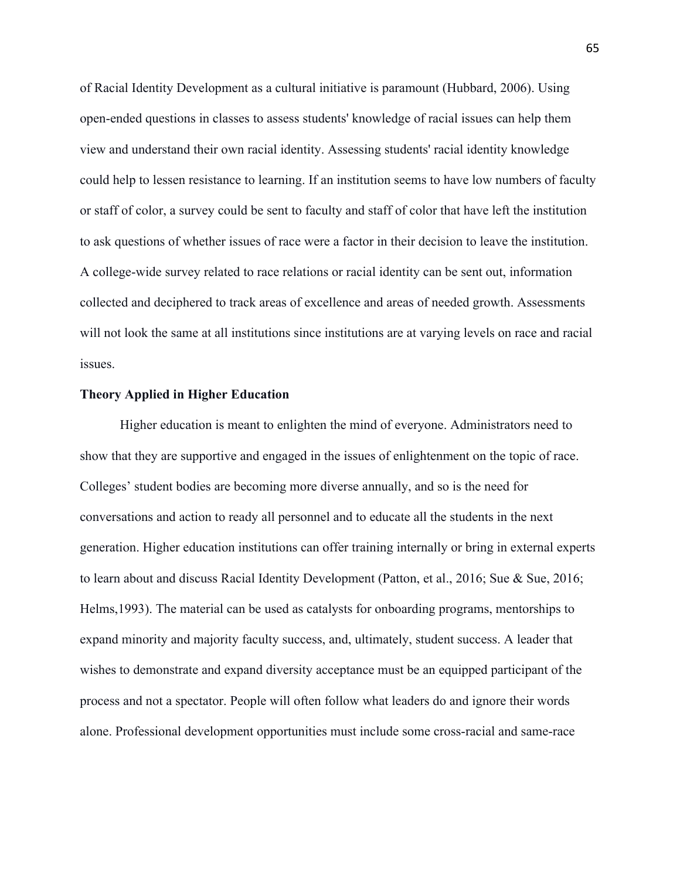of Racial Identity Development as a cultural initiative is paramount (Hubbard, 2006). Using open-ended questions in classes to assess students' knowledge of racial issues can help them view and understand their own racial identity. Assessing students' racial identity knowledge could help to lessen resistance to learning. If an institution seems to have low numbers of faculty or staff of color, a survey could be sent to faculty and staff of color that have left the institution to ask questions of whether issues of race were a factor in their decision to leave the institution. A college-wide survey related to race relations or racial identity can be sent out, information collected and deciphered to track areas of excellence and areas of needed growth. Assessments will not look the same at all institutions since institutions are at varying levels on race and racial issues.

#### **Theory Applied in Higher Education**

Higher education is meant to enlighten the mind of everyone. Administrators need to show that they are supportive and engaged in the issues of enlightenment on the topic of race. Colleges' student bodies are becoming more diverse annually, and so is the need for conversations and action to ready all personnel and to educate all the students in the next generation. Higher education institutions can offer training internally or bring in external experts to learn about and discuss Racial Identity Development (Patton, et al., 2016; Sue & Sue, 2016; Helms,1993). The material can be used as catalysts for onboarding programs, mentorships to expand minority and majority faculty success, and, ultimately, student success. A leader that wishes to demonstrate and expand diversity acceptance must be an equipped participant of the process and not a spectator. People will often follow what leaders do and ignore their words alone. Professional development opportunities must include some cross-racial and same-race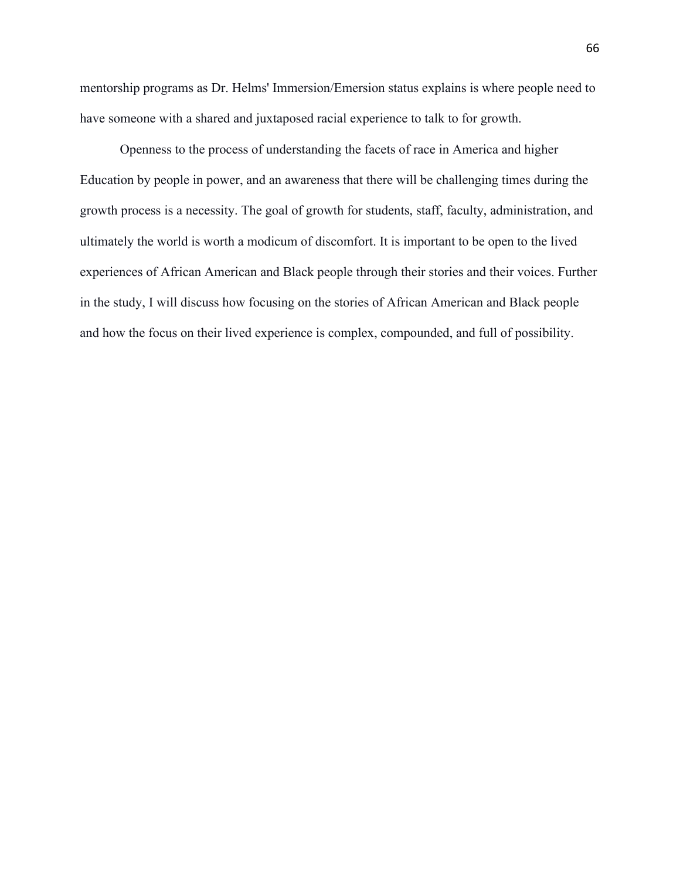mentorship programs as Dr. Helms' Immersion/Emersion status explains is where people need to have someone with a shared and juxtaposed racial experience to talk to for growth.

Openness to the process of understanding the facets of race in America and higher Education by people in power, and an awareness that there will be challenging times during the growth process is a necessity. The goal of growth for students, staff, faculty, administration, and ultimately the world is worth a modicum of discomfort. It is important to be open to the lived experiences of African American and Black people through their stories and their voices. Further in the study, I will discuss how focusing on the stories of African American and Black people and how the focus on their lived experience is complex, compounded, and full of possibility.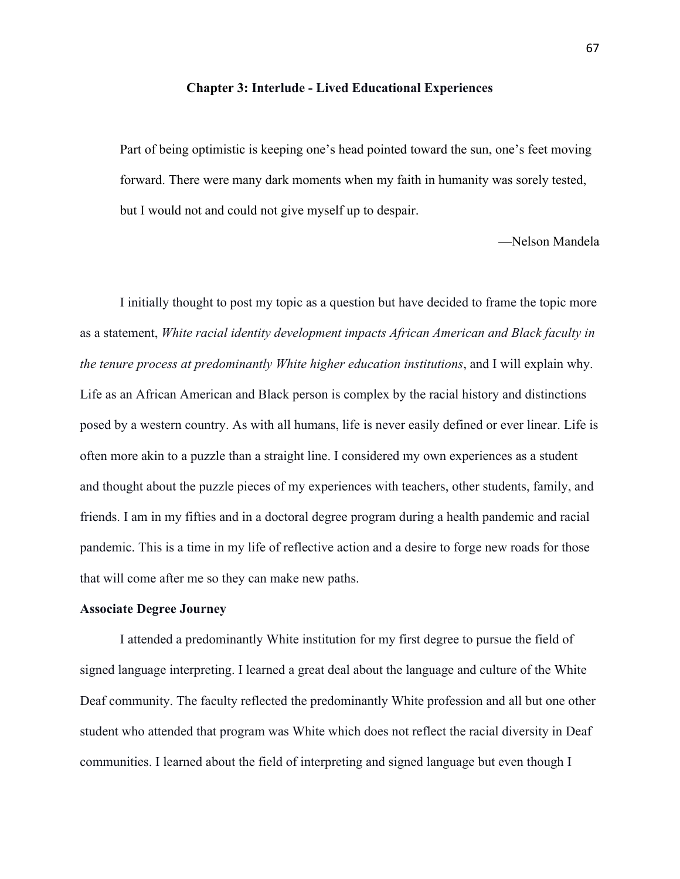#### **Chapter 3: Interlude - Lived Educational Experiences**

Part of being optimistic is keeping one's head pointed toward the sun, one's feet moving forward. There were many dark moments when my faith in humanity was sorely tested, but I would not and could not give myself up to despair.

—Nelson Mandela

I initially thought to post my topic as a question but have decided to frame the topic more as a statement, *White racial identity development impacts African American and Black faculty in the tenure process at predominantly White higher education institutions*, and I will explain why. Life as an African American and Black person is complex by the racial history and distinctions posed by a western country. As with all humans, life is never easily defined or ever linear. Life is often more akin to a puzzle than a straight line. I considered my own experiences as a student and thought about the puzzle pieces of my experiences with teachers, other students, family, and friends. I am in my fifties and in a doctoral degree program during a health pandemic and racial pandemic. This is a time in my life of reflective action and a desire to forge new roads for those that will come after me so they can make new paths.

#### **Associate Degree Journey**

I attended a predominantly White institution for my first degree to pursue the field of signed language interpreting. I learned a great deal about the language and culture of the White Deaf community. The faculty reflected the predominantly White profession and all but one other student who attended that program was White which does not reflect the racial diversity in Deaf communities. I learned about the field of interpreting and signed language but even though I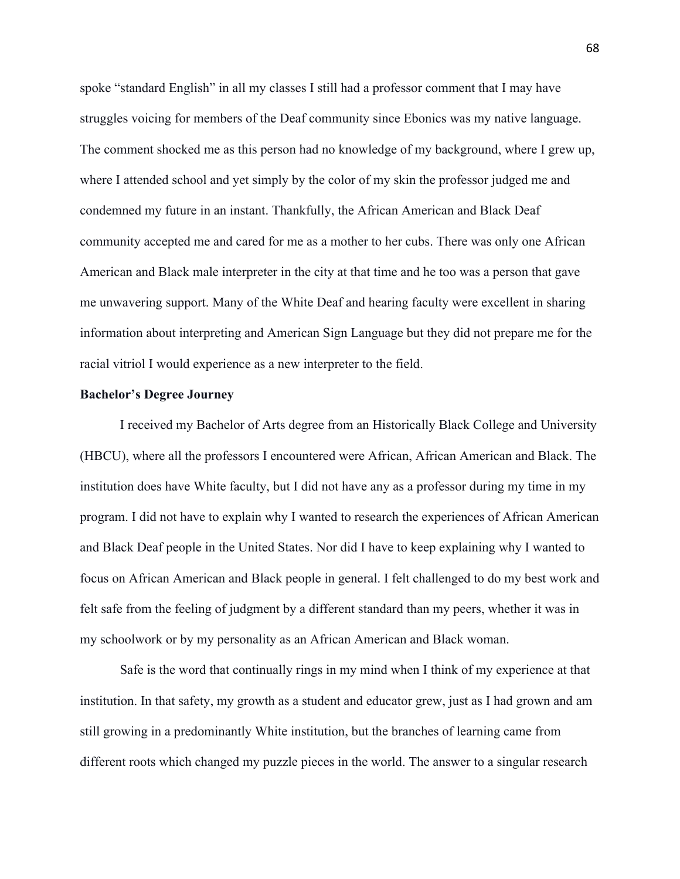spoke "standard English" in all my classes I still had a professor comment that I may have struggles voicing for members of the Deaf community since Ebonics was my native language. The comment shocked me as this person had no knowledge of my background, where I grew up, where I attended school and yet simply by the color of my skin the professor judged me and condemned my future in an instant. Thankfully, the African American and Black Deaf community accepted me and cared for me as a mother to her cubs. There was only one African American and Black male interpreter in the city at that time and he too was a person that gave me unwavering support. Many of the White Deaf and hearing faculty were excellent in sharing information about interpreting and American Sign Language but they did not prepare me for the racial vitriol I would experience as a new interpreter to the field.

## **Bachelor's Degree Journey**

I received my Bachelor of Arts degree from an Historically Black College and University (HBCU), where all the professors I encountered were African, African American and Black. The institution does have White faculty, but I did not have any as a professor during my time in my program. I did not have to explain why I wanted to research the experiences of African American and Black Deaf people in the United States. Nor did I have to keep explaining why I wanted to focus on African American and Black people in general. I felt challenged to do my best work and felt safe from the feeling of judgment by a different standard than my peers, whether it was in my schoolwork or by my personality as an African American and Black woman.

Safe is the word that continually rings in my mind when I think of my experience at that institution. In that safety, my growth as a student and educator grew, just as I had grown and am still growing in a predominantly White institution, but the branches of learning came from different roots which changed my puzzle pieces in the world. The answer to a singular research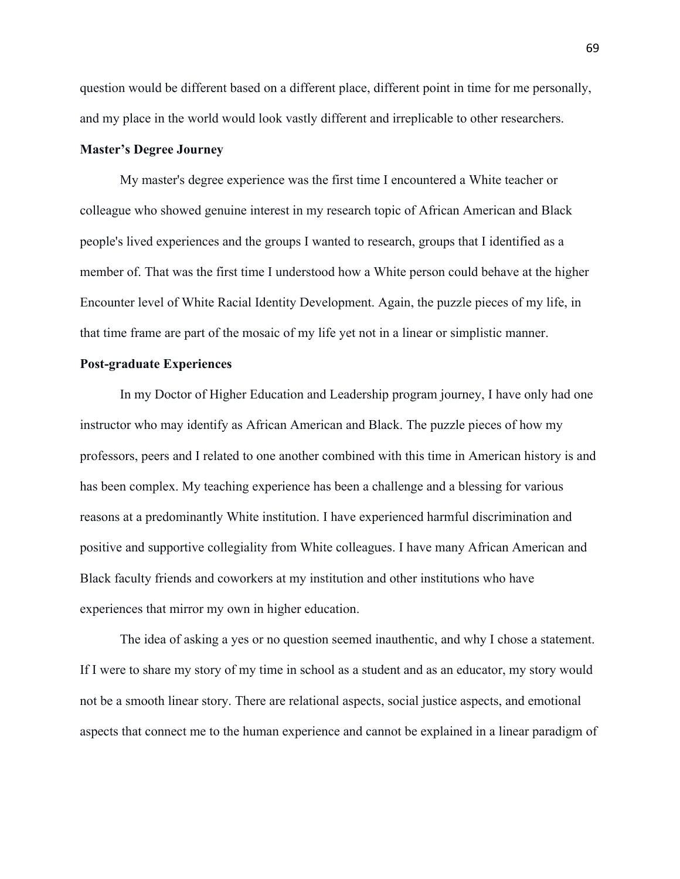question would be different based on a different place, different point in time for me personally, and my place in the world would look vastly different and irreplicable to other researchers.

# **Master's Degree Journey**

My master's degree experience was the first time I encountered a White teacher or colleague who showed genuine interest in my research topic of African American and Black people's lived experiences and the groups I wanted to research, groups that I identified as a member of. That was the first time I understood how a White person could behave at the higher Encounter level of White Racial Identity Development. Again, the puzzle pieces of my life, in that time frame are part of the mosaic of my life yet not in a linear or simplistic manner.

### **Post-graduate Experiences**

In my Doctor of Higher Education and Leadership program journey, I have only had one instructor who may identify as African American and Black. The puzzle pieces of how my professors, peers and I related to one another combined with this time in American history is and has been complex. My teaching experience has been a challenge and a blessing for various reasons at a predominantly White institution. I have experienced harmful discrimination and positive and supportive collegiality from White colleagues. I have many African American and Black faculty friends and coworkers at my institution and other institutions who have experiences that mirror my own in higher education.

The idea of asking a yes or no question seemed inauthentic, and why I chose a statement. If I were to share my story of my time in school as a student and as an educator, my story would not be a smooth linear story. There are relational aspects, social justice aspects, and emotional aspects that connect me to the human experience and cannot be explained in a linear paradigm of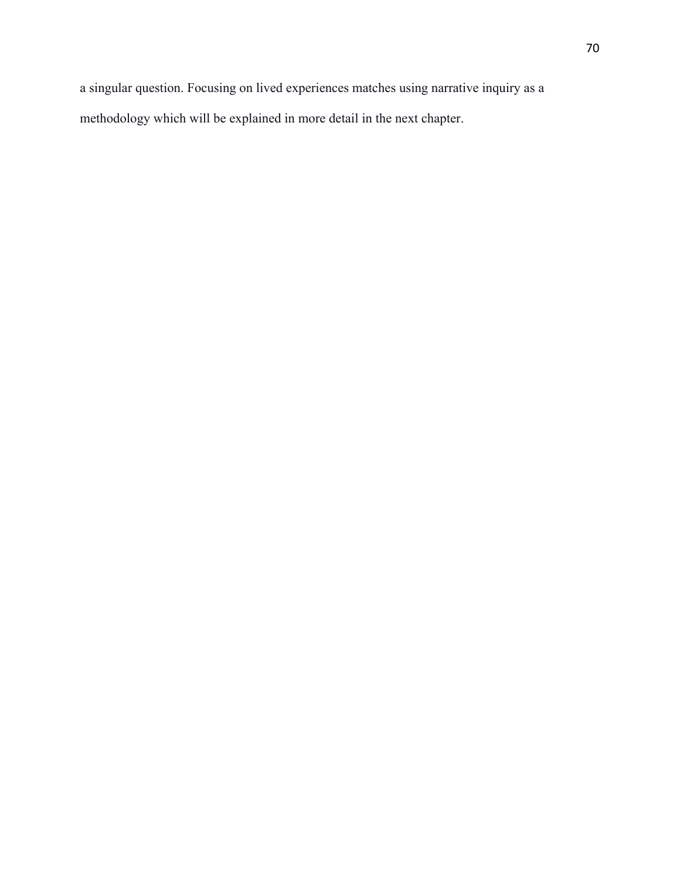a singular question. Focusing on lived experiences matches using narrative inquiry as a methodology which will be explained in more detail in the next chapter.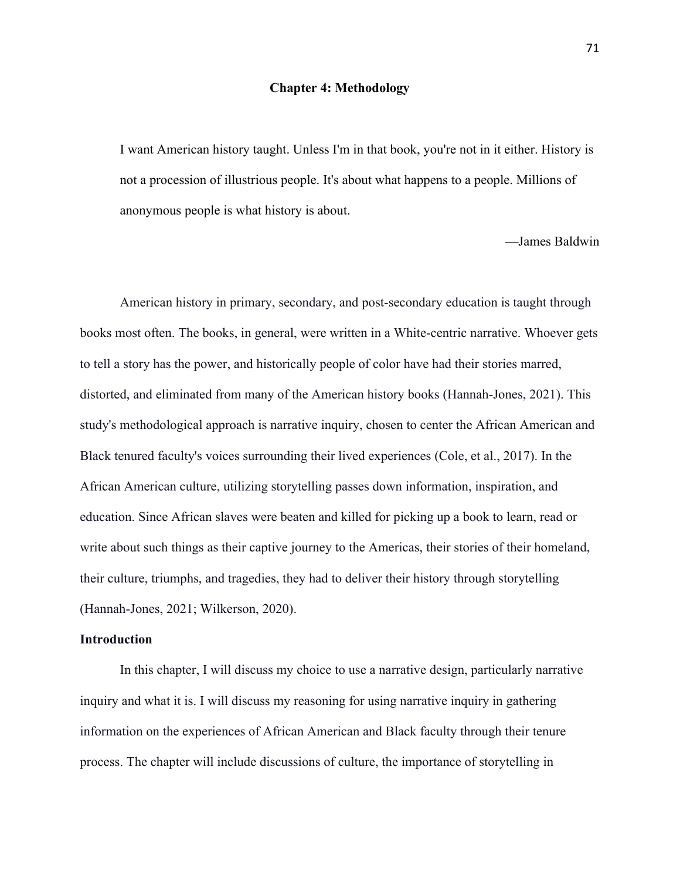### **Chapter 4: Methodology**

I want American history taught. Unless I'm in that book, you're not in it either. History is not a procession of illustrious people. It's about what happens to a people. Millions of anonymous people is what history is about.

—James Baldwin

American history in primary, secondary, and post-secondary education is taught through books most often. The books, in general, were written in a White-centric narrative. Whoever gets to tell a story has the power, and historically people of color have had their stories marred, distorted, and eliminated from many of the American history books (Hannah-Jones, 2021). This study's methodological approach is narrative inquiry, chosen to center the African American and Black tenured faculty's voices surrounding their lived experiences (Cole, et al., 2017). In the African American culture, utilizing storytelling passes down information, inspiration, and education. Since African slaves were beaten and killed for picking up a book to learn, read or write about such things as their captive journey to the Americas, their stories of their homeland, their culture, triumphs, and tragedies, they had to deliver their history through storytelling (Hannah-Jones, 2021; Wilkerson, 2020).

## **Introduction**

In this chapter, I will discuss my choice to use a narrative design, particularly narrative inquiry and what it is. I will discuss my reasoning for using narrative inquiry in gathering information on the experiences of African American and Black faculty through their tenure process. The chapter will include discussions of culture, the importance of storytelling in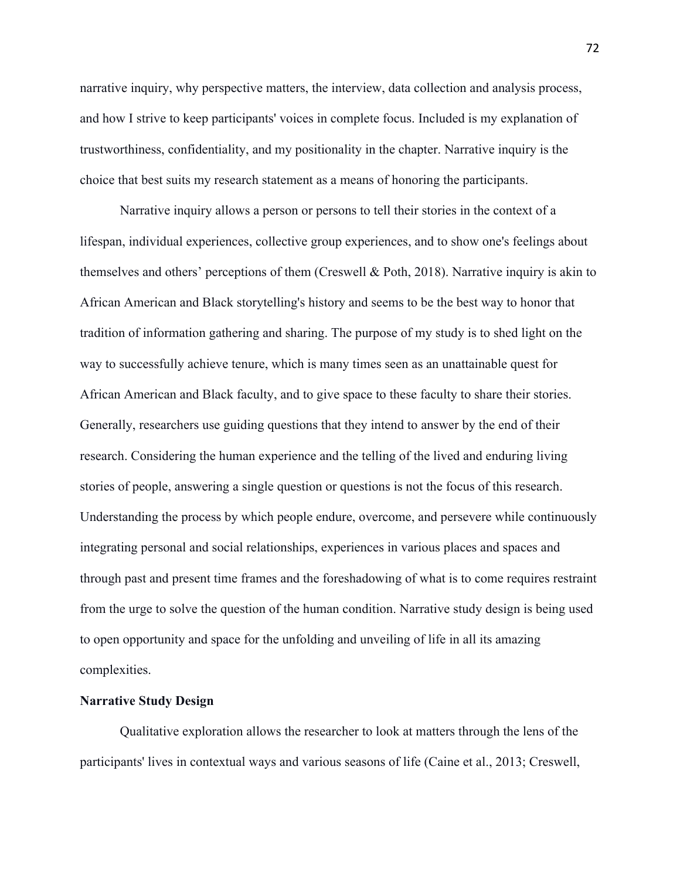narrative inquiry, why perspective matters, the interview, data collection and analysis process, and how I strive to keep participants' voices in complete focus. Included is my explanation of trustworthiness, confidentiality, and my positionality in the chapter. Narrative inquiry is the choice that best suits my research statement as a means of honoring the participants.

Narrative inquiry allows a person or persons to tell their stories in the context of a lifespan, individual experiences, collective group experiences, and to show one's feelings about themselves and others' perceptions of them (Creswell & Poth, 2018). Narrative inquiry is akin to African American and Black storytelling's history and seems to be the best way to honor that tradition of information gathering and sharing. The purpose of my study is to shed light on the way to successfully achieve tenure, which is many times seen as an unattainable quest for African American and Black faculty, and to give space to these faculty to share their stories. Generally, researchers use guiding questions that they intend to answer by the end of their research. Considering the human experience and the telling of the lived and enduring living stories of people, answering a single question or questions is not the focus of this research. Understanding the process by which people endure, overcome, and persevere while continuously integrating personal and social relationships, experiences in various places and spaces and through past and present time frames and the foreshadowing of what is to come requires restraint from the urge to solve the question of the human condition. Narrative study design is being used to open opportunity and space for the unfolding and unveiling of life in all its amazing complexities.

## **Narrative Study Design**

Qualitative exploration allows the researcher to look at matters through the lens of the participants' lives in contextual ways and various seasons of life (Caine et al., 2013; Creswell,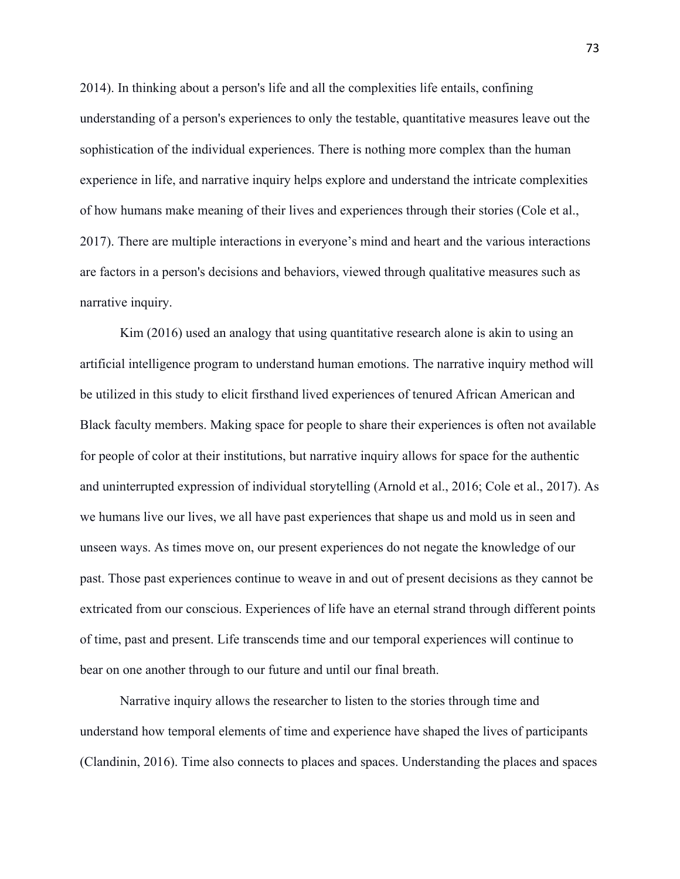2014). In thinking about a person's life and all the complexities life entails, confining understanding of a person's experiences to only the testable, quantitative measures leave out the sophistication of the individual experiences. There is nothing more complex than the human experience in life, and narrative inquiry helps explore and understand the intricate complexities of how humans make meaning of their lives and experiences through their stories (Cole et al., 2017). There are multiple interactions in everyone's mind and heart and the various interactions are factors in a person's decisions and behaviors, viewed through qualitative measures such as narrative inquiry.

Kim (2016) used an analogy that using quantitative research alone is akin to using an artificial intelligence program to understand human emotions. The narrative inquiry method will be utilized in this study to elicit firsthand lived experiences of tenured African American and Black faculty members. Making space for people to share their experiences is often not available for people of color at their institutions, but narrative inquiry allows for space for the authentic and uninterrupted expression of individual storytelling (Arnold et al., 2016; Cole et al., 2017). As we humans live our lives, we all have past experiences that shape us and mold us in seen and unseen ways. As times move on, our present experiences do not negate the knowledge of our past. Those past experiences continue to weave in and out of present decisions as they cannot be extricated from our conscious. Experiences of life have an eternal strand through different points of time, past and present. Life transcends time and our temporal experiences will continue to bear on one another through to our future and until our final breath.

Narrative inquiry allows the researcher to listen to the stories through time and understand how temporal elements of time and experience have shaped the lives of participants (Clandinin, 2016). Time also connects to places and spaces. Understanding the places and spaces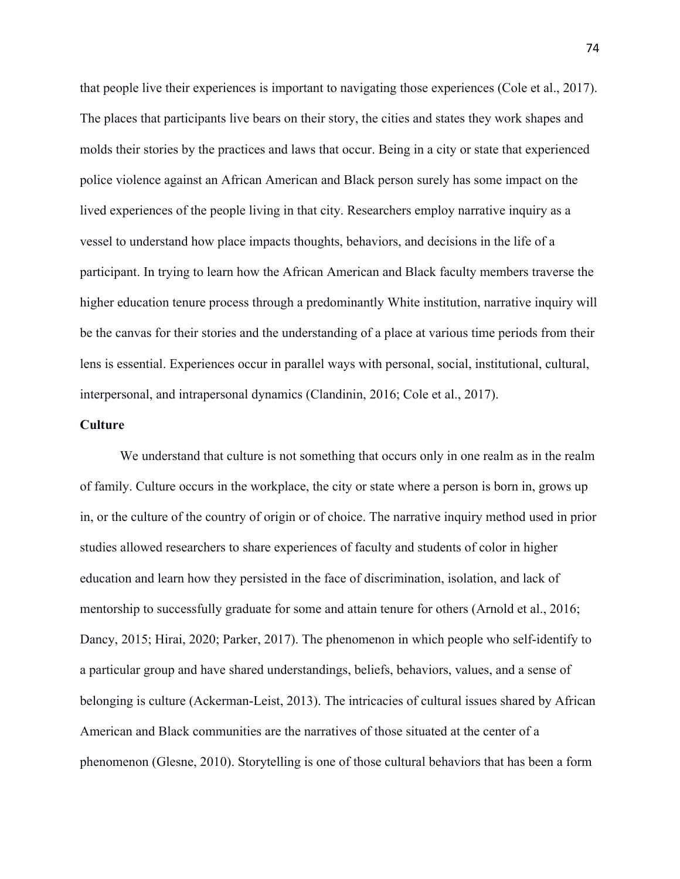that people live their experiences is important to navigating those experiences (Cole et al., 2017). The places that participants live bears on their story, the cities and states they work shapes and molds their stories by the practices and laws that occur. Being in a city or state that experienced police violence against an African American and Black person surely has some impact on the lived experiences of the people living in that city. Researchers employ narrative inquiry as a vessel to understand how place impacts thoughts, behaviors, and decisions in the life of a participant. In trying to learn how the African American and Black faculty members traverse the higher education tenure process through a predominantly White institution, narrative inquiry will be the canvas for their stories and the understanding of a place at various time periods from their lens is essential. Experiences occur in parallel ways with personal, social, institutional, cultural, interpersonal, and intrapersonal dynamics (Clandinin, 2016; Cole et al., 2017).

# **Culture**

We understand that culture is not something that occurs only in one realm as in the realm of family. Culture occurs in the workplace, the city or state where a person is born in, grows up in, or the culture of the country of origin or of choice. The narrative inquiry method used in prior studies allowed researchers to share experiences of faculty and students of color in higher education and learn how they persisted in the face of discrimination, isolation, and lack of mentorship to successfully graduate for some and attain tenure for others (Arnold et al., 2016; Dancy, 2015; Hirai, 2020; Parker, 2017). The phenomenon in which people who self-identify to a particular group and have shared understandings, beliefs, behaviors, values, and a sense of belonging is culture (Ackerman-Leist, 2013). The intricacies of cultural issues shared by African American and Black communities are the narratives of those situated at the center of a phenomenon (Glesne, 2010). Storytelling is one of those cultural behaviors that has been a form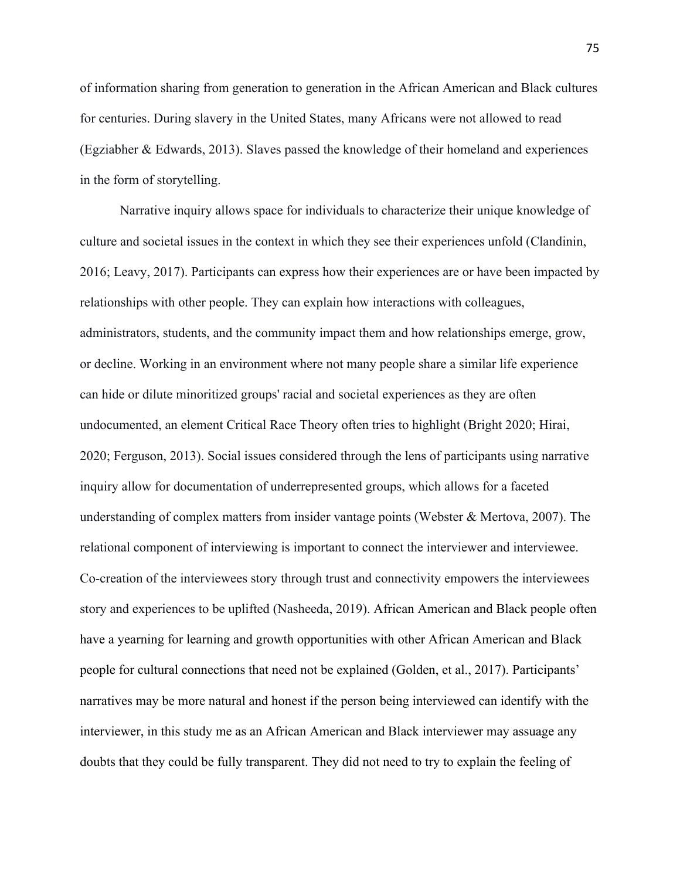of information sharing from generation to generation in the African American and Black cultures for centuries. During slavery in the United States, many Africans were not allowed to read (Egziabher & Edwards, 2013). Slaves passed the knowledge of their homeland and experiences in the form of storytelling.

Narrative inquiry allows space for individuals to characterize their unique knowledge of culture and societal issues in the context in which they see their experiences unfold (Clandinin, 2016; Leavy, 2017). Participants can express how their experiences are or have been impacted by relationships with other people. They can explain how interactions with colleagues, administrators, students, and the community impact them and how relationships emerge, grow, or decline. Working in an environment where not many people share a similar life experience can hide or dilute minoritized groups' racial and societal experiences as they are often undocumented, an element Critical Race Theory often tries to highlight (Bright 2020; Hirai, 2020; Ferguson, 2013). Social issues considered through the lens of participants using narrative inquiry allow for documentation of underrepresented groups, which allows for a faceted understanding of complex matters from insider vantage points (Webster & Mertova, 2007). The relational component of interviewing is important to connect the interviewer and interviewee. Co-creation of the interviewees story through trust and connectivity empowers the interviewees story and experiences to be uplifted (Nasheeda, 2019). African American and Black people often have a yearning for learning and growth opportunities with other African American and Black people for cultural connections that need not be explained (Golden, et al., 2017). Participants' narratives may be more natural and honest if the person being interviewed can identify with the interviewer, in this study me as an African American and Black interviewer may assuage any doubts that they could be fully transparent. They did not need to try to explain the feeling of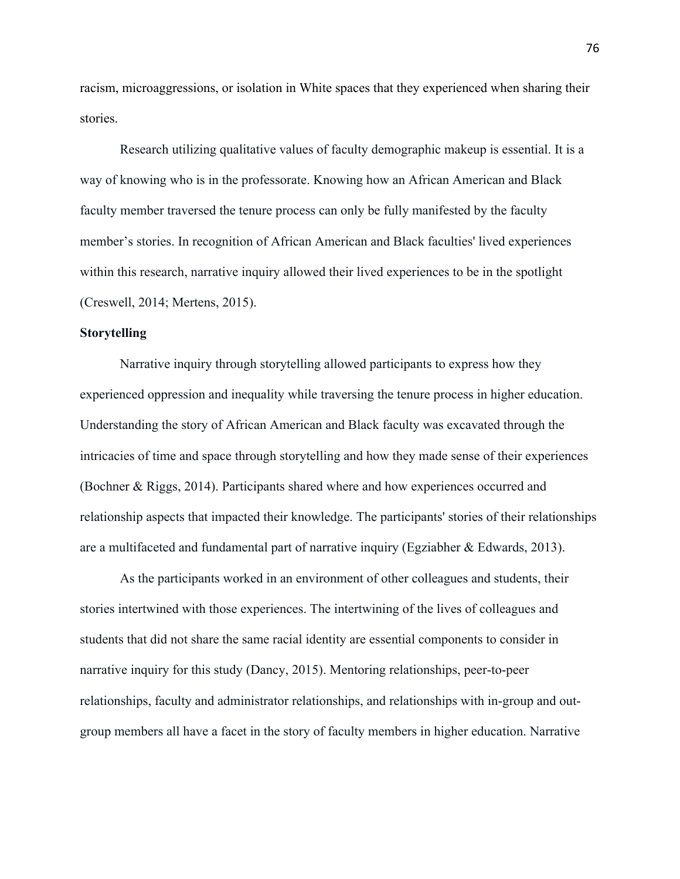racism, microaggressions, or isolation in White spaces that they experienced when sharing their stories.

Research utilizing qualitative values of faculty demographic makeup is essential. It is a way of knowing who is in the professorate. Knowing how an African American and Black faculty member traversed the tenure process can only be fully manifested by the faculty member's stories. In recognition of African American and Black faculties' lived experiences within this research, narrative inquiry allowed their lived experiences to be in the spotlight (Creswell, 2014; Mertens, 2015).

### **Storytelling**

Narrative inquiry through storytelling allowed participants to express how they experienced oppression and inequality while traversing the tenure process in higher education. Understanding the story of African American and Black faculty was excavated through the intricacies of time and space through storytelling and how they made sense of their experiences (Bochner & Riggs, 2014). Participants shared where and how experiences occurred and relationship aspects that impacted their knowledge. The participants' stories of their relationships are a multifaceted and fundamental part of narrative inquiry (Egziabher & Edwards, 2013).

As the participants worked in an environment of other colleagues and students, their stories intertwined with those experiences. The intertwining of the lives of colleagues and students that did not share the same racial identity are essential components to consider in narrative inquiry for this study (Dancy, 2015). Mentoring relationships, peer-to-peer relationships, faculty and administrator relationships, and relationships with in-group and outgroup members all have a facet in the story of faculty members in higher education. Narrative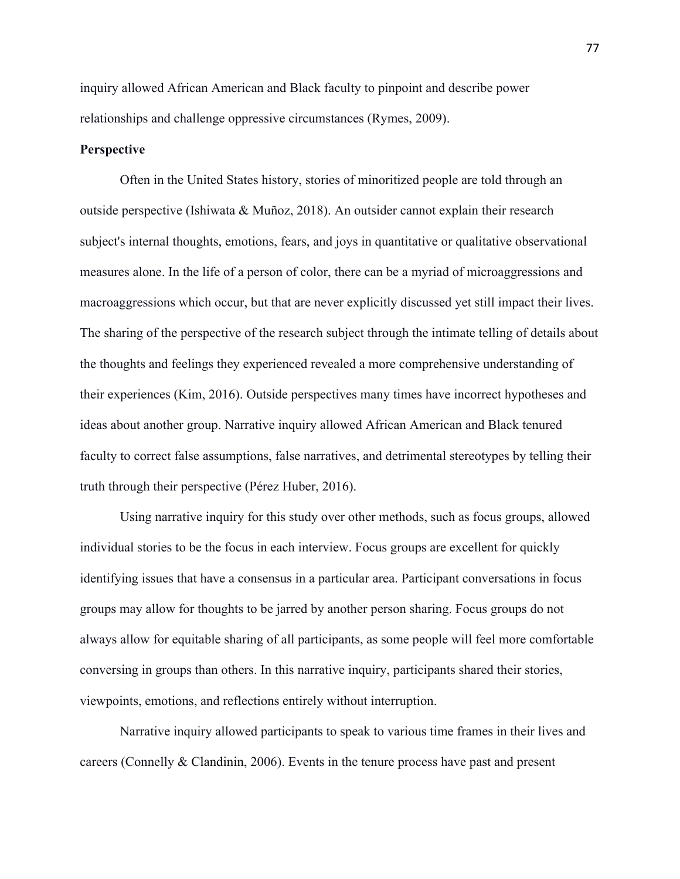inquiry allowed African American and Black faculty to pinpoint and describe power relationships and challenge oppressive circumstances (Rymes, 2009).

# **Perspective**

Often in the United States history, stories of minoritized people are told through an outside perspective (Ishiwata & Muñoz, 2018). An outsider cannot explain their research subject's internal thoughts, emotions, fears, and joys in quantitative or qualitative observational measures alone. In the life of a person of color, there can be a myriad of microaggressions and macroaggressions which occur, but that are never explicitly discussed yet still impact their lives. The sharing of the perspective of the research subject through the intimate telling of details about the thoughts and feelings they experienced revealed a more comprehensive understanding of their experiences (Kim, 2016). Outside perspectives many times have incorrect hypotheses and ideas about another group. Narrative inquiry allowed African American and Black tenured faculty to correct false assumptions, false narratives, and detrimental stereotypes by telling their truth through their perspective (Pérez Huber, 2016).

Using narrative inquiry for this study over other methods, such as focus groups, allowed individual stories to be the focus in each interview. Focus groups are excellent for quickly identifying issues that have a consensus in a particular area. Participant conversations in focus groups may allow for thoughts to be jarred by another person sharing. Focus groups do not always allow for equitable sharing of all participants, as some people will feel more comfortable conversing in groups than others. In this narrative inquiry, participants shared their stories, viewpoints, emotions, and reflections entirely without interruption.

Narrative inquiry allowed participants to speak to various time frames in their lives and careers (Connelly & Clandinin, 2006). Events in the tenure process have past and present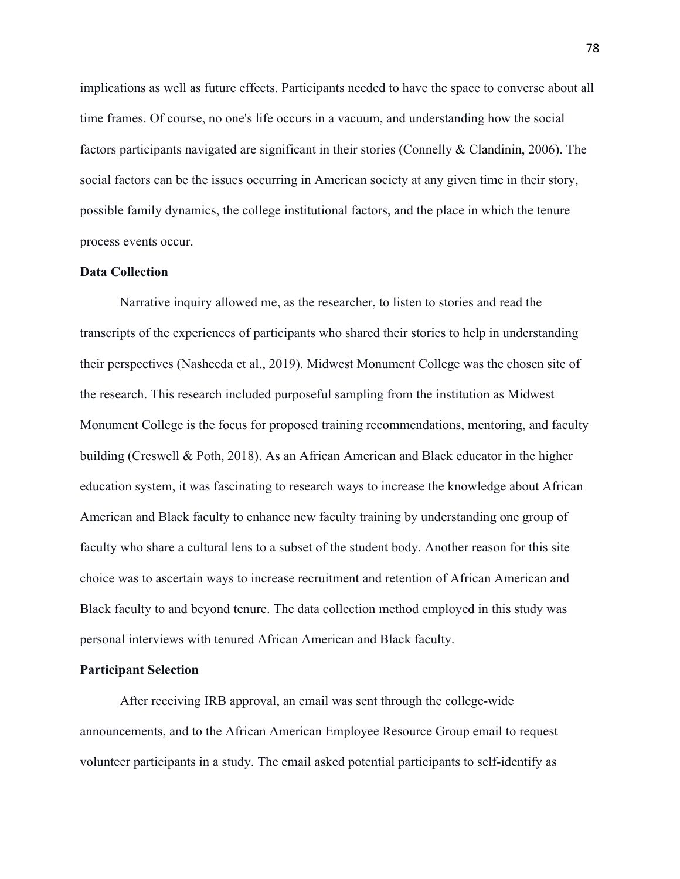implications as well as future effects. Participants needed to have the space to converse about all time frames. Of course, no one's life occurs in a vacuum, and understanding how the social factors participants navigated are significant in their stories (Connelly & Clandinin, 2006). The social factors can be the issues occurring in American society at any given time in their story, possible family dynamics, the college institutional factors, and the place in which the tenure process events occur.

## **Data Collection**

Narrative inquiry allowed me, as the researcher, to listen to stories and read the transcripts of the experiences of participants who shared their stories to help in understanding their perspectives (Nasheeda et al., 2019). Midwest Monument College was the chosen site of the research. This research included purposeful sampling from the institution as Midwest Monument College is the focus for proposed training recommendations, mentoring, and faculty building (Creswell & Poth, 2018). As an African American and Black educator in the higher education system, it was fascinating to research ways to increase the knowledge about African American and Black faculty to enhance new faculty training by understanding one group of faculty who share a cultural lens to a subset of the student body. Another reason for this site choice was to ascertain ways to increase recruitment and retention of African American and Black faculty to and beyond tenure. The data collection method employed in this study was personal interviews with tenured African American and Black faculty.

#### **Participant Selection**

After receiving IRB approval, an email was sent through the college-wide announcements, and to the African American Employee Resource Group email to request volunteer participants in a study. The email asked potential participants to self-identify as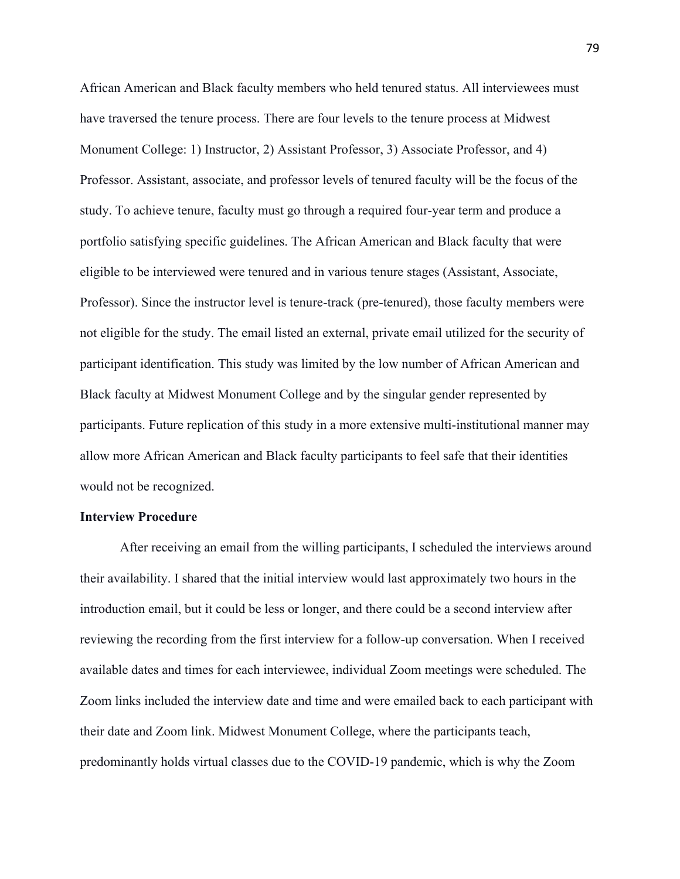African American and Black faculty members who held tenured status. All interviewees must have traversed the tenure process. There are four levels to the tenure process at Midwest Monument College: 1) Instructor, 2) Assistant Professor, 3) Associate Professor, and 4) Professor. Assistant, associate, and professor levels of tenured faculty will be the focus of the study. To achieve tenure, faculty must go through a required four-year term and produce a portfolio satisfying specific guidelines. The African American and Black faculty that were eligible to be interviewed were tenured and in various tenure stages (Assistant, Associate, Professor). Since the instructor level is tenure-track (pre-tenured), those faculty members were not eligible for the study. The email listed an external, private email utilized for the security of participant identification. This study was limited by the low number of African American and Black faculty at Midwest Monument College and by the singular gender represented by participants. Future replication of this study in a more extensive multi-institutional manner may allow more African American and Black faculty participants to feel safe that their identities would not be recognized.

### **Interview Procedure**

After receiving an email from the willing participants, I scheduled the interviews around their availability. I shared that the initial interview would last approximately two hours in the introduction email, but it could be less or longer, and there could be a second interview after reviewing the recording from the first interview for a follow-up conversation. When I received available dates and times for each interviewee, individual Zoom meetings were scheduled. The Zoom links included the interview date and time and were emailed back to each participant with their date and Zoom link. Midwest Monument College, where the participants teach, predominantly holds virtual classes due to the COVID-19 pandemic, which is why the Zoom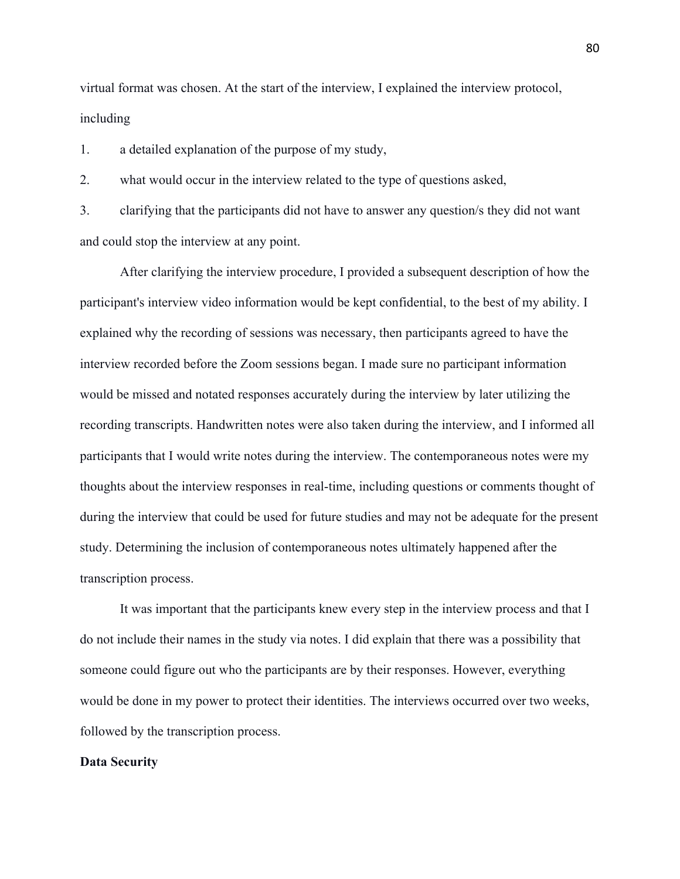virtual format was chosen. At the start of the interview, I explained the interview protocol, including

1. a detailed explanation of the purpose of my study,

2. what would occur in the interview related to the type of questions asked,

3. clarifying that the participants did not have to answer any question/s they did not want and could stop the interview at any point.

After clarifying the interview procedure, I provided a subsequent description of how the participant's interview video information would be kept confidential, to the best of my ability. I explained why the recording of sessions was necessary, then participants agreed to have the interview recorded before the Zoom sessions began. I made sure no participant information would be missed and notated responses accurately during the interview by later utilizing the recording transcripts. Handwritten notes were also taken during the interview, and I informed all participants that I would write notes during the interview. The contemporaneous notes were my thoughts about the interview responses in real-time, including questions or comments thought of during the interview that could be used for future studies and may not be adequate for the present study. Determining the inclusion of contemporaneous notes ultimately happened after the transcription process.

It was important that the participants knew every step in the interview process and that I do not include their names in the study via notes. I did explain that there was a possibility that someone could figure out who the participants are by their responses. However, everything would be done in my power to protect their identities. The interviews occurred over two weeks, followed by the transcription process.

# **Data Security**

80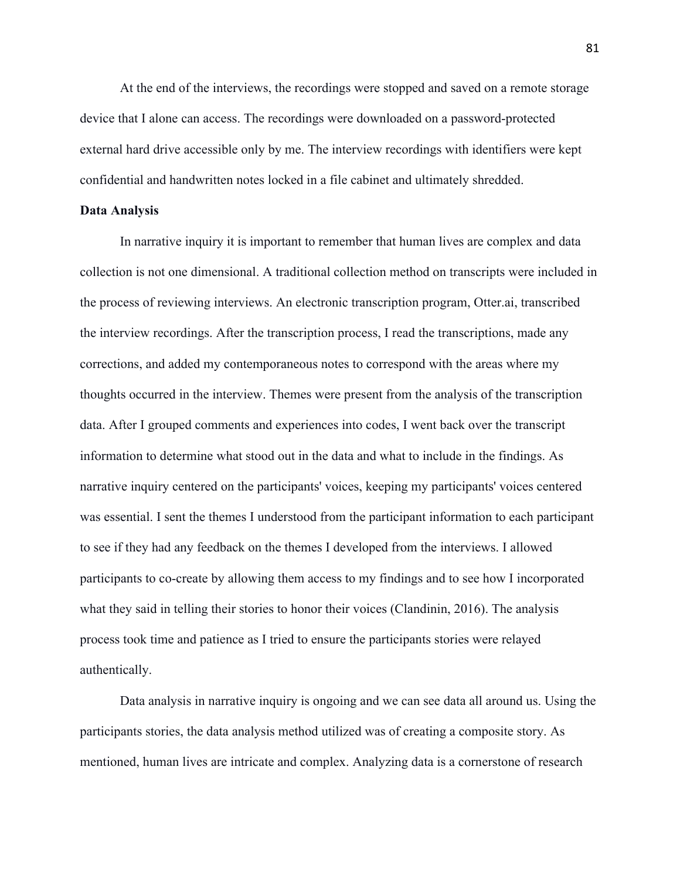At the end of the interviews, the recordings were stopped and saved on a remote storage device that I alone can access. The recordings were downloaded on a password-protected external hard drive accessible only by me. The interview recordings with identifiers were kept confidential and handwritten notes locked in a file cabinet and ultimately shredded.

### **Data Analysis**

In narrative inquiry it is important to remember that human lives are complex and data collection is not one dimensional. A traditional collection method on transcripts were included in the process of reviewing interviews. An electronic transcription program, Otter.ai, transcribed the interview recordings. After the transcription process, I read the transcriptions, made any corrections, and added my contemporaneous notes to correspond with the areas where my thoughts occurred in the interview. Themes were present from the analysis of the transcription data. After I grouped comments and experiences into codes, I went back over the transcript information to determine what stood out in the data and what to include in the findings. As narrative inquiry centered on the participants' voices, keeping my participants' voices centered was essential. I sent the themes I understood from the participant information to each participant to see if they had any feedback on the themes I developed from the interviews. I allowed participants to co-create by allowing them access to my findings and to see how I incorporated what they said in telling their stories to honor their voices (Clandinin, 2016). The analysis process took time and patience as I tried to ensure the participants stories were relayed authentically.

Data analysis in narrative inquiry is ongoing and we can see data all around us. Using the participants stories, the data analysis method utilized was of creating a composite story. As mentioned, human lives are intricate and complex. Analyzing data is a cornerstone of research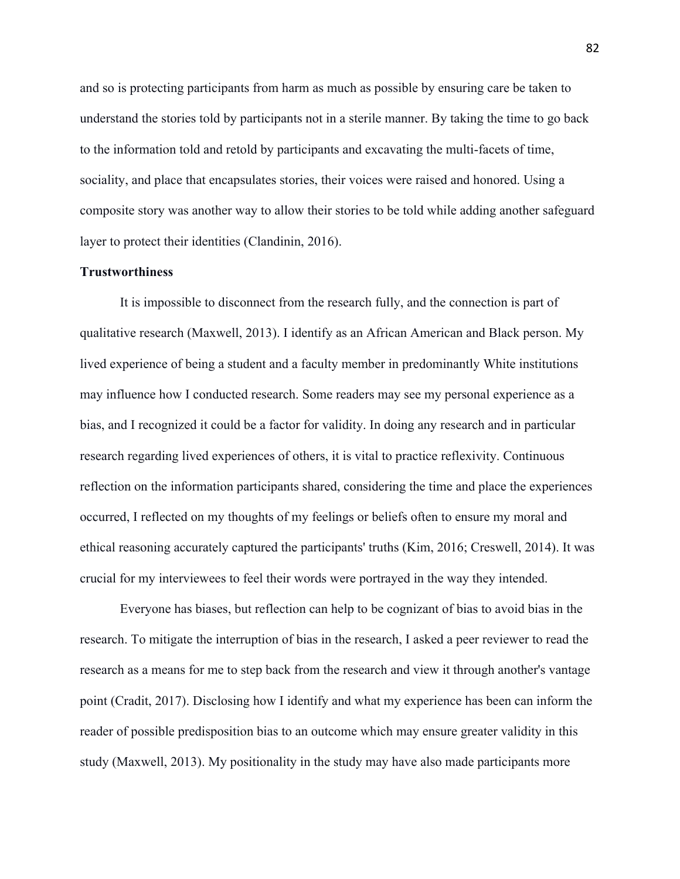and so is protecting participants from harm as much as possible by ensuring care be taken to understand the stories told by participants not in a sterile manner. By taking the time to go back to the information told and retold by participants and excavating the multi-facets of time, sociality, and place that encapsulates stories, their voices were raised and honored. Using a composite story was another way to allow their stories to be told while adding another safeguard layer to protect their identities (Clandinin, 2016).

# **Trustworthiness**

It is impossible to disconnect from the research fully, and the connection is part of qualitative research (Maxwell, 2013). I identify as an African American and Black person. My lived experience of being a student and a faculty member in predominantly White institutions may influence how I conducted research. Some readers may see my personal experience as a bias, and I recognized it could be a factor for validity. In doing any research and in particular research regarding lived experiences of others, it is vital to practice reflexivity. Continuous reflection on the information participants shared, considering the time and place the experiences occurred, I reflected on my thoughts of my feelings or beliefs often to ensure my moral and ethical reasoning accurately captured the participants' truths (Kim, 2016; Creswell, 2014). It was crucial for my interviewees to feel their words were portrayed in the way they intended.

Everyone has biases, but reflection can help to be cognizant of bias to avoid bias in the research. To mitigate the interruption of bias in the research, I asked a peer reviewer to read the research as a means for me to step back from the research and view it through another's vantage point (Cradit, 2017). Disclosing how I identify and what my experience has been can inform the reader of possible predisposition bias to an outcome which may ensure greater validity in this study (Maxwell, 2013). My positionality in the study may have also made participants more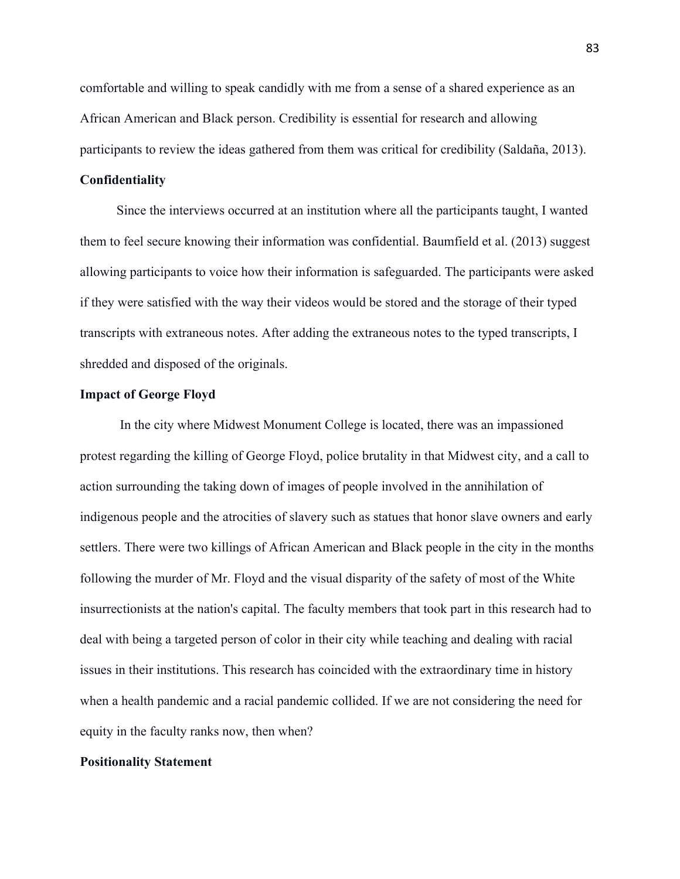comfortable and willing to speak candidly with me from a sense of a shared experience as an African American and Black person. Credibility is essential for research and allowing participants to review the ideas gathered from them was critical for credibility (Saldaña, 2013).

# **Confidentiality**

 Since the interviews occurred at an institution where all the participants taught, I wanted them to feel secure knowing their information was confidential. Baumfield et al. (2013) suggest allowing participants to voice how their information is safeguarded. The participants were asked if they were satisfied with the way their videos would be stored and the storage of their typed transcripts with extraneous notes. After adding the extraneous notes to the typed transcripts, I shredded and disposed of the originals.

### **Impact of George Floyd**

In the city where Midwest Monument College is located, there was an impassioned protest regarding the killing of George Floyd, police brutality in that Midwest city, and a call to action surrounding the taking down of images of people involved in the annihilation of indigenous people and the atrocities of slavery such as statues that honor slave owners and early settlers. There were two killings of African American and Black people in the city in the months following the murder of Mr. Floyd and the visual disparity of the safety of most of the White insurrectionists at the nation's capital. The faculty members that took part in this research had to deal with being a targeted person of color in their city while teaching and dealing with racial issues in their institutions. This research has coincided with the extraordinary time in history when a health pandemic and a racial pandemic collided. If we are not considering the need for equity in the faculty ranks now, then when?

## **Positionality Statement**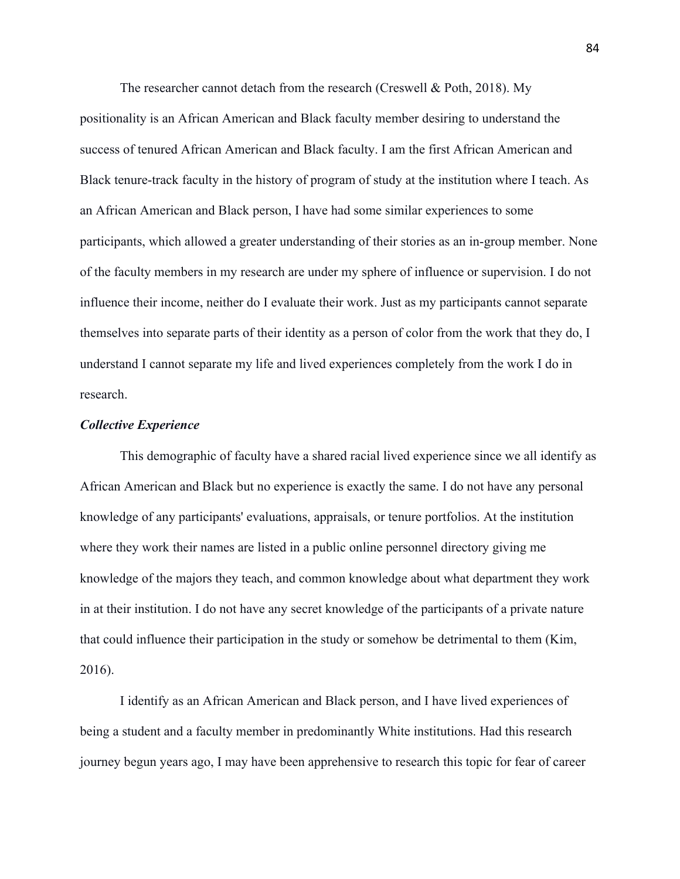The researcher cannot detach from the research (Creswell & Poth, 2018). My positionality is an African American and Black faculty member desiring to understand the success of tenured African American and Black faculty. I am the first African American and Black tenure-track faculty in the history of program of study at the institution where I teach. As an African American and Black person, I have had some similar experiences to some participants, which allowed a greater understanding of their stories as an in-group member. None of the faculty members in my research are under my sphere of influence or supervision. I do not influence their income, neither do I evaluate their work. Just as my participants cannot separate themselves into separate parts of their identity as a person of color from the work that they do, I understand I cannot separate my life and lived experiences completely from the work I do in research.

### *Collective Experience*

This demographic of faculty have a shared racial lived experience since we all identify as African American and Black but no experience is exactly the same. I do not have any personal knowledge of any participants' evaluations, appraisals, or tenure portfolios. At the institution where they work their names are listed in a public online personnel directory giving me knowledge of the majors they teach, and common knowledge about what department they work in at their institution. I do not have any secret knowledge of the participants of a private nature that could influence their participation in the study or somehow be detrimental to them (Kim, 2016).

I identify as an African American and Black person, and I have lived experiences of being a student and a faculty member in predominantly White institutions. Had this research journey begun years ago, I may have been apprehensive to research this topic for fear of career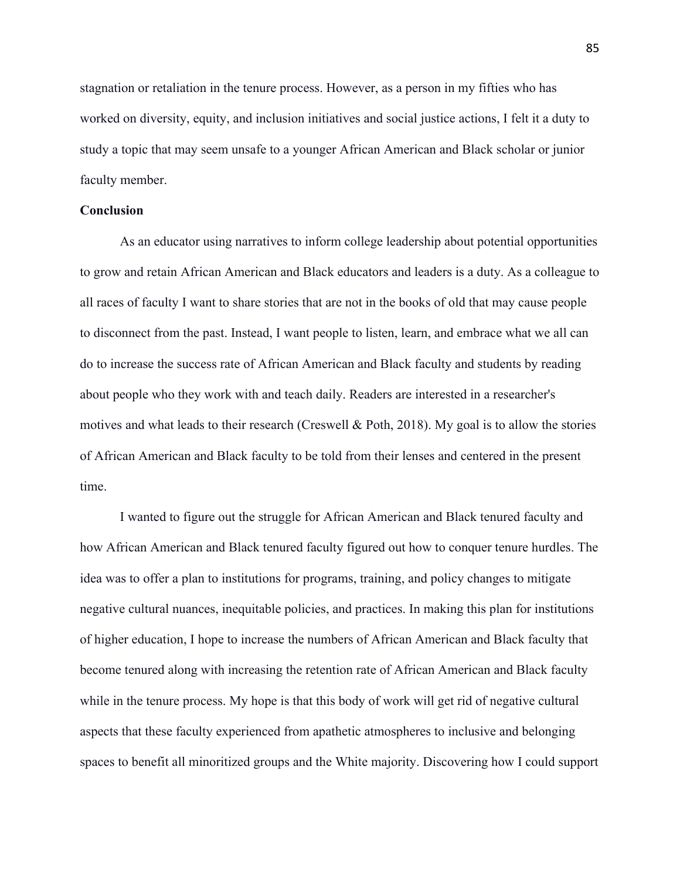stagnation or retaliation in the tenure process. However, as a person in my fifties who has worked on diversity, equity, and inclusion initiatives and social justice actions, I felt it a duty to study a topic that may seem unsafe to a younger African American and Black scholar or junior faculty member.

# **Conclusion**

As an educator using narratives to inform college leadership about potential opportunities to grow and retain African American and Black educators and leaders is a duty. As a colleague to all races of faculty I want to share stories that are not in the books of old that may cause people to disconnect from the past. Instead, I want people to listen, learn, and embrace what we all can do to increase the success rate of African American and Black faculty and students by reading about people who they work with and teach daily. Readers are interested in a researcher's motives and what leads to their research (Creswell & Poth, 2018). My goal is to allow the stories of African American and Black faculty to be told from their lenses and centered in the present time.

I wanted to figure out the struggle for African American and Black tenured faculty and how African American and Black tenured faculty figured out how to conquer tenure hurdles. The idea was to offer a plan to institutions for programs, training, and policy changes to mitigate negative cultural nuances, inequitable policies, and practices. In making this plan for institutions of higher education, I hope to increase the numbers of African American and Black faculty that become tenured along with increasing the retention rate of African American and Black faculty while in the tenure process. My hope is that this body of work will get rid of negative cultural aspects that these faculty experienced from apathetic atmospheres to inclusive and belonging spaces to benefit all minoritized groups and the White majority. Discovering how I could support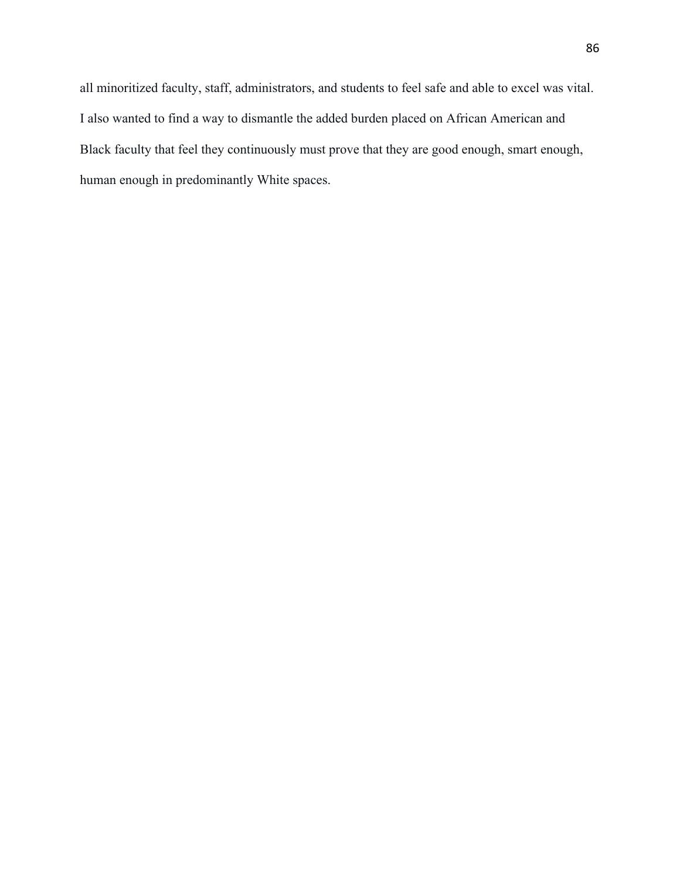all minoritized faculty, staff, administrators, and students to feel safe and able to excel was vital. I also wanted to find a way to dismantle the added burden placed on African American and Black faculty that feel they continuously must prove that they are good enough, smart enough, human enough in predominantly White spaces.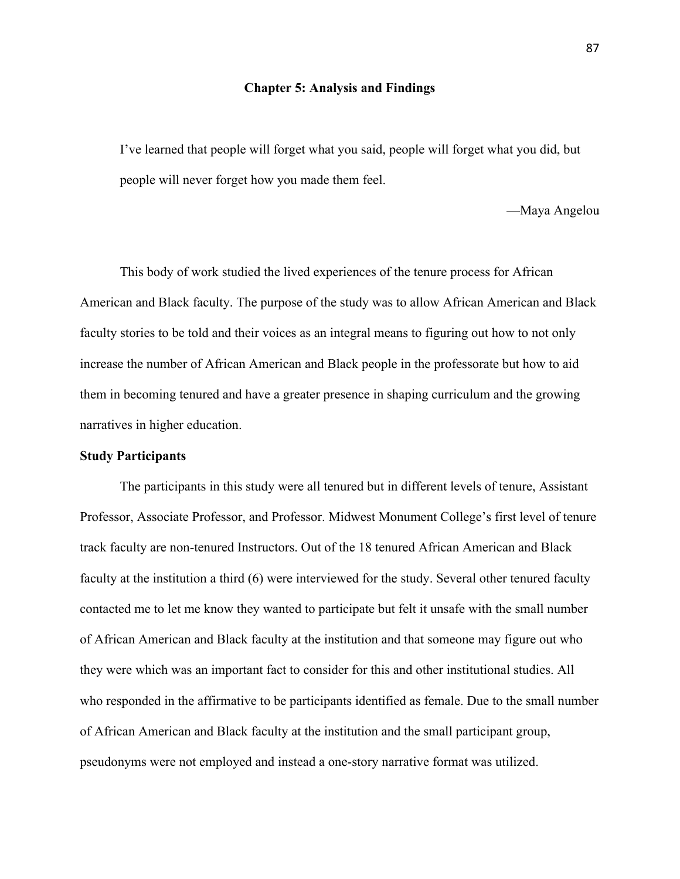#### **Chapter 5: Analysis and Findings**

I've learned that people will forget what you said, people will forget what you did, but people will never forget how you made them feel.

—Maya Angelou

This body of work studied the lived experiences of the tenure process for African American and Black faculty. The purpose of the study was to allow African American and Black faculty stories to be told and their voices as an integral means to figuring out how to not only increase the number of African American and Black people in the professorate but how to aid them in becoming tenured and have a greater presence in shaping curriculum and the growing narratives in higher education.

## **Study Participants**

The participants in this study were all tenured but in different levels of tenure, Assistant Professor, Associate Professor, and Professor. Midwest Monument College's first level of tenure track faculty are non-tenured Instructors. Out of the 18 tenured African American and Black faculty at the institution a third (6) were interviewed for the study. Several other tenured faculty contacted me to let me know they wanted to participate but felt it unsafe with the small number of African American and Black faculty at the institution and that someone may figure out who they were which was an important fact to consider for this and other institutional studies. All who responded in the affirmative to be participants identified as female. Due to the small number of African American and Black faculty at the institution and the small participant group, pseudonyms were not employed and instead a one-story narrative format was utilized.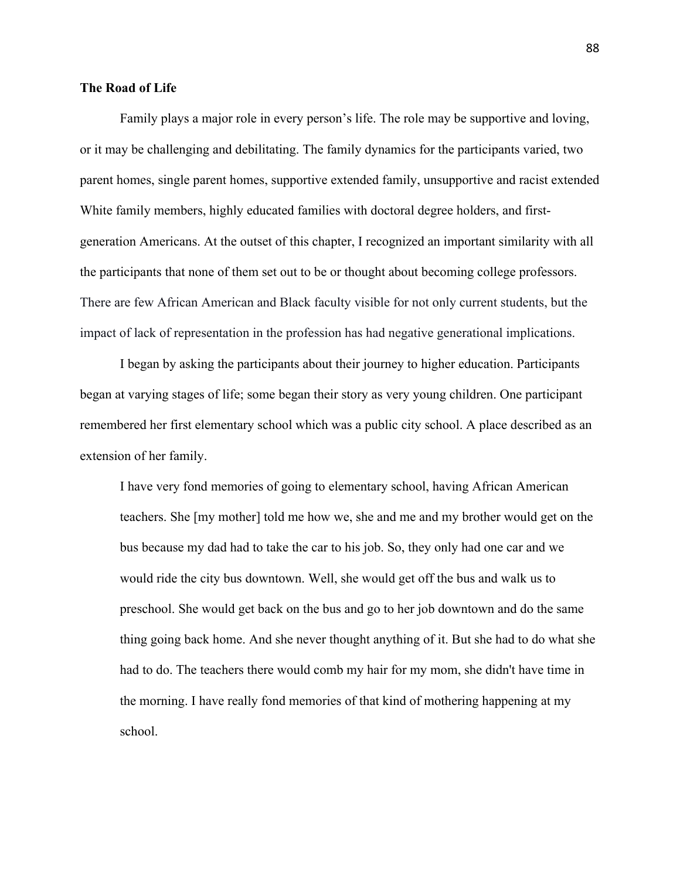# **The Road of Life**

Family plays a major role in every person's life. The role may be supportive and loving, or it may be challenging and debilitating. The family dynamics for the participants varied, two parent homes, single parent homes, supportive extended family, unsupportive and racist extended White family members, highly educated families with doctoral degree holders, and firstgeneration Americans. At the outset of this chapter, I recognized an important similarity with all the participants that none of them set out to be or thought about becoming college professors. There are few African American and Black faculty visible for not only current students, but the impact of lack of representation in the profession has had negative generational implications.

 I began by asking the participants about their journey to higher education. Participants began at varying stages of life; some began their story as very young children. One participant remembered her first elementary school which was a public city school. A place described as an extension of her family.

I have very fond memories of going to elementary school, having African American teachers. She [my mother] told me how we, she and me and my brother would get on the bus because my dad had to take the car to his job. So, they only had one car and we would ride the city bus downtown. Well, she would get off the bus and walk us to preschool. She would get back on the bus and go to her job downtown and do the same thing going back home. And she never thought anything of it. But she had to do what she had to do. The teachers there would comb my hair for my mom, she didn't have time in the morning. I have really fond memories of that kind of mothering happening at my school.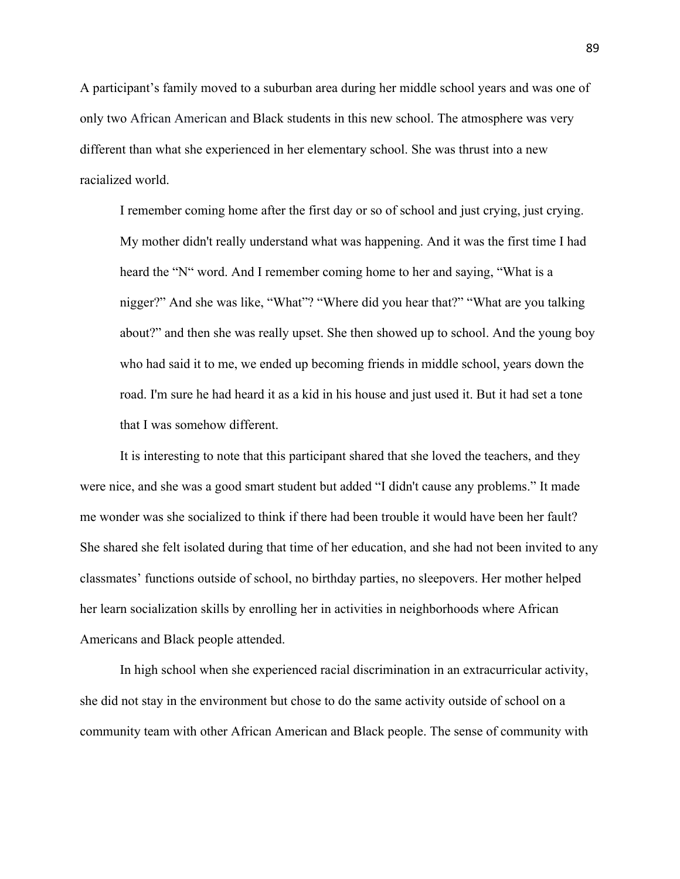A participant's family moved to a suburban area during her middle school years and was one of only two African American and Black students in this new school. The atmosphere was very different than what she experienced in her elementary school. She was thrust into a new racialized world.

I remember coming home after the first day or so of school and just crying, just crying. My mother didn't really understand what was happening. And it was the first time I had heard the "N" word. And I remember coming home to her and saying, "What is a nigger?" And she was like, "What"? "Where did you hear that?" "What are you talking about?" and then she was really upset. She then showed up to school. And the young boy who had said it to me, we ended up becoming friends in middle school, years down the road. I'm sure he had heard it as a kid in his house and just used it. But it had set a tone that I was somehow different.

It is interesting to note that this participant shared that she loved the teachers, and they were nice, and she was a good smart student but added "I didn't cause any problems." It made me wonder was she socialized to think if there had been trouble it would have been her fault? She shared she felt isolated during that time of her education, and she had not been invited to any classmates' functions outside of school, no birthday parties, no sleepovers. Her mother helped her learn socialization skills by enrolling her in activities in neighborhoods where African Americans and Black people attended.

In high school when she experienced racial discrimination in an extracurricular activity, she did not stay in the environment but chose to do the same activity outside of school on a community team with other African American and Black people. The sense of community with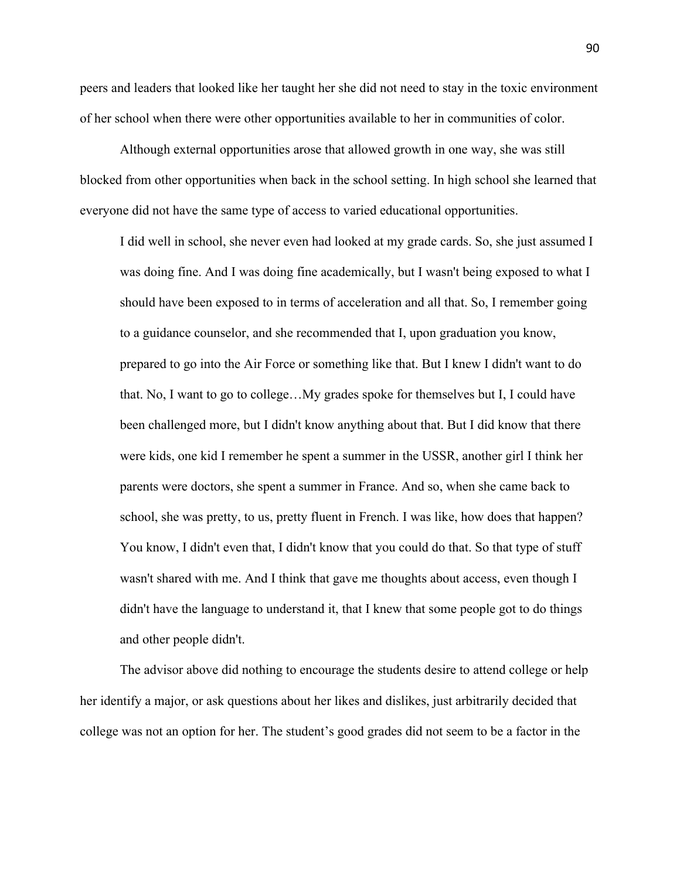peers and leaders that looked like her taught her she did not need to stay in the toxic environment of her school when there were other opportunities available to her in communities of color.

Although external opportunities arose that allowed growth in one way, she was still blocked from other opportunities when back in the school setting. In high school she learned that everyone did not have the same type of access to varied educational opportunities.

I did well in school, she never even had looked at my grade cards. So, she just assumed I was doing fine. And I was doing fine academically, but I wasn't being exposed to what I should have been exposed to in terms of acceleration and all that. So, I remember going to a guidance counselor, and she recommended that I, upon graduation you know, prepared to go into the Air Force or something like that. But I knew I didn't want to do that. No, I want to go to college…My grades spoke for themselves but I, I could have been challenged more, but I didn't know anything about that. But I did know that there were kids, one kid I remember he spent a summer in the USSR, another girl I think her parents were doctors, she spent a summer in France. And so, when she came back to school, she was pretty, to us, pretty fluent in French. I was like, how does that happen? You know, I didn't even that, I didn't know that you could do that. So that type of stuff wasn't shared with me. And I think that gave me thoughts about access, even though I didn't have the language to understand it, that I knew that some people got to do things and other people didn't.

The advisor above did nothing to encourage the students desire to attend college or help her identify a major, or ask questions about her likes and dislikes, just arbitrarily decided that college was not an option for her. The student's good grades did not seem to be a factor in the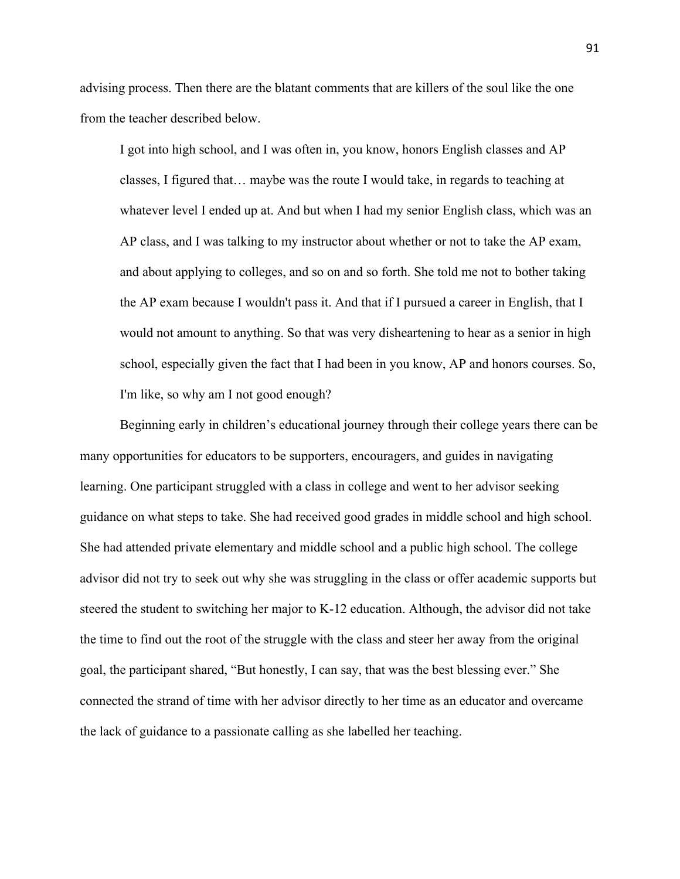advising process. Then there are the blatant comments that are killers of the soul like the one from the teacher described below.

I got into high school, and I was often in, you know, honors English classes and AP classes, I figured that… maybe was the route I would take, in regards to teaching at whatever level I ended up at. And but when I had my senior English class, which was an AP class, and I was talking to my instructor about whether or not to take the AP exam, and about applying to colleges, and so on and so forth. She told me not to bother taking the AP exam because I wouldn't pass it. And that if I pursued a career in English, that I would not amount to anything. So that was very disheartening to hear as a senior in high school, especially given the fact that I had been in you know, AP and honors courses. So, I'm like, so why am I not good enough?

Beginning early in children's educational journey through their college years there can be many opportunities for educators to be supporters, encouragers, and guides in navigating learning. One participant struggled with a class in college and went to her advisor seeking guidance on what steps to take. She had received good grades in middle school and high school. She had attended private elementary and middle school and a public high school. The college advisor did not try to seek out why she was struggling in the class or offer academic supports but steered the student to switching her major to K-12 education. Although, the advisor did not take the time to find out the root of the struggle with the class and steer her away from the original goal, the participant shared, "But honestly, I can say, that was the best blessing ever." She connected the strand of time with her advisor directly to her time as an educator and overcame the lack of guidance to a passionate calling as she labelled her teaching.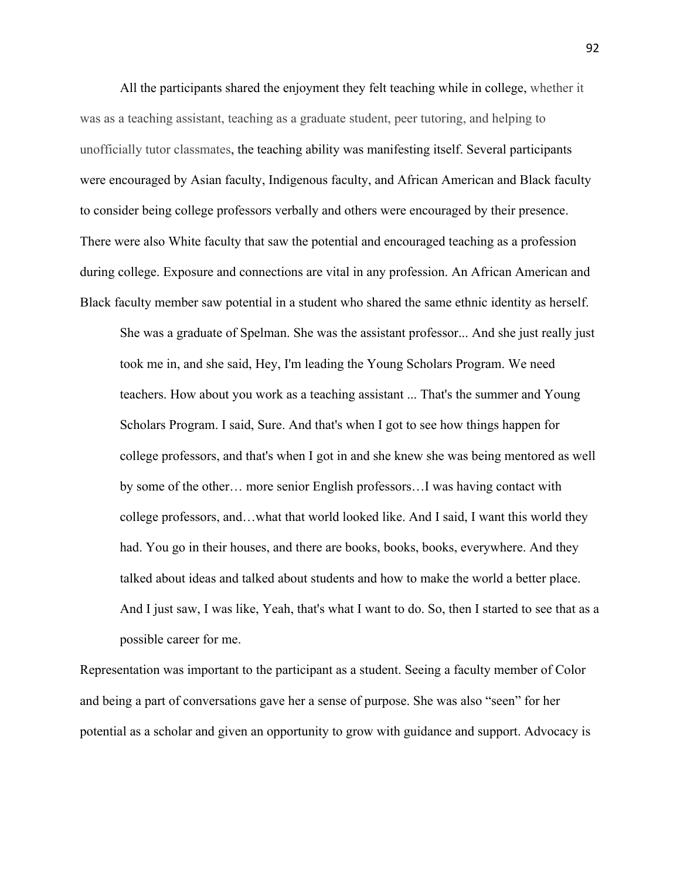All the participants shared the enjoyment they felt teaching while in college, whether it was as a teaching assistant, teaching as a graduate student, peer tutoring, and helping to unofficially tutor classmates, the teaching ability was manifesting itself. Several participants were encouraged by Asian faculty, Indigenous faculty, and African American and Black faculty to consider being college professors verbally and others were encouraged by their presence. There were also White faculty that saw the potential and encouraged teaching as a profession during college. Exposure and connections are vital in any profession. An African American and Black faculty member saw potential in a student who shared the same ethnic identity as herself.

She was a graduate of Spelman. She was the assistant professor... And she just really just took me in, and she said, Hey, I'm leading the Young Scholars Program. We need teachers. How about you work as a teaching assistant ... That's the summer and Young Scholars Program. I said, Sure. And that's when I got to see how things happen for college professors, and that's when I got in and she knew she was being mentored as well by some of the other… more senior English professors…I was having contact with college professors, and…what that world looked like. And I said, I want this world they had. You go in their houses, and there are books, books, books, everywhere. And they talked about ideas and talked about students and how to make the world a better place. And I just saw, I was like, Yeah, that's what I want to do. So, then I started to see that as a possible career for me.

Representation was important to the participant as a student. Seeing a faculty member of Color and being a part of conversations gave her a sense of purpose. She was also "seen" for her potential as a scholar and given an opportunity to grow with guidance and support. Advocacy is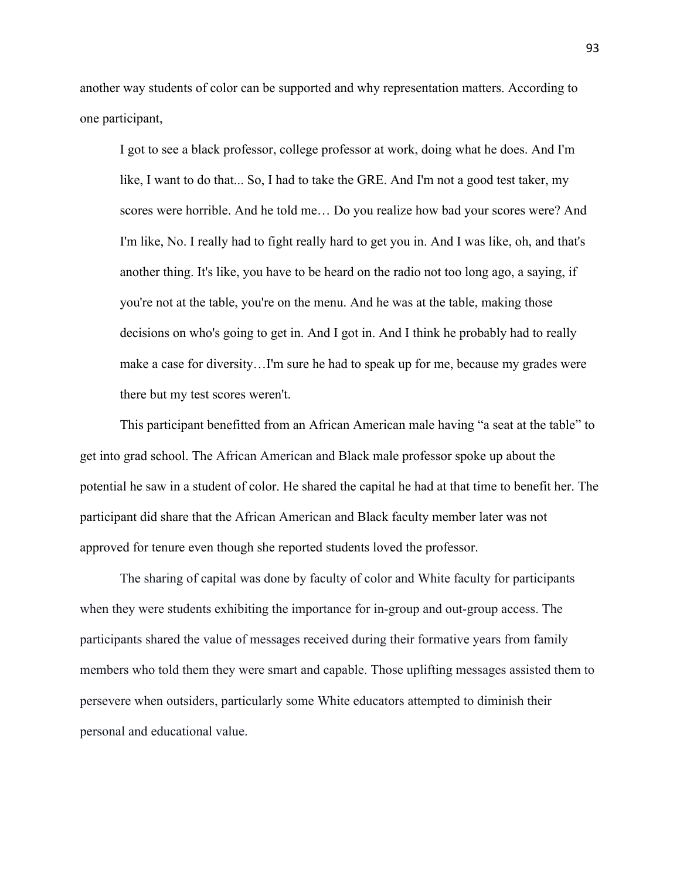another way students of color can be supported and why representation matters. According to one participant,

I got to see a black professor, college professor at work, doing what he does. And I'm like, I want to do that... So, I had to take the GRE. And I'm not a good test taker, my scores were horrible. And he told me… Do you realize how bad your scores were? And I'm like, No. I really had to fight really hard to get you in. And I was like, oh, and that's another thing. It's like, you have to be heard on the radio not too long ago, a saying, if you're not at the table, you're on the menu. And he was at the table, making those decisions on who's going to get in. And I got in. And I think he probably had to really make a case for diversity…I'm sure he had to speak up for me, because my grades were there but my test scores weren't.

This participant benefitted from an African American male having "a seat at the table" to get into grad school. The African American and Black male professor spoke up about the potential he saw in a student of color. He shared the capital he had at that time to benefit her. The participant did share that the African American and Black faculty member later was not approved for tenure even though she reported students loved the professor.

The sharing of capital was done by faculty of color and White faculty for participants when they were students exhibiting the importance for in-group and out-group access. The participants shared the value of messages received during their formative years from family members who told them they were smart and capable. Those uplifting messages assisted them to persevere when outsiders, particularly some White educators attempted to diminish their personal and educational value.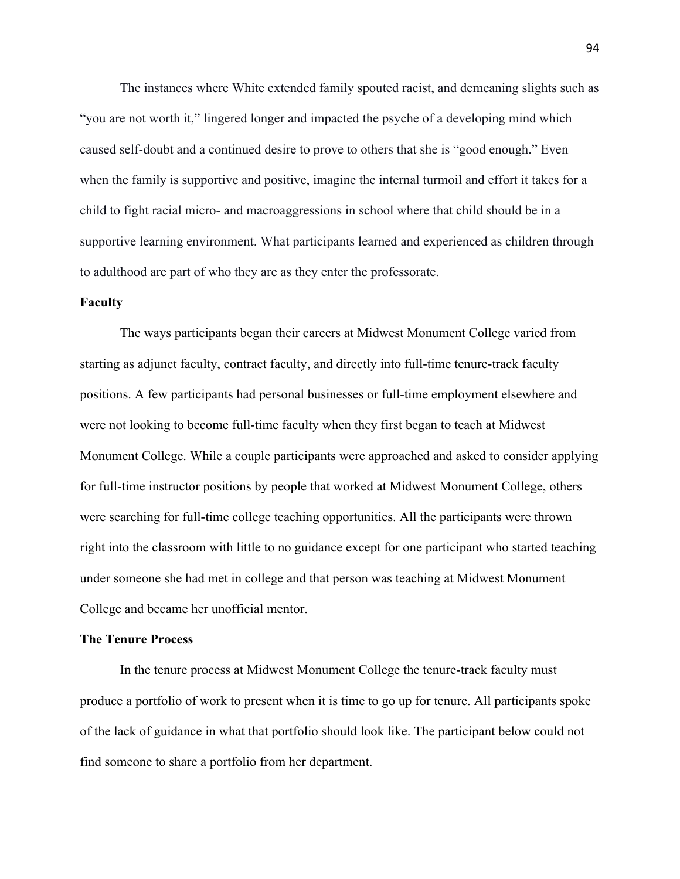The instances where White extended family spouted racist, and demeaning slights such as "you are not worth it," lingered longer and impacted the psyche of a developing mind which caused self-doubt and a continued desire to prove to others that she is "good enough." Even when the family is supportive and positive, imagine the internal turmoil and effort it takes for a child to fight racial micro- and macroaggressions in school where that child should be in a supportive learning environment. What participants learned and experienced as children through to adulthood are part of who they are as they enter the professorate.

## **Faculty**

The ways participants began their careers at Midwest Monument College varied from starting as adjunct faculty, contract faculty, and directly into full-time tenure-track faculty positions. A few participants had personal businesses or full-time employment elsewhere and were not looking to become full-time faculty when they first began to teach at Midwest Monument College. While a couple participants were approached and asked to consider applying for full-time instructor positions by people that worked at Midwest Monument College, others were searching for full-time college teaching opportunities. All the participants were thrown right into the classroom with little to no guidance except for one participant who started teaching under someone she had met in college and that person was teaching at Midwest Monument College and became her unofficial mentor.

#### **The Tenure Process**

In the tenure process at Midwest Monument College the tenure-track faculty must produce a portfolio of work to present when it is time to go up for tenure. All participants spoke of the lack of guidance in what that portfolio should look like. The participant below could not find someone to share a portfolio from her department.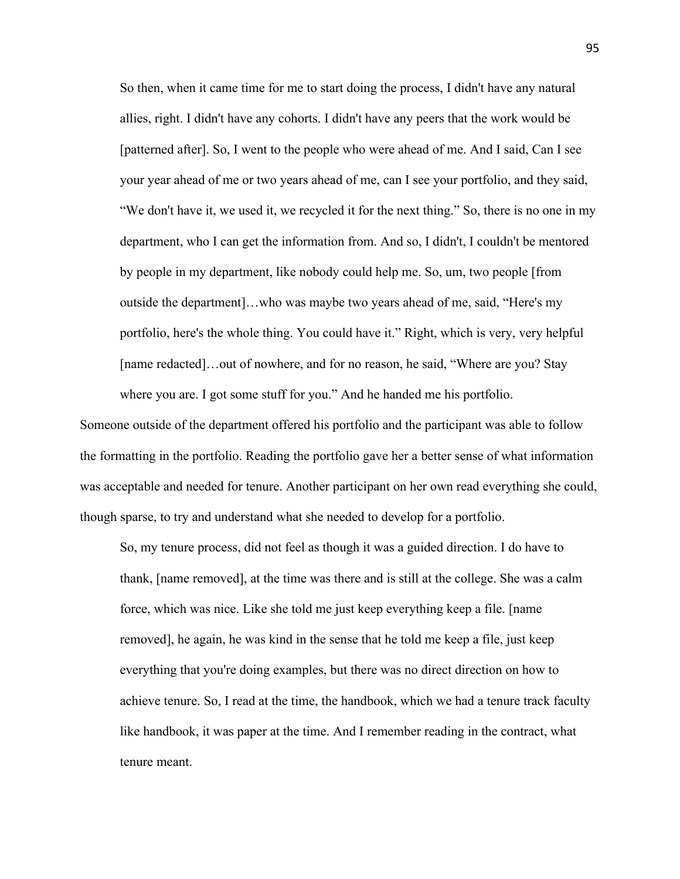So then, when it came time for me to start doing the process, I didn't have any natural allies, right. I didn't have any cohorts. I didn't have any peers that the work would be [patterned after]. So, I went to the people who were ahead of me. And I said, Can I see your year ahead of me or two years ahead of me, can I see your portfolio, and they said, "We don't have it, we used it, we recycled it for the next thing." So, there is no one in my department, who I can get the information from. And so, I didn't, I couldn't be mentored by people in my department, like nobody could help me. So, um, two people [from outside the department]…who was maybe two years ahead of me, said, "Here's my portfolio, here's the whole thing. You could have it." Right, which is very, very helpful [name redacted]…out of nowhere, and for no reason, he said, "Where are you? Stay where you are. I got some stuff for you." And he handed me his portfolio.

Someone outside of the department offered his portfolio and the participant was able to follow the formatting in the portfolio. Reading the portfolio gave her a better sense of what information was acceptable and needed for tenure. Another participant on her own read everything she could, though sparse, to try and understand what she needed to develop for a portfolio.

So, my tenure process, did not feel as though it was a guided direction. I do have to thank, [name removed], at the time was there and is still at the college. She was a calm force, which was nice. Like she told me just keep everything keep a file. [name removed], he again, he was kind in the sense that he told me keep a file, just keep everything that you're doing examples, but there was no direct direction on how to achieve tenure. So, I read at the time, the handbook, which we had a tenure track faculty like handbook, it was paper at the time. And I remember reading in the contract, what tenure meant.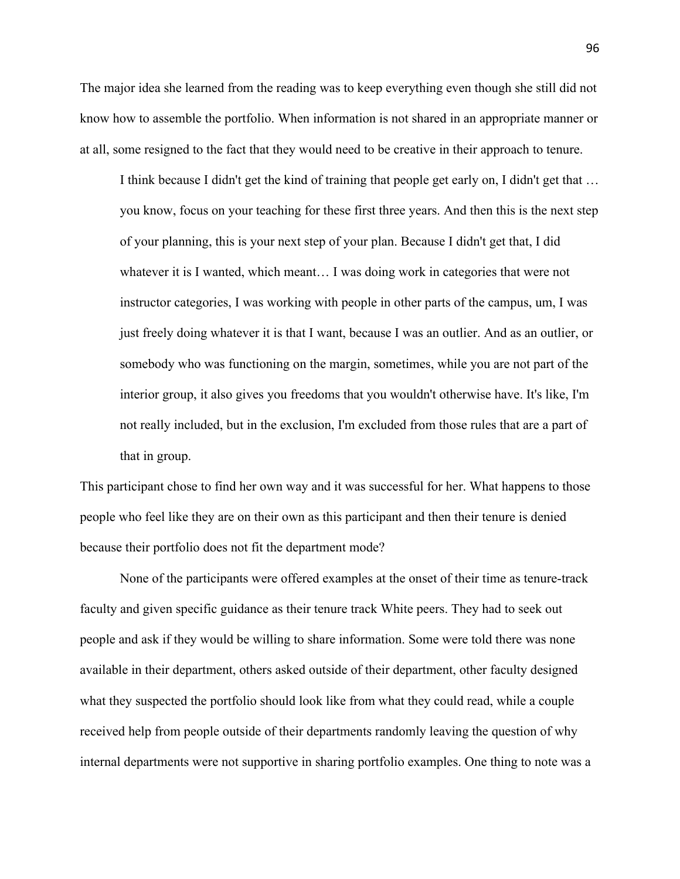The major idea she learned from the reading was to keep everything even though she still did not know how to assemble the portfolio. When information is not shared in an appropriate manner or at all, some resigned to the fact that they would need to be creative in their approach to tenure.

I think because I didn't get the kind of training that people get early on, I didn't get that … you know, focus on your teaching for these first three years. And then this is the next step of your planning, this is your next step of your plan. Because I didn't get that, I did whatever it is I wanted, which meant… I was doing work in categories that were not instructor categories, I was working with people in other parts of the campus, um, I was just freely doing whatever it is that I want, because I was an outlier. And as an outlier, or somebody who was functioning on the margin, sometimes, while you are not part of the interior group, it also gives you freedoms that you wouldn't otherwise have. It's like, I'm not really included, but in the exclusion, I'm excluded from those rules that are a part of that in group.

This participant chose to find her own way and it was successful for her. What happens to those people who feel like they are on their own as this participant and then their tenure is denied because their portfolio does not fit the department mode?

None of the participants were offered examples at the onset of their time as tenure-track faculty and given specific guidance as their tenure track White peers. They had to seek out people and ask if they would be willing to share information. Some were told there was none available in their department, others asked outside of their department, other faculty designed what they suspected the portfolio should look like from what they could read, while a couple received help from people outside of their departments randomly leaving the question of why internal departments were not supportive in sharing portfolio examples. One thing to note was a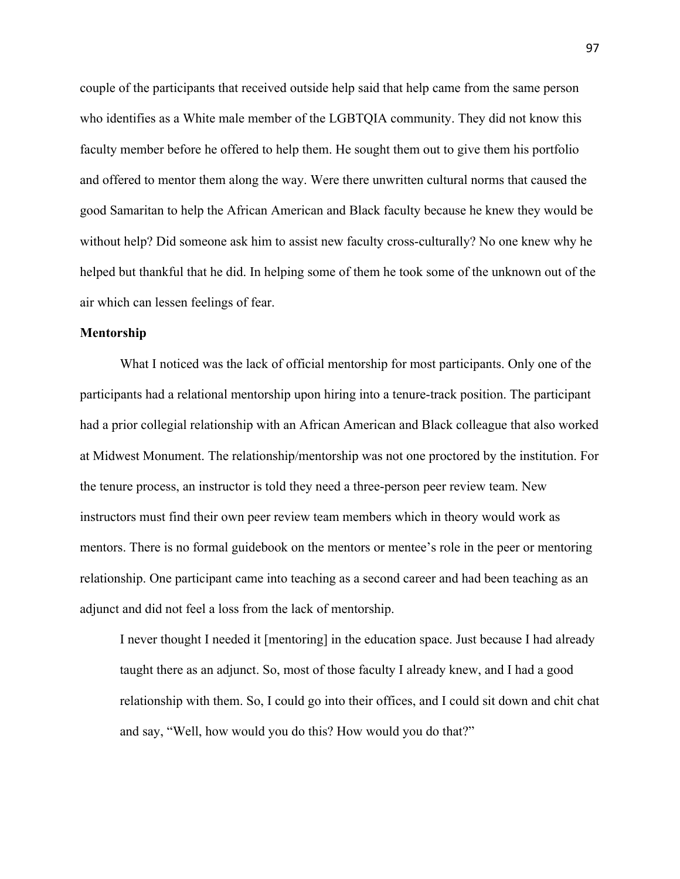couple of the participants that received outside help said that help came from the same person who identifies as a White male member of the LGBTQIA community. They did not know this faculty member before he offered to help them. He sought them out to give them his portfolio and offered to mentor them along the way. Were there unwritten cultural norms that caused the good Samaritan to help the African American and Black faculty because he knew they would be without help? Did someone ask him to assist new faculty cross-culturally? No one knew why he helped but thankful that he did. In helping some of them he took some of the unknown out of the air which can lessen feelings of fear.

### **Mentorship**

What I noticed was the lack of official mentorship for most participants. Only one of the participants had a relational mentorship upon hiring into a tenure-track position. The participant had a prior collegial relationship with an African American and Black colleague that also worked at Midwest Monument. The relationship/mentorship was not one proctored by the institution. For the tenure process, an instructor is told they need a three-person peer review team. New instructors must find their own peer review team members which in theory would work as mentors. There is no formal guidebook on the mentors or mentee's role in the peer or mentoring relationship. One participant came into teaching as a second career and had been teaching as an adjunct and did not feel a loss from the lack of mentorship.

I never thought I needed it [mentoring] in the education space. Just because I had already taught there as an adjunct. So, most of those faculty I already knew, and I had a good relationship with them. So, I could go into their offices, and I could sit down and chit chat and say, "Well, how would you do this? How would you do that?"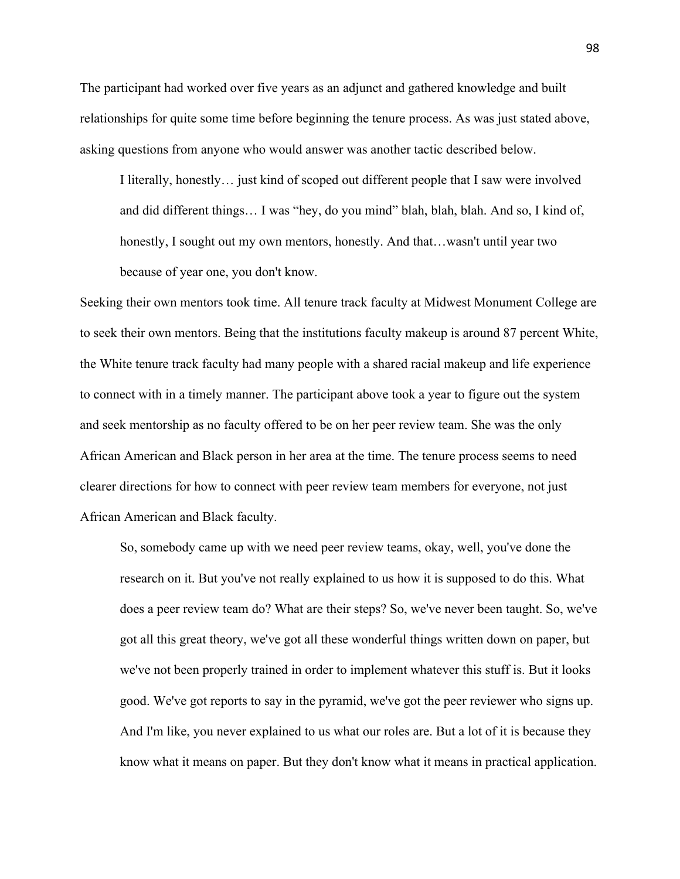The participant had worked over five years as an adjunct and gathered knowledge and built relationships for quite some time before beginning the tenure process. As was just stated above, asking questions from anyone who would answer was another tactic described below.

I literally, honestly… just kind of scoped out different people that I saw were involved and did different things… I was "hey, do you mind" blah, blah, blah. And so, I kind of, honestly, I sought out my own mentors, honestly. And that…wasn't until year two because of year one, you don't know.

Seeking their own mentors took time. All tenure track faculty at Midwest Monument College are to seek their own mentors. Being that the institutions faculty makeup is around 87 percent White, the White tenure track faculty had many people with a shared racial makeup and life experience to connect with in a timely manner. The participant above took a year to figure out the system and seek mentorship as no faculty offered to be on her peer review team. She was the only African American and Black person in her area at the time. The tenure process seems to need clearer directions for how to connect with peer review team members for everyone, not just African American and Black faculty.

So, somebody came up with we need peer review teams, okay, well, you've done the research on it. But you've not really explained to us how it is supposed to do this. What does a peer review team do? What are their steps? So, we've never been taught. So, we've got all this great theory, we've got all these wonderful things written down on paper, but we've not been properly trained in order to implement whatever this stuff is. But it looks good. We've got reports to say in the pyramid, we've got the peer reviewer who signs up. And I'm like, you never explained to us what our roles are. But a lot of it is because they know what it means on paper. But they don't know what it means in practical application.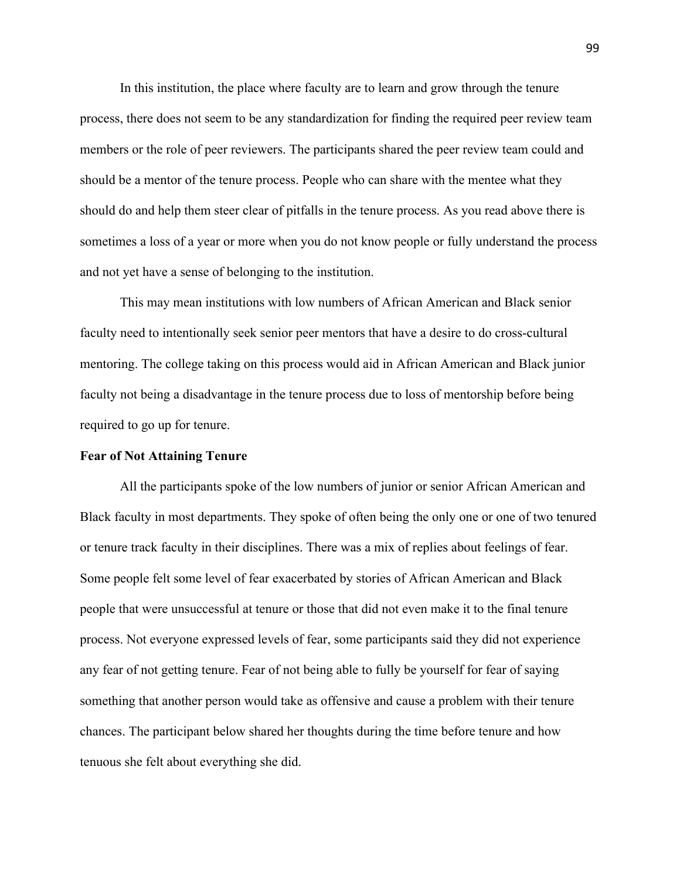In this institution, the place where faculty are to learn and grow through the tenure process, there does not seem to be any standardization for finding the required peer review team members or the role of peer reviewers. The participants shared the peer review team could and should be a mentor of the tenure process. People who can share with the mentee what they should do and help them steer clear of pitfalls in the tenure process. As you read above there is sometimes a loss of a year or more when you do not know people or fully understand the process and not yet have a sense of belonging to the institution.

This may mean institutions with low numbers of African American and Black senior faculty need to intentionally seek senior peer mentors that have a desire to do cross-cultural mentoring. The college taking on this process would aid in African American and Black junior faculty not being a disadvantage in the tenure process due to loss of mentorship before being required to go up for tenure.

#### **Fear of Not Attaining Tenure**

All the participants spoke of the low numbers of junior or senior African American and Black faculty in most departments. They spoke of often being the only one or one of two tenured or tenure track faculty in their disciplines. There was a mix of replies about feelings of fear. Some people felt some level of fear exacerbated by stories of African American and Black people that were unsuccessful at tenure or those that did not even make it to the final tenure process. Not everyone expressed levels of fear, some participants said they did not experience any fear of not getting tenure. Fear of not being able to fully be yourself for fear of saying something that another person would take as offensive and cause a problem with their tenure chances. The participant below shared her thoughts during the time before tenure and how tenuous she felt about everything she did.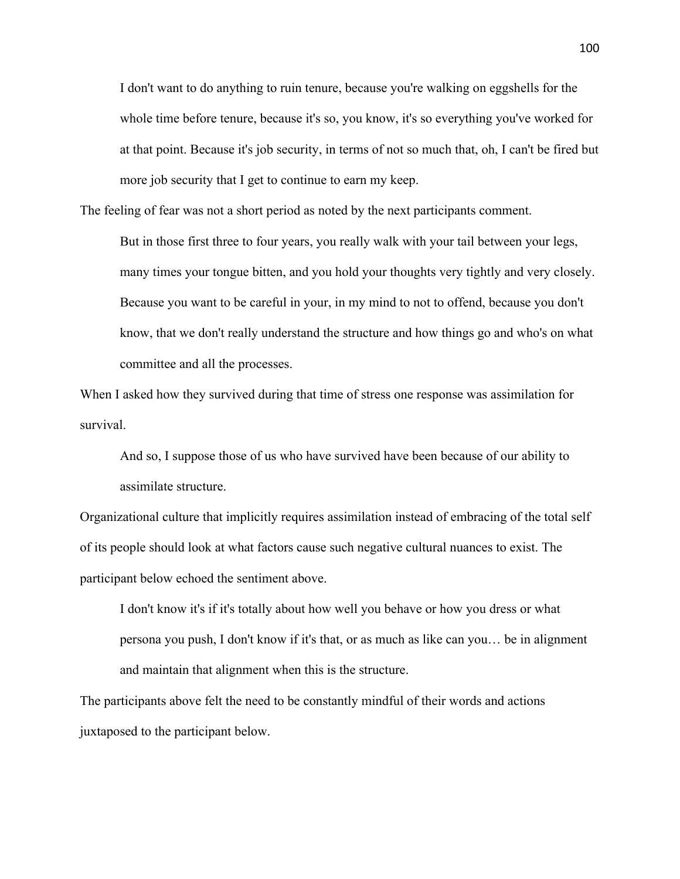I don't want to do anything to ruin tenure, because you're walking on eggshells for the whole time before tenure, because it's so, you know, it's so everything you've worked for at that point. Because it's job security, in terms of not so much that, oh, I can't be fired but more job security that I get to continue to earn my keep.

The feeling of fear was not a short period as noted by the next participants comment.

But in those first three to four years, you really walk with your tail between your legs, many times your tongue bitten, and you hold your thoughts very tightly and very closely. Because you want to be careful in your, in my mind to not to offend, because you don't know, that we don't really understand the structure and how things go and who's on what committee and all the processes.

When I asked how they survived during that time of stress one response was assimilation for survival.

And so, I suppose those of us who have survived have been because of our ability to assimilate structure.

Organizational culture that implicitly requires assimilation instead of embracing of the total self of its people should look at what factors cause such negative cultural nuances to exist. The participant below echoed the sentiment above.

I don't know it's if it's totally about how well you behave or how you dress or what persona you push, I don't know if it's that, or as much as like can you… be in alignment and maintain that alignment when this is the structure.

The participants above felt the need to be constantly mindful of their words and actions juxtaposed to the participant below.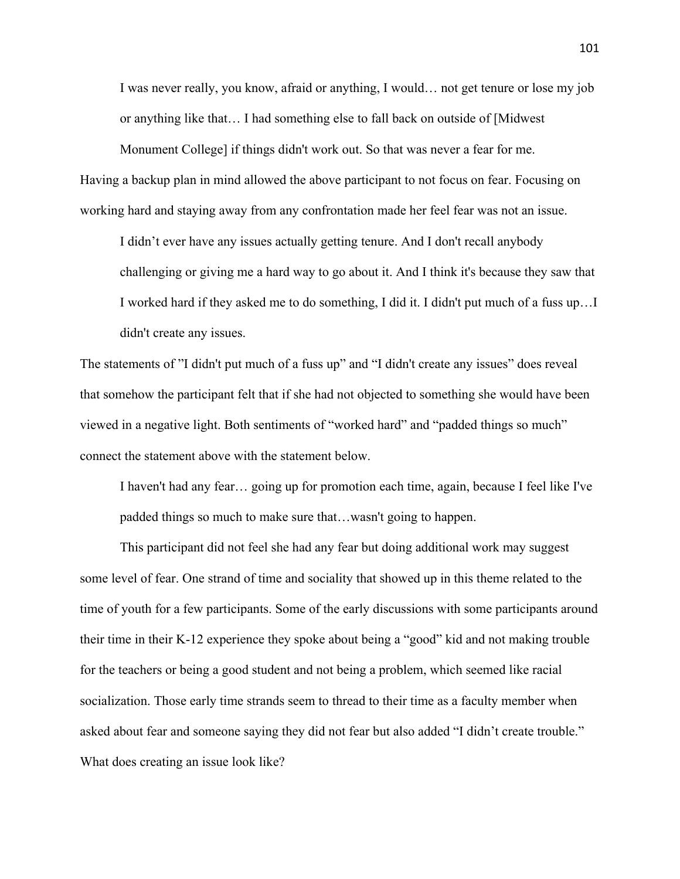I was never really, you know, afraid or anything, I would… not get tenure or lose my job or anything like that… I had something else to fall back on outside of [Midwest

Monument College] if things didn't work out. So that was never a fear for me. Having a backup plan in mind allowed the above participant to not focus on fear. Focusing on working hard and staying away from any confrontation made her feel fear was not an issue.

I didn't ever have any issues actually getting tenure. And I don't recall anybody challenging or giving me a hard way to go about it. And I think it's because they saw that I worked hard if they asked me to do something, I did it. I didn't put much of a fuss up…I didn't create any issues.

The statements of "I didn't put much of a fuss up" and "I didn't create any issues" does reveal that somehow the participant felt that if she had not objected to something she would have been viewed in a negative light. Both sentiments of "worked hard" and "padded things so much" connect the statement above with the statement below.

I haven't had any fear… going up for promotion each time, again, because I feel like I've padded things so much to make sure that…wasn't going to happen.

This participant did not feel she had any fear but doing additional work may suggest some level of fear. One strand of time and sociality that showed up in this theme related to the time of youth for a few participants. Some of the early discussions with some participants around their time in their K-12 experience they spoke about being a "good" kid and not making trouble for the teachers or being a good student and not being a problem, which seemed like racial socialization. Those early time strands seem to thread to their time as a faculty member when asked about fear and someone saying they did not fear but also added "I didn't create trouble." What does creating an issue look like?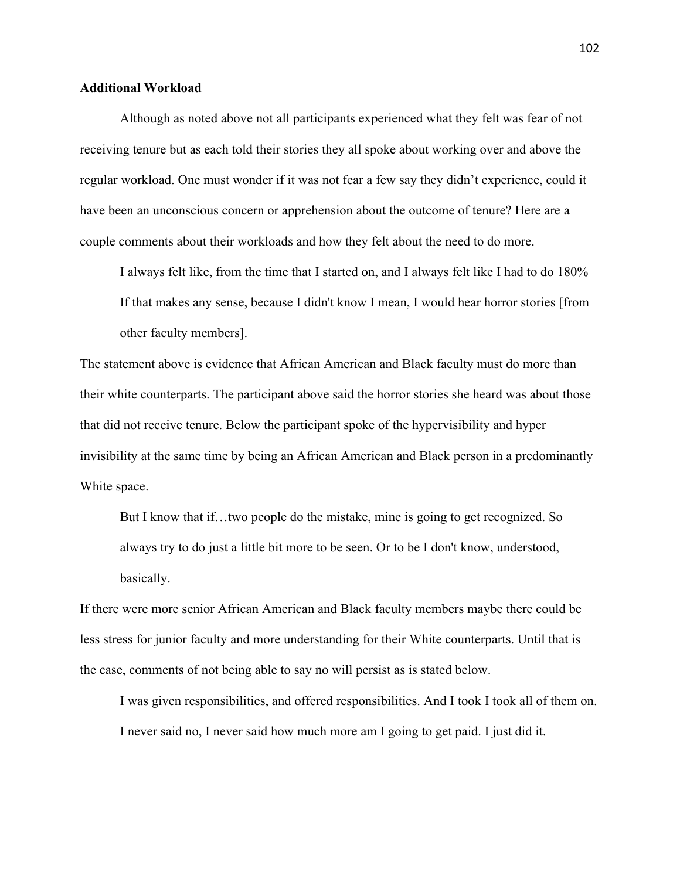# **Additional Workload**

Although as noted above not all participants experienced what they felt was fear of not receiving tenure but as each told their stories they all spoke about working over and above the regular workload. One must wonder if it was not fear a few say they didn't experience, could it have been an unconscious concern or apprehension about the outcome of tenure? Here are a couple comments about their workloads and how they felt about the need to do more.

I always felt like, from the time that I started on, and I always felt like I had to do 180% If that makes any sense, because I didn't know I mean, I would hear horror stories [from other faculty members].

The statement above is evidence that African American and Black faculty must do more than their white counterparts. The participant above said the horror stories she heard was about those that did not receive tenure. Below the participant spoke of the hypervisibility and hyper invisibility at the same time by being an African American and Black person in a predominantly White space.

But I know that if…two people do the mistake, mine is going to get recognized. So always try to do just a little bit more to be seen. Or to be I don't know, understood, basically.

If there were more senior African American and Black faculty members maybe there could be less stress for junior faculty and more understanding for their White counterparts. Until that is the case, comments of not being able to say no will persist as is stated below.

I was given responsibilities, and offered responsibilities. And I took I took all of them on. I never said no, I never said how much more am I going to get paid. I just did it.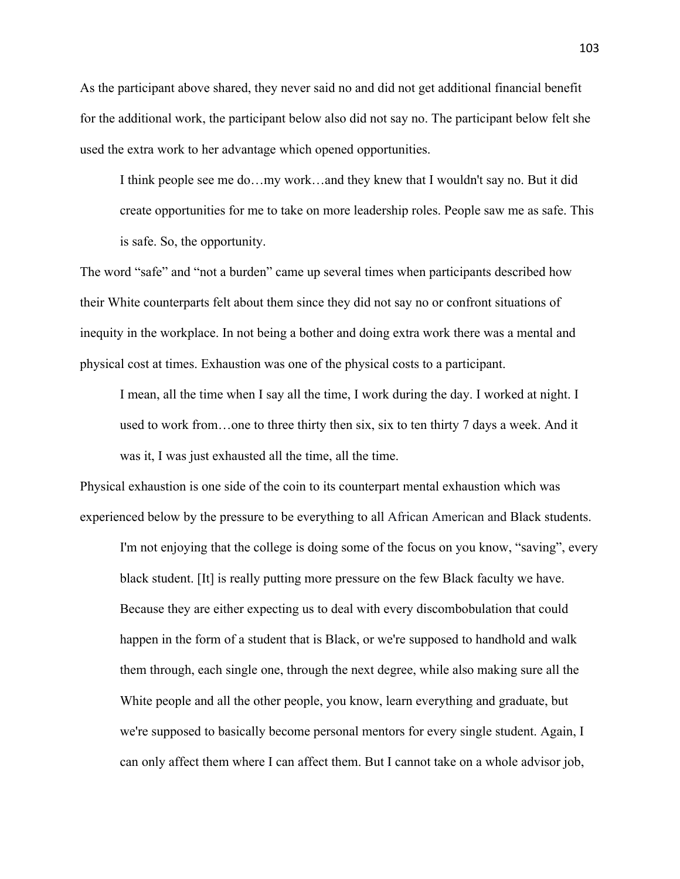As the participant above shared, they never said no and did not get additional financial benefit for the additional work, the participant below also did not say no. The participant below felt she used the extra work to her advantage which opened opportunities.

I think people see me do…my work…and they knew that I wouldn't say no. But it did create opportunities for me to take on more leadership roles. People saw me as safe. This is safe. So, the opportunity.

The word "safe" and "not a burden" came up several times when participants described how their White counterparts felt about them since they did not say no or confront situations of inequity in the workplace. In not being a bother and doing extra work there was a mental and physical cost at times. Exhaustion was one of the physical costs to a participant.

I mean, all the time when I say all the time, I work during the day. I worked at night. I used to work from…one to three thirty then six, six to ten thirty 7 days a week. And it was it, I was just exhausted all the time, all the time.

Physical exhaustion is one side of the coin to its counterpart mental exhaustion which was experienced below by the pressure to be everything to all African American and Black students.

I'm not enjoying that the college is doing some of the focus on you know, "saving", every black student. [It] is really putting more pressure on the few Black faculty we have. Because they are either expecting us to deal with every discombobulation that could happen in the form of a student that is Black, or we're supposed to handhold and walk them through, each single one, through the next degree, while also making sure all the White people and all the other people, you know, learn everything and graduate, but we're supposed to basically become personal mentors for every single student. Again, I can only affect them where I can affect them. But I cannot take on a whole advisor job,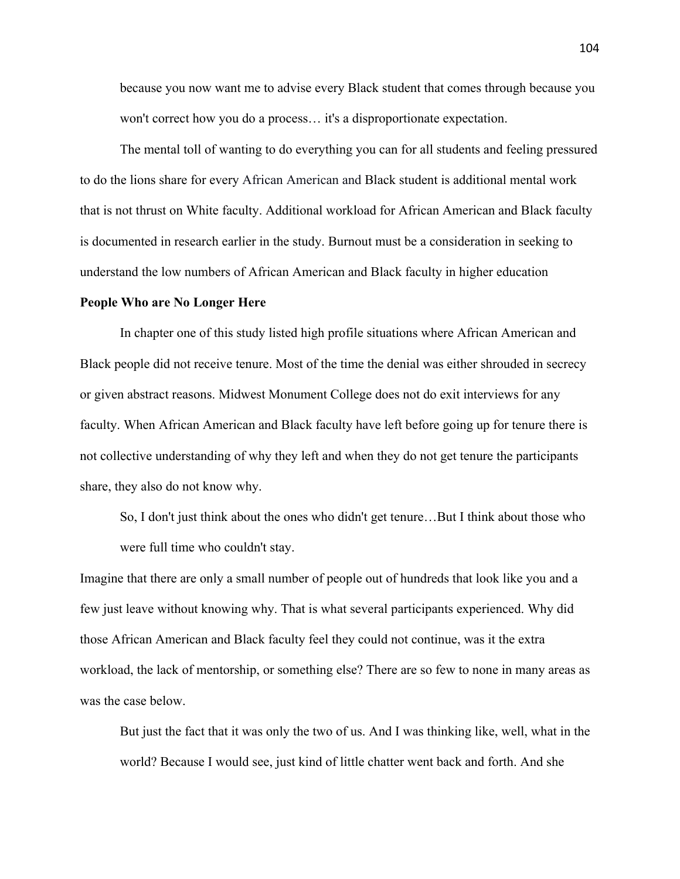because you now want me to advise every Black student that comes through because you won't correct how you do a process… it's a disproportionate expectation.

The mental toll of wanting to do everything you can for all students and feeling pressured to do the lions share for every African American and Black student is additional mental work that is not thrust on White faculty. Additional workload for African American and Black faculty is documented in research earlier in the study. Burnout must be a consideration in seeking to understand the low numbers of African American and Black faculty in higher education

# **People Who are No Longer Here**

In chapter one of this study listed high profile situations where African American and Black people did not receive tenure. Most of the time the denial was either shrouded in secrecy or given abstract reasons. Midwest Monument College does not do exit interviews for any faculty. When African American and Black faculty have left before going up for tenure there is not collective understanding of why they left and when they do not get tenure the participants share, they also do not know why.

So, I don't just think about the ones who didn't get tenure…But I think about those who were full time who couldn't stay.

Imagine that there are only a small number of people out of hundreds that look like you and a few just leave without knowing why. That is what several participants experienced. Why did those African American and Black faculty feel they could not continue, was it the extra workload, the lack of mentorship, or something else? There are so few to none in many areas as was the case below.

But just the fact that it was only the two of us. And I was thinking like, well, what in the world? Because I would see, just kind of little chatter went back and forth. And she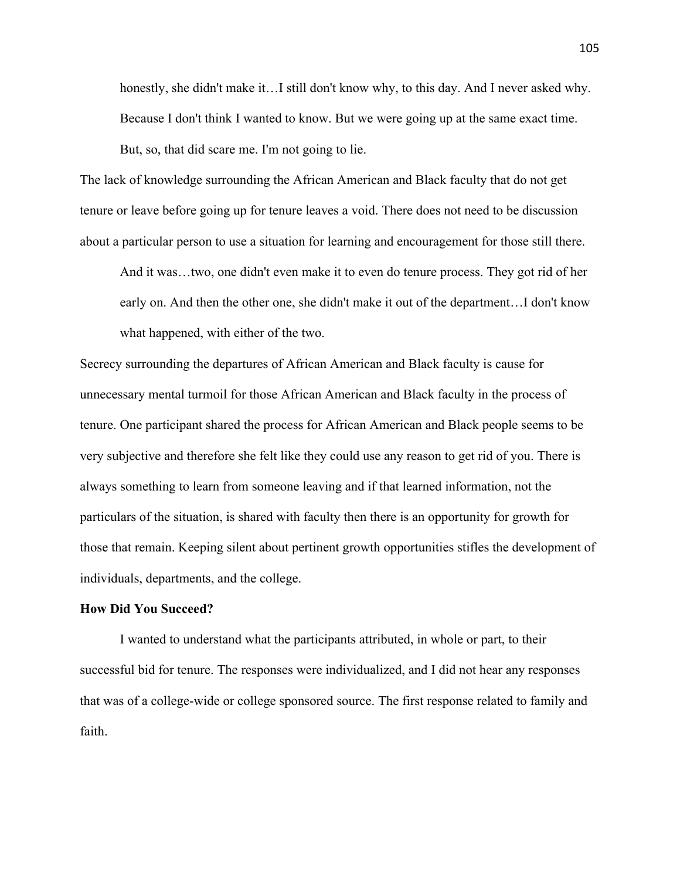honestly, she didn't make it…I still don't know why, to this day. And I never asked why. Because I don't think I wanted to know. But we were going up at the same exact time. But, so, that did scare me. I'm not going to lie.

The lack of knowledge surrounding the African American and Black faculty that do not get tenure or leave before going up for tenure leaves a void. There does not need to be discussion about a particular person to use a situation for learning and encouragement for those still there.

And it was…two, one didn't even make it to even do tenure process. They got rid of her early on. And then the other one, she didn't make it out of the department…I don't know what happened, with either of the two.

Secrecy surrounding the departures of African American and Black faculty is cause for unnecessary mental turmoil for those African American and Black faculty in the process of tenure. One participant shared the process for African American and Black people seems to be very subjective and therefore she felt like they could use any reason to get rid of you. There is always something to learn from someone leaving and if that learned information, not the particulars of the situation, is shared with faculty then there is an opportunity for growth for those that remain. Keeping silent about pertinent growth opportunities stifles the development of individuals, departments, and the college.

### **How Did You Succeed?**

I wanted to understand what the participants attributed, in whole or part, to their successful bid for tenure. The responses were individualized, and I did not hear any responses that was of a college-wide or college sponsored source. The first response related to family and faith.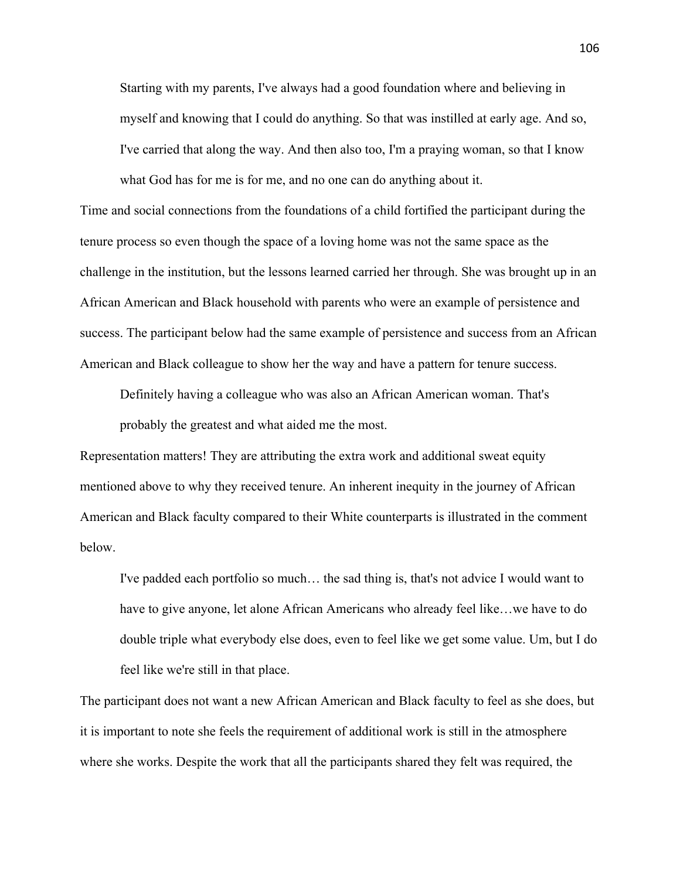Starting with my parents, I've always had a good foundation where and believing in myself and knowing that I could do anything. So that was instilled at early age. And so, I've carried that along the way. And then also too, I'm a praying woman, so that I know what God has for me is for me, and no one can do anything about it.

Time and social connections from the foundations of a child fortified the participant during the tenure process so even though the space of a loving home was not the same space as the challenge in the institution, but the lessons learned carried her through. She was brought up in an African American and Black household with parents who were an example of persistence and success. The participant below had the same example of persistence and success from an African American and Black colleague to show her the way and have a pattern for tenure success.

Definitely having a colleague who was also an African American woman. That's probably the greatest and what aided me the most.

Representation matters! They are attributing the extra work and additional sweat equity mentioned above to why they received tenure. An inherent inequity in the journey of African American and Black faculty compared to their White counterparts is illustrated in the comment below.

I've padded each portfolio so much… the sad thing is, that's not advice I would want to have to give anyone, let alone African Americans who already feel like…we have to do double triple what everybody else does, even to feel like we get some value. Um, but I do feel like we're still in that place.

The participant does not want a new African American and Black faculty to feel as she does, but it is important to note she feels the requirement of additional work is still in the atmosphere where she works. Despite the work that all the participants shared they felt was required, the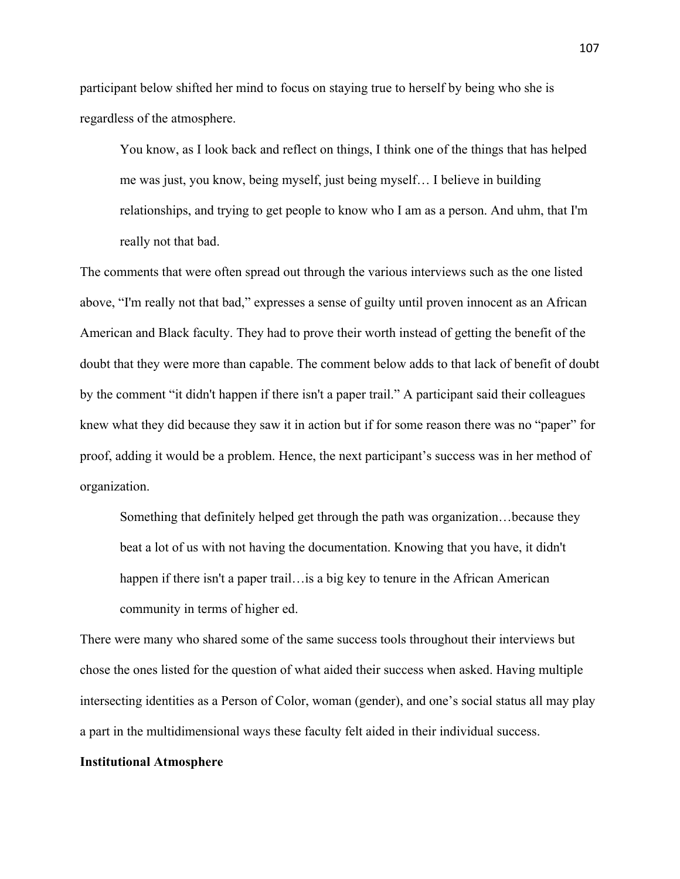participant below shifted her mind to focus on staying true to herself by being who she is regardless of the atmosphere.

You know, as I look back and reflect on things, I think one of the things that has helped me was just, you know, being myself, just being myself… I believe in building relationships, and trying to get people to know who I am as a person. And uhm, that I'm really not that bad.

The comments that were often spread out through the various interviews such as the one listed above, "I'm really not that bad," expresses a sense of guilty until proven innocent as an African American and Black faculty. They had to prove their worth instead of getting the benefit of the doubt that they were more than capable. The comment below adds to that lack of benefit of doubt by the comment "it didn't happen if there isn't a paper trail." A participant said their colleagues knew what they did because they saw it in action but if for some reason there was no "paper" for proof, adding it would be a problem. Hence, the next participant's success was in her method of organization.

Something that definitely helped get through the path was organization…because they beat a lot of us with not having the documentation. Knowing that you have, it didn't happen if there isn't a paper trail... is a big key to tenure in the African American community in terms of higher ed.

There were many who shared some of the same success tools throughout their interviews but chose the ones listed for the question of what aided their success when asked. Having multiple intersecting identities as a Person of Color, woman (gender), and one's social status all may play a part in the multidimensional ways these faculty felt aided in their individual success.

## **Institutional Atmosphere**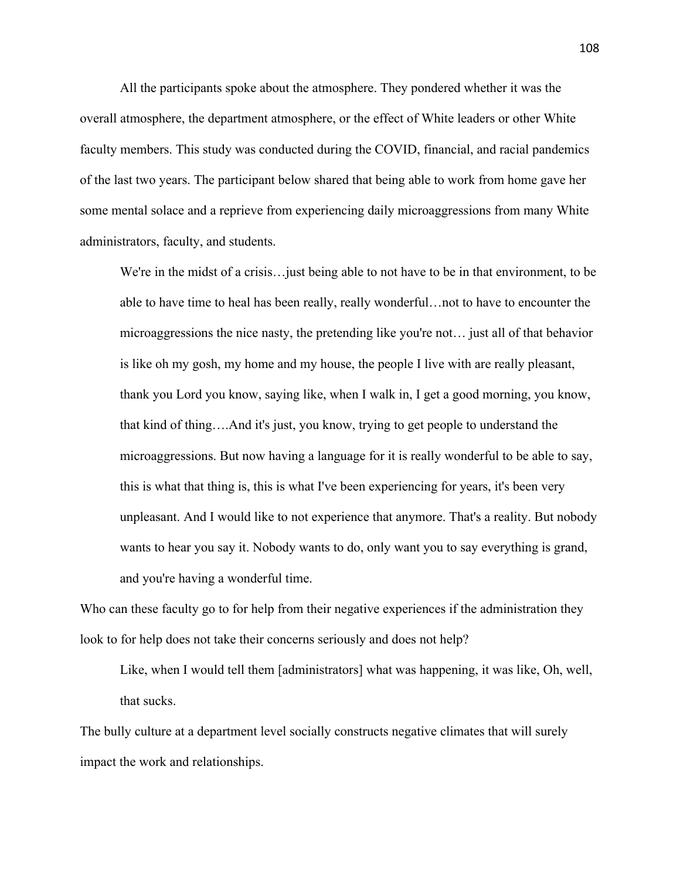All the participants spoke about the atmosphere. They pondered whether it was the overall atmosphere, the department atmosphere, or the effect of White leaders or other White faculty members. This study was conducted during the COVID, financial, and racial pandemics of the last two years. The participant below shared that being able to work from home gave her some mental solace and a reprieve from experiencing daily microaggressions from many White administrators, faculty, and students.

We're in the midst of a crisis…just being able to not have to be in that environment, to be able to have time to heal has been really, really wonderful…not to have to encounter the microaggressions the nice nasty, the pretending like you're not… just all of that behavior is like oh my gosh, my home and my house, the people I live with are really pleasant, thank you Lord you know, saying like, when I walk in, I get a good morning, you know, that kind of thing….And it's just, you know, trying to get people to understand the microaggressions. But now having a language for it is really wonderful to be able to say, this is what that thing is, this is what I've been experiencing for years, it's been very unpleasant. And I would like to not experience that anymore. That's a reality. But nobody wants to hear you say it. Nobody wants to do, only want you to say everything is grand, and you're having a wonderful time.

Who can these faculty go to for help from their negative experiences if the administration they look to for help does not take their concerns seriously and does not help?

Like, when I would tell them [administrators] what was happening, it was like, Oh, well, that sucks.

The bully culture at a department level socially constructs negative climates that will surely impact the work and relationships.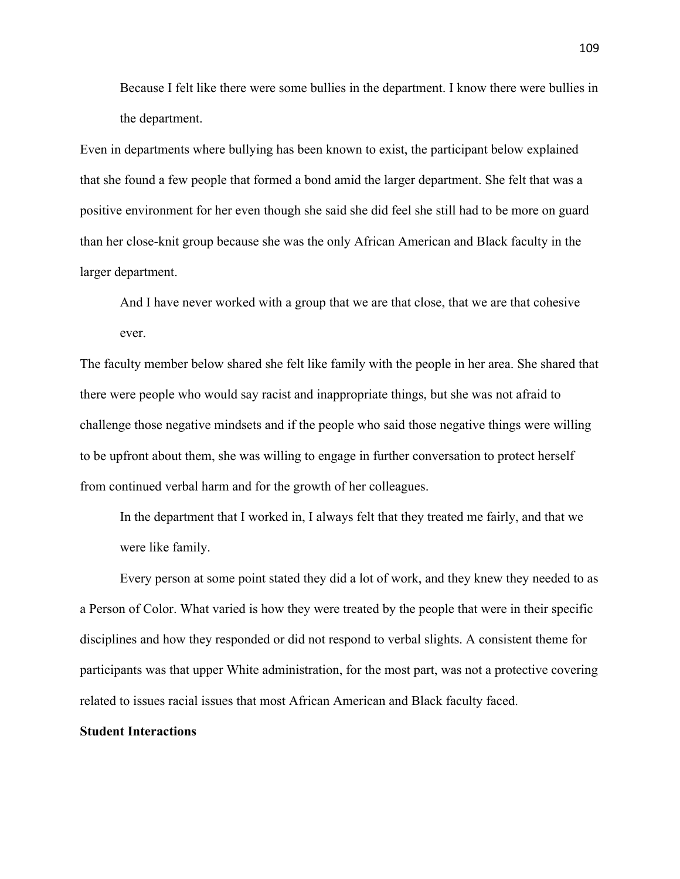Because I felt like there were some bullies in the department. I know there were bullies in the department.

Even in departments where bullying has been known to exist, the participant below explained that she found a few people that formed a bond amid the larger department. She felt that was a positive environment for her even though she said she did feel she still had to be more on guard than her close-knit group because she was the only African American and Black faculty in the larger department.

And I have never worked with a group that we are that close, that we are that cohesive ever.

The faculty member below shared she felt like family with the people in her area. She shared that there were people who would say racist and inappropriate things, but she was not afraid to challenge those negative mindsets and if the people who said those negative things were willing to be upfront about them, she was willing to engage in further conversation to protect herself from continued verbal harm and for the growth of her colleagues.

In the department that I worked in, I always felt that they treated me fairly, and that we were like family.

Every person at some point stated they did a lot of work, and they knew they needed to as a Person of Color. What varied is how they were treated by the people that were in their specific disciplines and how they responded or did not respond to verbal slights. A consistent theme for participants was that upper White administration, for the most part, was not a protective covering related to issues racial issues that most African American and Black faculty faced.

### **Student Interactions**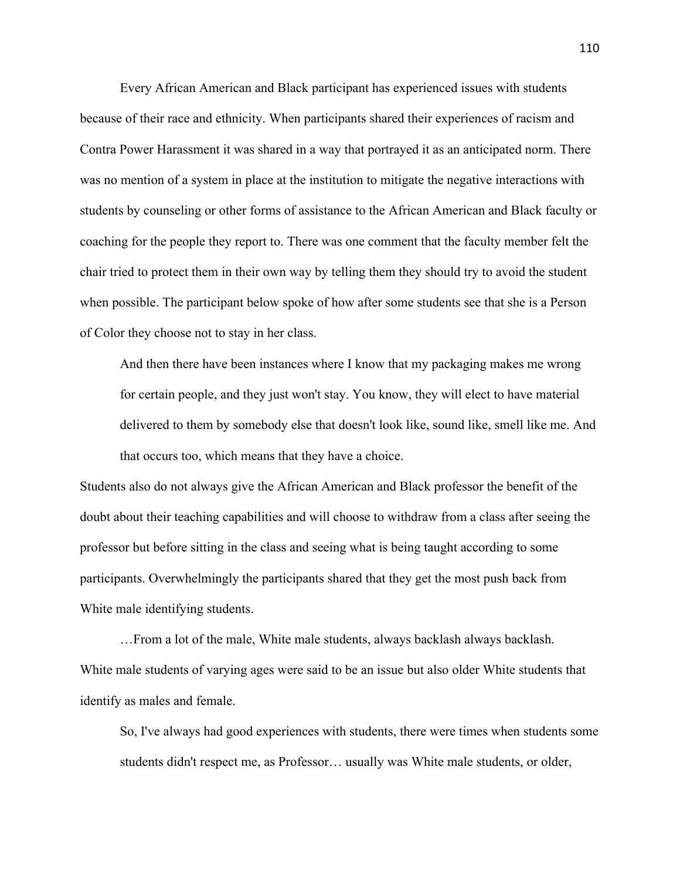Every African American and Black participant has experienced issues with students because of their race and ethnicity. When participants shared their experiences of racism and Contra Power Harassment it was shared in a way that portrayed it as an anticipated norm. There was no mention of a system in place at the institution to mitigate the negative interactions with students by counseling or other forms of assistance to the African American and Black faculty or coaching for the people they report to. There was one comment that the faculty member felt the chair tried to protect them in their own way by telling them they should try to avoid the student when possible. The participant below spoke of how after some students see that she is a Person of Color they choose not to stay in her class.

And then there have been instances where I know that my packaging makes me wrong for certain people, and they just won't stay. You know, they will elect to have material delivered to them by somebody else that doesn't look like, sound like, smell like me. And that occurs too, which means that they have a choice.

Students also do not always give the African American and Black professor the benefit of the doubt about their teaching capabilities and will choose to withdraw from a class after seeing the professor but before sitting in the class and seeing what is being taught according to some participants. Overwhelmingly the participants shared that they get the most push back from White male identifying students.

…From a lot of the male, White male students, always backlash always backlash. White male students of varying ages were said to be an issue but also older White students that identify as males and female.

So, I've always had good experiences with students, there were times when students some students didn't respect me, as Professor… usually was White male students, or older,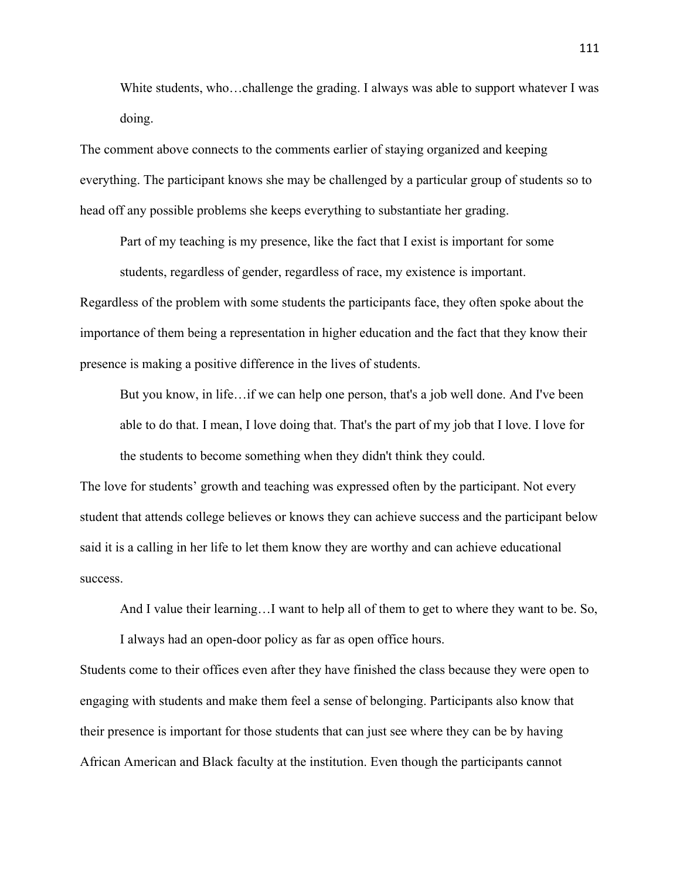White students, who…challenge the grading. I always was able to support whatever I was doing.

The comment above connects to the comments earlier of staying organized and keeping everything. The participant knows she may be challenged by a particular group of students so to head off any possible problems she keeps everything to substantiate her grading.

Part of my teaching is my presence, like the fact that I exist is important for some students, regardless of gender, regardless of race, my existence is important.

Regardless of the problem with some students the participants face, they often spoke about the importance of them being a representation in higher education and the fact that they know their presence is making a positive difference in the lives of students.

But you know, in life…if we can help one person, that's a job well done. And I've been able to do that. I mean, I love doing that. That's the part of my job that I love. I love for the students to become something when they didn't think they could.

The love for students' growth and teaching was expressed often by the participant. Not every student that attends college believes or knows they can achieve success and the participant below said it is a calling in her life to let them know they are worthy and can achieve educational success.

And I value their learning…I want to help all of them to get to where they want to be. So,

I always had an open-door policy as far as open office hours.

Students come to their offices even after they have finished the class because they were open to engaging with students and make them feel a sense of belonging. Participants also know that their presence is important for those students that can just see where they can be by having African American and Black faculty at the institution. Even though the participants cannot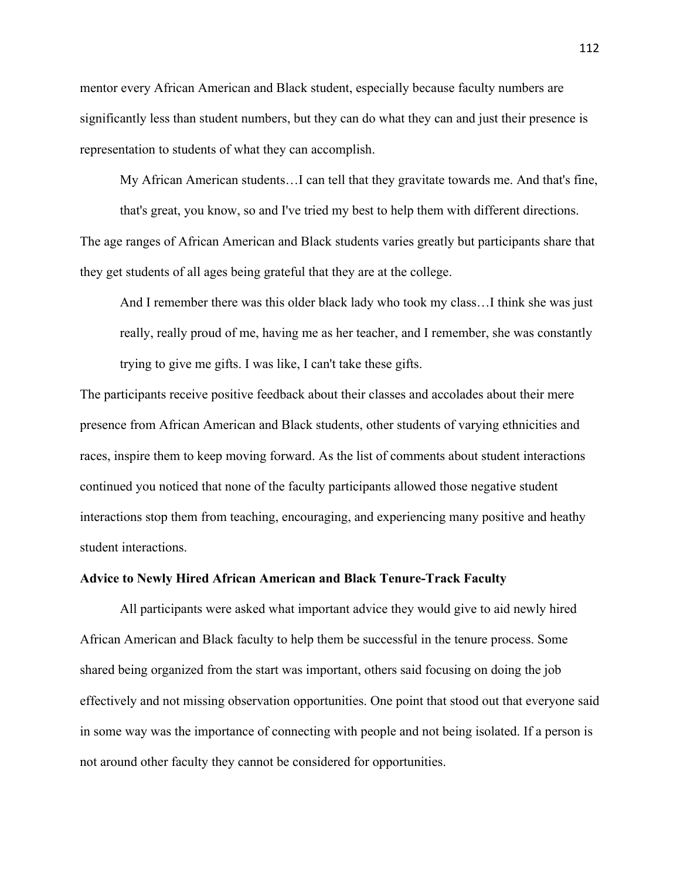mentor every African American and Black student, especially because faculty numbers are significantly less than student numbers, but they can do what they can and just their presence is representation to students of what they can accomplish.

My African American students…I can tell that they gravitate towards me. And that's fine,

that's great, you know, so and I've tried my best to help them with different directions. The age ranges of African American and Black students varies greatly but participants share that they get students of all ages being grateful that they are at the college.

And I remember there was this older black lady who took my class…I think she was just really, really proud of me, having me as her teacher, and I remember, she was constantly trying to give me gifts. I was like, I can't take these gifts.

The participants receive positive feedback about their classes and accolades about their mere presence from African American and Black students, other students of varying ethnicities and races, inspire them to keep moving forward. As the list of comments about student interactions continued you noticed that none of the faculty participants allowed those negative student interactions stop them from teaching, encouraging, and experiencing many positive and heathy student interactions.

# **Advice to Newly Hired African American and Black Tenure-Track Faculty**

All participants were asked what important advice they would give to aid newly hired African American and Black faculty to help them be successful in the tenure process. Some shared being organized from the start was important, others said focusing on doing the job effectively and not missing observation opportunities. One point that stood out that everyone said in some way was the importance of connecting with people and not being isolated. If a person is not around other faculty they cannot be considered for opportunities.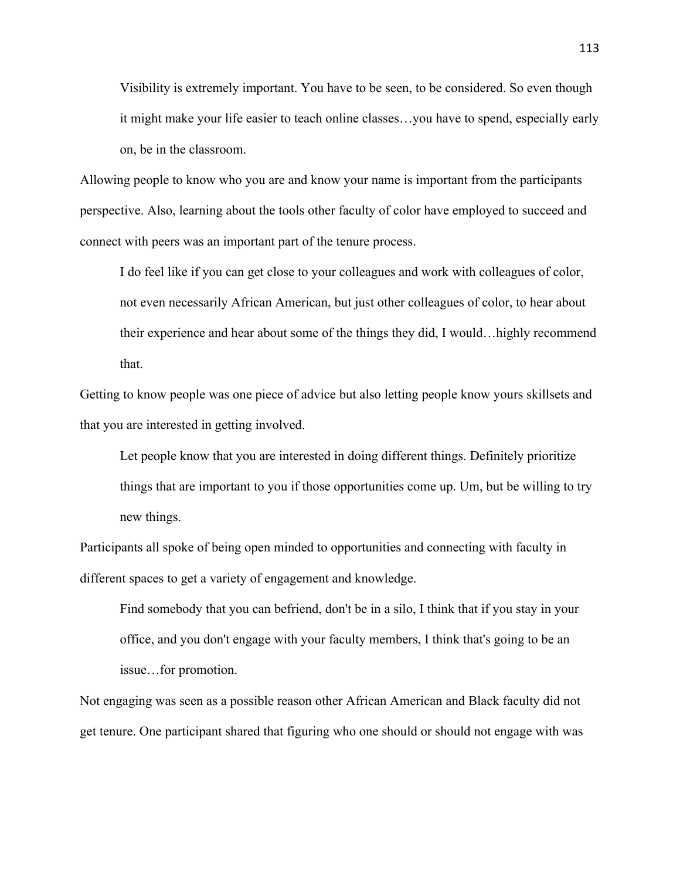Visibility is extremely important. You have to be seen, to be considered. So even though it might make your life easier to teach online classes…you have to spend, especially early on, be in the classroom.

Allowing people to know who you are and know your name is important from the participants perspective. Also, learning about the tools other faculty of color have employed to succeed and connect with peers was an important part of the tenure process.

I do feel like if you can get close to your colleagues and work with colleagues of color, not even necessarily African American, but just other colleagues of color, to hear about their experience and hear about some of the things they did, I would…highly recommend that.

Getting to know people was one piece of advice but also letting people know yours skillsets and that you are interested in getting involved.

Let people know that you are interested in doing different things. Definitely prioritize things that are important to you if those opportunities come up. Um, but be willing to try new things.

Participants all spoke of being open minded to opportunities and connecting with faculty in different spaces to get a variety of engagement and knowledge.

Find somebody that you can befriend, don't be in a silo, I think that if you stay in your office, and you don't engage with your faculty members, I think that's going to be an issue…for promotion.

Not engaging was seen as a possible reason other African American and Black faculty did not get tenure. One participant shared that figuring who one should or should not engage with was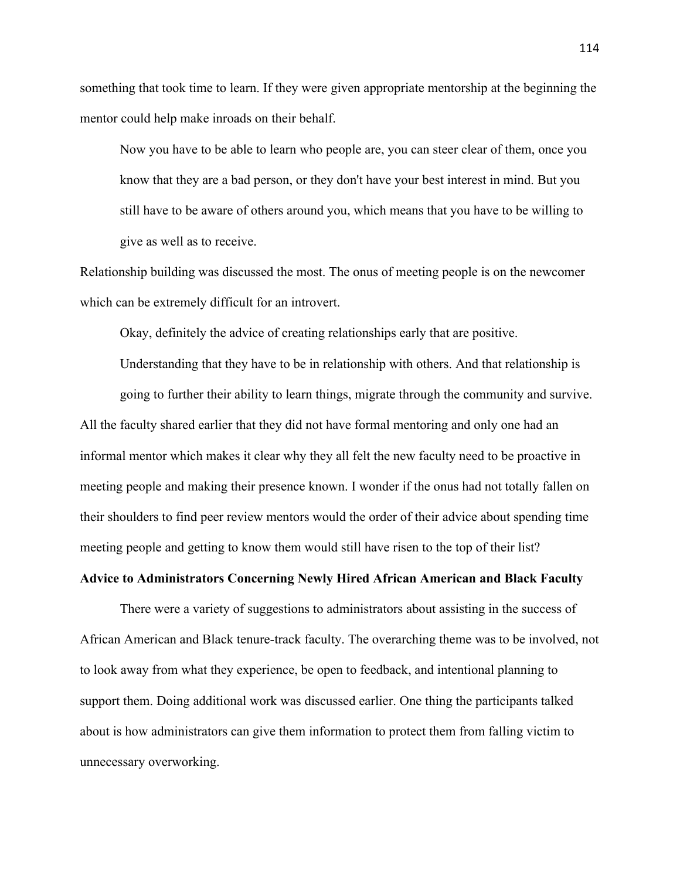something that took time to learn. If they were given appropriate mentorship at the beginning the mentor could help make inroads on their behalf.

Now you have to be able to learn who people are, you can steer clear of them, once you know that they are a bad person, or they don't have your best interest in mind. But you still have to be aware of others around you, which means that you have to be willing to give as well as to receive.

Relationship building was discussed the most. The onus of meeting people is on the newcomer which can be extremely difficult for an introvert.

Okay, definitely the advice of creating relationships early that are positive.

Understanding that they have to be in relationship with others. And that relationship is going to further their ability to learn things, migrate through the community and survive. All the faculty shared earlier that they did not have formal mentoring and only one had an informal mentor which makes it clear why they all felt the new faculty need to be proactive in meeting people and making their presence known. I wonder if the onus had not totally fallen on their shoulders to find peer review mentors would the order of their advice about spending time meeting people and getting to know them would still have risen to the top of their list?

# **Advice to Administrators Concerning Newly Hired African American and Black Faculty**

There were a variety of suggestions to administrators about assisting in the success of African American and Black tenure-track faculty. The overarching theme was to be involved, not to look away from what they experience, be open to feedback, and intentional planning to support them. Doing additional work was discussed earlier. One thing the participants talked about is how administrators can give them information to protect them from falling victim to unnecessary overworking.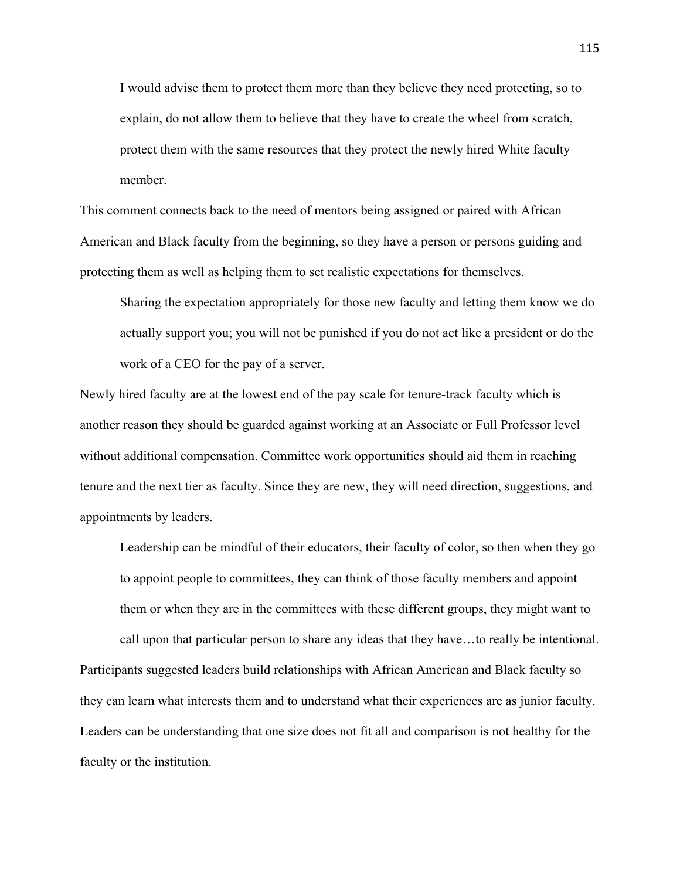I would advise them to protect them more than they believe they need protecting, so to explain, do not allow them to believe that they have to create the wheel from scratch, protect them with the same resources that they protect the newly hired White faculty member.

This comment connects back to the need of mentors being assigned or paired with African American and Black faculty from the beginning, so they have a person or persons guiding and protecting them as well as helping them to set realistic expectations for themselves.

Sharing the expectation appropriately for those new faculty and letting them know we do actually support you; you will not be punished if you do not act like a president or do the work of a CEO for the pay of a server.

Newly hired faculty are at the lowest end of the pay scale for tenure-track faculty which is another reason they should be guarded against working at an Associate or Full Professor level without additional compensation. Committee work opportunities should aid them in reaching tenure and the next tier as faculty. Since they are new, they will need direction, suggestions, and appointments by leaders.

Leadership can be mindful of their educators, their faculty of color, so then when they go to appoint people to committees, they can think of those faculty members and appoint them or when they are in the committees with these different groups, they might want to

call upon that particular person to share any ideas that they have…to really be intentional. Participants suggested leaders build relationships with African American and Black faculty so they can learn what interests them and to understand what their experiences are as junior faculty. Leaders can be understanding that one size does not fit all and comparison is not healthy for the faculty or the institution.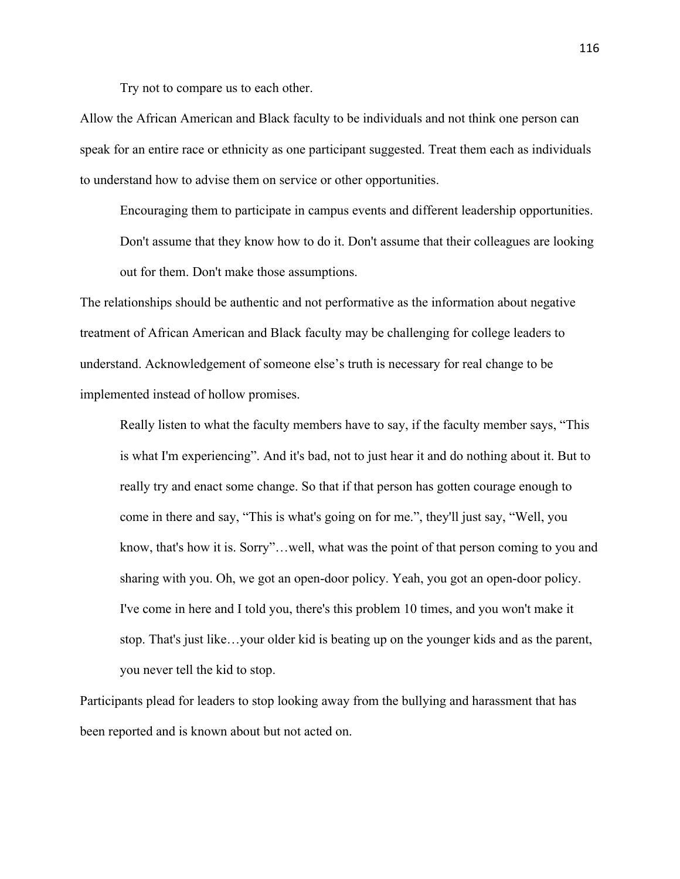Try not to compare us to each other.

Allow the African American and Black faculty to be individuals and not think one person can speak for an entire race or ethnicity as one participant suggested. Treat them each as individuals to understand how to advise them on service or other opportunities.

Encouraging them to participate in campus events and different leadership opportunities. Don't assume that they know how to do it. Don't assume that their colleagues are looking out for them. Don't make those assumptions.

The relationships should be authentic and not performative as the information about negative treatment of African American and Black faculty may be challenging for college leaders to understand. Acknowledgement of someone else's truth is necessary for real change to be implemented instead of hollow promises.

Really listen to what the faculty members have to say, if the faculty member says, "This is what I'm experiencing". And it's bad, not to just hear it and do nothing about it. But to really try and enact some change. So that if that person has gotten courage enough to come in there and say, "This is what's going on for me.", they'll just say, "Well, you know, that's how it is. Sorry"…well, what was the point of that person coming to you and sharing with you. Oh, we got an open-door policy. Yeah, you got an open-door policy. I've come in here and I told you, there's this problem 10 times, and you won't make it stop. That's just like…your older kid is beating up on the younger kids and as the parent, you never tell the kid to stop.

Participants plead for leaders to stop looking away from the bullying and harassment that has been reported and is known about but not acted on.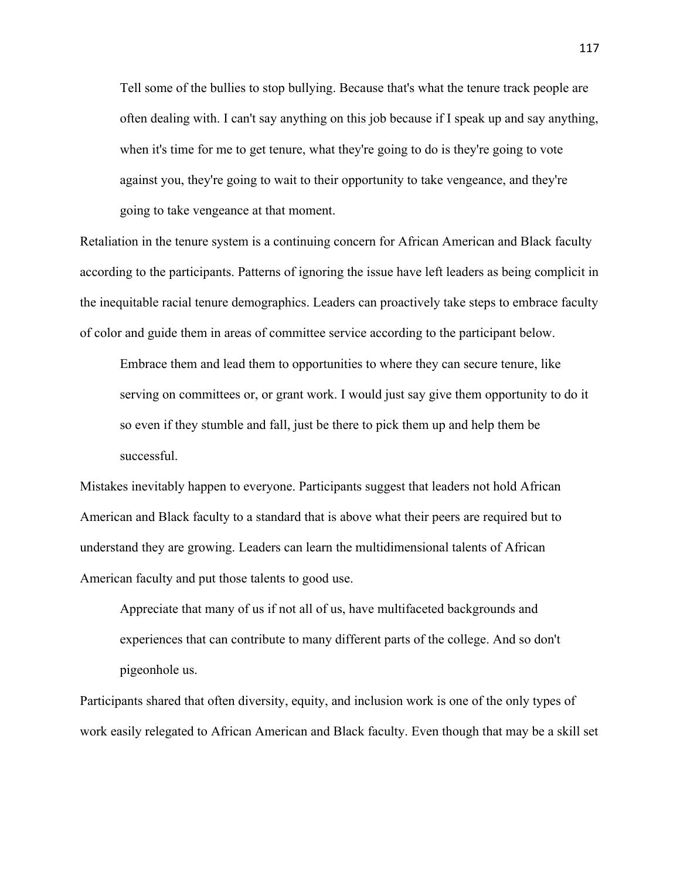Tell some of the bullies to stop bullying. Because that's what the tenure track people are often dealing with. I can't say anything on this job because if I speak up and say anything, when it's time for me to get tenure, what they're going to do is they're going to vote against you, they're going to wait to their opportunity to take vengeance, and they're going to take vengeance at that moment.

Retaliation in the tenure system is a continuing concern for African American and Black faculty according to the participants. Patterns of ignoring the issue have left leaders as being complicit in the inequitable racial tenure demographics. Leaders can proactively take steps to embrace faculty of color and guide them in areas of committee service according to the participant below.

Embrace them and lead them to opportunities to where they can secure tenure, like serving on committees or, or grant work. I would just say give them opportunity to do it so even if they stumble and fall, just be there to pick them up and help them be successful.

Mistakes inevitably happen to everyone. Participants suggest that leaders not hold African American and Black faculty to a standard that is above what their peers are required but to understand they are growing. Leaders can learn the multidimensional talents of African American faculty and put those talents to good use.

Appreciate that many of us if not all of us, have multifaceted backgrounds and experiences that can contribute to many different parts of the college. And so don't pigeonhole us.

Participants shared that often diversity, equity, and inclusion work is one of the only types of work easily relegated to African American and Black faculty. Even though that may be a skill set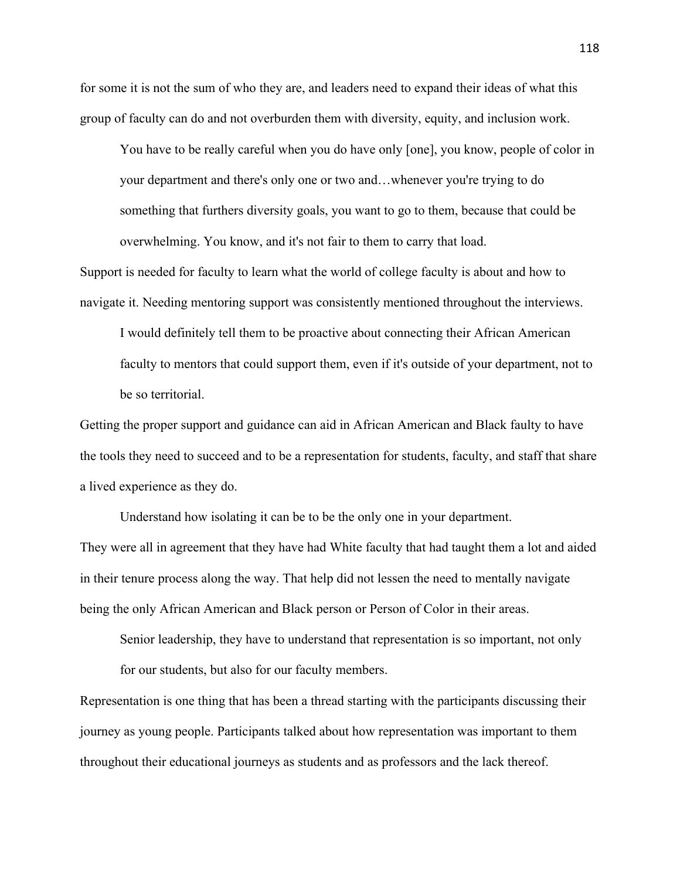for some it is not the sum of who they are, and leaders need to expand their ideas of what this group of faculty can do and not overburden them with diversity, equity, and inclusion work.

You have to be really careful when you do have only [one], you know, people of color in your department and there's only one or two and…whenever you're trying to do something that furthers diversity goals, you want to go to them, because that could be overwhelming. You know, and it's not fair to them to carry that load.

Support is needed for faculty to learn what the world of college faculty is about and how to navigate it. Needing mentoring support was consistently mentioned throughout the interviews.

I would definitely tell them to be proactive about connecting their African American faculty to mentors that could support them, even if it's outside of your department, not to be so territorial.

Getting the proper support and guidance can aid in African American and Black faulty to have the tools they need to succeed and to be a representation for students, faculty, and staff that share a lived experience as they do.

Understand how isolating it can be to be the only one in your department. They were all in agreement that they have had White faculty that had taught them a lot and aided in their tenure process along the way. That help did not lessen the need to mentally navigate being the only African American and Black person or Person of Color in their areas.

Senior leadership, they have to understand that representation is so important, not only for our students, but also for our faculty members.

Representation is one thing that has been a thread starting with the participants discussing their journey as young people. Participants talked about how representation was important to them throughout their educational journeys as students and as professors and the lack thereof.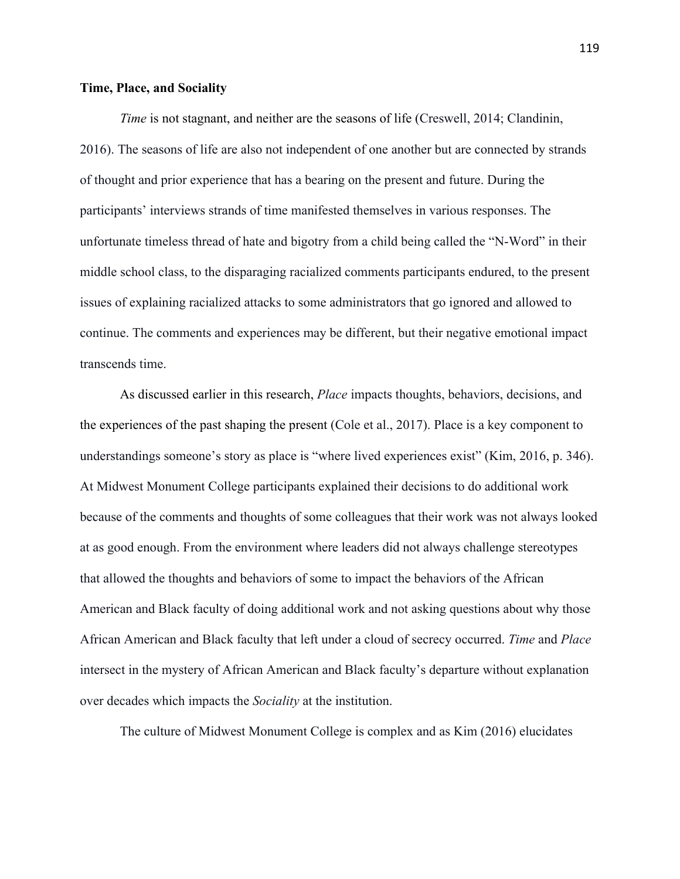#### **Time, Place, and Sociality**

*Time* is not stagnant, and neither are the seasons of life (Creswell, 2014; Clandinin, 2016). The seasons of life are also not independent of one another but are connected by strands of thought and prior experience that has a bearing on the present and future. During the participants' interviews strands of time manifested themselves in various responses. The unfortunate timeless thread of hate and bigotry from a child being called the "N-Word" in their middle school class, to the disparaging racialized comments participants endured, to the present issues of explaining racialized attacks to some administrators that go ignored and allowed to continue. The comments and experiences may be different, but their negative emotional impact transcends time.

As discussed earlier in this research, *Place* impacts thoughts, behaviors, decisions, and the experiences of the past shaping the present (Cole et al., 2017). Place is a key component to understandings someone's story as place is "where lived experiences exist" (Kim, 2016, p. 346). At Midwest Monument College participants explained their decisions to do additional work because of the comments and thoughts of some colleagues that their work was not always looked at as good enough. From the environment where leaders did not always challenge stereotypes that allowed the thoughts and behaviors of some to impact the behaviors of the African American and Black faculty of doing additional work and not asking questions about why those African American and Black faculty that left under a cloud of secrecy occurred. *Time* and *Place* intersect in the mystery of African American and Black faculty's departure without explanation over decades which impacts the *Sociality* at the institution.

The culture of Midwest Monument College is complex and as Kim (2016) elucidates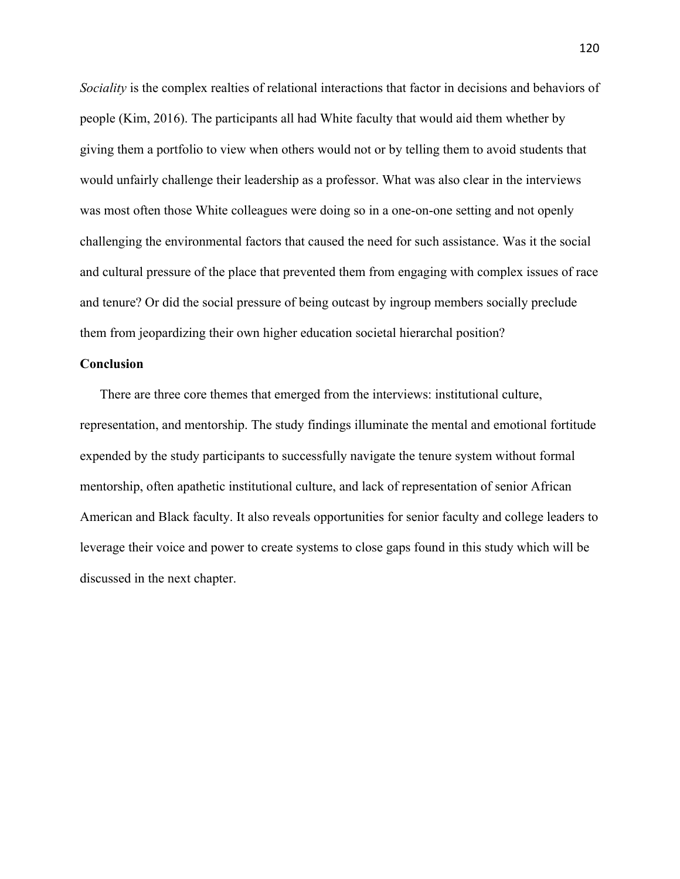*Sociality* is the complex realties of relational interactions that factor in decisions and behaviors of people (Kim, 2016). The participants all had White faculty that would aid them whether by giving them a portfolio to view when others would not or by telling them to avoid students that would unfairly challenge their leadership as a professor. What was also clear in the interviews was most often those White colleagues were doing so in a one-on-one setting and not openly challenging the environmental factors that caused the need for such assistance. Was it the social and cultural pressure of the place that prevented them from engaging with complex issues of race and tenure? Or did the social pressure of being outcast by ingroup members socially preclude them from jeopardizing their own higher education societal hierarchal position?

# **Conclusion**

There are three core themes that emerged from the interviews: institutional culture, representation, and mentorship. The study findings illuminate the mental and emotional fortitude expended by the study participants to successfully navigate the tenure system without formal mentorship, often apathetic institutional culture, and lack of representation of senior African American and Black faculty. It also reveals opportunities for senior faculty and college leaders to leverage their voice and power to create systems to close gaps found in this study which will be discussed in the next chapter.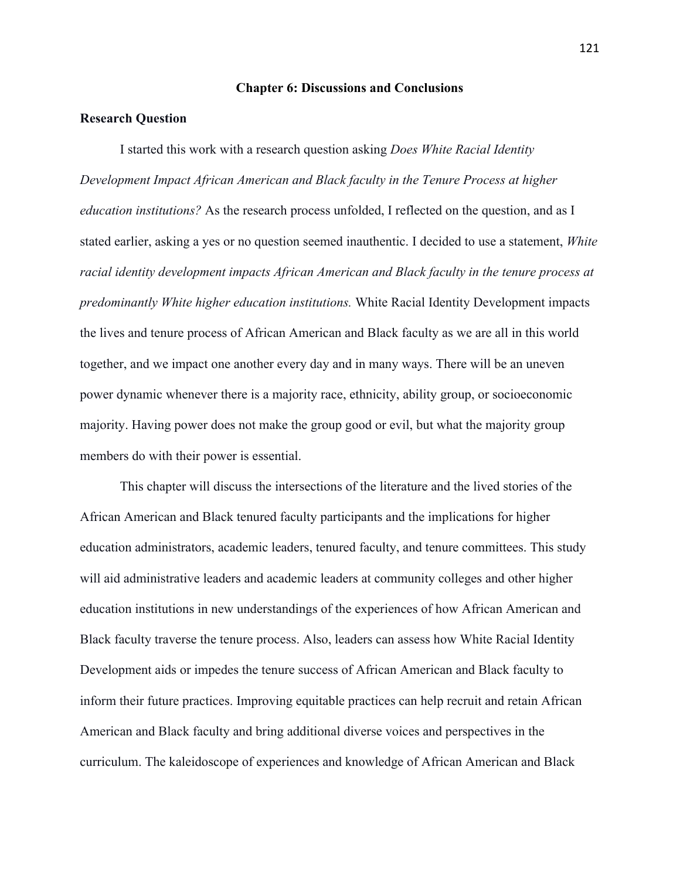#### **Chapter 6: Discussions and Conclusions**

# **Research Question**

I started this work with a research question asking *Does White Racial Identity Development Impact African American and Black faculty in the Tenure Process at higher education institutions?* As the research process unfolded, I reflected on the question, and as I stated earlier, asking a yes or no question seemed inauthentic. I decided to use a statement, *White racial identity development impacts African American and Black faculty in the tenure process at predominantly White higher education institutions.* White Racial Identity Development impacts the lives and tenure process of African American and Black faculty as we are all in this world together, and we impact one another every day and in many ways. There will be an uneven power dynamic whenever there is a majority race, ethnicity, ability group, or socioeconomic majority. Having power does not make the group good or evil, but what the majority group members do with their power is essential.

This chapter will discuss the intersections of the literature and the lived stories of the African American and Black tenured faculty participants and the implications for higher education administrators, academic leaders, tenured faculty, and tenure committees. This study will aid administrative leaders and academic leaders at community colleges and other higher education institutions in new understandings of the experiences of how African American and Black faculty traverse the tenure process. Also, leaders can assess how White Racial Identity Development aids or impedes the tenure success of African American and Black faculty to inform their future practices. Improving equitable practices can help recruit and retain African American and Black faculty and bring additional diverse voices and perspectives in the curriculum. The kaleidoscope of experiences and knowledge of African American and Black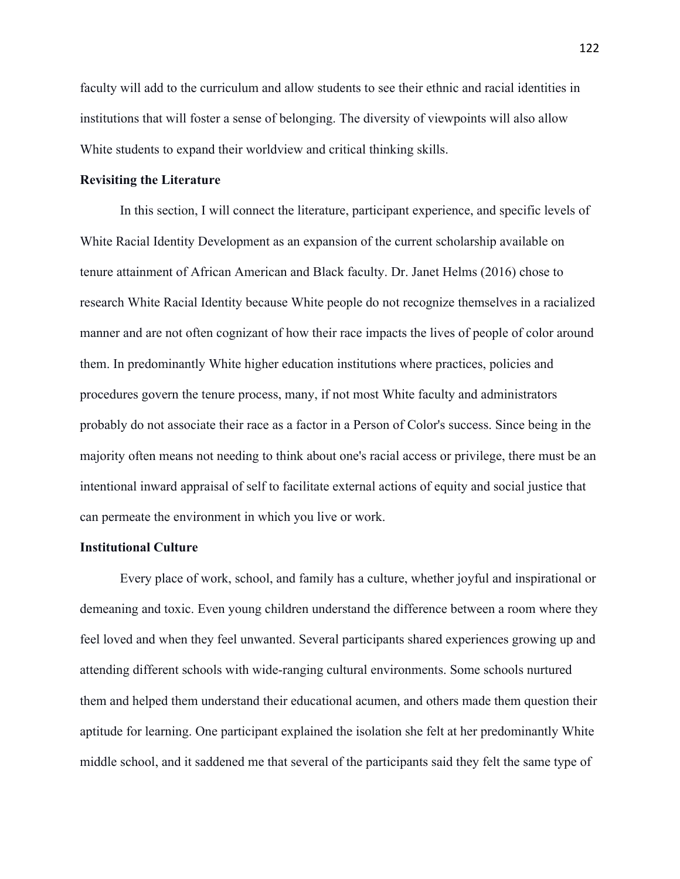faculty will add to the curriculum and allow students to see their ethnic and racial identities in institutions that will foster a sense of belonging. The diversity of viewpoints will also allow White students to expand their worldview and critical thinking skills.

# **Revisiting the Literature**

In this section, I will connect the literature, participant experience, and specific levels of White Racial Identity Development as an expansion of the current scholarship available on tenure attainment of African American and Black faculty. Dr. Janet Helms (2016) chose to research White Racial Identity because White people do not recognize themselves in a racialized manner and are not often cognizant of how their race impacts the lives of people of color around them. In predominantly White higher education institutions where practices, policies and procedures govern the tenure process, many, if not most White faculty and administrators probably do not associate their race as a factor in a Person of Color's success. Since being in the majority often means not needing to think about one's racial access or privilege, there must be an intentional inward appraisal of self to facilitate external actions of equity and social justice that can permeate the environment in which you live or work.

# **Institutional Culture**

Every place of work, school, and family has a culture, whether joyful and inspirational or demeaning and toxic. Even young children understand the difference between a room where they feel loved and when they feel unwanted. Several participants shared experiences growing up and attending different schools with wide-ranging cultural environments. Some schools nurtured them and helped them understand their educational acumen, and others made them question their aptitude for learning. One participant explained the isolation she felt at her predominantly White middle school, and it saddened me that several of the participants said they felt the same type of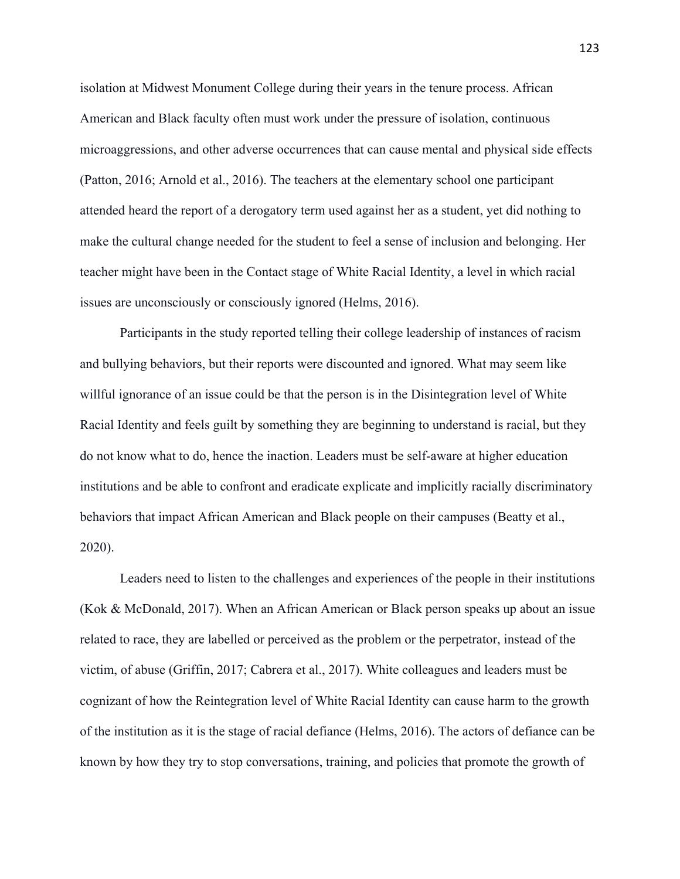isolation at Midwest Monument College during their years in the tenure process. African American and Black faculty often must work under the pressure of isolation, continuous microaggressions, and other adverse occurrences that can cause mental and physical side effects (Patton, 2016; Arnold et al., 2016). The teachers at the elementary school one participant attended heard the report of a derogatory term used against her as a student, yet did nothing to make the cultural change needed for the student to feel a sense of inclusion and belonging. Her teacher might have been in the Contact stage of White Racial Identity, a level in which racial issues are unconsciously or consciously ignored (Helms, 2016).

Participants in the study reported telling their college leadership of instances of racism and bullying behaviors, but their reports were discounted and ignored. What may seem like willful ignorance of an issue could be that the person is in the Disintegration level of White Racial Identity and feels guilt by something they are beginning to understand is racial, but they do not know what to do, hence the inaction. Leaders must be self-aware at higher education institutions and be able to confront and eradicate explicate and implicitly racially discriminatory behaviors that impact African American and Black people on their campuses (Beatty et al., 2020).

Leaders need to listen to the challenges and experiences of the people in their institutions (Kok & McDonald, 2017). When an African American or Black person speaks up about an issue related to race, they are labelled or perceived as the problem or the perpetrator, instead of the victim, of abuse (Griffin, 2017; Cabrera et al., 2017). White colleagues and leaders must be cognizant of how the Reintegration level of White Racial Identity can cause harm to the growth of the institution as it is the stage of racial defiance (Helms, 2016). The actors of defiance can be known by how they try to stop conversations, training, and policies that promote the growth of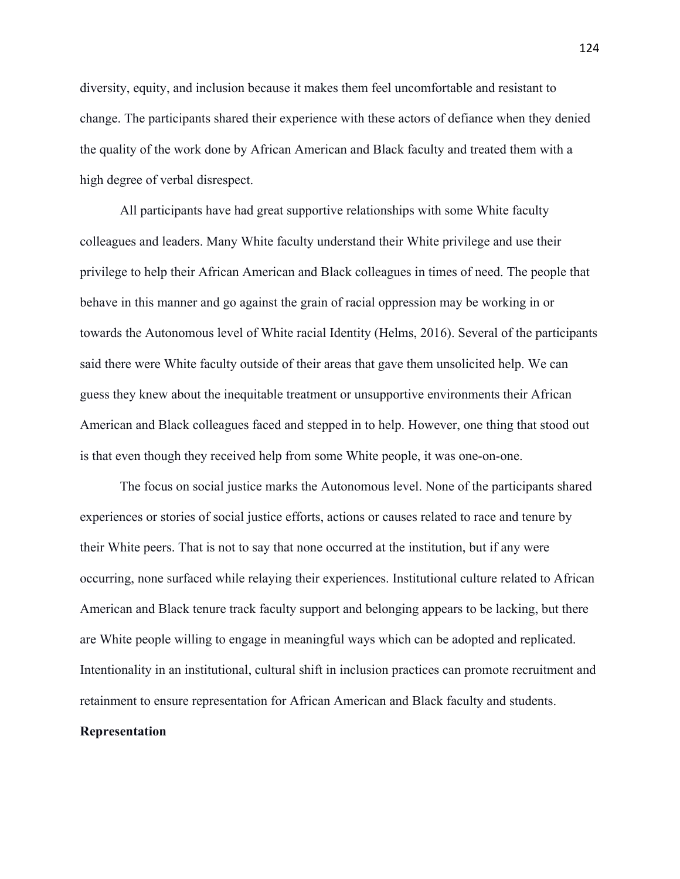diversity, equity, and inclusion because it makes them feel uncomfortable and resistant to change. The participants shared their experience with these actors of defiance when they denied the quality of the work done by African American and Black faculty and treated them with a high degree of verbal disrespect.

All participants have had great supportive relationships with some White faculty colleagues and leaders. Many White faculty understand their White privilege and use their privilege to help their African American and Black colleagues in times of need. The people that behave in this manner and go against the grain of racial oppression may be working in or towards the Autonomous level of White racial Identity (Helms, 2016). Several of the participants said there were White faculty outside of their areas that gave them unsolicited help. We can guess they knew about the inequitable treatment or unsupportive environments their African American and Black colleagues faced and stepped in to help. However, one thing that stood out is that even though they received help from some White people, it was one-on-one.

The focus on social justice marks the Autonomous level. None of the participants shared experiences or stories of social justice efforts, actions or causes related to race and tenure by their White peers. That is not to say that none occurred at the institution, but if any were occurring, none surfaced while relaying their experiences. Institutional culture related to African American and Black tenure track faculty support and belonging appears to be lacking, but there are White people willing to engage in meaningful ways which can be adopted and replicated. Intentionality in an institutional, cultural shift in inclusion practices can promote recruitment and retainment to ensure representation for African American and Black faculty and students.

# **Representation**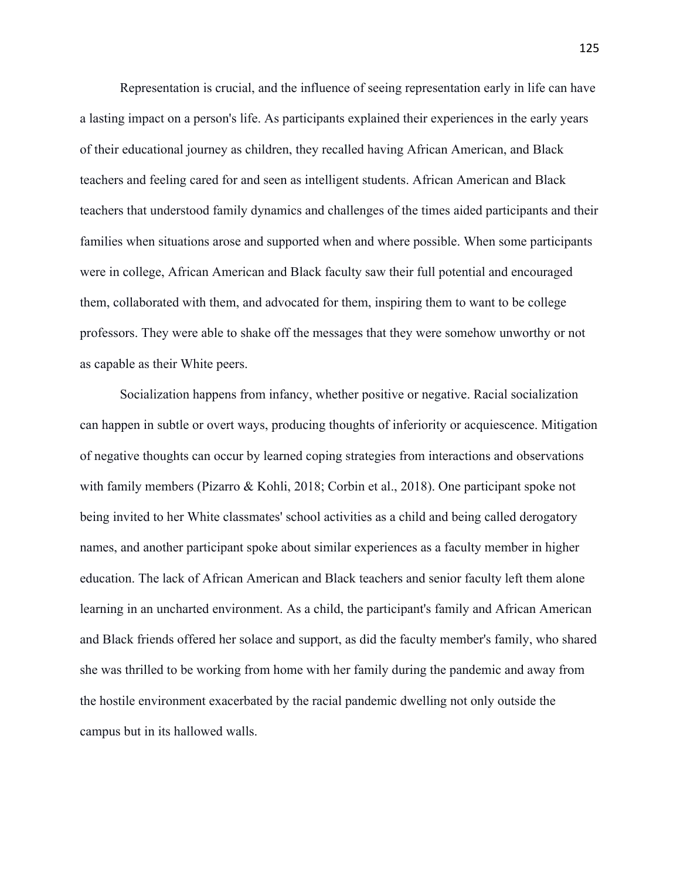Representation is crucial, and the influence of seeing representation early in life can have a lasting impact on a person's life. As participants explained their experiences in the early years of their educational journey as children, they recalled having African American, and Black teachers and feeling cared for and seen as intelligent students. African American and Black teachers that understood family dynamics and challenges of the times aided participants and their families when situations arose and supported when and where possible. When some participants were in college, African American and Black faculty saw their full potential and encouraged them, collaborated with them, and advocated for them, inspiring them to want to be college professors. They were able to shake off the messages that they were somehow unworthy or not as capable as their White peers.

Socialization happens from infancy, whether positive or negative. Racial socialization can happen in subtle or overt ways, producing thoughts of inferiority or acquiescence. Mitigation of negative thoughts can occur by learned coping strategies from interactions and observations with family members (Pizarro & Kohli, 2018; Corbin et al., 2018). One participant spoke not being invited to her White classmates' school activities as a child and being called derogatory names, and another participant spoke about similar experiences as a faculty member in higher education. The lack of African American and Black teachers and senior faculty left them alone learning in an uncharted environment. As a child, the participant's family and African American and Black friends offered her solace and support, as did the faculty member's family, who shared she was thrilled to be working from home with her family during the pandemic and away from the hostile environment exacerbated by the racial pandemic dwelling not only outside the campus but in its hallowed walls.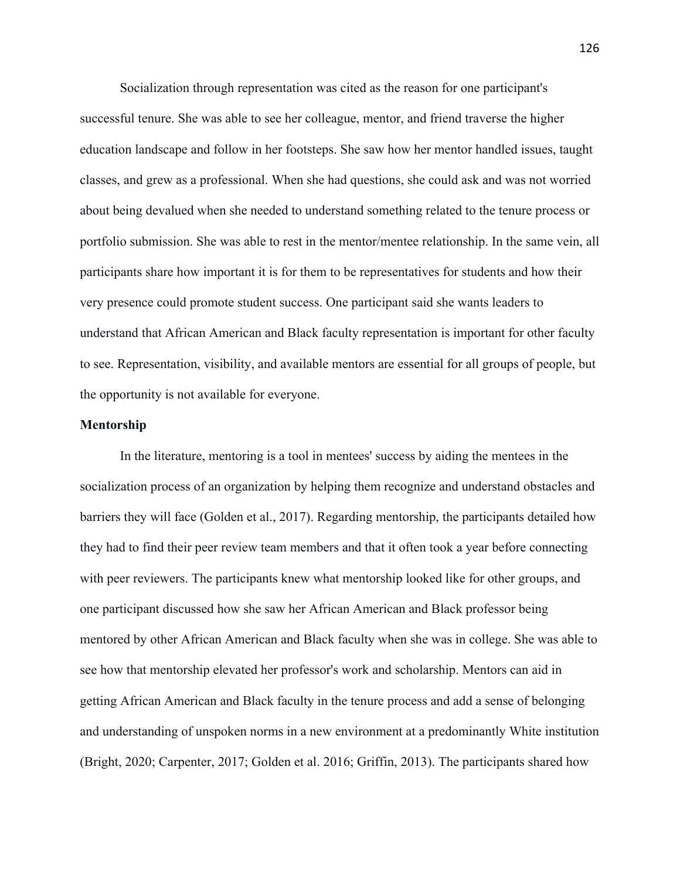Socialization through representation was cited as the reason for one participant's successful tenure. She was able to see her colleague, mentor, and friend traverse the higher education landscape and follow in her footsteps. She saw how her mentor handled issues, taught classes, and grew as a professional. When she had questions, she could ask and was not worried about being devalued when she needed to understand something related to the tenure process or portfolio submission. She was able to rest in the mentor/mentee relationship. In the same vein, all participants share how important it is for them to be representatives for students and how their very presence could promote student success. One participant said she wants leaders to understand that African American and Black faculty representation is important for other faculty to see. Representation, visibility, and available mentors are essential for all groups of people, but the opportunity is not available for everyone.

#### **Mentorship**

In the literature, mentoring is a tool in mentees' success by aiding the mentees in the socialization process of an organization by helping them recognize and understand obstacles and barriers they will face (Golden et al., 2017). Regarding mentorship, the participants detailed how they had to find their peer review team members and that it often took a year before connecting with peer reviewers. The participants knew what mentorship looked like for other groups, and one participant discussed how she saw her African American and Black professor being mentored by other African American and Black faculty when she was in college. She was able to see how that mentorship elevated her professor's work and scholarship. Mentors can aid in getting African American and Black faculty in the tenure process and add a sense of belonging and understanding of unspoken norms in a new environment at a predominantly White institution (Bright, 2020; Carpenter, 2017; Golden et al. 2016; Griffin, 2013). The participants shared how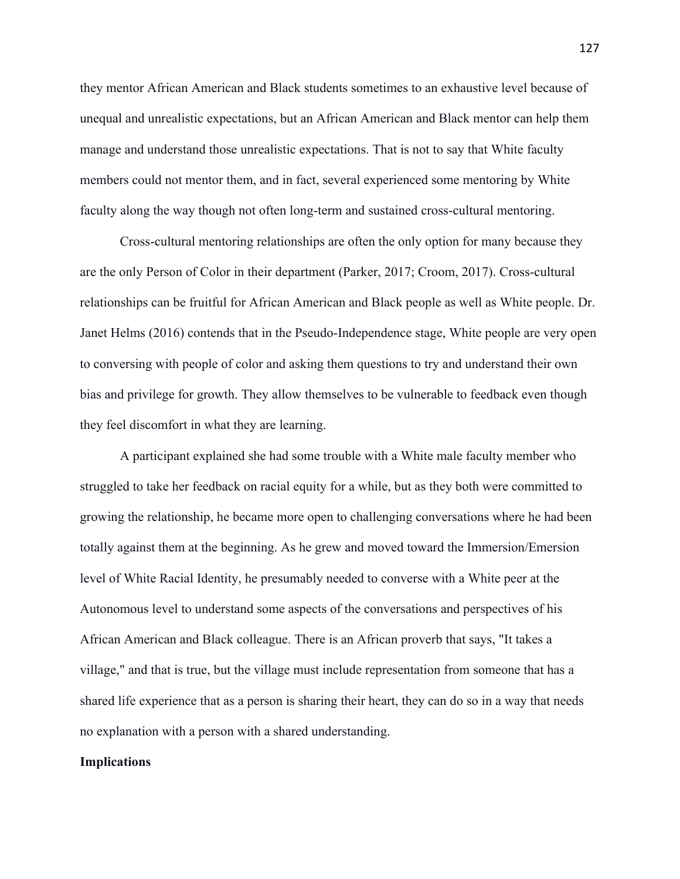they mentor African American and Black students sometimes to an exhaustive level because of unequal and unrealistic expectations, but an African American and Black mentor can help them manage and understand those unrealistic expectations. That is not to say that White faculty members could not mentor them, and in fact, several experienced some mentoring by White faculty along the way though not often long-term and sustained cross-cultural mentoring.

Cross-cultural mentoring relationships are often the only option for many because they are the only Person of Color in their department (Parker, 2017; Croom, 2017). Cross-cultural relationships can be fruitful for African American and Black people as well as White people. Dr. Janet Helms (2016) contends that in the Pseudo-Independence stage, White people are very open to conversing with people of color and asking them questions to try and understand their own bias and privilege for growth. They allow themselves to be vulnerable to feedback even though they feel discomfort in what they are learning.

A participant explained she had some trouble with a White male faculty member who struggled to take her feedback on racial equity for a while, but as they both were committed to growing the relationship, he became more open to challenging conversations where he had been totally against them at the beginning. As he grew and moved toward the Immersion/Emersion level of White Racial Identity, he presumably needed to converse with a White peer at the Autonomous level to understand some aspects of the conversations and perspectives of his African American and Black colleague. There is an African proverb that says, "It takes a village," and that is true, but the village must include representation from someone that has a shared life experience that as a person is sharing their heart, they can do so in a way that needs no explanation with a person with a shared understanding.

#### **Implications**

127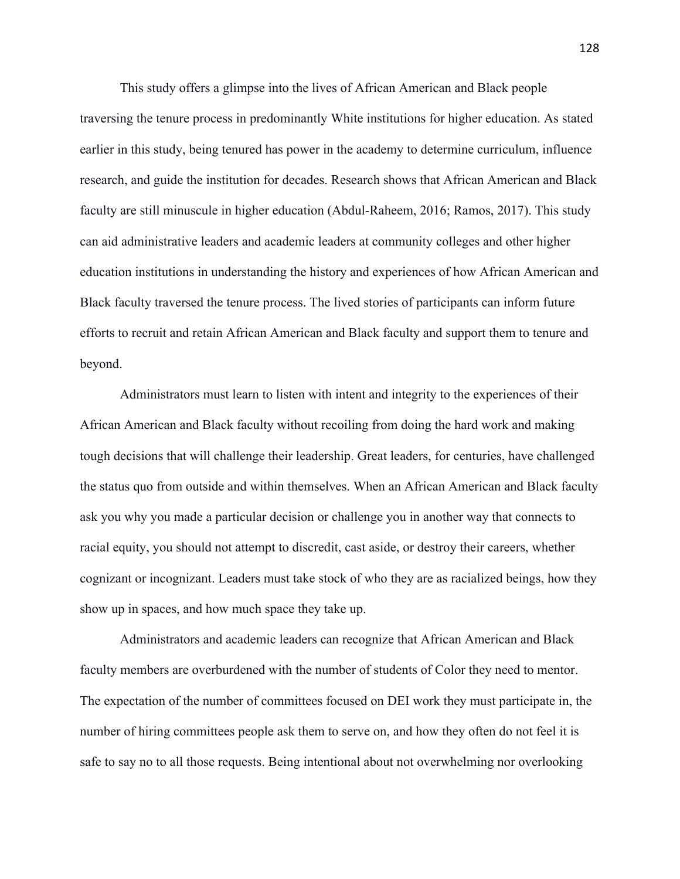This study offers a glimpse into the lives of African American and Black people traversing the tenure process in predominantly White institutions for higher education. As stated earlier in this study, being tenured has power in the academy to determine curriculum, influence research, and guide the institution for decades. Research shows that African American and Black faculty are still minuscule in higher education (Abdul-Raheem, 2016; Ramos, 2017). This study can aid administrative leaders and academic leaders at community colleges and other higher education institutions in understanding the history and experiences of how African American and Black faculty traversed the tenure process. The lived stories of participants can inform future efforts to recruit and retain African American and Black faculty and support them to tenure and beyond.

Administrators must learn to listen with intent and integrity to the experiences of their African American and Black faculty without recoiling from doing the hard work and making tough decisions that will challenge their leadership. Great leaders, for centuries, have challenged the status quo from outside and within themselves. When an African American and Black faculty ask you why you made a particular decision or challenge you in another way that connects to racial equity, you should not attempt to discredit, cast aside, or destroy their careers, whether cognizant or incognizant. Leaders must take stock of who they are as racialized beings, how they show up in spaces, and how much space they take up.

Administrators and academic leaders can recognize that African American and Black faculty members are overburdened with the number of students of Color they need to mentor. The expectation of the number of committees focused on DEI work they must participate in, the number of hiring committees people ask them to serve on, and how they often do not feel it is safe to say no to all those requests. Being intentional about not overwhelming nor overlooking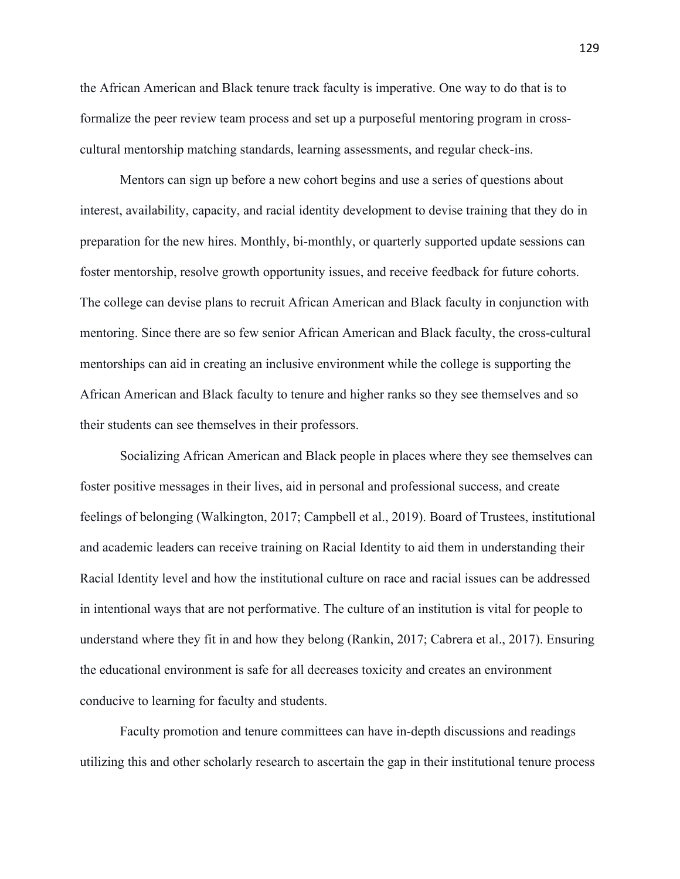the African American and Black tenure track faculty is imperative. One way to do that is to formalize the peer review team process and set up a purposeful mentoring program in crosscultural mentorship matching standards, learning assessments, and regular check-ins.

Mentors can sign up before a new cohort begins and use a series of questions about interest, availability, capacity, and racial identity development to devise training that they do in preparation for the new hires. Monthly, bi-monthly, or quarterly supported update sessions can foster mentorship, resolve growth opportunity issues, and receive feedback for future cohorts. The college can devise plans to recruit African American and Black faculty in conjunction with mentoring. Since there are so few senior African American and Black faculty, the cross-cultural mentorships can aid in creating an inclusive environment while the college is supporting the African American and Black faculty to tenure and higher ranks so they see themselves and so their students can see themselves in their professors.

Socializing African American and Black people in places where they see themselves can foster positive messages in their lives, aid in personal and professional success, and create feelings of belonging (Walkington, 2017; Campbell et al., 2019). Board of Trustees, institutional and academic leaders can receive training on Racial Identity to aid them in understanding their Racial Identity level and how the institutional culture on race and racial issues can be addressed in intentional ways that are not performative. The culture of an institution is vital for people to understand where they fit in and how they belong (Rankin, 2017; Cabrera et al., 2017). Ensuring the educational environment is safe for all decreases toxicity and creates an environment conducive to learning for faculty and students.

Faculty promotion and tenure committees can have in-depth discussions and readings utilizing this and other scholarly research to ascertain the gap in their institutional tenure process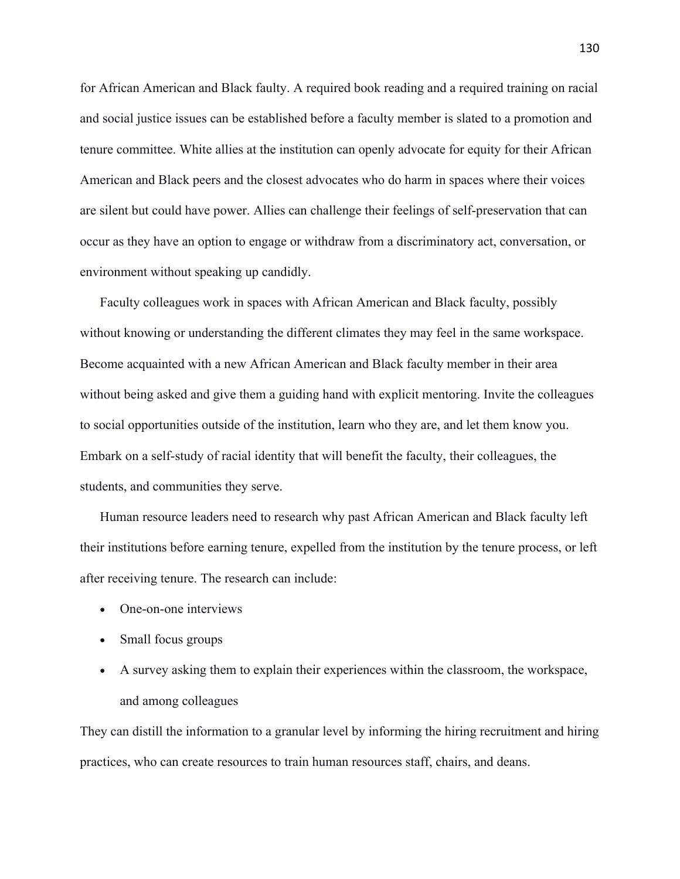for African American and Black faulty. A required book reading and a required training on racial and social justice issues can be established before a faculty member is slated to a promotion and tenure committee. White allies at the institution can openly advocate for equity for their African American and Black peers and the closest advocates who do harm in spaces where their voices are silent but could have power. Allies can challenge their feelings of self-preservation that can occur as they have an option to engage or withdraw from a discriminatory act, conversation, or environment without speaking up candidly.

Faculty colleagues work in spaces with African American and Black faculty, possibly without knowing or understanding the different climates they may feel in the same workspace. Become acquainted with a new African American and Black faculty member in their area without being asked and give them a guiding hand with explicit mentoring. Invite the colleagues to social opportunities outside of the institution, learn who they are, and let them know you. Embark on a self-study of racial identity that will benefit the faculty, their colleagues, the students, and communities they serve.

Human resource leaders need to research why past African American and Black faculty left their institutions before earning tenure, expelled from the institution by the tenure process, or left after receiving tenure. The research can include:

- One-on-one interviews
- Small focus groups
- A survey asking them to explain their experiences within the classroom, the workspace, and among colleagues

They can distill the information to a granular level by informing the hiring recruitment and hiring practices, who can create resources to train human resources staff, chairs, and deans.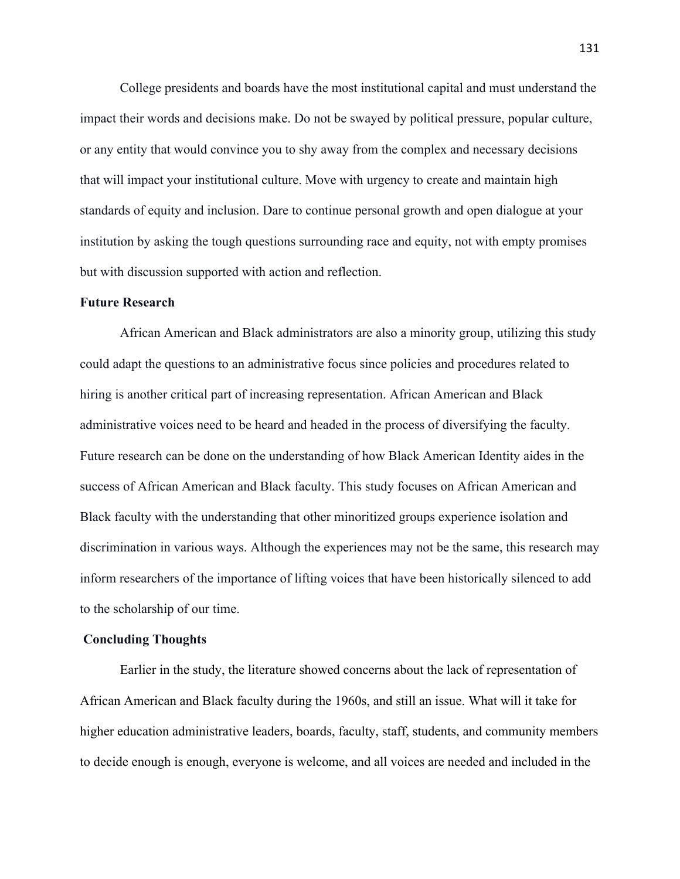College presidents and boards have the most institutional capital and must understand the impact their words and decisions make. Do not be swayed by political pressure, popular culture, or any entity that would convince you to shy away from the complex and necessary decisions that will impact your institutional culture. Move with urgency to create and maintain high standards of equity and inclusion. Dare to continue personal growth and open dialogue at your institution by asking the tough questions surrounding race and equity, not with empty promises but with discussion supported with action and reflection.

#### **Future Research**

African American and Black administrators are also a minority group, utilizing this study could adapt the questions to an administrative focus since policies and procedures related to hiring is another critical part of increasing representation. African American and Black administrative voices need to be heard and headed in the process of diversifying the faculty. Future research can be done on the understanding of how Black American Identity aides in the success of African American and Black faculty. This study focuses on African American and Black faculty with the understanding that other minoritized groups experience isolation and discrimination in various ways. Although the experiences may not be the same, this research may inform researchers of the importance of lifting voices that have been historically silenced to add to the scholarship of our time.

#### **Concluding Thoughts**

Earlier in the study, the literature showed concerns about the lack of representation of African American and Black faculty during the 1960s, and still an issue. What will it take for higher education administrative leaders, boards, faculty, staff, students, and community members to decide enough is enough, everyone is welcome, and all voices are needed and included in the

131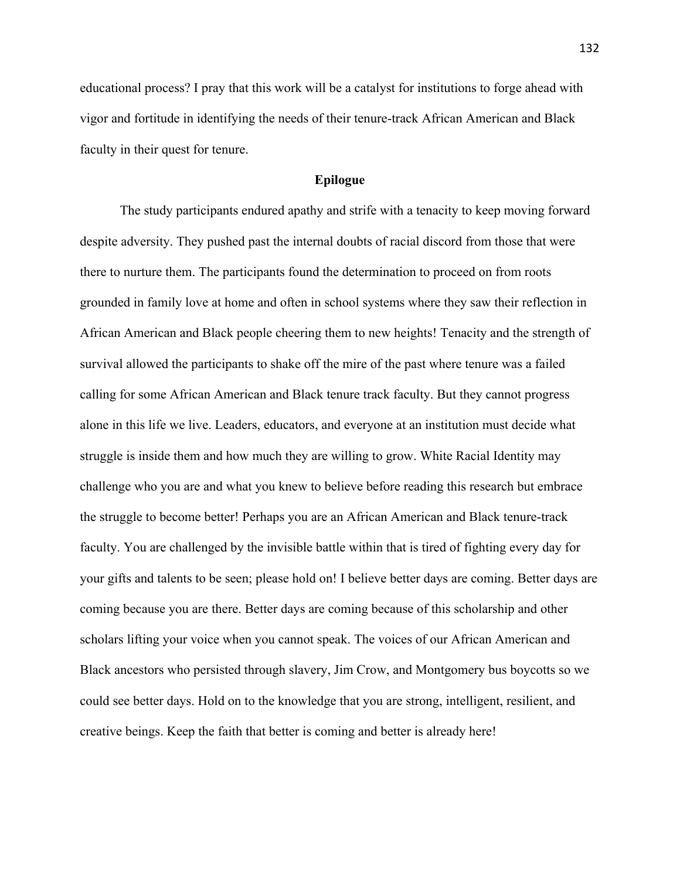educational process? I pray that this work will be a catalyst for institutions to forge ahead with vigor and fortitude in identifying the needs of their tenure-track African American and Black faculty in their quest for tenure.

# **Epilogue**

The study participants endured apathy and strife with a tenacity to keep moving forward despite adversity. They pushed past the internal doubts of racial discord from those that were there to nurture them. The participants found the determination to proceed on from roots grounded in family love at home and often in school systems where they saw their reflection in African American and Black people cheering them to new heights! Tenacity and the strength of survival allowed the participants to shake off the mire of the past where tenure was a failed calling for some African American and Black tenure track faculty. But they cannot progress alone in this life we live. Leaders, educators, and everyone at an institution must decide what struggle is inside them and how much they are willing to grow. White Racial Identity may challenge who you are and what you knew to believe before reading this research but embrace the struggle to become better! Perhaps you are an African American and Black tenure-track faculty. You are challenged by the invisible battle within that is tired of fighting every day for your gifts and talents to be seen; please hold on! I believe better days are coming. Better days are coming because you are there. Better days are coming because of this scholarship and other scholars lifting your voice when you cannot speak. The voices of our African American and Black ancestors who persisted through slavery, Jim Crow, and Montgomery bus boycotts so we could see better days. Hold on to the knowledge that you are strong, intelligent, resilient, and creative beings. Keep the faith that better is coming and better is already here!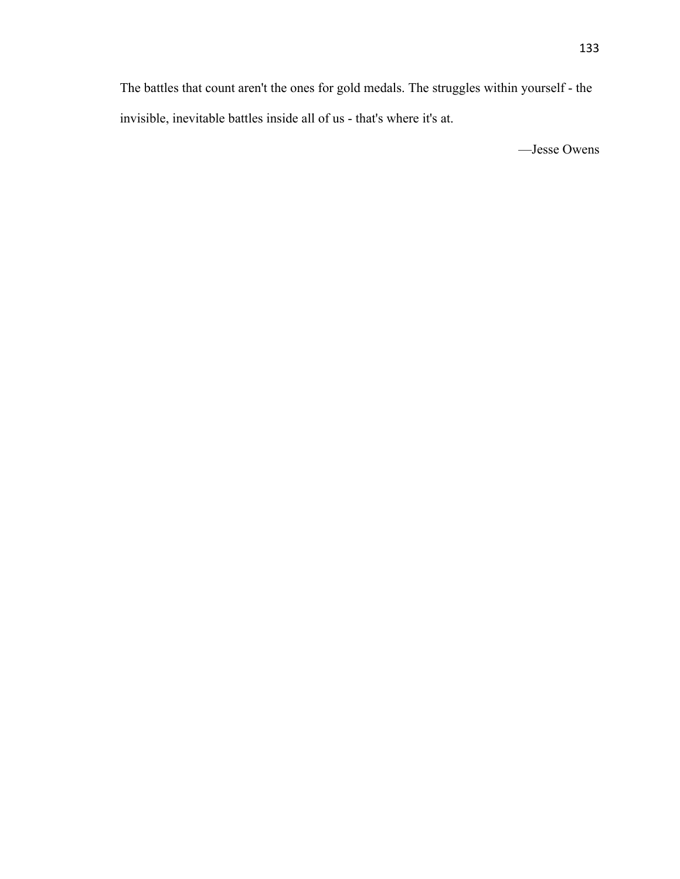The battles that count aren't the ones for gold medals. The struggles within yourself - the invisible, inevitable battles inside all of us - that's where it's at.

—Jesse Owens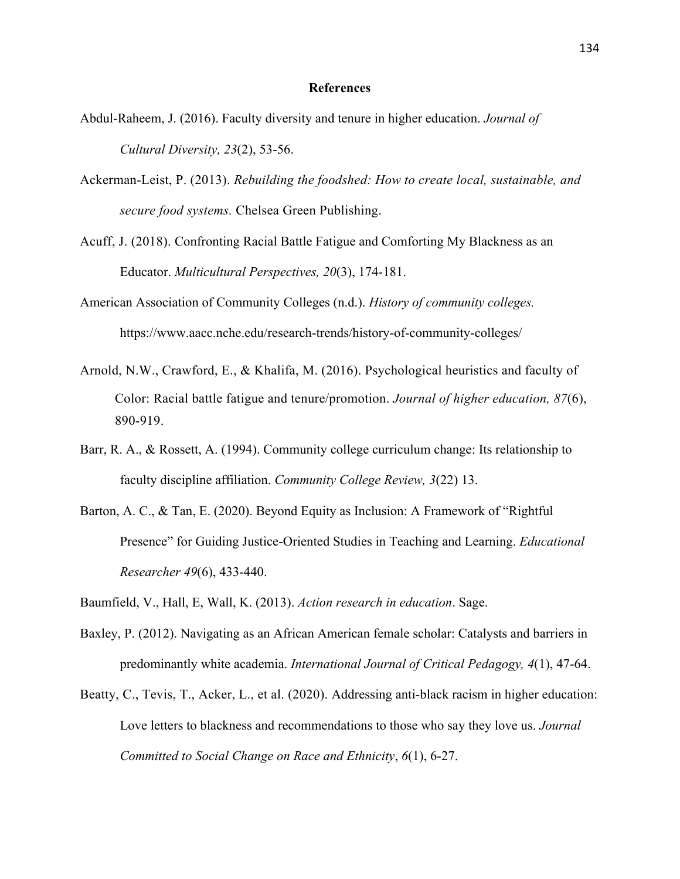#### **References**

- Abdul-Raheem, J. (2016). Faculty diversity and tenure in higher education. *Journal of Cultural Diversity, 23*(2), 53-56.
- Ackerman-Leist, P. (2013). *Rebuilding the foodshed: How to create local, sustainable, and secure food systems.* Chelsea Green Publishing.
- Acuff, J. (2018). Confronting Racial Battle Fatigue and Comforting My Blackness as an Educator. *Multicultural Perspectives, 20*(3), 174-181.
- American Association of Community Colleges (n.d.). *History of community colleges.*  https://www.aacc.nche.edu/research-trends/history-of-community-colleges/
- Arnold, N.W., Crawford, E., & Khalifa, M. (2016). Psychological heuristics and faculty of Color: Racial battle fatigue and tenure/promotion. *Journal of higher education, 87*(6), 890-919.
- Barr, R. A., & Rossett, A. (1994). Community college curriculum change: Its relationship to faculty discipline affiliation. *Community College Review, 3*(22) 13.
- Barton, A. C., & Tan, E. (2020). Beyond Equity as Inclusion: A Framework of "Rightful Presence" for Guiding Justice-Oriented Studies in Teaching and Learning. *Educational Researcher 49*(6), 433-440.
- Baumfield, V., Hall, E, Wall, K. (2013). *Action research in education*. Sage.
- Baxley, P. (2012). Navigating as an African American female scholar: Catalysts and barriers in predominantly white academia. *International Journal of Critical Pedagogy, 4*(1), 47-64.
- Beatty, C., Tevis, T., Acker, L., et al. (2020). Addressing anti-black racism in higher education: Love letters to blackness and recommendations to those who say they love us. *Journal Committed to Social Change on Race and Ethnicity*, *6*(1), 6-27.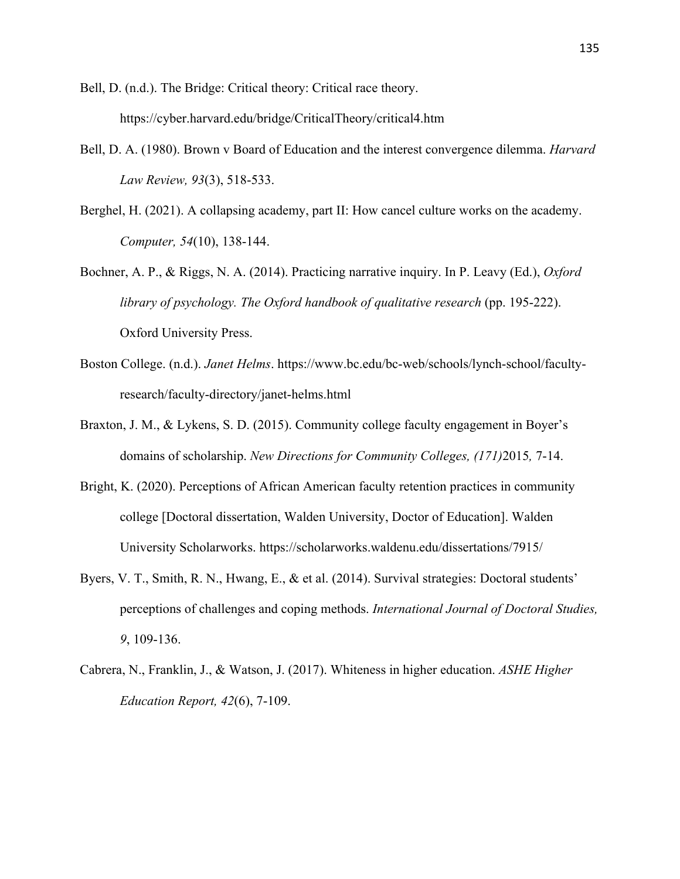Bell, D. (n.d.). The Bridge: Critical theory: Critical race theory. https://cyber.harvard.edu/bridge/CriticalTheory/critical4.htm

- Bell, D. A. (1980). Brown v Board of Education and the interest convergence dilemma. *Harvard Law Review, 93*(3), 518-533.
- Berghel, H. (2021). A collapsing academy, part II: How cancel culture works on the academy. *Computer, 54*(10), 138-144.
- Bochner, A. P., & Riggs, N. A. (2014). Practicing narrative inquiry. In P. Leavy (Ed.), *Oxford library of psychology. The Oxford handbook of qualitative research (pp. 195-222).* Oxford University Press.
- Boston College. (n.d.). *Janet Helms*. https://www.bc.edu/bc-web/schools/lynch-school/facultyresearch/faculty-directory/janet-helms.html
- Braxton, J. M., & Lykens, S. D. (2015). Community college faculty engagement in Boyer's domains of scholarship. *New Directions for Community Colleges, (171)*2015*,* 7-14.
- Bright, K. (2020). Perceptions of African American faculty retention practices in community college [Doctoral dissertation, Walden University, Doctor of Education]. Walden University Scholarworks. https://scholarworks.waldenu.edu/dissertations/7915/
- Byers, V. T., Smith, R. N., Hwang, E., & et al. (2014). Survival strategies: Doctoral students' perceptions of challenges and coping methods. *International Journal of Doctoral Studies, 9*, 109-136.
- Cabrera, N., Franklin, J., & Watson, J. (2017). Whiteness in higher education. *ASHE Higher Education Report, 42*(6), 7-109.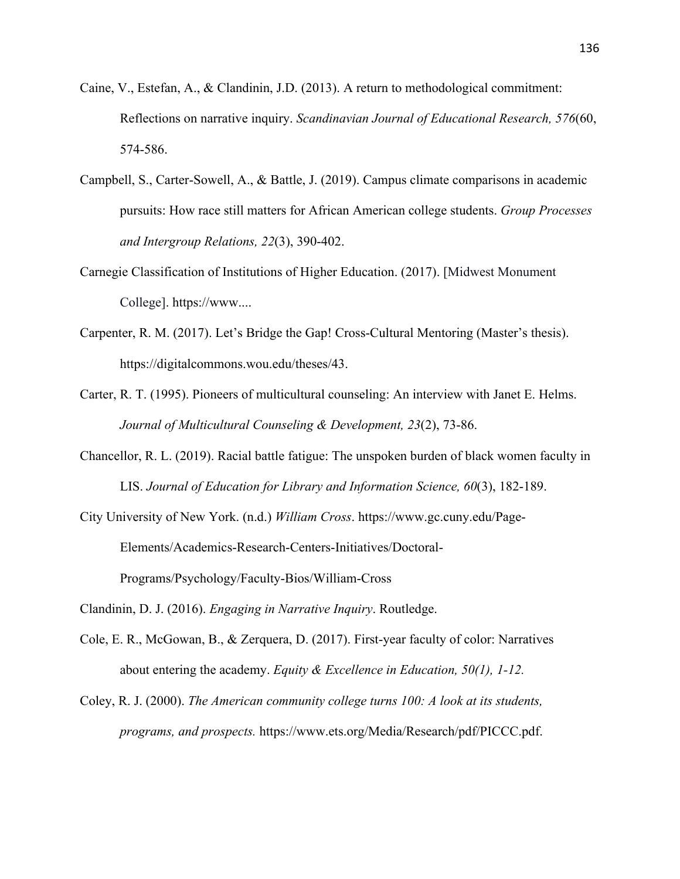- Caine, V., Estefan, A., & Clandinin, J.D. (2013). A return to methodological commitment: Reflections on narrative inquiry. *Scandinavian Journal of Educational Research, 576*(60, 574-586.
- Campbell, S., Carter-Sowell, A., & Battle, J. (2019). Campus climate comparisons in academic pursuits: How race still matters for African American college students. *Group Processes and Intergroup Relations, 22*(3), 390-402.
- Carnegie Classification of Institutions of Higher Education. (2017). [Midwest Monument College]. https://www....
- Carpenter, R. M. (2017). Let's Bridge the Gap! Cross-Cultural Mentoring (Master's thesis). https://digitalcommons.wou.edu/theses/43.
- Carter, R. T. (1995). Pioneers of multicultural counseling: An interview with Janet E. Helms. *Journal of Multicultural Counseling & Development, 23*(2), 73-86.
- Chancellor, R. L. (2019). Racial battle fatigue: The unspoken burden of black women faculty in LIS. *Journal of Education for Library and Information Science, 60*(3), 182-189.
- City University of New York. (n.d.) *William Cross*. https://www.gc.cuny.edu/Page-Elements/Academics-Research-Centers-Initiatives/Doctoral-Programs/Psychology/Faculty-Bios/William-Cross

- Cole, E. R., McGowan, B., & Zerquera, D. (2017). First-year faculty of color: Narratives about entering the academy. *Equity & Excellence in Education, 50(1), 1-12.*
- Coley, R. J. (2000). *The American community college turns 100: A look at its students, programs, and prospects.* https://www.ets.org/Media/Research/pdf/PICCC.pdf.

Clandinin, D. J. (2016). *Engaging in Narrative Inquiry*. Routledge.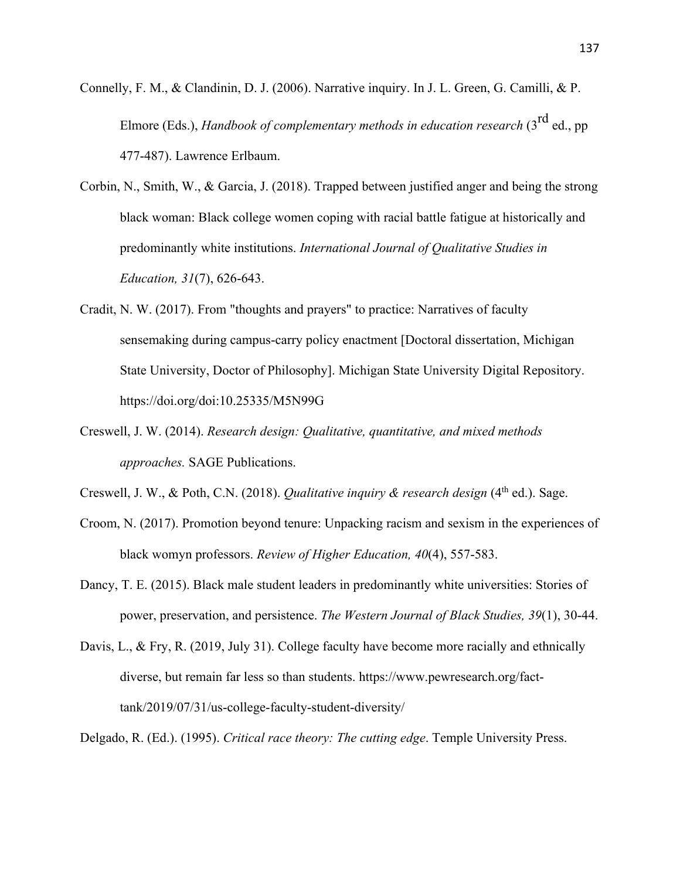Connelly, F. M., & Clandinin, D. J. (2006). Narrative inquiry. In J. L. Green, G. Camilli, & P. Elmore (Eds.), *Handbook of complementary methods in education research* (3<sup>rd</sup> ed., pp 477-487). Lawrence Erlbaum.

- Corbin, N., Smith, W., & Garcia, J. (2018). Trapped between justified anger and being the strong black woman: Black college women coping with racial battle fatigue at historically and predominantly white institutions. *International Journal of Qualitative Studies in Education, 31*(7), 626-643.
- Cradit, N. W. (2017). From "thoughts and prayers" to practice: Narratives of faculty sensemaking during campus-carry policy enactment [Doctoral dissertation, Michigan State University, Doctor of Philosophy]. Michigan State University Digital Repository. https://doi.org/doi:10.25335/M5N99G
- Creswell, J. W. (2014). *Research design: Qualitative, quantitative, and mixed methods approaches.* SAGE Publications.

Creswell, J. W., & Poth, C.N. (2018). *Qualitative inquiry & research design* (4<sup>th</sup> ed.). Sage.

- Croom, N. (2017). Promotion beyond tenure: Unpacking racism and sexism in the experiences of black womyn professors. *Review of Higher Education, 40*(4), 557-583.
- Dancy, T. E. (2015). Black male student leaders in predominantly white universities: Stories of power, preservation, and persistence. *The Western Journal of Black Studies, 39*(1), 30-44.
- Davis, L., & Fry, R. (2019, July 31). College faculty have become more racially and ethnically diverse, but remain far less so than students. https://www.pewresearch.org/facttank/2019/07/31/us-college-faculty-student-diversity/

Delgado, R. (Ed.). (1995). *Critical race theory: The cutting edge*. Temple University Press.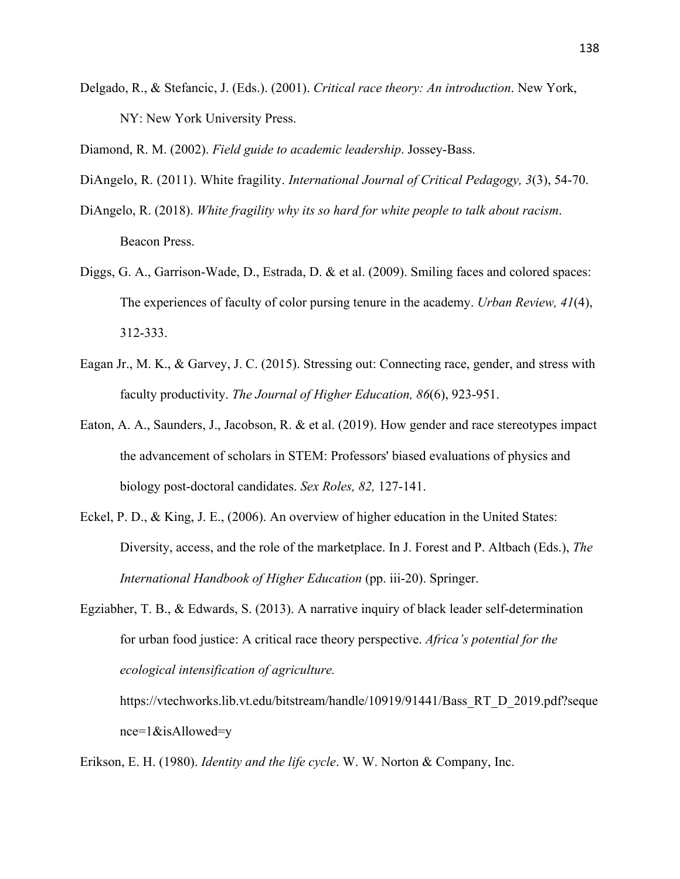Delgado, R., & Stefancic, J. (Eds.). (2001). *Critical race theory: An introduction*. New York, NY: New York University Press.

Diamond, R. M. (2002). *Field guide to academic leadership*. Jossey-Bass.

- DiAngelo, R. (2011). White fragility. *International Journal of Critical Pedagogy, 3*(3), 54-70.
- DiAngelo, R. (2018). *White fragility why its so hard for white people to talk about racism*. Beacon Press.
- Diggs, G. A., Garrison-Wade, D., Estrada, D. & et al. (2009). Smiling faces and colored spaces: The experiences of faculty of color pursing tenure in the academy. *Urban Review, 41*(4), 312-333.
- Eagan Jr., M. K., & Garvey, J. C. (2015). Stressing out: Connecting race, gender, and stress with faculty productivity. *The Journal of Higher Education, 86*(6), 923-951.
- Eaton, A. A., Saunders, J., Jacobson, R. & et al. (2019). How gender and race stereotypes impact the advancement of scholars in STEM: Professors' biased evaluations of physics and biology post-doctoral candidates. *Sex Roles, 82,* 127-141.
- Eckel, P. D., & King, J. E., (2006). An overview of higher education in the United States: Diversity, access, and the role of the marketplace. In J. Forest and P. Altbach (Eds.), *The International Handbook of Higher Education* (pp. iii-20). Springer.
- Egziabher, T. B., & Edwards, S. (2013). A narrative inquiry of black leader self-determination for urban food justice: A critical race theory perspective. *Africa's potential for the ecological intensification of agriculture.*

Erikson, E. H. (1980). *Identity and the life cycle*. W. W. Norton & Company, Inc.

https://vtechworks.lib.vt.edu/bitstream/handle/10919/91441/Bass\_RT\_D\_2019.pdf?seque nce=1&isAllowed=y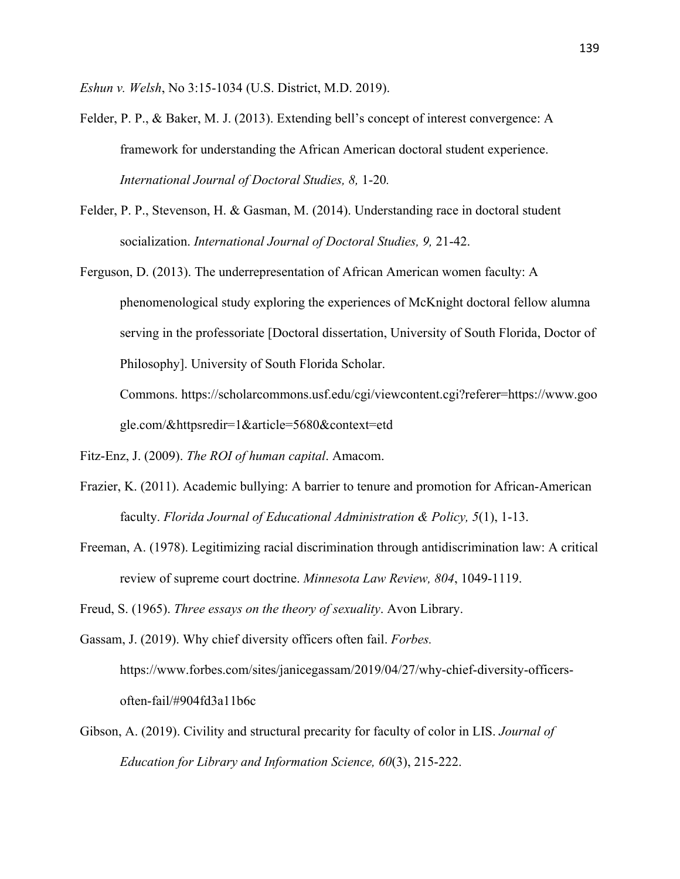*Eshun v. Welsh*, No 3:15-1034 (U.S. District, M.D. 2019).

- Felder, P. P., & Baker, M. J. (2013). Extending bell's concept of interest convergence: A framework for understanding the African American doctoral student experience. *International Journal of Doctoral Studies, 8,* 1-20*.*
- Felder, P. P., Stevenson, H. & Gasman, M. (2014). Understanding race in doctoral student socialization. *International Journal of Doctoral Studies, 9,* 21-42.
- Ferguson, D. (2013). The underrepresentation of African American women faculty: A phenomenological study exploring the experiences of McKnight doctoral fellow alumna serving in the professoriate [Doctoral dissertation, University of South Florida, Doctor of Philosophy]. University of South Florida Scholar.

Commons. https://scholarcommons.usf.edu/cgi/viewcontent.cgi?referer=https://www.goo gle.com/&httpsredir=1&article=5680&context=etd

- Fitz-Enz, J. (2009). *The ROI of human capital*. Amacom.
- Frazier, K. (2011). Academic bullying: A barrier to tenure and promotion for African-American faculty. *Florida Journal of Educational Administration & Policy, 5*(1), 1-13.
- Freeman, A. (1978). Legitimizing racial discrimination through antidiscrimination law: A critical review of supreme court doctrine. *Minnesota Law Review, 804*, 1049-1119.

Freud, S. (1965). *Three essays on the theory of sexuality*. Avon Library.

Gassam, J. (2019). Why chief diversity officers often fail. *Forbes.* https://www.forbes.com/sites/janicegassam/2019/04/27/why-chief-diversity-officersoften-fail/#904fd3a11b6c

Gibson, A. (2019). Civility and structural precarity for faculty of color in LIS. *Journal of Education for Library and Information Science, 60*(3), 215-222.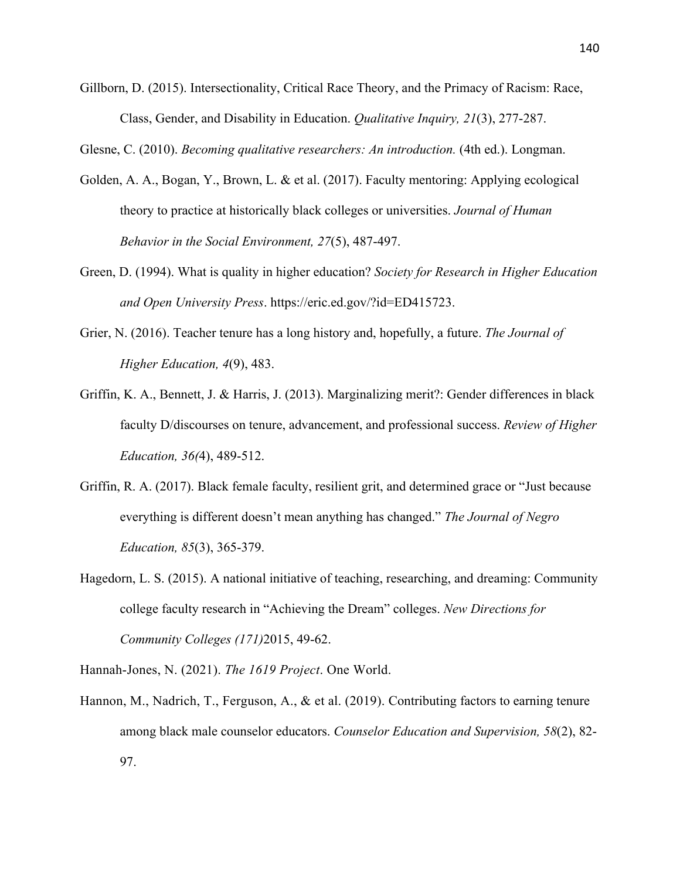Gillborn, D. (2015). Intersectionality, Critical Race Theory, and the Primacy of Racism: Race, Class, Gender, and Disability in Education. *Qualitative Inquiry, 21*(3), 277-287.

Glesne, C. (2010). *Becoming qualitative researchers: An introduction.* (4th ed.). Longman.

- Golden, A. A., Bogan, Y., Brown, L. & et al. (2017). Faculty mentoring: Applying ecological theory to practice at historically black colleges or universities. *Journal of Human Behavior in the Social Environment, 27*(5), 487-497.
- Green, D. (1994). What is quality in higher education? *Society for Research in Higher Education and Open University Press*. https://eric.ed.gov/?id=ED415723.
- Grier, N. (2016). Teacher tenure has a long history and, hopefully, a future. *The Journal of Higher Education, 4*(9), 483.
- Griffin, K. A., Bennett, J. & Harris, J. (2013). Marginalizing merit?: Gender differences in black faculty D/discourses on tenure, advancement, and professional success. *Review of Higher Education, 36(*4), 489-512.
- Griffin, R. A. (2017). Black female faculty, resilient grit, and determined grace or "Just because everything is different doesn't mean anything has changed." *The Journal of Negro Education, 85*(3), 365-379.
- Hagedorn, L. S. (2015). A national initiative of teaching, researching, and dreaming: Community college faculty research in "Achieving the Dream" colleges. *New Directions for Community Colleges (171)*2015, 49-62.
- Hannah-Jones, N. (2021). *The 1619 Project*. One World.
- Hannon, M., Nadrich, T., Ferguson, A., & et al. (2019). Contributing factors to earning tenure among black male counselor educators. *Counselor Education and Supervision, 58*(2), 82- 97.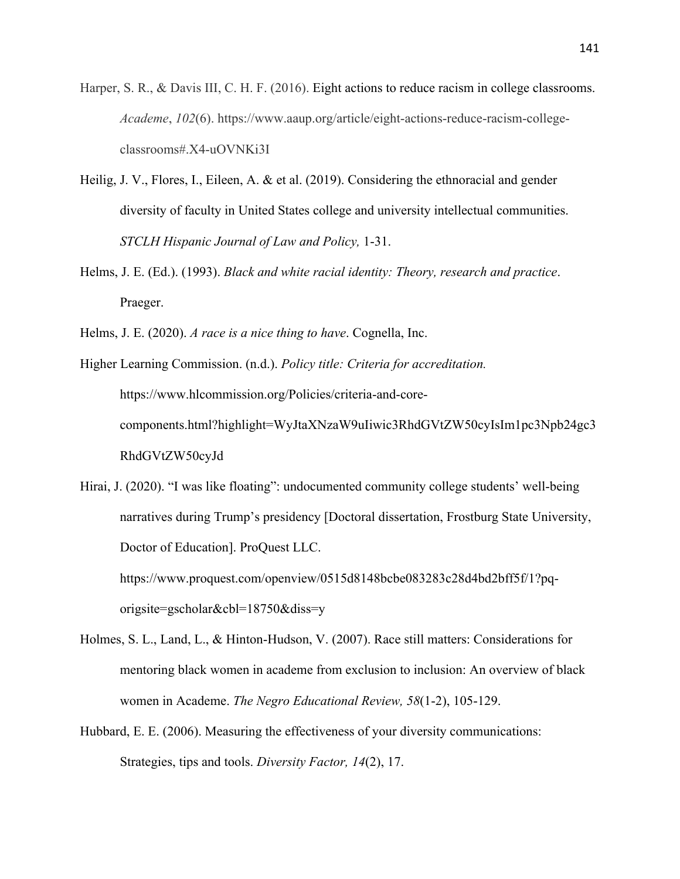- Harper, S. R., & Davis III, C. H. F. (2016). Eight actions to reduce racism in college classrooms. *Academe*, *102*(6). https://www.aaup.org/article/eight-actions-reduce-racism-collegeclassrooms#.X4-uOVNKi3I
- Heilig, J. V., Flores, I., Eileen, A. & et al. (2019). Considering the ethnoracial and gender diversity of faculty in United States college and university intellectual communities. *STCLH Hispanic Journal of Law and Policy,* 1-31.
- Helms, J. E. (Ed.). (1993). *Black and white racial identity: Theory, research and practice*. Praeger.
- Helms, J. E. (2020). *A race is a nice thing to have*. Cognella, Inc.

Higher Learning Commission. (n.d.). *Policy title: Criteria for accreditation.* https://www.hlcommission.org/Policies/criteria-and-corecomponents.html?highlight=WyJtaXNzaW9uIiwic3RhdGVtZW50cyIsIm1pc3Npb24gc3 RhdGVtZW50cyJd

Hirai, J. (2020). "I was like floating": undocumented community college students' well-being narratives during Trump's presidency [Doctoral dissertation, Frostburg State University, Doctor of Education]. ProQuest LLC. https://www.proquest.com/openview/0515d8148bcbe083283c28d4bd2bff5f/1?pqorigsite=gscholar&cbl=18750&diss=y

- Holmes, S. L., Land, L., & Hinton-Hudson, V. (2007). Race still matters: Considerations for mentoring black women in academe from exclusion to inclusion: An overview of black women in Academe. *The Negro Educational Review, 58*(1-2), 105-129.
- Hubbard, E. E. (2006). Measuring the effectiveness of your diversity communications: Strategies, tips and tools. *Diversity Factor, 14*(2), 17.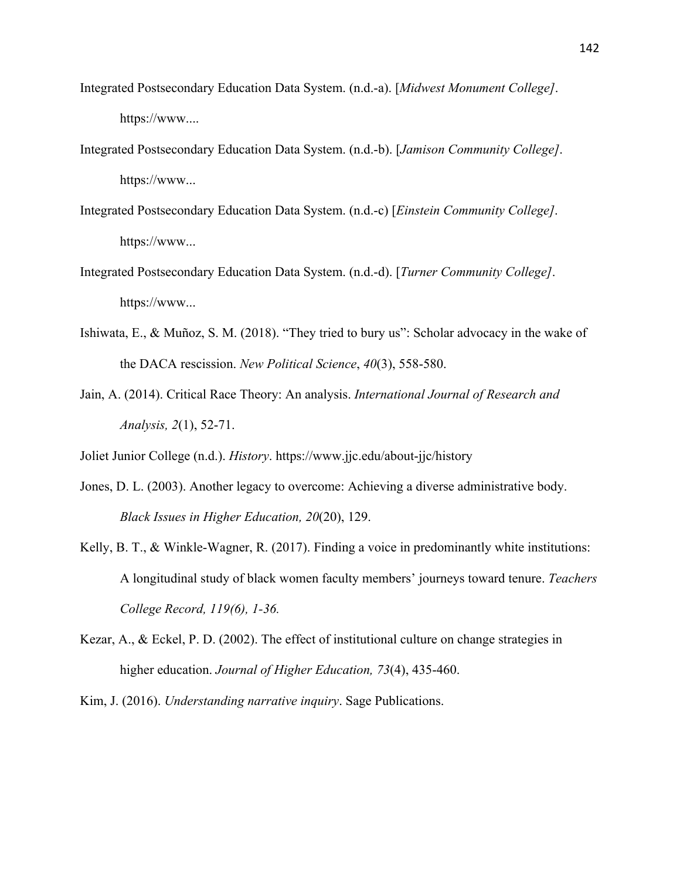- Integrated Postsecondary Education Data System. (n.d.-a). [*Midwest Monument College]*. https://www....
- Integrated Postsecondary Education Data System. (n.d.-b). [*Jamison Community College]*. https://www...
- Integrated Postsecondary Education Data System. (n.d.-c) [*Einstein Community College]*. https://www...
- Integrated Postsecondary Education Data System. (n.d.-d). [*Turner Community College]*. https://www...
- Ishiwata, E., & Muñoz, S. M. (2018). "They tried to bury us": Scholar advocacy in the wake of the DACA rescission. *New Political Science*, *40*(3), 558-580.
- Jain, A. (2014). Critical Race Theory: An analysis. *International Journal of Research and Analysis, 2*(1), 52-71.
- Joliet Junior College (n.d.). *History*. https://www.jjc.edu/about-jjc/history
- Jones, D. L. (2003). Another legacy to overcome: Achieving a diverse administrative body. *Black Issues in Higher Education, 20*(20), 129.
- Kelly, B. T., & Winkle-Wagner, R. (2017). Finding a voice in predominantly white institutions: A longitudinal study of black women faculty members' journeys toward tenure. *Teachers College Record, 119(6), 1-36.*
- Kezar, A., & Eckel, P. D. (2002). The effect of institutional culture on change strategies in higher education. *Journal of Higher Education, 73*(4), 435-460.
- Kim, J. (2016). *Understanding narrative inquiry*. Sage Publications.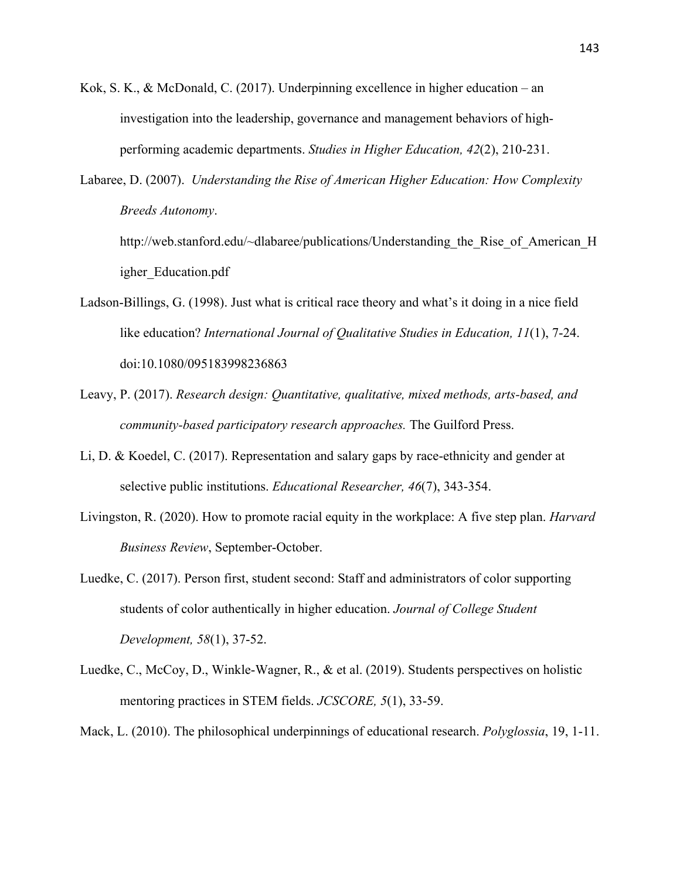- Kok, S. K., & McDonald, C. (2017). Underpinning excellence in higher education an investigation into the leadership, governance and management behaviors of highperforming academic departments. *Studies in Higher Education, 42*(2), 210-231.
- Labaree, D. (2007). *Understanding the Rise of American Higher Education: How Complexity Breeds Autonomy*.

http://web.stanford.edu/~dlabaree/publications/Understanding the Rise of American H igher\_Education.pdf

- Ladson-Billings, G. (1998). Just what is critical race theory and what's it doing in a nice field like education? *International Journal of Qualitative Studies in Education, 11*(1), 7-24. doi:10.1080/095183998236863
- Leavy, P. (2017). *Research design: Quantitative, qualitative, mixed methods, arts-based, and community-based participatory research approaches.* The Guilford Press.
- Li, D. & Koedel, C. (2017). Representation and salary gaps by race-ethnicity and gender at selective public institutions. *Educational Researcher, 46*(7), 343-354.
- Livingston, R. (2020). How to promote racial equity in the workplace: A five step plan. *Harvard Business Review*, September-October.
- Luedke, C. (2017). Person first, student second: Staff and administrators of color supporting students of color authentically in higher education. *Journal of College Student Development, 58*(1), 37-52.
- Luedke, C., McCoy, D., Winkle-Wagner, R., & et al. (2019). Students perspectives on holistic mentoring practices in STEM fields. *JCSCORE, 5*(1), 33-59.
- Mack, L. (2010). The philosophical underpinnings of educational research. *Polyglossia*, 19, 1-11.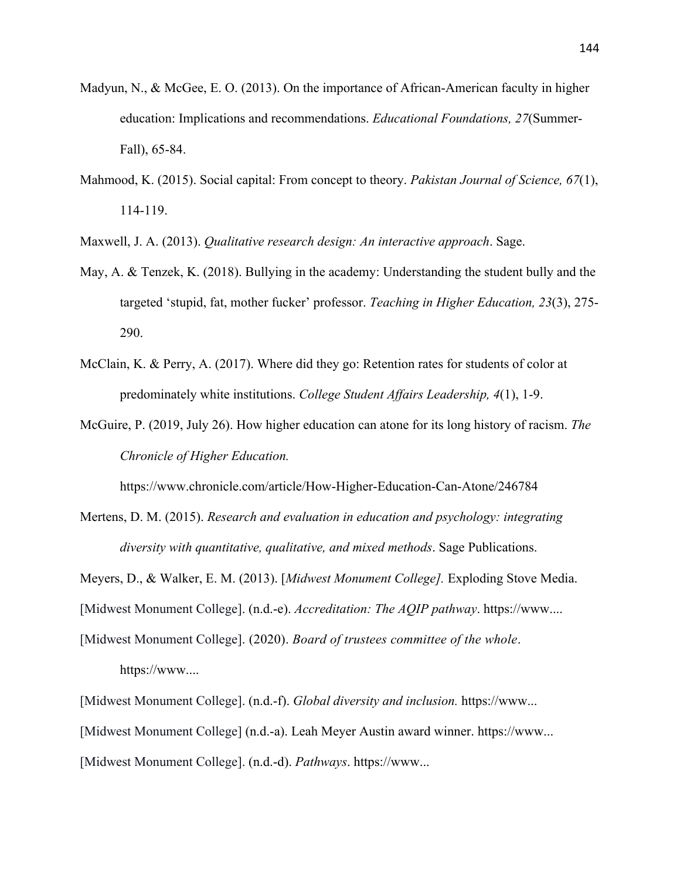- Madyun, N., & McGee, E. O. (2013). On the importance of African-American faculty in higher education: Implications and recommendations. *Educational Foundations, 27*(Summer-Fall), 65-84.
- Mahmood, K. (2015). Social capital: From concept to theory. *Pakistan Journal of Science, 67*(1), 114-119.

Maxwell, J. A. (2013). *Qualitative research design: An interactive approach*. Sage.

- May, A. & Tenzek, K. (2018). Bullying in the academy: Understanding the student bully and the targeted 'stupid, fat, mother fucker' professor. *Teaching in Higher Education, 23*(3), 275- 290.
- McClain, K. & Perry, A. (2017). Where did they go: Retention rates for students of color at predominately white institutions. *College Student Affairs Leadership, 4*(1), 1-9.
- McGuire, P. (2019, July 26). How higher education can atone for its long history of racism. *The Chronicle of Higher Education.*

https://www.chronicle.com/article/How-Higher-Education-Can-Atone/246784

Mertens, D. M. (2015). *Research and evaluation in education and psychology: integrating diversity with quantitative, qualitative, and mixed methods*. Sage Publications.

Meyers, D., & Walker, E. M. (2013). [*Midwest Monument College].* Exploding Stove Media.

[Midwest Monument College]. (n.d.-e). *Accreditation: The AQIP pathway*. https://www....

[Midwest Monument College]. (2020). *Board of trustees committee of the whole*. https://www....

[Midwest Monument College]. (n.d.-f). *Global diversity and inclusion.* https://www... [Midwest Monument College] (n.d.-a). Leah Meyer Austin award winner. https://www... [Midwest Monument College]. (n.d.-d). *Pathways*. https://www...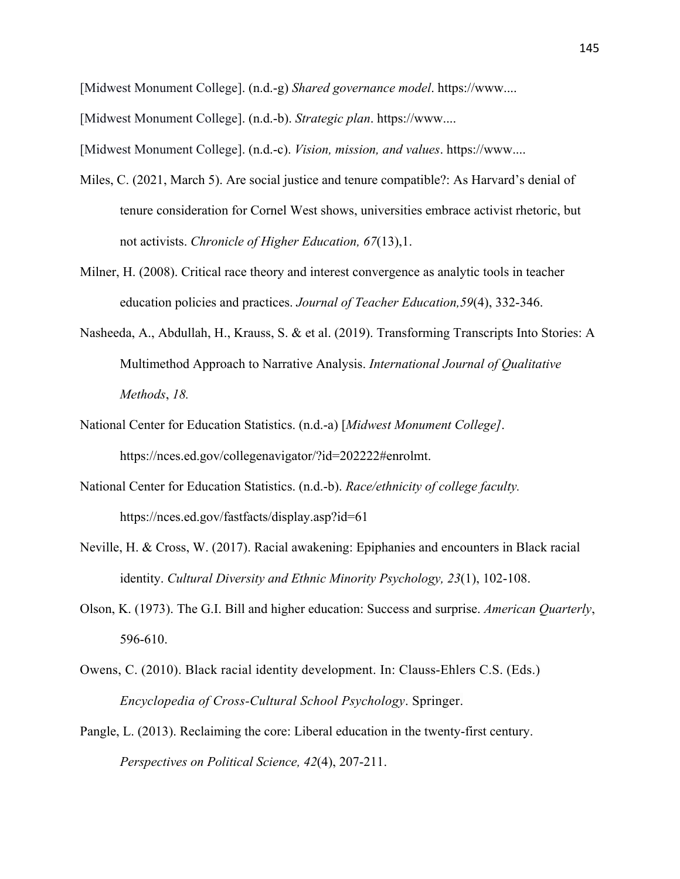[Midwest Monument College]. (n.d.-g) *Shared governance model*. https://www....

[Midwest Monument College]. (n.d.-b). *Strategic plan*. https://www....

[Midwest Monument College]. (n.d.-c). *Vision, mission, and values*. https://www....

- Miles, C. (2021, March 5). Are social justice and tenure compatible?: As Harvard's denial of tenure consideration for Cornel West shows, universities embrace activist rhetoric, but not activists. *Chronicle of Higher Education, 67*(13),1.
- Milner, H. (2008). Critical race theory and interest convergence as analytic tools in teacher education policies and practices. *Journal of Teacher Education,59*(4), 332-346.
- Nasheeda, A., Abdullah, H., Krauss, S. & et al. (2019). Transforming Transcripts Into Stories: A Multimethod Approach to Narrative Analysis. *International Journal of Qualitative Methods*, *18.*
- National Center for Education Statistics. (n.d.-a) [*Midwest Monument College]*. https://nces.ed.gov/collegenavigator/?id=202222#enrolmt.
- National Center for Education Statistics. (n.d.-b). *Race/ethnicity of college faculty.* https://nces.ed.gov/fastfacts/display.asp?id=61
- Neville, H. & Cross, W. (2017). Racial awakening: Epiphanies and encounters in Black racial identity. *Cultural Diversity and Ethnic Minority Psychology, 23*(1), 102-108.
- Olson, K. (1973). The G.I. Bill and higher education: Success and surprise. *American Quarterly*, 596-610.
- Owens, C. (2010). Black racial identity development. In: Clauss-Ehlers C.S. (Eds.) *Encyclopedia of Cross-Cultural School Psychology*. Springer.
- Pangle, L. (2013). Reclaiming the core: Liberal education in the twenty-first century. *Perspectives on Political Science, 42*(4), 207-211.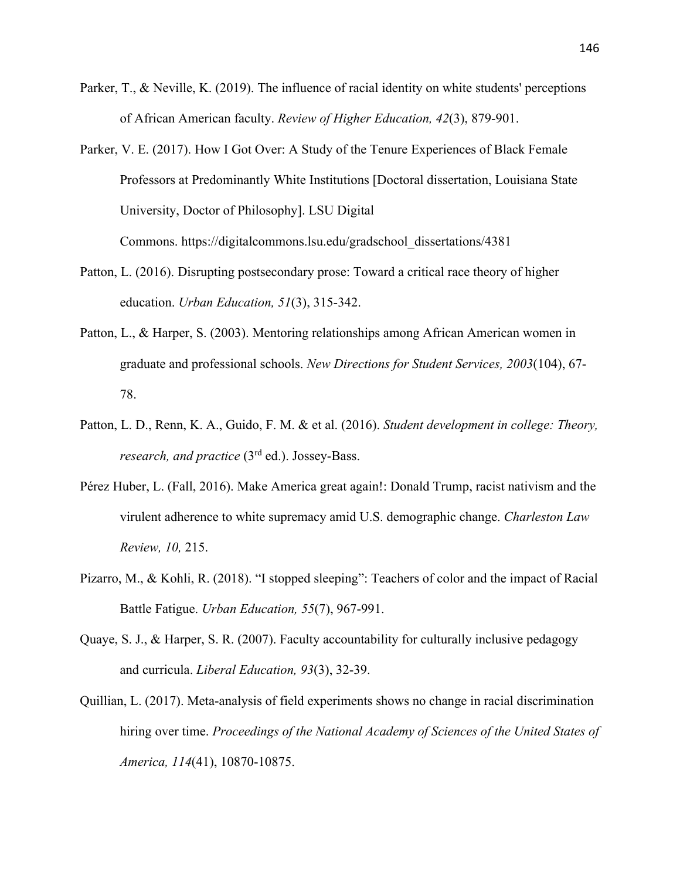- Parker, T., & Neville, K. (2019). The influence of racial identity on white students' perceptions of African American faculty. *Review of Higher Education, 42*(3), 879-901.
- Parker, V. E. (2017). How I Got Over: A Study of the Tenure Experiences of Black Female Professors at Predominantly White Institutions [Doctoral dissertation, Louisiana State University, Doctor of Philosophy]. LSU Digital

Commons. https://digitalcommons.lsu.edu/gradschool\_dissertations/4381

- Patton, L. (2016). Disrupting postsecondary prose: Toward a critical race theory of higher education. *Urban Education, 51*(3), 315-342.
- Patton, L., & Harper, S. (2003). Mentoring relationships among African American women in graduate and professional schools. *New Directions for Student Services, 2003*(104), 67- 78.
- Patton, L. D., Renn, K. A., Guido, F. M. & et al. (2016). *Student development in college: Theory, research, and practice* (3rd ed.). Jossey-Bass.
- Pérez Huber, L. (Fall, 2016). Make America great again!: Donald Trump, racist nativism and the virulent adherence to white supremacy amid U.S. demographic change. *Charleston Law Review, 10,* 215.
- Pizarro, M., & Kohli, R. (2018). "I stopped sleeping": Teachers of color and the impact of Racial Battle Fatigue. *Urban Education, 55*(7), 967-991.
- Quaye, S. J., & Harper, S. R. (2007). Faculty accountability for culturally inclusive pedagogy and curricula. *Liberal Education, 93*(3), 32-39.
- Quillian, L. (2017). Meta-analysis of field experiments shows no change in racial discrimination hiring over time. *Proceedings of the National Academy of Sciences of the United States of America, 114*(41), 10870-10875.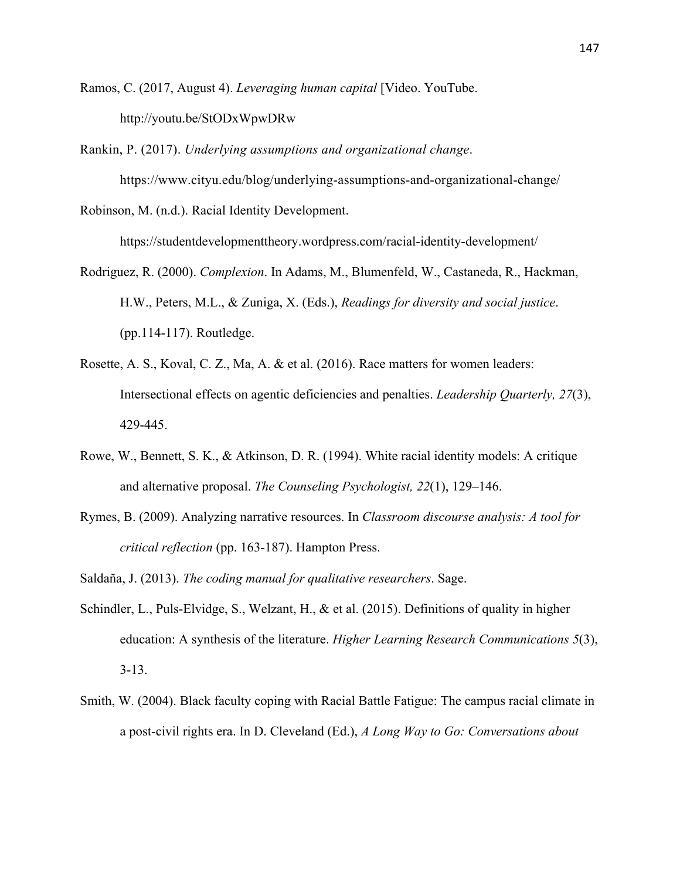Ramos, C. (2017, August 4). *Leveraging human capital* [Video. YouTube. http://youtu.be/StODxWpwDRw

Rankin, P. (2017). *Underlying assumptions and organizational change*. https://www.cityu.edu/blog/underlying-assumptions-and-organizational-change/

Robinson, M. (n.d.). Racial Identity Development.

https://studentdevelopmenttheory.wordpress.com/racial-identity-development/

- Rodriguez, R. (2000). *Complexion*. In Adams, M., Blumenfeld, W., Castaneda, R., Hackman, H.W., Peters, M.L., & Zuniga, X. (Eds.), *Readings for diversity and social justice*. (pp.114-117). Routledge.
- Rosette, A. S., Koval, C. Z., Ma, A. & et al. (2016). Race matters for women leaders: Intersectional effects on agentic deficiencies and penalties. *Leadership Quarterly, 27*(3), 429-445.
- Rowe, W., Bennett, S. K., & Atkinson, D. R. (1994). White racial identity models: A critique and alternative proposal. *The Counseling Psychologist, 22*(1), 129–146.
- Rymes, B. (2009). Analyzing narrative resources. In *Classroom discourse analysis: A tool for critical reflection* (pp. 163-187). Hampton Press.
- Saldaña, J. (2013). *The coding manual for qualitative researchers*. Sage.
- Schindler, L., Puls-Elvidge, S., Welzant, H., & et al. (2015). Definitions of quality in higher education: A synthesis of the literature. *Higher Learning Research Communications 5*(3), 3-13.
- Smith, W. (2004). Black faculty coping with Racial Battle Fatigue: The campus racial climate in a post-civil rights era. In D. Cleveland (Ed.), *A Long Way to Go: Conversations about*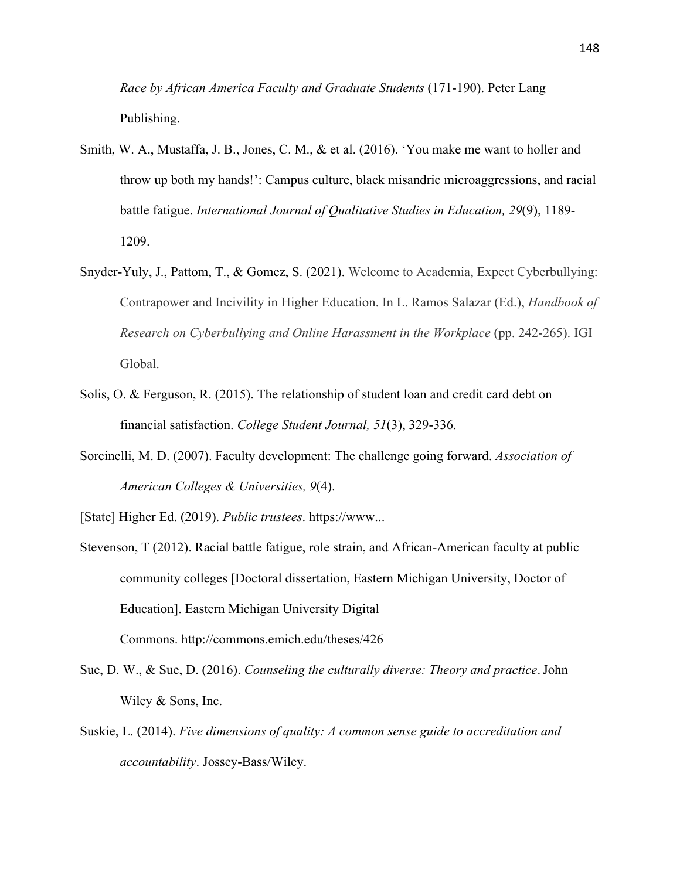*Race by African America Faculty and Graduate Students* (171-190). Peter Lang Publishing.

- Smith, W. A., Mustaffa, J. B., Jones, C. M., & et al. (2016). 'You make me want to holler and throw up both my hands!': Campus culture, black misandric microaggressions, and racial battle fatigue. *International Journal of Qualitative Studies in Education, 29*(9), 1189- 1209.
- Snyder-Yuly, J., Pattom, T., & Gomez, S. (2021). Welcome to Academia, Expect Cyberbullying: Contrapower and Incivility in Higher Education. In L. Ramos Salazar (Ed.), *Handbook of Research on Cyberbullying and Online Harassment in the Workplace* (pp. 242-265). IGI Global.
- Solis, O. & Ferguson, R. (2015). The relationship of student loan and credit card debt on financial satisfaction. *College Student Journal, 51*(3), 329-336.
- Sorcinelli, M. D. (2007). Faculty development: The challenge going forward. *Association of American Colleges & Universities, 9*(4).

[State] Higher Ed. (2019). *Public trustees*. https://www...

- Stevenson, T (2012). Racial battle fatigue, role strain, and African-American faculty at public community colleges [Doctoral dissertation, Eastern Michigan University, Doctor of Education]. Eastern Michigan University Digital Commons. http://commons.emich.edu/theses/426
- Sue, D. W., & Sue, D. (2016). *Counseling the culturally diverse: Theory and practice*.John Wiley & Sons, Inc.
- Suskie, L. (2014). *Five dimensions of quality: A common sense guide to accreditation and accountability*. Jossey-Bass/Wiley.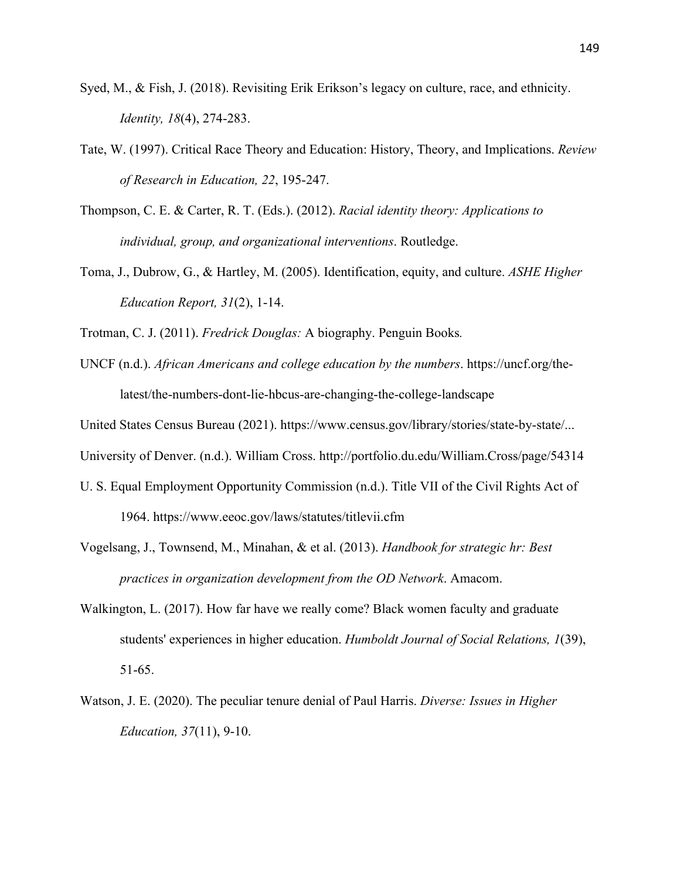- Syed, M., & Fish, J. (2018). Revisiting Erik Erikson's legacy on culture, race, and ethnicity. *Identity, 18*(4), 274-283.
- Tate, W. (1997). Critical Race Theory and Education: History, Theory, and Implications. *Review of Research in Education, 22*, 195-247.
- Thompson, C. E. & Carter, R. T. (Eds.). (2012). *Racial identity theory: Applications to individual, group, and organizational interventions*. Routledge.
- Toma, J., Dubrow, G., & Hartley, M. (2005). Identification, equity, and culture. *ASHE Higher Education Report, 31*(2), 1-14.

Trotman, C. J. (2011). *Fredrick Douglas:* A biography. Penguin Books*.*

UNCF (n.d.). *African Americans and college education by the numbers*. https://uncf.org/thelatest/the-numbers-dont-lie-hbcus-are-changing-the-college-landscape

United States Census Bureau (2021). https://www.census.gov/library/stories/state-by-state/...

University of Denver. (n.d.). William Cross. http://portfolio.du.edu/William.Cross/page/54314

- U. S. Equal Employment Opportunity Commission (n.d.). Title VII of the Civil Rights Act of 1964. https://www.eeoc.gov/laws/statutes/titlevii.cfm
- Vogelsang, J., Townsend, M., Minahan, & et al. (2013). *Handbook for strategic hr: Best practices in organization development from the OD Network*. Amacom.
- Walkington, L. (2017). How far have we really come? Black women faculty and graduate students' experiences in higher education. *Humboldt Journal of Social Relations, 1*(39), 51-65.
- Watson, J. E. (2020). The peculiar tenure denial of Paul Harris. *Diverse: Issues in Higher Education, 37*(11), 9-10.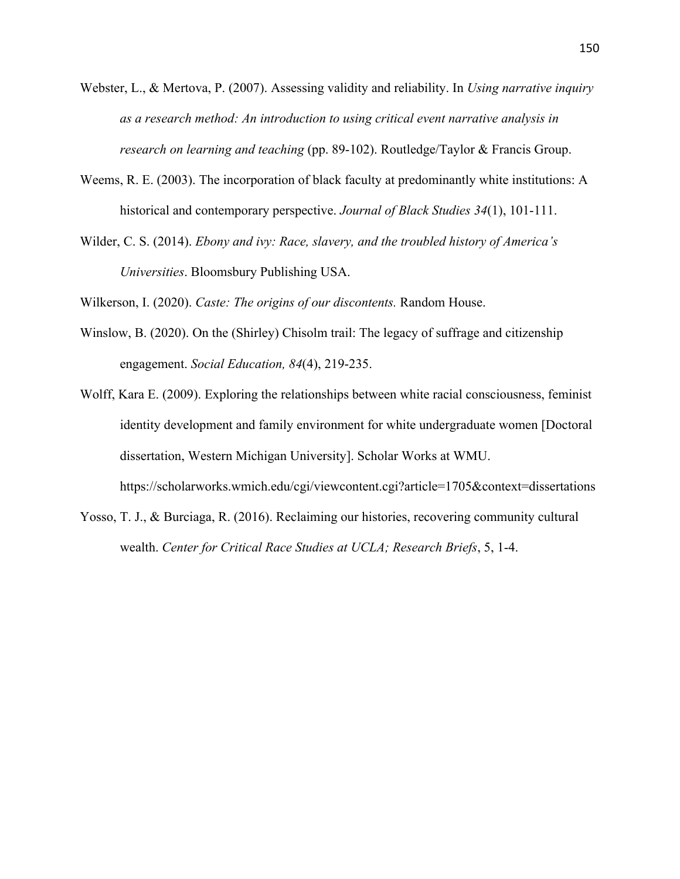- Webster, L., & Mertova, P. (2007). Assessing validity and reliability. In *Using narrative inquiry as a research method: An introduction to using critical event narrative analysis in research on learning and teaching* (pp. 89-102). Routledge/Taylor & Francis Group.
- Weems, R. E. (2003). The incorporation of black faculty at predominantly white institutions: A historical and contemporary perspective. *Journal of Black Studies 34*(1), 101-111.
- Wilder, C. S. (2014). *Ebony and ivy: Race, slavery, and the troubled history of America's Universities*. Bloomsbury Publishing USA.

Wilkerson, I. (2020). *Caste: The origins of our discontents.* Random House.

- Winslow, B. (2020). On the (Shirley) Chisolm trail: The legacy of suffrage and citizenship engagement. *Social Education, 84*(4), 219-235.
- Wolff, Kara E. (2009). Exploring the relationships between white racial consciousness, feminist identity development and family environment for white undergraduate women [Doctoral dissertation, Western Michigan University]. Scholar Works at WMU. https://scholarworks.wmich.edu/cgi/viewcontent.cgi?article=1705&context=dissertations
- Yosso, T. J., & Burciaga, R. (2016). Reclaiming our histories, recovering community cultural wealth. *Center for Critical Race Studies at UCLA; Research Briefs*, 5, 1-4.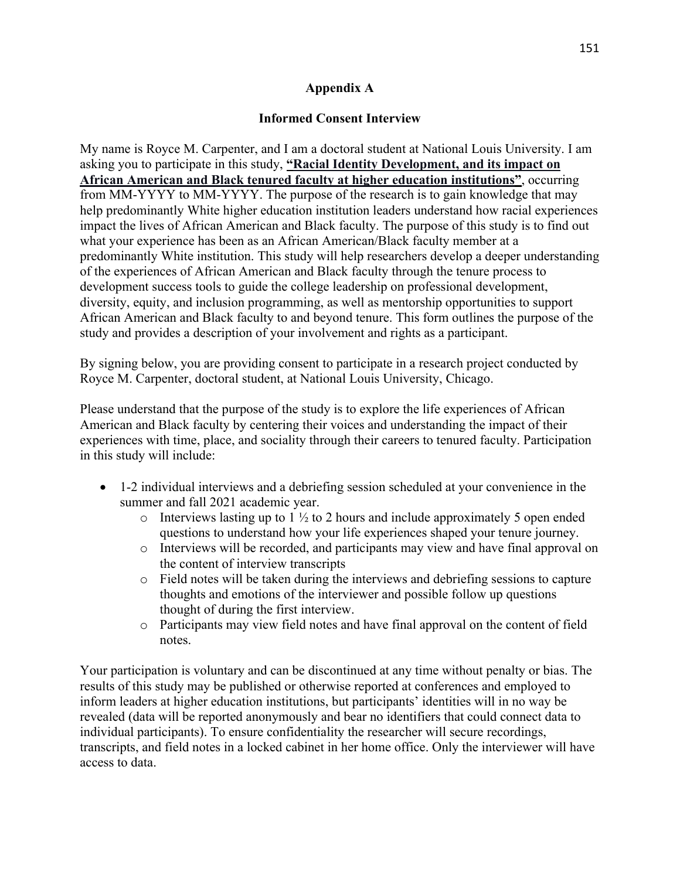### **Appendix A**

### **Informed Consent Interview**

My name is Royce M. Carpenter, and I am a doctoral student at National Louis University. I am asking you to participate in this study, **"Racial Identity Development, and its impact on African American and Black tenured faculty at higher education institutions"**, occurring from MM-YYYY to MM-YYYY. The purpose of the research is to gain knowledge that may help predominantly White higher education institution leaders understand how racial experiences impact the lives of African American and Black faculty. The purpose of this study is to find out what your experience has been as an African American/Black faculty member at a predominantly White institution. This study will help researchers develop a deeper understanding of the experiences of African American and Black faculty through the tenure process to development success tools to guide the college leadership on professional development, diversity, equity, and inclusion programming, as well as mentorship opportunities to support African American and Black faculty to and beyond tenure. This form outlines the purpose of the study and provides a description of your involvement and rights as a participant.

By signing below, you are providing consent to participate in a research project conducted by Royce M. Carpenter, doctoral student, at National Louis University, Chicago.

Please understand that the purpose of the study is to explore the life experiences of African American and Black faculty by centering their voices and understanding the impact of their experiences with time, place, and sociality through their careers to tenured faculty. Participation in this study will include:

- 1-2 individual interviews and a debriefing session scheduled at your convenience in the summer and fall 2021 academic year.
	- $\circ$  Interviews lasting up to 1  $\frac{1}{2}$  to 2 hours and include approximately 5 open ended questions to understand how your life experiences shaped your tenure journey.
	- o Interviews will be recorded, and participants may view and have final approval on the content of interview transcripts
	- o Field notes will be taken during the interviews and debriefing sessions to capture thoughts and emotions of the interviewer and possible follow up questions thought of during the first interview.
	- o Participants may view field notes and have final approval on the content of field notes.

Your participation is voluntary and can be discontinued at any time without penalty or bias. The results of this study may be published or otherwise reported at conferences and employed to inform leaders at higher education institutions, but participants' identities will in no way be revealed (data will be reported anonymously and bear no identifiers that could connect data to individual participants). To ensure confidentiality the researcher will secure recordings, transcripts, and field notes in a locked cabinet in her home office. Only the interviewer will have access to data.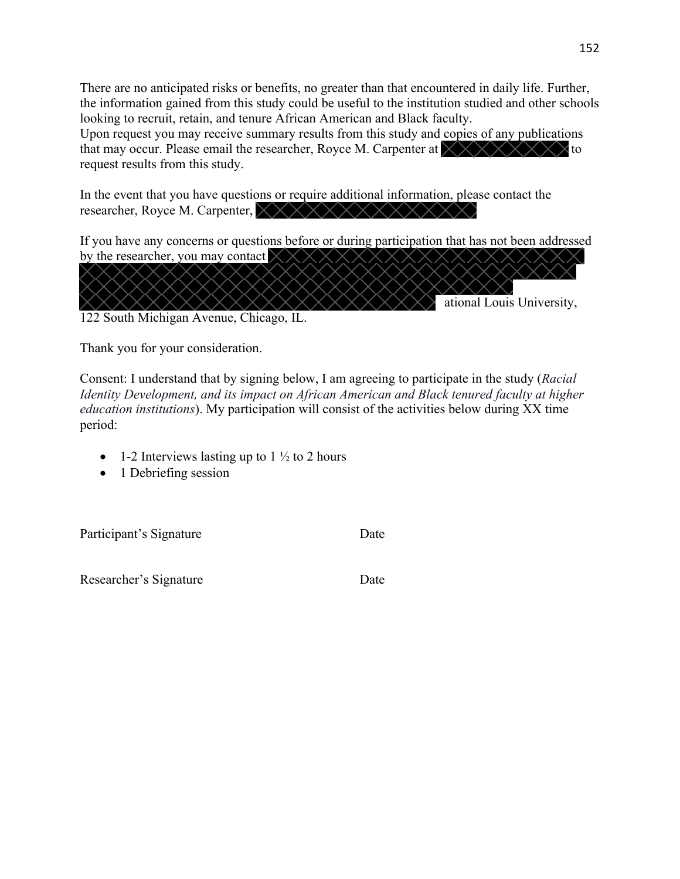There are no anticipated risks or benefits, no greater than that encountered in daily life. Further, the information gained from this study could be useful to the institution studied and other schools looking to recruit, retain, and tenure African American and Black faculty.

Upon request you may receive summary results from this study and copies of any publications that may occur. Please email the researcher, Royce M. Carpenter at to request results from this study.

In the event that you have questions or require additional information, please contact the researcher, Royce M. Carpenter,  $\times$   $\times$   $\times$   $\times$   $\times$   $\times$ 

If you have any concerns or questions before or during participation that has not been addressed by the researcher, you may contact  $\times$ 



Thank you for your consideration.

Consent: I understand that by signing below, I am agreeing to participate in the study (*Racial Identity Development, and its impact on African American and Black tenured faculty at higher education institutions*). My participation will consist of the activities below during XX time period:

- 1-2 Interviews lasting up to 1  $\frac{1}{2}$  to 2 hours
- 1 Debriefing session

Participant's Signature Date

Researcher's Signature Date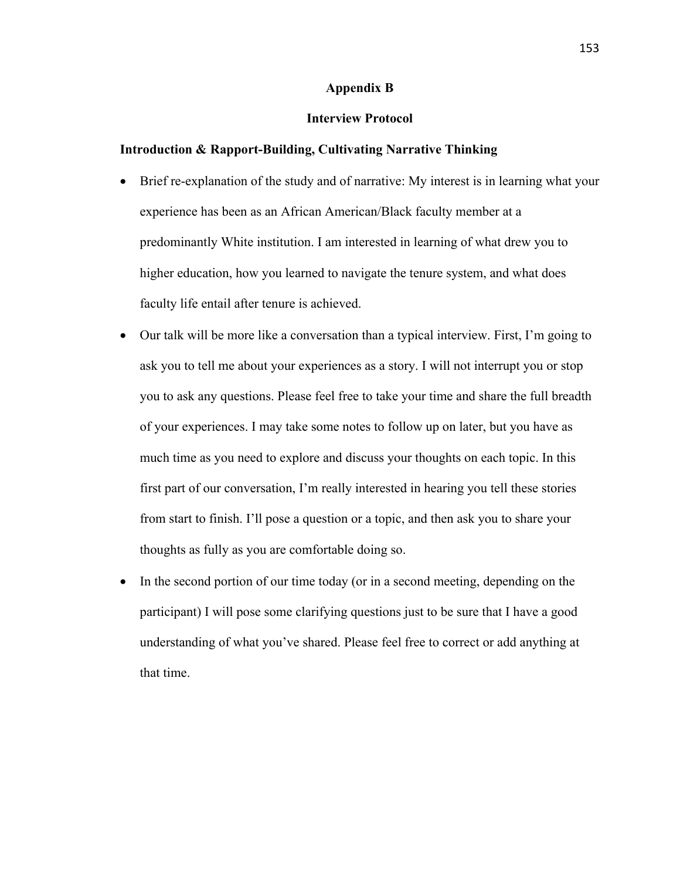#### **Appendix B**

#### **Interview Protocol**

#### **Introduction & Rapport-Building, Cultivating Narrative Thinking**

- Brief re-explanation of the study and of narrative: My interest is in learning what your experience has been as an African American/Black faculty member at a predominantly White institution. I am interested in learning of what drew you to higher education, how you learned to navigate the tenure system, and what does faculty life entail after tenure is achieved.
- Our talk will be more like a conversation than a typical interview. First, I'm going to ask you to tell me about your experiences as a story. I will not interrupt you or stop you to ask any questions. Please feel free to take your time and share the full breadth of your experiences. I may take some notes to follow up on later, but you have as much time as you need to explore and discuss your thoughts on each topic. In this first part of our conversation, I'm really interested in hearing you tell these stories from start to finish. I'll pose a question or a topic, and then ask you to share your thoughts as fully as you are comfortable doing so.
- In the second portion of our time today (or in a second meeting, depending on the participant) I will pose some clarifying questions just to be sure that I have a good understanding of what you've shared. Please feel free to correct or add anything at that time.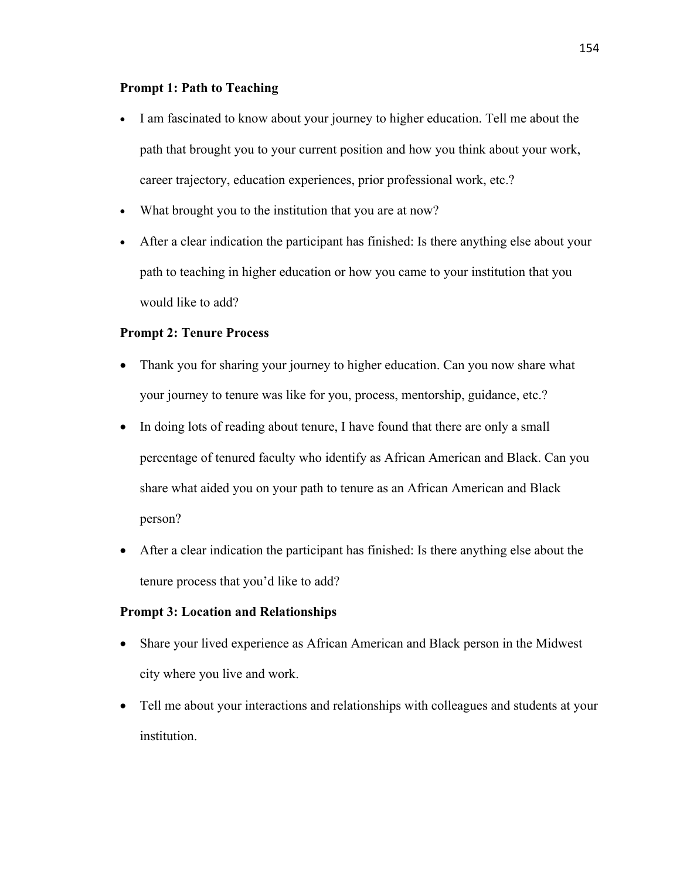#### **Prompt 1: Path to Teaching**

- I am fascinated to know about your journey to higher education. Tell me about the path that brought you to your current position and how you think about your work, career trajectory, education experiences, prior professional work, etc.?
- What brought you to the institution that you are at now?
- After a clear indication the participant has finished: Is there anything else about your path to teaching in higher education or how you came to your institution that you would like to add?

### **Prompt 2: Tenure Process**

- Thank you for sharing your journey to higher education. Can you now share what your journey to tenure was like for you, process, mentorship, guidance, etc.?
- In doing lots of reading about tenure, I have found that there are only a small percentage of tenured faculty who identify as African American and Black. Can you share what aided you on your path to tenure as an African American and Black person?
- After a clear indication the participant has finished: Is there anything else about the tenure process that you'd like to add?

### **Prompt 3: Location and Relationships**

- Share your lived experience as African American and Black person in the Midwest city where you live and work.
- Tell me about your interactions and relationships with colleagues and students at your institution.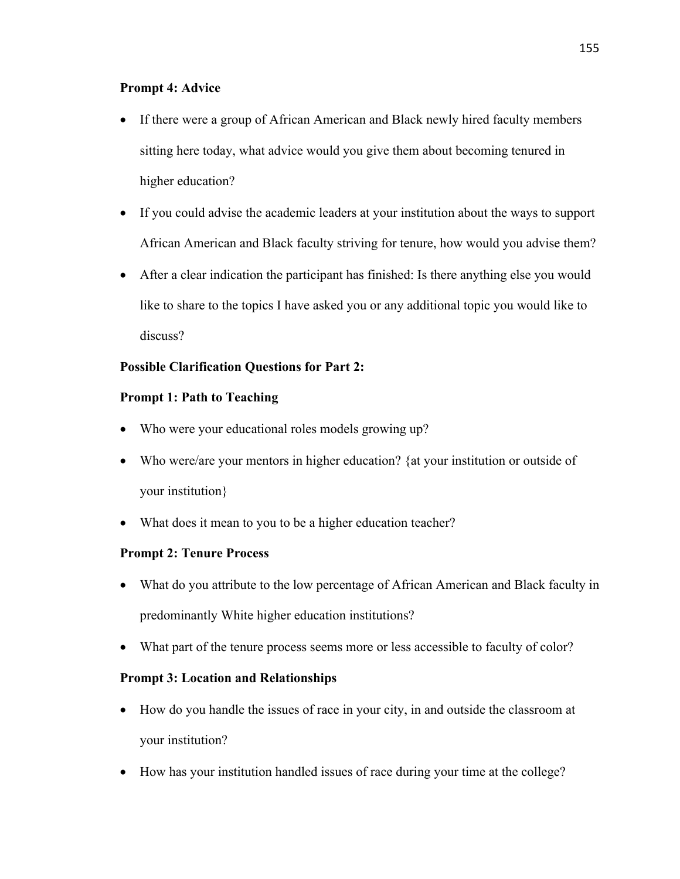### **Prompt 4: Advice**

- If there were a group of African American and Black newly hired faculty members sitting here today, what advice would you give them about becoming tenured in higher education?
- If you could advise the academic leaders at your institution about the ways to support African American and Black faculty striving for tenure, how would you advise them?
- After a clear indication the participant has finished: Is there anything else you would like to share to the topics I have asked you or any additional topic you would like to discuss?

# **Possible Clarification Questions for Part 2:**

# **Prompt 1: Path to Teaching**

- Who were your educational roles models growing up?
- Who were/are your mentors in higher education? {at your institution or outside of your institution}
- What does it mean to you to be a higher education teacher?

## **Prompt 2: Tenure Process**

- What do you attribute to the low percentage of African American and Black faculty in predominantly White higher education institutions?
- What part of the tenure process seems more or less accessible to faculty of color?

## **Prompt 3: Location and Relationships**

- How do you handle the issues of race in your city, in and outside the classroom at your institution?
- How has your institution handled issues of race during your time at the college?